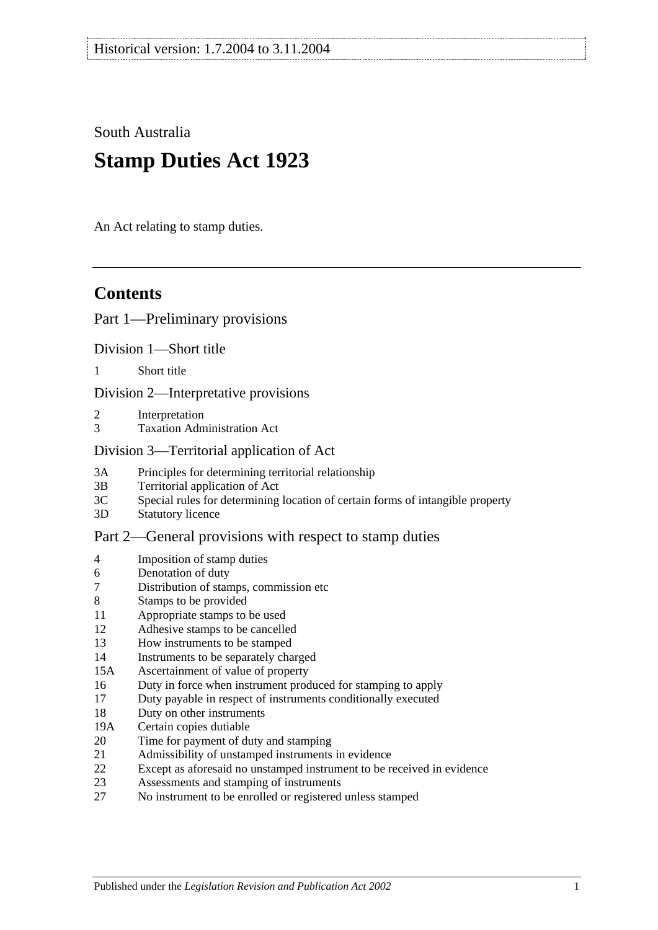South Australia

# **Stamp Duties Act 1923**

An Act relating to stamp duties.

# **Contents**

## [Part 1—Preliminary provisions](#page-6-0)

[Division 1—Short title](#page-6-1)

1 [Short title](#page-6-2)

[Division 2—Interpretative provisions](#page-6-3)

- 2 [Interpretation](#page-6-4)
- 3 [Taxation Administration Act](#page-9-0)

#### [Division 3—Territorial application of Act](#page-9-1)

- 3A [Principles for determining territorial relationship](#page-9-2)
- 3B [Territorial application of Act](#page-10-0)
- 3C [Special rules for determining location of certain forms of intangible property](#page-10-1)
- 3D [Statutory licence](#page-11-0)

## [Part 2—General provisions with respect to stamp duties](#page-12-0)

- 4 [Imposition of stamp duties](#page-12-1)
- 6 [Denotation of duty](#page-12-2)
- 7 [Distribution of stamps, commission etc](#page-12-3)
- 8 [Stamps to be provided](#page-12-4)
- 11 [Appropriate stamps to be used](#page-12-5)
- 12 [Adhesive stamps to be cancelled](#page-13-0)
- 13 [How instruments to be stamped](#page-13-1)
- 14 [Instruments to be separately charged](#page-13-2)
- 15A [Ascertainment of value of property](#page-13-3)
- 16 [Duty in force when instrument produced for stamping to apply](#page-14-0)
- 17 [Duty payable in respect of instruments conditionally executed](#page-14-1)
- 18 [Duty on other instruments](#page-14-2)
- 19A [Certain copies dutiable](#page-14-3)
- 20 [Time for payment of duty and stamping](#page-15-0)
- 21 [Admissibility of unstamped instruments in evidence](#page-15-1)
- 22 [Except as aforesaid no unstamped instrument to be received in evidence](#page-15-2)
- 23 [Assessments and stamping of instruments](#page-16-0)
- 27 [No instrument to be enrolled or registered unless stamped](#page-16-1)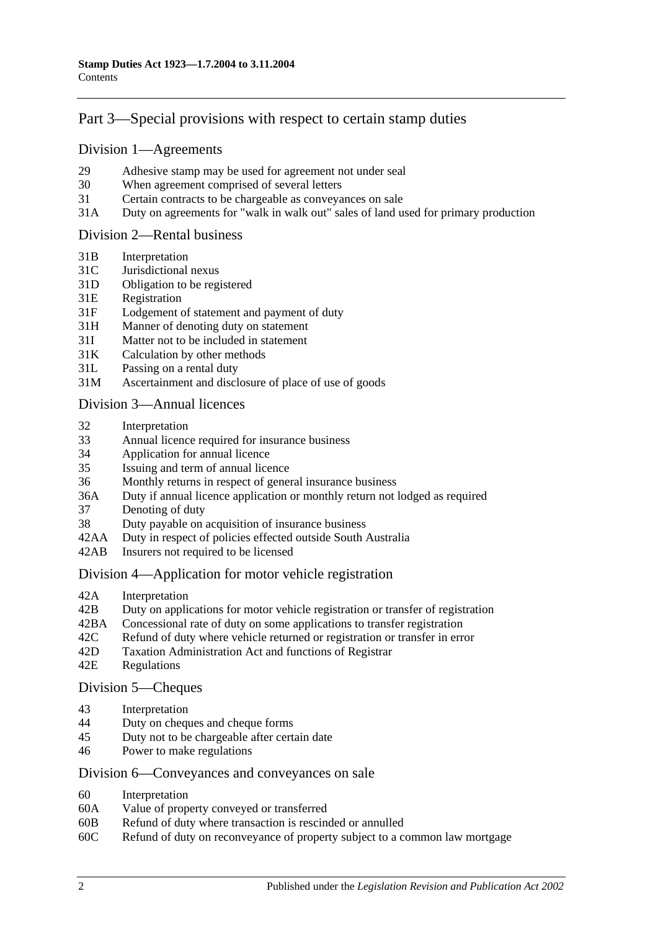# [Part 3—Special provisions with respect to certain stamp duties](#page-18-0)

#### [Division 1—Agreements](#page-18-1)

- 29 [Adhesive stamp may be used for agreement not under seal](#page-18-2)
- 30 [When agreement comprised of several letters](#page-18-3)
- 31 [Certain contracts to be chargeable as conveyances on sale](#page-18-4)
- 31A [Duty on agreements for "walk in walk out" sales of land used for primary production](#page-19-0)

#### [Division 2—Rental business](#page-19-1)

- 31B [Interpretation](#page-19-2)
- 31C [Jurisdictional nexus](#page-21-0)
- 31D [Obligation to be registered](#page-21-1)
- 31E [Registration](#page-21-2)
- 31F [Lodgement of statement and payment of duty](#page-21-3)
- 31H [Manner of denoting duty on statement](#page-22-0)
- 31I [Matter not to be included in statement](#page-23-0)
- 31K [Calculation by other methods](#page-24-0)
- 31L [Passing on a rental duty](#page-25-0)
- 31M [Ascertainment and disclosure of place of use of goods](#page-25-1)

#### [Division 3—Annual licences](#page-26-0)

- 32 [Interpretation](#page-26-1)
- 33 [Annual licence required for insurance business](#page-26-2)
- 34 [Application for annual licence](#page-27-0)
- 35 [Issuing and term of annual licence](#page-27-1)
- 36 [Monthly returns in respect of general insurance business](#page-27-2)
- 36A [Duty if annual licence application or monthly return not lodged as required](#page-27-3)
- 37 [Denoting of duty](#page-28-0)
- 38 [Duty payable on acquisition of insurance business](#page-28-1)
- 42AA [Duty in respect of policies effected outside South Australia](#page-28-2)
- 42AB [Insurers not required to be licensed](#page-28-3)

#### [Division 4—Application for motor vehicle registration](#page-29-0)

- 42A [Interpretation](#page-29-1)
- 42B [Duty on applications for motor vehicle registration or transfer of registration](#page-30-0)
- 42BA [Concessional rate of duty on some applications to transfer registration](#page-32-0)
- 42C [Refund of duty where vehicle returned or registration or transfer in error](#page-32-1)
- 42D [Taxation Administration Act and functions of Registrar](#page-32-2)
- 42E [Regulations](#page-33-0)

#### [Division 5—Cheques](#page-33-1)

- 43 [Interpretation](#page-33-2)
- 44 [Duty on cheques and cheque forms](#page-33-3)
- 45 [Duty not to be chargeable after certain date](#page-34-0)
- 46 [Power to make regulations](#page-34-1)

#### [Division 6—Conveyances and conveyances on sale](#page-34-2)

- 60 [Interpretation](#page-34-3)
- 60A [Value of property conveyed or transferred](#page-35-0)
- 60B [Refund of duty where transaction is rescinded or annulled](#page-37-0)
- 60C [Refund of duty on reconveyance of property subject to a common law mortgage](#page-37-1)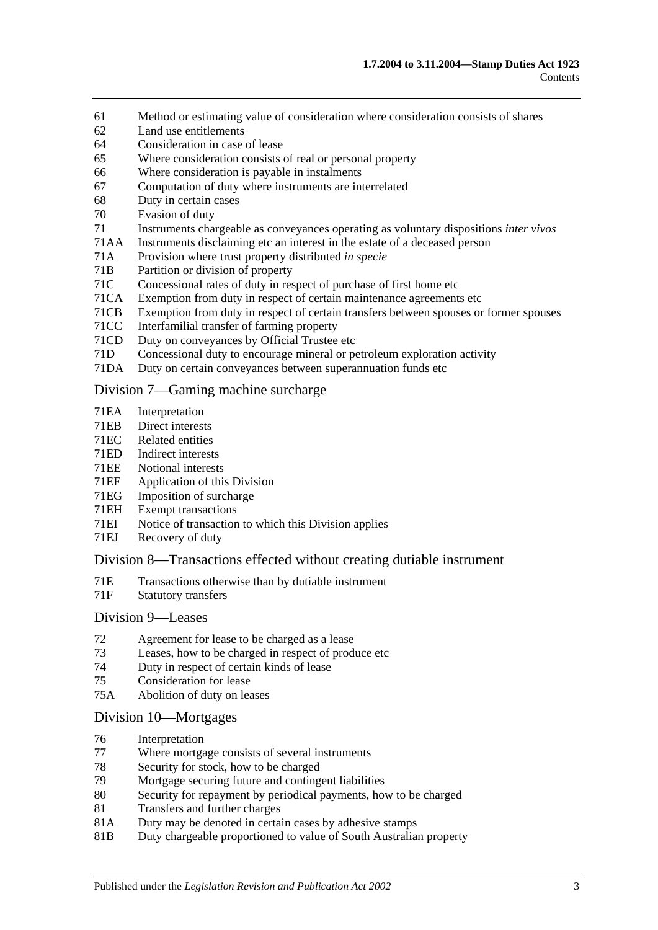- 61 [Method or estimating value of consideration where consideration](#page-37-2) consists of shares
- 62 [Land use entitlements](#page-38-0)
- 64 [Consideration in case of lease](#page-38-1)
- 65 [Where consideration consists of real or personal property](#page-38-2)
- 66 [Where consideration is payable in instalments](#page-38-3)
- 67 [Computation of duty where instruments are interrelated](#page-39-0)
- 68 [Duty in certain cases](#page-39-1)
- 70 [Evasion of duty](#page-40-0)
- 71 [Instruments chargeable as conveyances operating as voluntary dispositions](#page-40-1) *inter vivos*
- 71AA [Instruments disclaiming etc an interest in the estate of a deceased person](#page-44-0)
- 71A [Provision where trust property distributed](#page-44-1) *in specie*
- 71B [Partition or division of property](#page-44-2)
- 71C [Concessional rates of duty in respect of purchase of first home etc](#page-44-3)<br>71CA Exemption from duty in respect of certain maintenance agreements
- [Exemption from duty in respect of certain maintenance agreements etc](#page-48-0)
- 71CB [Exemption from duty in respect of certain transfers between spouses or former spouses](#page-49-0)
- 71CC [Interfamilial transfer of farming property](#page-50-0)
- 71CD [Duty on conveyances by Official Trustee etc](#page-52-0)
- 71D [Concessional duty to encourage mineral or petroleum exploration activity](#page-52-1)
- 71DA [Duty on certain conveyances between superannuation funds etc](#page-53-0)

#### [Division 7—Gaming machine surcharge](#page-55-0)

- 71EA [Interpretation](#page-55-1)
- 71EB [Direct interests](#page-56-0)
- 71EC [Related entities](#page-57-0)<br>71ED Indirect interest
- [Indirect interests](#page-57-1)
- 71EE [Notional interests](#page-57-2)
- 71EF [Application of this Division](#page-58-0)
- 71EG [Imposition of surcharge](#page-58-1)<br>71EH Exempt transactions
- [Exempt transactions](#page-59-0)
- 71EI [Notice of transaction to which this Division applies](#page-59-1)
- 71EJ [Recovery of duty](#page-59-2)

#### [Division 8—Transactions effected without creating dutiable instrument](#page-60-0)

- 71E [Transactions otherwise than by dutiable instrument](#page-60-1)
- 71F [Statutory transfers](#page-61-0)

#### [Division 9—Leases](#page-62-0)

- 72 [Agreement for lease to be charged as a lease](#page-62-1)
- 73 [Leases, how to be charged in respect of produce etc](#page-62-2)
- 74 [Duty in respect of certain kinds of lease](#page-63-0)
- 75 [Consideration for lease](#page-63-1)
- 75A [Abolition of duty on leases](#page-64-0)

#### [Division 10—Mortgages](#page-64-1)

- 76 [Interpretation](#page-64-2)
- 77 [Where mortgage consists of several instruments](#page-65-0)
- 78 [Security for stock, how to be charged](#page-65-1)<br>79 Mortgage securing future and conting
- 79 [Mortgage securing future and contingent liabilities](#page-65-2)<br>80 Security for repayment by periodical payments how
- [Security for repayment by periodical payments, how to be charged](#page-67-0)
- 81 [Transfers and further charges](#page-67-1)
- 81A [Duty may be denoted in certain cases by adhesive stamps](#page-67-2)
- 81B [Duty chargeable proportioned to value of South Australian property](#page-67-3)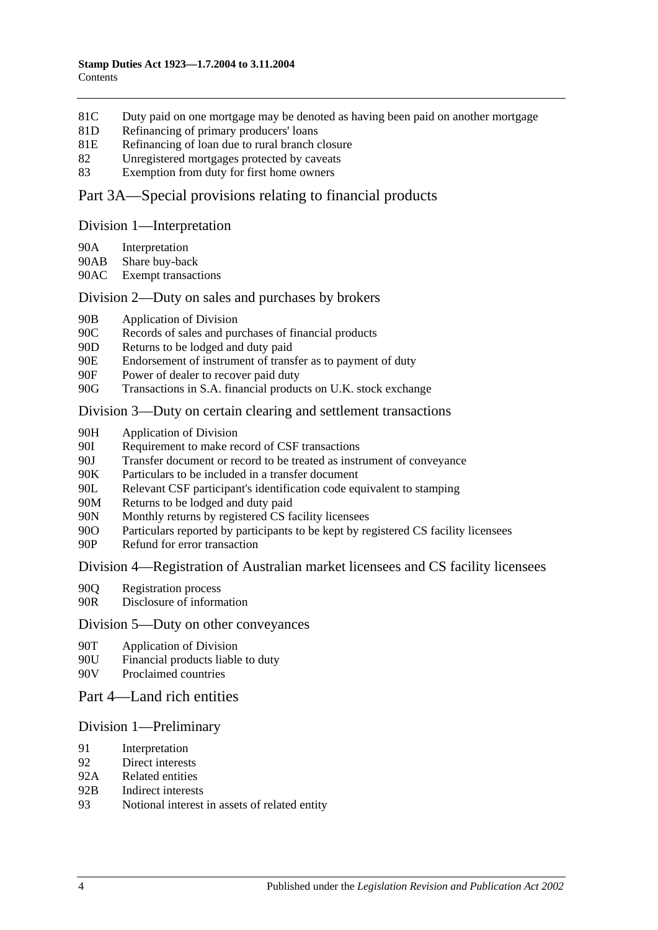- 81C [Duty paid on one mortgage may be denoted as having been paid on another mortgage](#page-68-0)
- 81D [Refinancing of primary producers' loans](#page-69-0)
- 81E [Refinancing of loan due to rural branch closure](#page-69-1)
- 82 [Unregistered mortgages protected by caveats](#page-70-0)
- 83 [Exemption from duty for first home owners](#page-71-0)

#### [Part 3A—Special provisions relating to financial products](#page-72-0)

#### [Division 1—Interpretation](#page-72-1)

- 90A [Interpretation](#page-72-2)
- 90AB [Share buy-back](#page-74-0)
- 90AC [Exempt transactions](#page-74-1)

#### [Division 2—Duty on sales and purchases by brokers](#page-74-2)

- 90B [Application of Division](#page-74-3)
- 90C [Records of sales and purchases of financial products](#page-75-0)
- 90D [Returns to be lodged and duty paid](#page-76-0)
- 90E [Endorsement of instrument of transfer as to payment of duty](#page-77-0)
- 90F [Power of dealer to recover paid duty](#page-77-1)
- 90G [Transactions in S.A. financial products on U.K. stock exchange](#page-77-2)

#### [Division 3—Duty on certain clearing and settlement transactions](#page-79-0)

- 90H [Application of Division](#page-79-1)
- 90I [Requirement to make record of CSF transactions](#page-80-0)
- 90J [Transfer document or record to be treated as instrument of conveyance](#page-80-1)
- 
- 90K [Particulars to be included in a transfer document](#page-81-0)<br>90I. Relevant CSF participant's identification code eq [Relevant CSF participant's identification code equivalent to stamping](#page-81-1)
- 90M [Returns to be lodged and duty paid](#page-81-2)
- 90N [Monthly returns by registered CS facility licensees](#page-81-3)
- 90O [Particulars reported by participants to be kept by registered CS facility licensees](#page-82-0)
- 90P [Refund for error transaction](#page-82-1)

#### [Division 4—Registration of Australian market licensees and CS facility licensees](#page-82-2)

- 90Q [Registration process](#page-82-3)
- 90R [Disclosure of information](#page-83-0)

#### [Division 5—Duty on other conveyances](#page-83-1)

- 90T [Application of Division](#page-83-2)
- 90U [Financial products liable to duty](#page-83-3)
- 90V [Proclaimed countries](#page-83-4)
- [Part 4—Land rich entities](#page-84-0)

#### [Division 1—Preliminary](#page-84-1)

- 91 [Interpretation](#page-84-2)
- 92 [Direct interests](#page-86-0)
- 92A [Related entities](#page-87-0)
- 92B [Indirect interests](#page-87-1)
- 93 [Notional interest in assets of related entity](#page-87-2)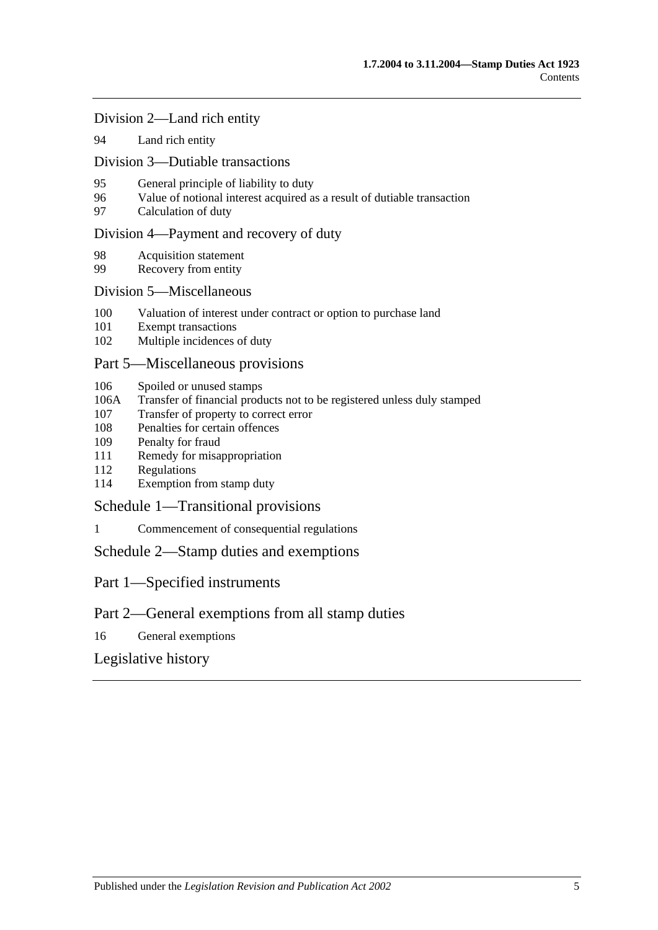[Division 2—Land rich entity](#page-88-0)

94 [Land rich entity](#page-88-1)

[Division 3—Dutiable transactions](#page-89-0)

- 95 [General principle of liability to duty](#page-89-1)
- 96 [Value of notional interest acquired as a result of dutiable transaction](#page-89-2)
- 97 [Calculation of duty](#page-90-0)

#### [Division 4—Payment and recovery of duty](#page-91-0)

- 98 [Acquisition statement](#page-91-1)
- 99 [Recovery from entity](#page-91-2)

#### [Division 5—Miscellaneous](#page-92-0)

- 100 [Valuation of interest under contract or option to purchase land](#page-92-1)
- 101 [Exempt transactions](#page-92-2)
- 102 [Multiple incidences of duty](#page-93-0)

#### [Part 5—Miscellaneous provisions](#page-94-0)

- 106 [Spoiled or unused stamps](#page-94-1)
- 106A [Transfer of financial products not to be registered unless duly stamped](#page-94-2)
- 107 [Transfer of property to correct error](#page-95-0)
- 108 [Penalties for certain offences](#page-95-1)
- 109 [Penalty for fraud](#page-96-0)
- 111 [Remedy for misappropriation](#page-96-1)
- 112 [Regulations](#page-96-2)
- 114 [Exemption from stamp duty](#page-97-0)

[Schedule 1—Transitional provisions](#page-98-0)

1 [Commencement of consequential regulations](#page-98-1)

[Schedule 2—Stamp duties and exemptions](#page-98-2)

Part 1—Specified instruments

## Part 2—General exemptions from all stamp duties

16 [General exemptions](#page-111-0)

[Legislative history](#page-116-0)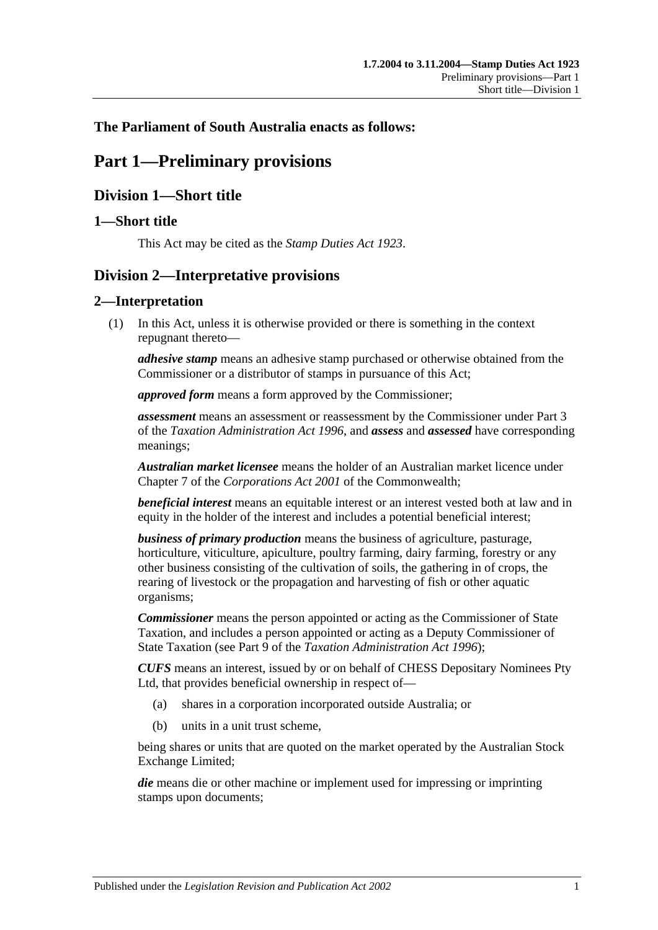## <span id="page-6-0"></span>**The Parliament of South Australia enacts as follows:**

# **Part 1—Preliminary provisions**

# <span id="page-6-1"></span>**Division 1—Short title**

## <span id="page-6-2"></span>**1—Short title**

This Act may be cited as the *Stamp Duties Act 1923*.

# <span id="page-6-3"></span>**Division 2—Interpretative provisions**

## <span id="page-6-4"></span>**2—Interpretation**

(1) In this Act, unless it is otherwise provided or there is something in the context repugnant thereto—

*adhesive stamp* means an adhesive stamp purchased or otherwise obtained from the Commissioner or a distributor of stamps in pursuance of this Act;

*approved form* means a form approved by the Commissioner;

*assessment* means an assessment or reassessment by the Commissioner under Part 3 of the *[Taxation Administration Act](http://www.legislation.sa.gov.au/index.aspx?action=legref&type=act&legtitle=Taxation%20Administration%20Act%201996) 1996*, and *assess* and *assessed* have corresponding meanings;

*Australian market licensee* means the holder of an Australian market licence under Chapter 7 of the *Corporations Act 2001* of the Commonwealth;

*beneficial interest* means an equitable interest or an interest vested both at law and in equity in the holder of the interest and includes a potential beneficial interest;

*business of primary production* means the business of agriculture, pasturage, horticulture, viticulture, apiculture, poultry farming, dairy farming, forestry or any other business consisting of the cultivation of soils, the gathering in of crops, the rearing of livestock or the propagation and harvesting of fish or other aquatic organisms;

*Commissioner* means the person appointed or acting as the Commissioner of State Taxation, and includes a person appointed or acting as a Deputy Commissioner of State Taxation (see Part 9 of the *[Taxation Administration Act](http://www.legislation.sa.gov.au/index.aspx?action=legref&type=act&legtitle=Taxation%20Administration%20Act%201996) 1996*);

*CUFS* means an interest, issued by or on behalf of CHESS Depositary Nominees Pty Ltd, that provides beneficial ownership in respect of—

- (a) shares in a corporation incorporated outside Australia; or
- (b) units in a unit trust scheme,

being shares or units that are quoted on the market operated by the Australian Stock Exchange Limited;

*die* means die or other machine or implement used for impressing or imprinting stamps upon documents;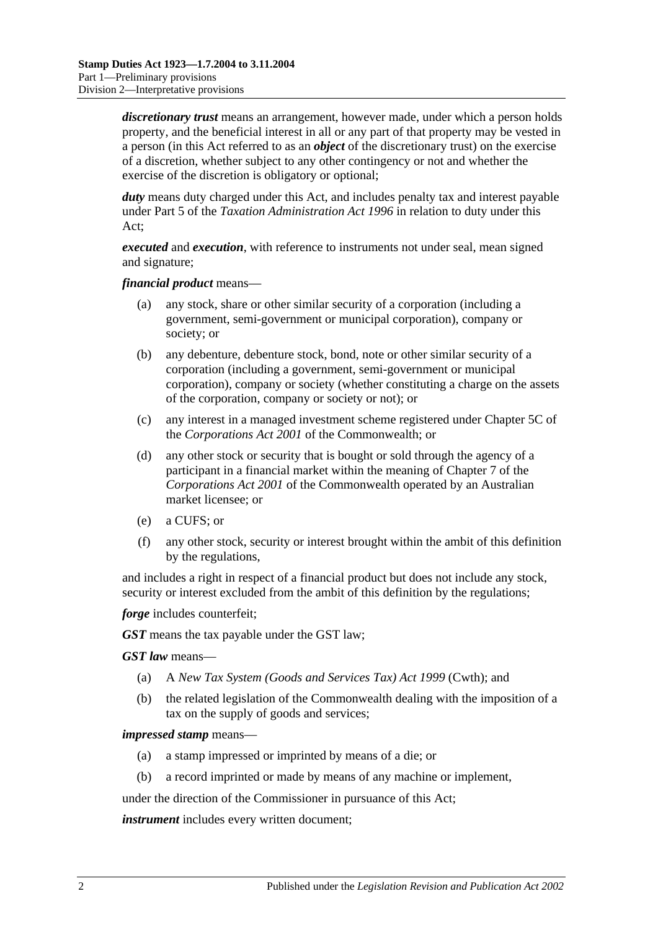*discretionary trust* means an arrangement, however made, under which a person holds property, and the beneficial interest in all or any part of that property may be vested in a person (in this Act referred to as an *object* of the discretionary trust) on the exercise of a discretion, whether subject to any other contingency or not and whether the exercise of the discretion is obligatory or optional;

*duty* means duty charged under this Act, and includes penalty tax and interest payable under Part 5 of the *[Taxation Administration Act](http://www.legislation.sa.gov.au/index.aspx?action=legref&type=act&legtitle=Taxation%20Administration%20Act%201996) 1996* in relation to duty under this Act;

*executed* and *execution*, with reference to instruments not under seal, mean signed and signature;

*financial product* means—

- (a) any stock, share or other similar security of a corporation (including a government, semi-government or municipal corporation), company or society; or
- (b) any debenture, debenture stock, bond, note or other similar security of a corporation (including a government, semi-government or municipal corporation), company or society (whether constituting a charge on the assets of the corporation, company or society or not); or
- (c) any interest in a managed investment scheme registered under Chapter 5C of the *Corporations Act 2001* of the Commonwealth; or
- (d) any other stock or security that is bought or sold through the agency of a participant in a financial market within the meaning of Chapter 7 of the *Corporations Act 2001* of the Commonwealth operated by an Australian market licensee; or
- (e) a CUFS; or
- (f) any other stock, security or interest brought within the ambit of this definition by the regulations,

and includes a right in respect of a financial product but does not include any stock, security or interest excluded from the ambit of this definition by the regulations;

*forge* includes counterfeit;

*GST* means the tax payable under the GST law;

*GST law* means—

- (a) A *New Tax System (Goods and Services Tax) Act 1999* (Cwth); and
- (b) the related legislation of the Commonwealth dealing with the imposition of a tax on the supply of goods and services;

#### *impressed stamp* means—

- (a) a stamp impressed or imprinted by means of a die; or
- (b) a record imprinted or made by means of any machine or implement,

under the direction of the Commissioner in pursuance of this Act;

*instrument* includes every written document;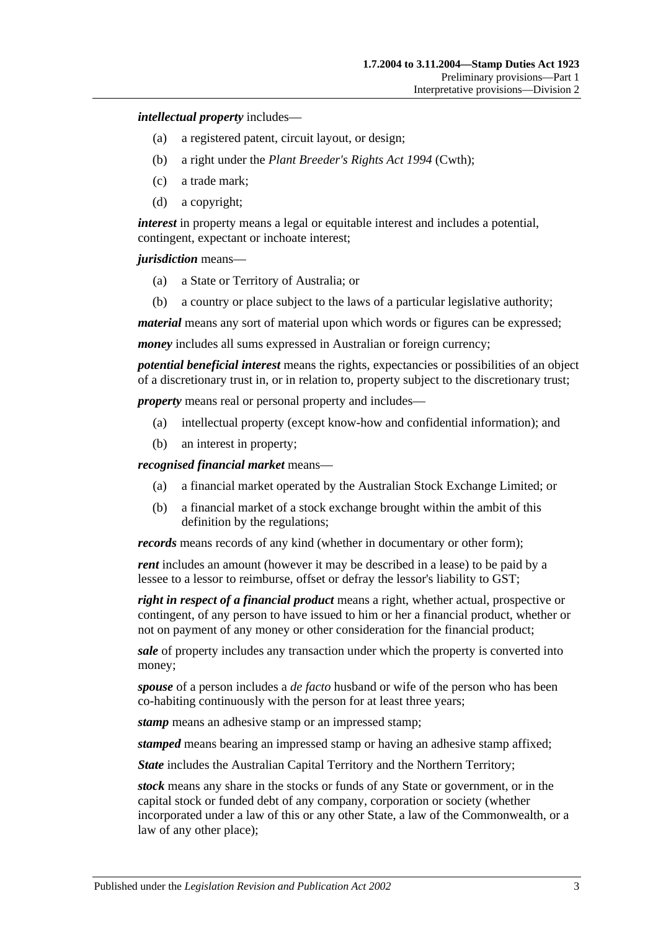*intellectual property* includes—

- (a) a registered patent, circuit layout, or design;
- (b) a right under the *Plant Breeder's Rights Act 1994* (Cwth);
- (c) a trade mark;
- (d) a copyright;

*interest* in property means a legal or equitable interest and includes a potential, contingent, expectant or inchoate interest;

*jurisdiction* means—

- (a) a State or Territory of Australia; or
- (b) a country or place subject to the laws of a particular legislative authority;

*material* means any sort of material upon which words or figures can be expressed;

*money* includes all sums expressed in Australian or foreign currency;

*potential beneficial interest* means the rights, expectancies or possibilities of an object of a discretionary trust in, or in relation to, property subject to the discretionary trust;

*property* means real or personal property and includes—

- (a) intellectual property (except know-how and confidential information); and
- (b) an interest in property;

*recognised financial market* means—

- (a) a financial market operated by the Australian Stock Exchange Limited; or
- (b) a financial market of a stock exchange brought within the ambit of this definition by the regulations;

*records* means records of any kind (whether in documentary or other form);

*rent* includes an amount (however it may be described in a lease) to be paid by a lessee to a lessor to reimburse, offset or defray the lessor's liability to GST;

*right in respect of a financial product* means a right, whether actual, prospective or contingent, of any person to have issued to him or her a financial product, whether or not on payment of any money or other consideration for the financial product;

*sale* of property includes any transaction under which the property is converted into money;

*spouse* of a person includes a *de facto* husband or wife of the person who has been co-habiting continuously with the person for at least three years;

*stamp* means an adhesive stamp or an impressed stamp;

*stamped* means bearing an impressed stamp or having an adhesive stamp affixed;

*State* includes the Australian Capital Territory and the Northern Territory;

*stock* means any share in the stocks or funds of any State or government, or in the capital stock or funded debt of any company, corporation or society (whether incorporated under a law of this or any other State, a law of the Commonwealth, or a law of any other place);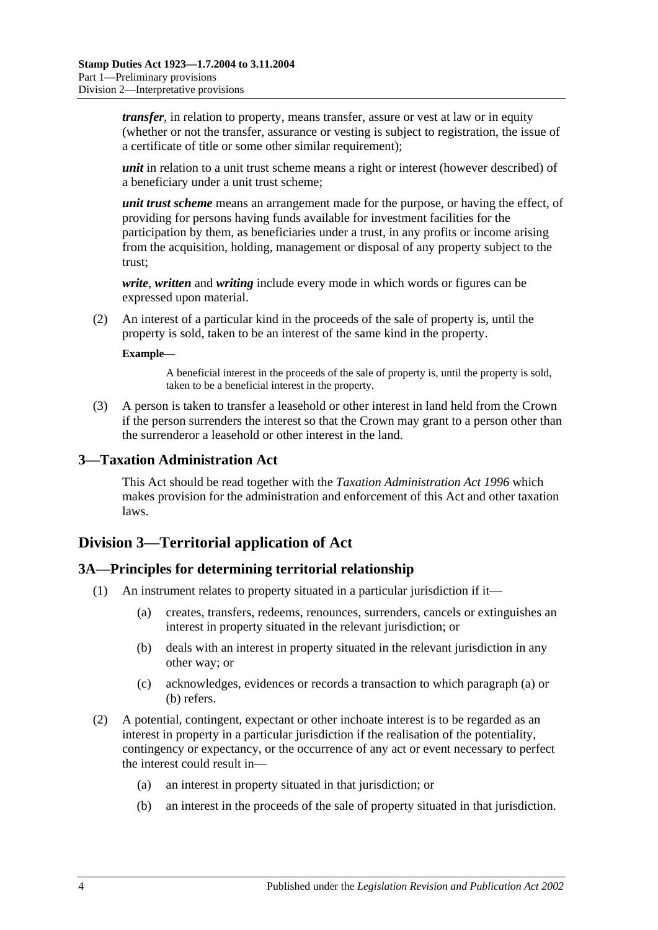*transfer*, in relation to property, means transfer, assure or vest at law or in equity (whether or not the transfer, assurance or vesting is subject to registration, the issue of a certificate of title or some other similar requirement);

*unit* in relation to a unit trust scheme means a right or interest (however described) of a beneficiary under a unit trust scheme;

*unit trust scheme* means an arrangement made for the purpose, or having the effect, of providing for persons having funds available for investment facilities for the participation by them, as beneficiaries under a trust, in any profits or income arising from the acquisition, holding, management or disposal of any property subject to the trust;

*write*, *written* and *writing* include every mode in which words or figures can be expressed upon material.

(2) An interest of a particular kind in the proceeds of the sale of property is, until the property is sold, taken to be an interest of the same kind in the property.

#### **Example—**

A beneficial interest in the proceeds of the sale of property is, until the property is sold, taken to be a beneficial interest in the property.

(3) A person is taken to transfer a leasehold or other interest in land held from the Crown if the person surrenders the interest so that the Crown may grant to a person other than the surrenderor a leasehold or other interest in the land.

#### <span id="page-9-0"></span>**3—Taxation Administration Act**

This Act should be read together with the *[Taxation Administration Act](http://www.legislation.sa.gov.au/index.aspx?action=legref&type=act&legtitle=Taxation%20Administration%20Act%201996) 1996* which makes provision for the administration and enforcement of this Act and other taxation laws.

## <span id="page-9-1"></span>**Division 3—Territorial application of Act**

#### <span id="page-9-2"></span>**3A—Principles for determining territorial relationship**

- <span id="page-9-4"></span><span id="page-9-3"></span>(1) An instrument relates to property situated in a particular jurisdiction if it—
	- (a) creates, transfers, redeems, renounces, surrenders, cancels or extinguishes an interest in property situated in the relevant jurisdiction; or
	- (b) deals with an interest in property situated in the relevant jurisdiction in any other way; or
	- (c) acknowledges, evidences or records a transaction to which [paragraph](#page-9-3) (a) or [\(b\)](#page-9-4) refers.
- (2) A potential, contingent, expectant or other inchoate interest is to be regarded as an interest in property in a particular jurisdiction if the realisation of the potentiality, contingency or expectancy, or the occurrence of any act or event necessary to perfect the interest could result in—
	- (a) an interest in property situated in that jurisdiction; or
	- (b) an interest in the proceeds of the sale of property situated in that jurisdiction.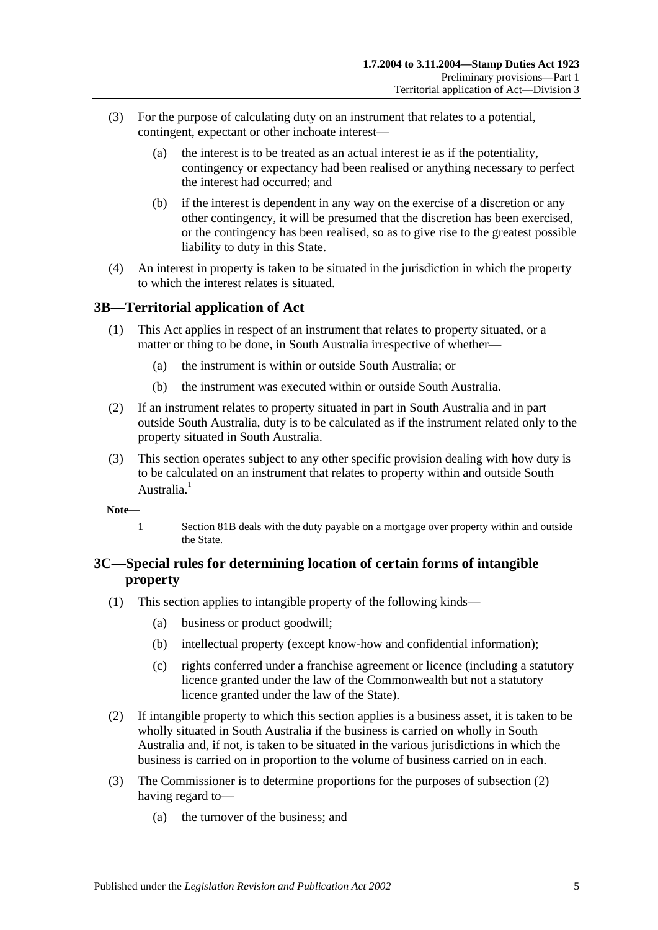- (3) For the purpose of calculating duty on an instrument that relates to a potential, contingent, expectant or other inchoate interest—
	- (a) the interest is to be treated as an actual interest ie as if the potentiality, contingency or expectancy had been realised or anything necessary to perfect the interest had occurred; and
	- (b) if the interest is dependent in any way on the exercise of a discretion or any other contingency, it will be presumed that the discretion has been exercised, or the contingency has been realised, so as to give rise to the greatest possible liability to duty in this State.
- (4) An interest in property is taken to be situated in the jurisdiction in which the property to which the interest relates is situated.

## <span id="page-10-0"></span>**3B—Territorial application of Act**

- (1) This Act applies in respect of an instrument that relates to property situated, or a matter or thing to be done, in South Australia irrespective of whether—
	- (a) the instrument is within or outside South Australia; or
	- (b) the instrument was executed within or outside South Australia.
- (2) If an instrument relates to property situated in part in South Australia and in part outside South Australia, duty is to be calculated as if the instrument related only to the property situated in South Australia.
- (3) This section operates subject to any other specific provision dealing with how duty is to be calculated on an instrument that relates to property within and outside South Australia<sup>1</sup>
- **Note—**
	- 1 [Section](#page-67-3) 81B deals with the duty payable on a mortgage over property within and outside the State.

# <span id="page-10-1"></span>**3C—Special rules for determining location of certain forms of intangible property**

- (1) This section applies to intangible property of the following kinds—
	- (a) business or product goodwill;
	- (b) intellectual property (except know-how and confidential information);
	- (c) rights conferred under a franchise agreement or licence (including a statutory licence granted under the law of the Commonwealth but not a statutory licence granted under the law of the State).
- <span id="page-10-2"></span>(2) If intangible property to which this section applies is a business asset, it is taken to be wholly situated in South Australia if the business is carried on wholly in South Australia and, if not, is taken to be situated in the various jurisdictions in which the business is carried on in proportion to the volume of business carried on in each.
- (3) The Commissioner is to determine proportions for the purposes of [subsection](#page-10-2) (2) having regard to—
	- (a) the turnover of the business; and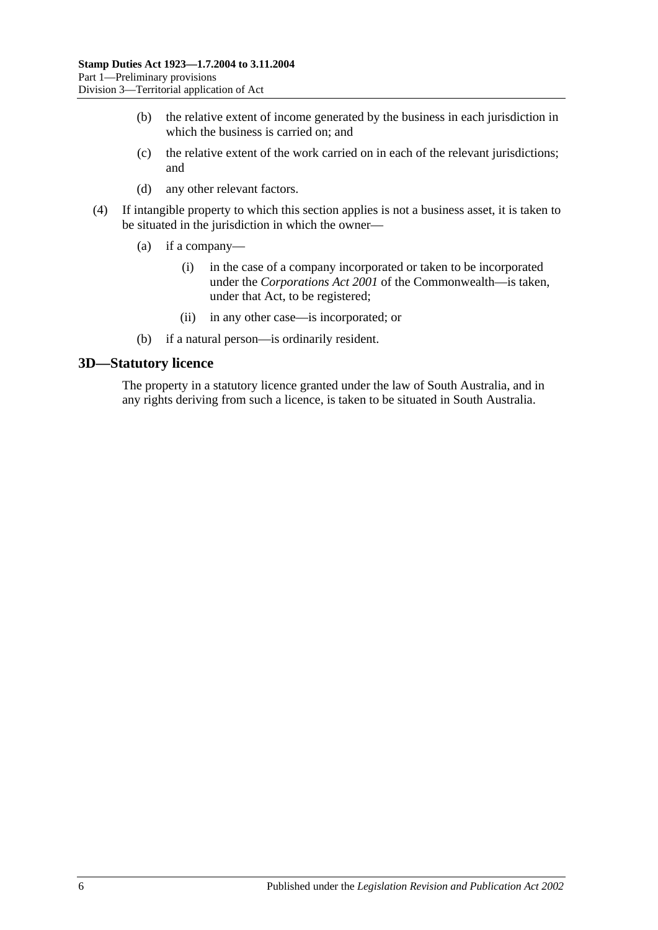- (b) the relative extent of income generated by the business in each jurisdiction in which the business is carried on; and
- (c) the relative extent of the work carried on in each of the relevant jurisdictions; and
- (d) any other relevant factors.
- (4) If intangible property to which this section applies is not a business asset, it is taken to be situated in the jurisdiction in which the owner—
	- (a) if a company—
		- (i) in the case of a company incorporated or taken to be incorporated under the *Corporations Act 2001* of the Commonwealth—is taken, under that Act, to be registered;
		- (ii) in any other case—is incorporated; or
	- (b) if a natural person—is ordinarily resident.

#### <span id="page-11-0"></span>**3D—Statutory licence**

The property in a statutory licence granted under the law of South Australia, and in any rights deriving from such a licence, is taken to be situated in South Australia.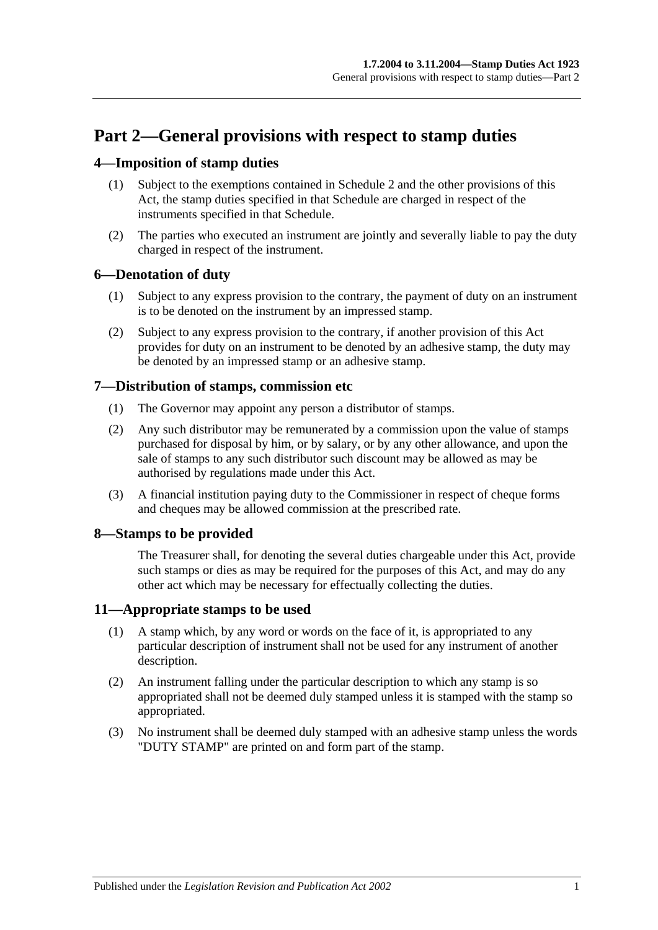# <span id="page-12-0"></span>**Part 2—General provisions with respect to stamp duties**

## <span id="page-12-1"></span>**4—Imposition of stamp duties**

- (1) Subject to the exemptions contained in [Schedule 2](#page-98-2) and the other provisions of this Act, the stamp duties specified in that Schedule are charged in respect of the instruments specified in that Schedule.
- (2) The parties who executed an instrument are jointly and severally liable to pay the duty charged in respect of the instrument.

## <span id="page-12-2"></span>**6—Denotation of duty**

- (1) Subject to any express provision to the contrary, the payment of duty on an instrument is to be denoted on the instrument by an impressed stamp.
- (2) Subject to any express provision to the contrary, if another provision of this Act provides for duty on an instrument to be denoted by an adhesive stamp, the duty may be denoted by an impressed stamp or an adhesive stamp.

## <span id="page-12-3"></span>**7—Distribution of stamps, commission etc**

- (1) The Governor may appoint any person a distributor of stamps.
- (2) Any such distributor may be remunerated by a commission upon the value of stamps purchased for disposal by him, or by salary, or by any other allowance, and upon the sale of stamps to any such distributor such discount may be allowed as may be authorised by regulations made under this Act.
- (3) A financial institution paying duty to the Commissioner in respect of cheque forms and cheques may be allowed commission at the prescribed rate.

# <span id="page-12-4"></span>**8—Stamps to be provided**

The Treasurer shall, for denoting the several duties chargeable under this Act, provide such stamps or dies as may be required for the purposes of this Act, and may do any other act which may be necessary for effectually collecting the duties.

## <span id="page-12-5"></span>**11—Appropriate stamps to be used**

- (1) A stamp which, by any word or words on the face of it, is appropriated to any particular description of instrument shall not be used for any instrument of another description.
- (2) An instrument falling under the particular description to which any stamp is so appropriated shall not be deemed duly stamped unless it is stamped with the stamp so appropriated.
- (3) No instrument shall be deemed duly stamped with an adhesive stamp unless the words "DUTY STAMP" are printed on and form part of the stamp.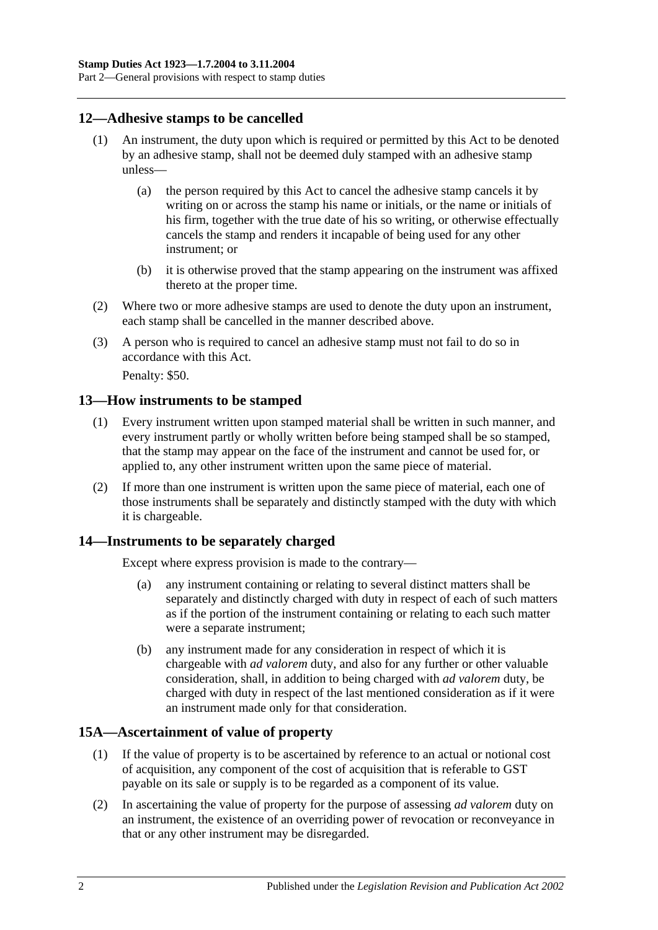Part 2—General provisions with respect to stamp duties

## <span id="page-13-0"></span>**12—Adhesive stamps to be cancelled**

- (1) An instrument, the duty upon which is required or permitted by this Act to be denoted by an adhesive stamp, shall not be deemed duly stamped with an adhesive stamp unless—
	- (a) the person required by this Act to cancel the adhesive stamp cancels it by writing on or across the stamp his name or initials, or the name or initials of his firm, together with the true date of his so writing, or otherwise effectually cancels the stamp and renders it incapable of being used for any other instrument; or
	- (b) it is otherwise proved that the stamp appearing on the instrument was affixed thereto at the proper time.
- (2) Where two or more adhesive stamps are used to denote the duty upon an instrument, each stamp shall be cancelled in the manner described above.
- (3) A person who is required to cancel an adhesive stamp must not fail to do so in accordance with this Act.

Penalty: \$50.

## <span id="page-13-1"></span>**13—How instruments to be stamped**

- (1) Every instrument written upon stamped material shall be written in such manner, and every instrument partly or wholly written before being stamped shall be so stamped, that the stamp may appear on the face of the instrument and cannot be used for, or applied to, any other instrument written upon the same piece of material.
- (2) If more than one instrument is written upon the same piece of material, each one of those instruments shall be separately and distinctly stamped with the duty with which it is chargeable.

## <span id="page-13-2"></span>**14—Instruments to be separately charged**

Except where express provision is made to the contrary—

- (a) any instrument containing or relating to several distinct matters shall be separately and distinctly charged with duty in respect of each of such matters as if the portion of the instrument containing or relating to each such matter were a separate instrument;
- (b) any instrument made for any consideration in respect of which it is chargeable with *ad valorem* duty, and also for any further or other valuable consideration, shall, in addition to being charged with *ad valorem* duty, be charged with duty in respect of the last mentioned consideration as if it were an instrument made only for that consideration.

## <span id="page-13-3"></span>**15A—Ascertainment of value of property**

- (1) If the value of property is to be ascertained by reference to an actual or notional cost of acquisition, any component of the cost of acquisition that is referable to GST payable on its sale or supply is to be regarded as a component of its value.
- (2) In ascertaining the value of property for the purpose of assessing *ad valorem* duty on an instrument, the existence of an overriding power of revocation or reconveyance in that or any other instrument may be disregarded.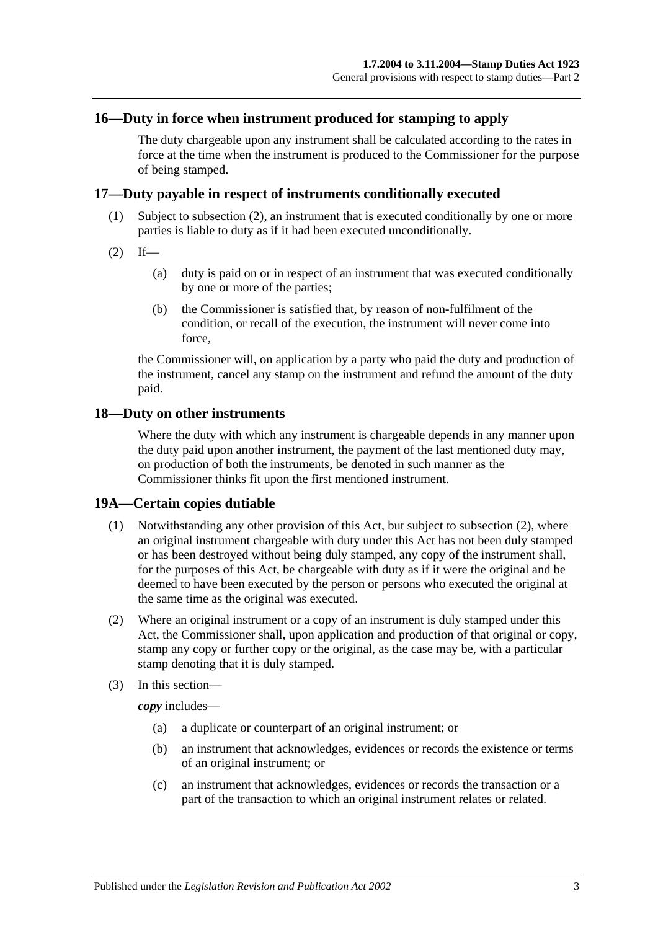### <span id="page-14-0"></span>**16—Duty in force when instrument produced for stamping to apply**

The duty chargeable upon any instrument shall be calculated according to the rates in force at the time when the instrument is produced to the Commissioner for the purpose of being stamped.

#### <span id="page-14-1"></span>**17—Duty payable in respect of instruments conditionally executed**

- (1) Subject to [subsection](#page-14-4) (2), an instrument that is executed conditionally by one or more parties is liable to duty as if it had been executed unconditionally.
- <span id="page-14-4"></span> $(2)$  If—
	- (a) duty is paid on or in respect of an instrument that was executed conditionally by one or more of the parties;
	- (b) the Commissioner is satisfied that, by reason of non-fulfilment of the condition, or recall of the execution, the instrument will never come into force,

the Commissioner will, on application by a party who paid the duty and production of the instrument, cancel any stamp on the instrument and refund the amount of the duty paid.

#### <span id="page-14-2"></span>**18—Duty on other instruments**

Where the duty with which any instrument is chargeable depends in any manner upon the duty paid upon another instrument, the payment of the last mentioned duty may, on production of both the instruments, be denoted in such manner as the Commissioner thinks fit upon the first mentioned instrument.

#### <span id="page-14-3"></span>**19A—Certain copies dutiable**

- (1) Notwithstanding any other provision of this Act, but subject to [subsection](#page-14-5) (2), where an original instrument chargeable with duty under this Act has not been duly stamped or has been destroyed without being duly stamped, any copy of the instrument shall, for the purposes of this Act, be chargeable with duty as if it were the original and be deemed to have been executed by the person or persons who executed the original at the same time as the original was executed.
- <span id="page-14-5"></span>(2) Where an original instrument or a copy of an instrument is duly stamped under this Act, the Commissioner shall, upon application and production of that original or copy, stamp any copy or further copy or the original, as the case may be, with a particular stamp denoting that it is duly stamped.
- (3) In this section—

*copy* includes—

- (a) a duplicate or counterpart of an original instrument; or
- (b) an instrument that acknowledges, evidences or records the existence or terms of an original instrument; or
- (c) an instrument that acknowledges, evidences or records the transaction or a part of the transaction to which an original instrument relates or related.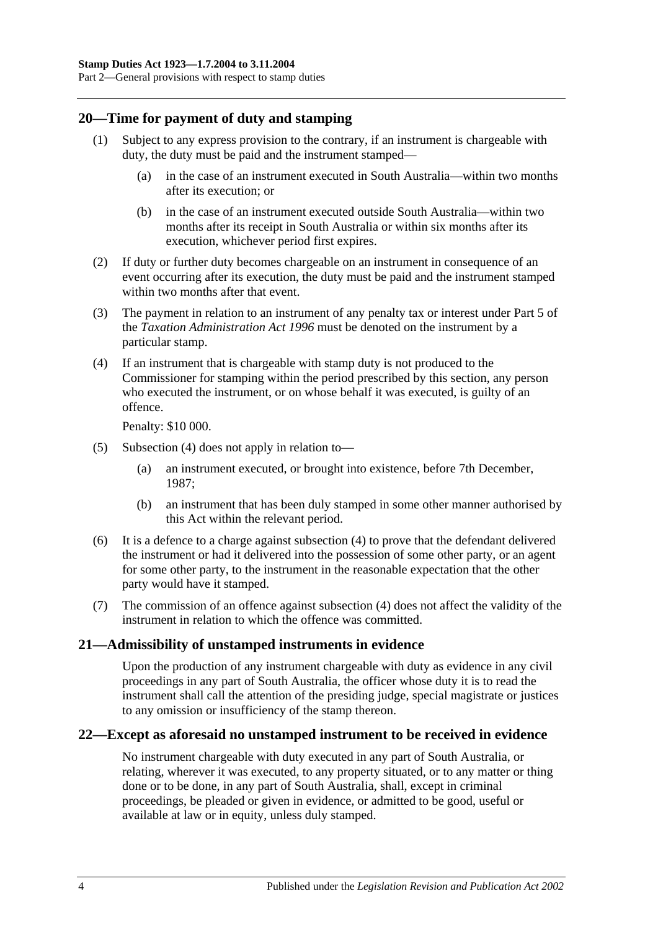## <span id="page-15-0"></span>**20—Time for payment of duty and stamping**

- (1) Subject to any express provision to the contrary, if an instrument is chargeable with duty, the duty must be paid and the instrument stamped—
	- (a) in the case of an instrument executed in South Australia—within two months after its execution; or
	- (b) in the case of an instrument executed outside South Australia—within two months after its receipt in South Australia or within six months after its execution, whichever period first expires.
- (2) If duty or further duty becomes chargeable on an instrument in consequence of an event occurring after its execution, the duty must be paid and the instrument stamped within two months after that event.
- (3) The payment in relation to an instrument of any penalty tax or interest under Part 5 of the *[Taxation Administration Act](http://www.legislation.sa.gov.au/index.aspx?action=legref&type=act&legtitle=Taxation%20Administration%20Act%201996) 1996* must be denoted on the instrument by a particular stamp.
- <span id="page-15-3"></span>(4) If an instrument that is chargeable with stamp duty is not produced to the Commissioner for stamping within the period prescribed by this section, any person who executed the instrument, or on whose behalf it was executed, is guilty of an offence.

Penalty: \$10 000.

- (5) [Subsection](#page-15-3) (4) does not apply in relation to—
	- (a) an instrument executed, or brought into existence, before 7th December, 1987;
	- (b) an instrument that has been duly stamped in some other manner authorised by this Act within the relevant period.
- (6) It is a defence to a charge against [subsection](#page-15-3) (4) to prove that the defendant delivered the instrument or had it delivered into the possession of some other party, or an agent for some other party, to the instrument in the reasonable expectation that the other party would have it stamped.
- (7) The commission of an offence against [subsection](#page-15-3) (4) does not affect the validity of the instrument in relation to which the offence was committed.

## <span id="page-15-1"></span>**21—Admissibility of unstamped instruments in evidence**

Upon the production of any instrument chargeable with duty as evidence in any civil proceedings in any part of South Australia, the officer whose duty it is to read the instrument shall call the attention of the presiding judge, special magistrate or justices to any omission or insufficiency of the stamp thereon.

## <span id="page-15-2"></span>**22—Except as aforesaid no unstamped instrument to be received in evidence**

No instrument chargeable with duty executed in any part of South Australia, or relating, wherever it was executed, to any property situated, or to any matter or thing done or to be done, in any part of South Australia, shall, except in criminal proceedings, be pleaded or given in evidence, or admitted to be good, useful or available at law or in equity, unless duly stamped.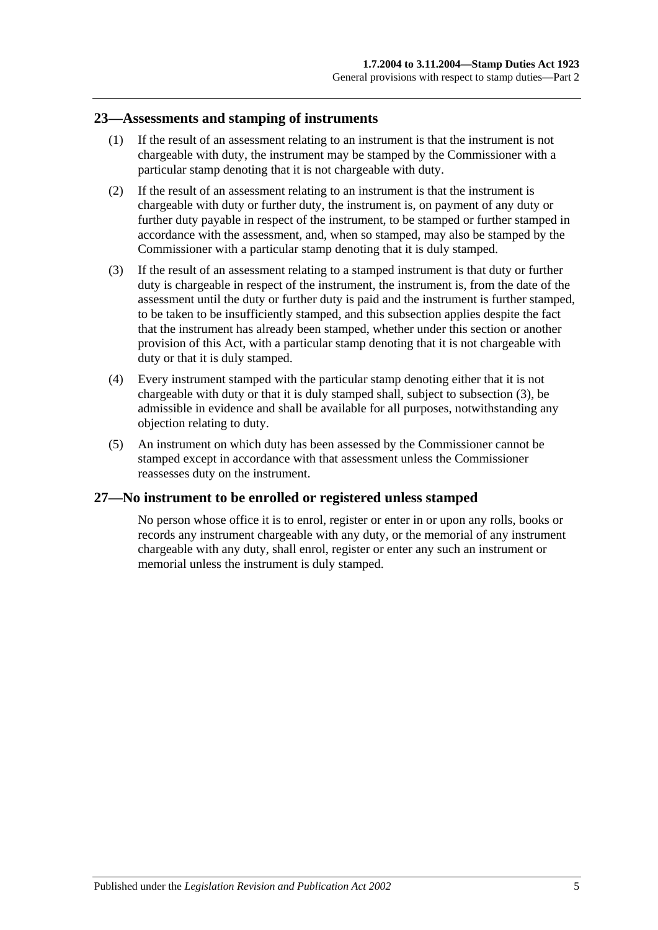#### <span id="page-16-0"></span>**23—Assessments and stamping of instruments**

- (1) If the result of an assessment relating to an instrument is that the instrument is not chargeable with duty, the instrument may be stamped by the Commissioner with a particular stamp denoting that it is not chargeable with duty.
- (2) If the result of an assessment relating to an instrument is that the instrument is chargeable with duty or further duty, the instrument is, on payment of any duty or further duty payable in respect of the instrument, to be stamped or further stamped in accordance with the assessment, and, when so stamped, may also be stamped by the Commissioner with a particular stamp denoting that it is duly stamped.
- <span id="page-16-2"></span>(3) If the result of an assessment relating to a stamped instrument is that duty or further duty is chargeable in respect of the instrument, the instrument is, from the date of the assessment until the duty or further duty is paid and the instrument is further stamped, to be taken to be insufficiently stamped, and this subsection applies despite the fact that the instrument has already been stamped, whether under this section or another provision of this Act, with a particular stamp denoting that it is not chargeable with duty or that it is duly stamped.
- (4) Every instrument stamped with the particular stamp denoting either that it is not chargeable with duty or that it is duly stamped shall, subject to [subsection](#page-16-2) (3), be admissible in evidence and shall be available for all purposes, notwithstanding any objection relating to duty.
- (5) An instrument on which duty has been assessed by the Commissioner cannot be stamped except in accordance with that assessment unless the Commissioner reassesses duty on the instrument.

## <span id="page-16-1"></span>**27—No instrument to be enrolled or registered unless stamped**

No person whose office it is to enrol, register or enter in or upon any rolls, books or records any instrument chargeable with any duty, or the memorial of any instrument chargeable with any duty, shall enrol, register or enter any such an instrument or memorial unless the instrument is duly stamped.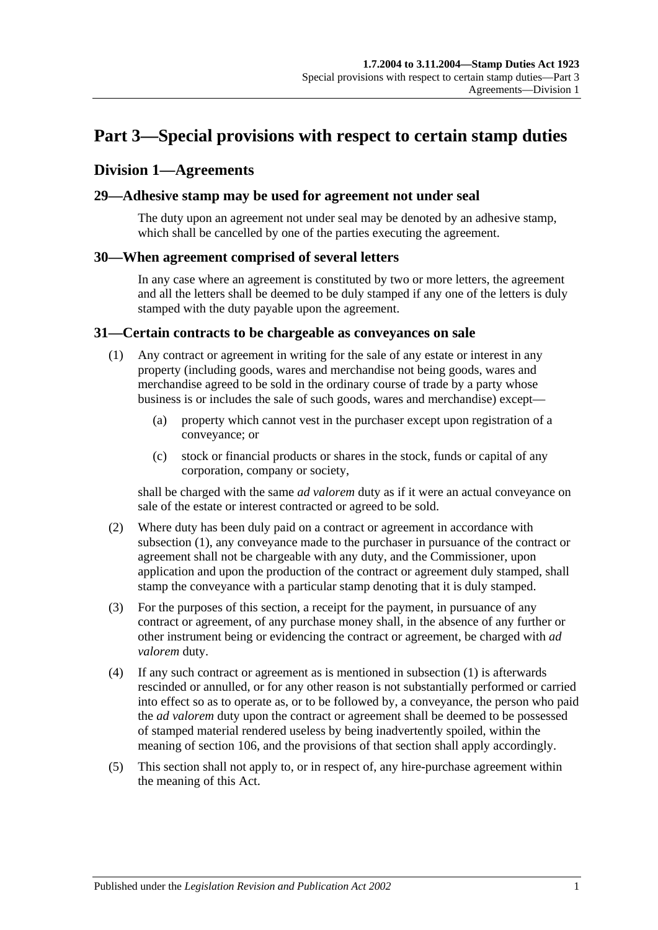# <span id="page-18-0"></span>**Part 3—Special provisions with respect to certain stamp duties**

## <span id="page-18-1"></span>**Division 1—Agreements**

### <span id="page-18-2"></span>**29—Adhesive stamp may be used for agreement not under seal**

The duty upon an agreement not under seal may be denoted by an adhesive stamp, which shall be cancelled by one of the parties executing the agreement.

#### <span id="page-18-3"></span>**30—When agreement comprised of several letters**

In any case where an agreement is constituted by two or more letters, the agreement and all the letters shall be deemed to be duly stamped if any one of the letters is duly stamped with the duty payable upon the agreement.

#### <span id="page-18-5"></span><span id="page-18-4"></span>**31—Certain contracts to be chargeable as conveyances on sale**

- (1) Any contract or agreement in writing for the sale of any estate or interest in any property (including goods, wares and merchandise not being goods, wares and merchandise agreed to be sold in the ordinary course of trade by a party whose business is or includes the sale of such goods, wares and merchandise) except—
	- (a) property which cannot vest in the purchaser except upon registration of a conveyance; or
	- (c) stock or financial products or shares in the stock, funds or capital of any corporation, company or society,

shall be charged with the same *ad valorem* duty as if it were an actual conveyance on sale of the estate or interest contracted or agreed to be sold.

- (2) Where duty has been duly paid on a contract or agreement in accordance with [subsection](#page-18-5) (1), any conveyance made to the purchaser in pursuance of the contract or agreement shall not be chargeable with any duty, and the Commissioner, upon application and upon the production of the contract or agreement duly stamped, shall stamp the conveyance with a particular stamp denoting that it is duly stamped.
- (3) For the purposes of this section, a receipt for the payment, in pursuance of any contract or agreement, of any purchase money shall, in the absence of any further or other instrument being or evidencing the contract or agreement, be charged with *ad valorem* duty.
- (4) If any such contract or agreement as is mentioned in [subsection](#page-18-5) (1) is afterwards rescinded or annulled, or for any other reason is not substantially performed or carried into effect so as to operate as, or to be followed by, a conveyance, the person who paid the *ad valorem* duty upon the contract or agreement shall be deemed to be possessed of stamped material rendered useless by being inadvertently spoiled, within the meaning of [section](#page-94-1) 106, and the provisions of that section shall apply accordingly.
- (5) This section shall not apply to, or in respect of, any hire-purchase agreement within the meaning of this Act.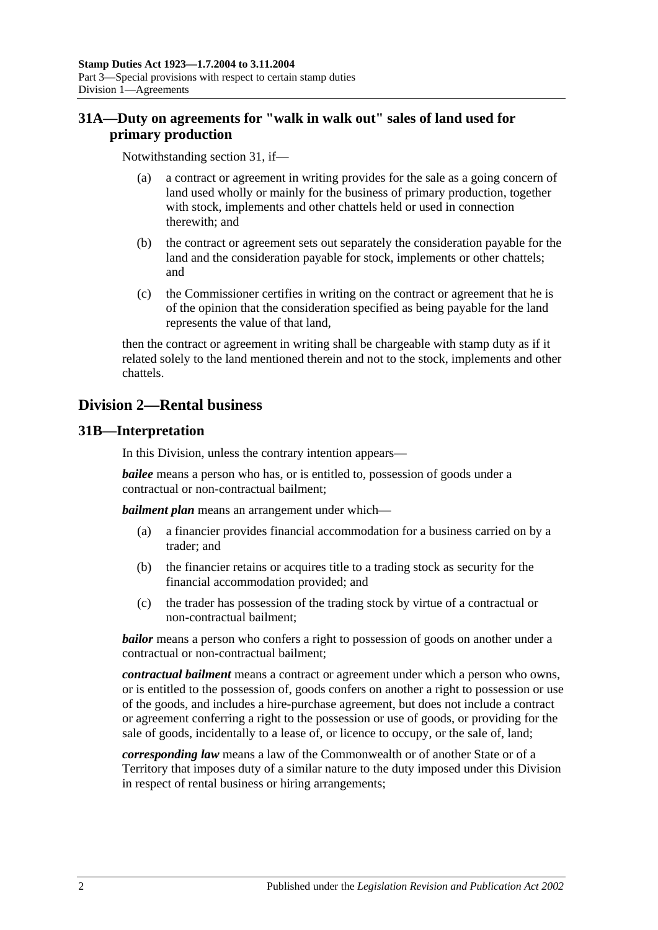# <span id="page-19-0"></span>**31A—Duty on agreements for "walk in walk out" sales of land used for primary production**

Notwithstanding [section](#page-18-4) 31, if—

- (a) a contract or agreement in writing provides for the sale as a going concern of land used wholly or mainly for the business of primary production, together with stock, implements and other chattels held or used in connection therewith; and
- (b) the contract or agreement sets out separately the consideration payable for the land and the consideration payable for stock, implements or other chattels; and
- (c) the Commissioner certifies in writing on the contract or agreement that he is of the opinion that the consideration specified as being payable for the land represents the value of that land,

then the contract or agreement in writing shall be chargeable with stamp duty as if it related solely to the land mentioned therein and not to the stock, implements and other chattels.

# <span id="page-19-1"></span>**Division 2—Rental business**

## <span id="page-19-2"></span>**31B—Interpretation**

In this Division, unless the contrary intention appears—

*bailee* means a person who has, or is entitled to, possession of goods under a contractual or non-contractual bailment;

*bailment plan* means an arrangement under which—

- (a) a financier provides financial accommodation for a business carried on by a trader; and
- (b) the financier retains or acquires title to a trading stock as security for the financial accommodation provided; and
- (c) the trader has possession of the trading stock by virtue of a contractual or non-contractual bailment;

*bailor* means a person who confers a right to possession of goods on another under a contractual or non-contractual bailment;

*contractual bailment* means a contract or agreement under which a person who owns, or is entitled to the possession of, goods confers on another a right to possession or use of the goods, and includes a hire-purchase agreement, but does not include a contract or agreement conferring a right to the possession or use of goods, or providing for the sale of goods, incidentally to a lease of, or licence to occupy, or the sale of, land;

*corresponding law* means a law of the Commonwealth or of another State or of a Territory that imposes duty of a similar nature to the duty imposed under this Division in respect of rental business or hiring arrangements;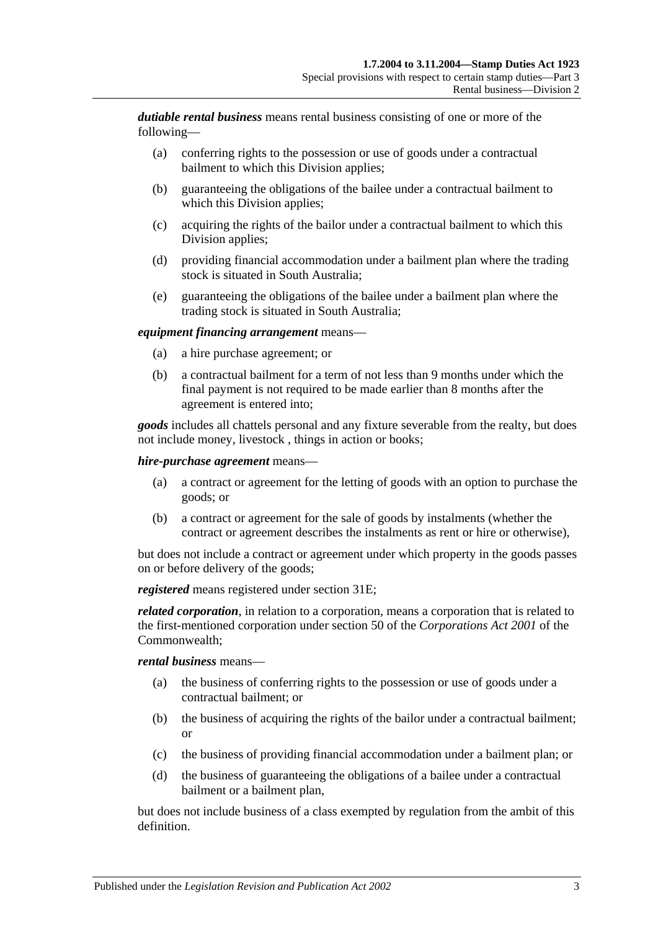*dutiable rental business* means rental business consisting of one or more of the following—

- (a) conferring rights to the possession or use of goods under a contractual bailment to which this Division applies;
- (b) guaranteeing the obligations of the bailee under a contractual bailment to which this Division applies;
- (c) acquiring the rights of the bailor under a contractual bailment to which this Division applies;
- (d) providing financial accommodation under a bailment plan where the trading stock is situated in South Australia;
- (e) guaranteeing the obligations of the bailee under a bailment plan where the trading stock is situated in South Australia;

#### *equipment financing arrangement* means—

- (a) a hire purchase agreement; or
- (b) a contractual bailment for a term of not less than 9 months under which the final payment is not required to be made earlier than 8 months after the agreement is entered into;

*goods* includes all chattels personal and any fixture severable from the realty, but does not include money, livestock , things in action or books;

#### *hire-purchase agreement* means—

- (a) a contract or agreement for the letting of goods with an option to purchase the goods; or
- (b) a contract or agreement for the sale of goods by instalments (whether the contract or agreement describes the instalments as rent or hire or otherwise),

but does not include a contract or agreement under which property in the goods passes on or before delivery of the goods;

*registered* means registered under [section](#page-21-2) 31E;

*related corporation*, in relation to a corporation, means a corporation that is related to the first-mentioned corporation under section 50 of the *Corporations Act 2001* of the Commonwealth;

#### *rental business* means—

- (a) the business of conferring rights to the possession or use of goods under a contractual bailment; or
- (b) the business of acquiring the rights of the bailor under a contractual bailment; or
- (c) the business of providing financial accommodation under a bailment plan; or
- (d) the business of guaranteeing the obligations of a bailee under a contractual bailment or a bailment plan,

but does not include business of a class exempted by regulation from the ambit of this definition.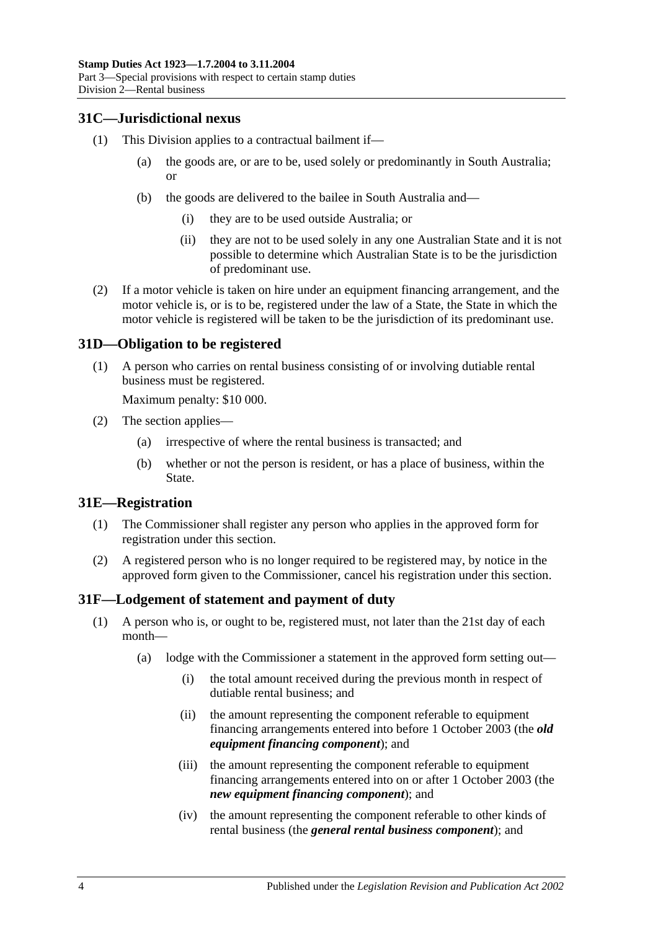## <span id="page-21-0"></span>**31C—Jurisdictional nexus**

- (1) This Division applies to a contractual bailment if—
	- (a) the goods are, or are to be, used solely or predominantly in South Australia; or
	- (b) the goods are delivered to the bailee in South Australia and—
		- (i) they are to be used outside Australia; or
		- (ii) they are not to be used solely in any one Australian State and it is not possible to determine which Australian State is to be the jurisdiction of predominant use.
- (2) If a motor vehicle is taken on hire under an equipment financing arrangement, and the motor vehicle is, or is to be, registered under the law of a State, the State in which the motor vehicle is registered will be taken to be the jurisdiction of its predominant use.

## <span id="page-21-1"></span>**31D—Obligation to be registered**

(1) A person who carries on rental business consisting of or involving dutiable rental business must be registered.

Maximum penalty: \$10 000.

- (2) The section applies—
	- (a) irrespective of where the rental business is transacted; and
	- (b) whether or not the person is resident, or has a place of business, within the State.

## <span id="page-21-2"></span>**31E—Registration**

- (1) The Commissioner shall register any person who applies in the approved form for registration under this section.
- (2) A registered person who is no longer required to be registered may, by notice in the approved form given to the Commissioner, cancel his registration under this section.

## <span id="page-21-4"></span><span id="page-21-3"></span>**31F—Lodgement of statement and payment of duty**

- (1) A person who is, or ought to be, registered must, not later than the 21st day of each month—
	- (a) lodge with the Commissioner a statement in the approved form setting out—
		- (i) the total amount received during the previous month in respect of dutiable rental business; and
		- (ii) the amount representing the component referable to equipment financing arrangements entered into before 1 October 2003 (the *old equipment financing component*); and
		- (iii) the amount representing the component referable to equipment financing arrangements entered into on or after 1 October 2003 (the *new equipment financing component*); and
		- (iv) the amount representing the component referable to other kinds of rental business (the *general rental business component*); and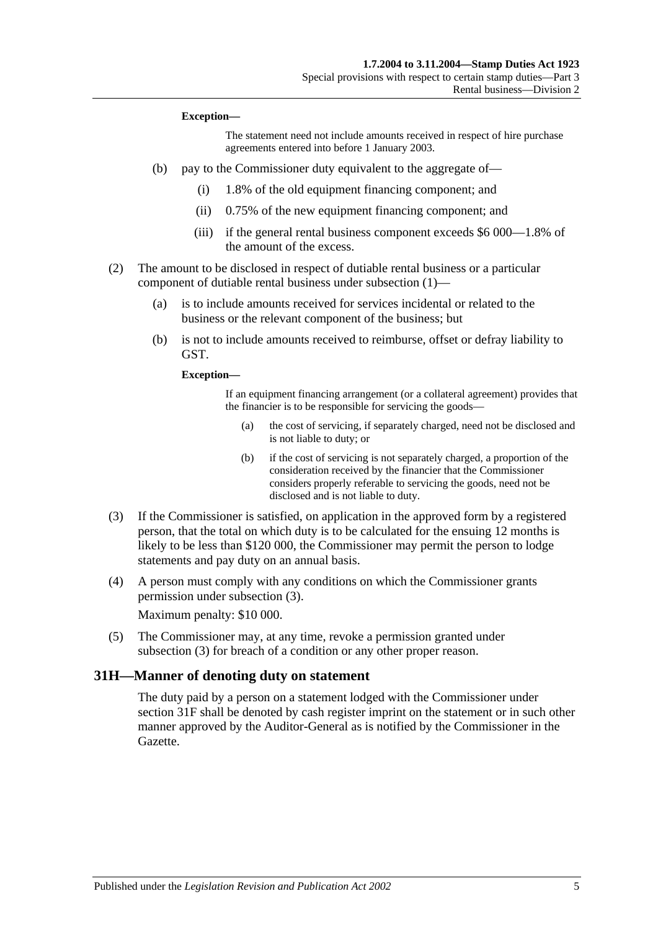#### **Exception—**

The statement need not include amounts received in respect of hire purchase agreements entered into before 1 January 2003.

- (b) pay to the Commissioner duty equivalent to the aggregate of—
	- (i) 1.8% of the old equipment financing component; and
	- (ii) 0.75% of the new equipment financing component; and
	- (iii) if the general rental business component exceeds \$6 000—1.8% of the amount of the excess.
- (2) The amount to be disclosed in respect of dutiable rental business or a particular component of dutiable rental business under [subsection](#page-21-4) (1)—
	- (a) is to include amounts received for services incidental or related to the business or the relevant component of the business; but
	- (b) is not to include amounts received to reimburse, offset or defray liability to GST.

**Exception—**

If an equipment financing arrangement (or a collateral agreement) provides that the financier is to be responsible for servicing the goods—

- (a) the cost of servicing, if separately charged, need not be disclosed and is not liable to duty; or
- (b) if the cost of servicing is not separately charged, a proportion of the consideration received by the financier that the Commissioner considers properly referable to servicing the goods, need not be disclosed and is not liable to duty.
- <span id="page-22-1"></span>(3) If the Commissioner is satisfied, on application in the approved form by a registered person, that the total on which duty is to be calculated for the ensuing 12 months is likely to be less than \$120 000, the Commissioner may permit the person to lodge statements and pay duty on an annual basis.
- (4) A person must comply with any conditions on which the Commissioner grants permission under [subsection](#page-22-1) (3).

Maximum penalty: \$10 000.

(5) The Commissioner may, at any time, revoke a permission granted under [subsection](#page-22-1) (3) for breach of a condition or any other proper reason.

#### <span id="page-22-0"></span>**31H—Manner of denoting duty on statement**

The duty paid by a person on a statement lodged with the Commissioner under [section](#page-21-3) 31F shall be denoted by cash register imprint on the statement or in such other manner approved by the Auditor-General as is notified by the Commissioner in the Gazette.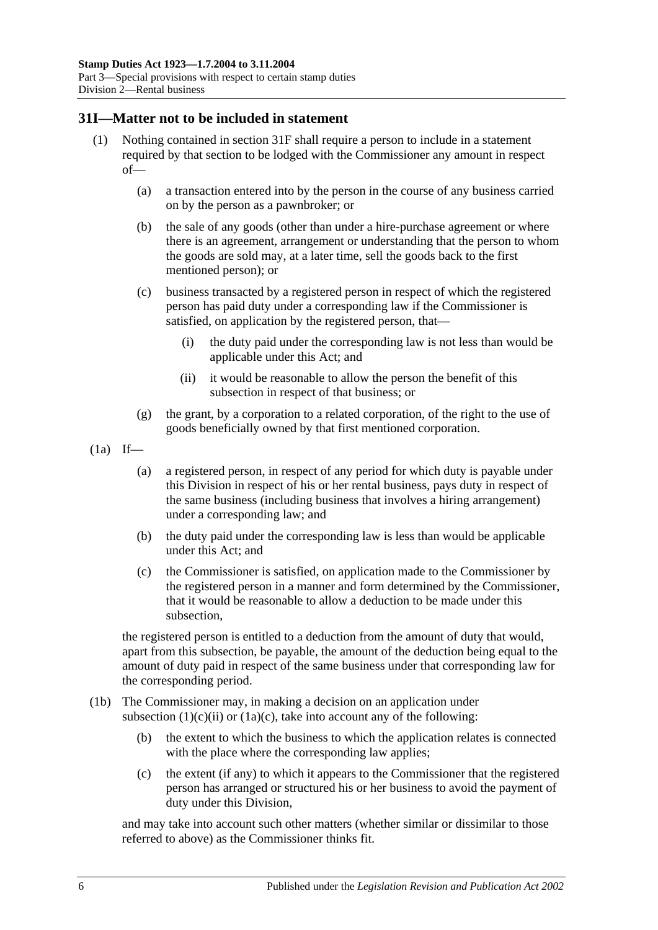### <span id="page-23-0"></span>**31I—Matter not to be included in statement**

- (1) Nothing contained in [section](#page-21-3) 31F shall require a person to include in a statement required by that section to be lodged with the Commissioner any amount in respect of—
	- (a) a transaction entered into by the person in the course of any business carried on by the person as a pawnbroker; or
	- (b) the sale of any goods (other than under a hire-purchase agreement or where there is an agreement, arrangement or understanding that the person to whom the goods are sold may, at a later time, sell the goods back to the first mentioned person); or
	- (c) business transacted by a registered person in respect of which the registered person has paid duty under a corresponding law if the Commissioner is satisfied, on application by the registered person, that—
		- (i) the duty paid under the corresponding law is not less than would be applicable under this Act; and
		- (ii) it would be reasonable to allow the person the benefit of this subsection in respect of that business; or
	- (g) the grant, by a corporation to a related corporation, of the right to the use of goods beneficially owned by that first mentioned corporation.
- <span id="page-23-1"></span> $(1a)$  If—
	- (a) a registered person, in respect of any period for which duty is payable under this Division in respect of his or her rental business, pays duty in respect of the same business (including business that involves a hiring arrangement) under a corresponding law; and
	- (b) the duty paid under the corresponding law is less than would be applicable under this Act; and
	- (c) the Commissioner is satisfied, on application made to the Commissioner by the registered person in a manner and form determined by the Commissioner, that it would be reasonable to allow a deduction to be made under this subsection,

<span id="page-23-2"></span>the registered person is entitled to a deduction from the amount of duty that would, apart from this subsection, be payable, the amount of the deduction being equal to the amount of duty paid in respect of the same business under that corresponding law for the corresponding period.

- (1b) The Commissioner may, in making a decision on an application under [subsection](#page-23-1)  $(1)(c)(ii)$  or  $(1a)(c)$ , take into account any of the following:
	- (b) the extent to which the business to which the application relates is connected with the place where the corresponding law applies;
	- (c) the extent (if any) to which it appears to the Commissioner that the registered person has arranged or structured his or her business to avoid the payment of duty under this Division,

and may take into account such other matters (whether similar or dissimilar to those referred to above) as the Commissioner thinks fit.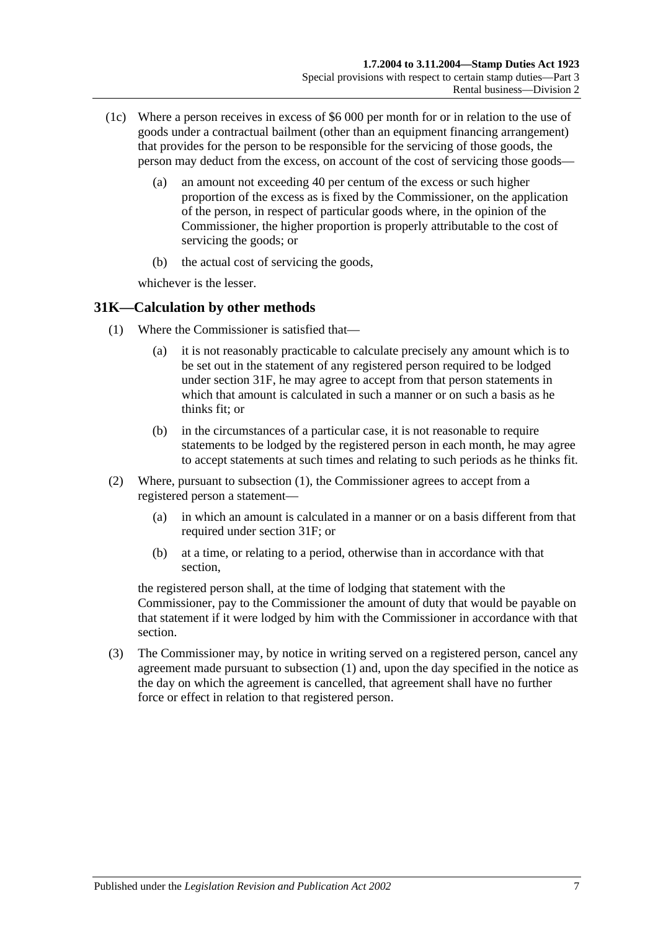- (1c) Where a person receives in excess of \$6 000 per month for or in relation to the use of goods under a contractual bailment (other than an equipment financing arrangement) that provides for the person to be responsible for the servicing of those goods, the person may deduct from the excess, on account of the cost of servicing those goods—
	- (a) an amount not exceeding 40 per centum of the excess or such higher proportion of the excess as is fixed by the Commissioner, on the application of the person, in respect of particular goods where, in the opinion of the Commissioner, the higher proportion is properly attributable to the cost of servicing the goods; or
	- (b) the actual cost of servicing the goods,

whichever is the lesser.

## <span id="page-24-1"></span><span id="page-24-0"></span>**31K—Calculation by other methods**

- (1) Where the Commissioner is satisfied that—
	- (a) it is not reasonably practicable to calculate precisely any amount which is to be set out in the statement of any registered person required to be lodged under [section](#page-21-3) 31F, he may agree to accept from that person statements in which that amount is calculated in such a manner or on such a basis as he thinks fit: or
	- (b) in the circumstances of a particular case, it is not reasonable to require statements to be lodged by the registered person in each month, he may agree to accept statements at such times and relating to such periods as he thinks fit.
- (2) Where, pursuant to [subsection](#page-24-1) (1), the Commissioner agrees to accept from a registered person a statement—
	- (a) in which an amount is calculated in a manner or on a basis different from that required under [section](#page-21-3) 31F; or
	- (b) at a time, or relating to a period, otherwise than in accordance with that section,

the registered person shall, at the time of lodging that statement with the Commissioner, pay to the Commissioner the amount of duty that would be payable on that statement if it were lodged by him with the Commissioner in accordance with that section.

(3) The Commissioner may, by notice in writing served on a registered person, cancel any agreement made pursuant to [subsection](#page-24-1) (1) and, upon the day specified in the notice as the day on which the agreement is cancelled, that agreement shall have no further force or effect in relation to that registered person.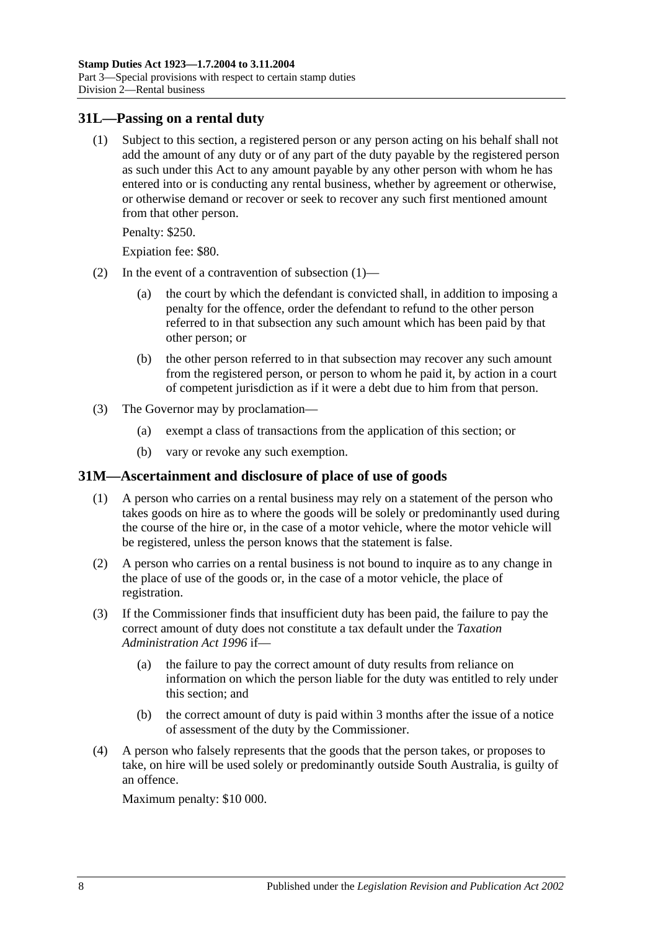### <span id="page-25-2"></span><span id="page-25-0"></span>**31L—Passing on a rental duty**

(1) Subject to this section, a registered person or any person acting on his behalf shall not add the amount of any duty or of any part of the duty payable by the registered person as such under this Act to any amount payable by any other person with whom he has entered into or is conducting any rental business, whether by agreement or otherwise, or otherwise demand or recover or seek to recover any such first mentioned amount from that other person.

Penalty: \$250.

Expiation fee: \$80.

- (2) In the event of a contravention of [subsection](#page-25-2) (1)—
	- (a) the court by which the defendant is convicted shall, in addition to imposing a penalty for the offence, order the defendant to refund to the other person referred to in that subsection any such amount which has been paid by that other person; or
	- (b) the other person referred to in that subsection may recover any such amount from the registered person, or person to whom he paid it, by action in a court of competent jurisdiction as if it were a debt due to him from that person.
- (3) The Governor may by proclamation—
	- (a) exempt a class of transactions from the application of this section; or
	- (b) vary or revoke any such exemption.

#### <span id="page-25-1"></span>**31M—Ascertainment and disclosure of place of use of goods**

- (1) A person who carries on a rental business may rely on a statement of the person who takes goods on hire as to where the goods will be solely or predominantly used during the course of the hire or, in the case of a motor vehicle, where the motor vehicle will be registered, unless the person knows that the statement is false.
- (2) A person who carries on a rental business is not bound to inquire as to any change in the place of use of the goods or, in the case of a motor vehicle, the place of registration.
- (3) If the Commissioner finds that insufficient duty has been paid, the failure to pay the correct amount of duty does not constitute a tax default under the *[Taxation](http://www.legislation.sa.gov.au/index.aspx?action=legref&type=act&legtitle=Taxation%20Administration%20Act%201996)  [Administration Act](http://www.legislation.sa.gov.au/index.aspx?action=legref&type=act&legtitle=Taxation%20Administration%20Act%201996) 1996* if—
	- (a) the failure to pay the correct amount of duty results from reliance on information on which the person liable for the duty was entitled to rely under this section; and
	- (b) the correct amount of duty is paid within 3 months after the issue of a notice of assessment of the duty by the Commissioner.
- (4) A person who falsely represents that the goods that the person takes, or proposes to take, on hire will be used solely or predominantly outside South Australia, is guilty of an offence.

Maximum penalty: \$10 000.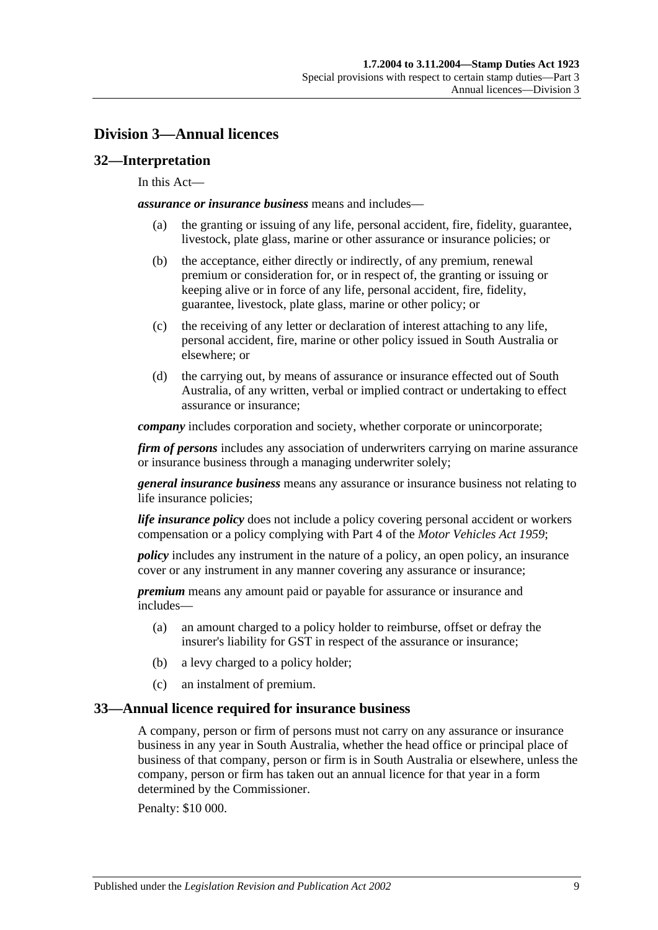# <span id="page-26-0"></span>**Division 3—Annual licences**

## <span id="page-26-1"></span>**32—Interpretation**

#### In this Act—

*assurance or insurance business* means and includes—

- (a) the granting or issuing of any life, personal accident, fire, fidelity, guarantee, livestock, plate glass, marine or other assurance or insurance policies; or
- (b) the acceptance, either directly or indirectly, of any premium, renewal premium or consideration for, or in respect of, the granting or issuing or keeping alive or in force of any life, personal accident, fire, fidelity, guarantee, livestock, plate glass, marine or other policy; or
- (c) the receiving of any letter or declaration of interest attaching to any life, personal accident, fire, marine or other policy issued in South Australia or elsewhere; or
- (d) the carrying out, by means of assurance or insurance effected out of South Australia, of any written, verbal or implied contract or undertaking to effect assurance or insurance;

*company* includes corporation and society, whether corporate or unincorporate;

*firm of persons* includes any association of underwriters carrying on marine assurance or insurance business through a managing underwriter solely;

*general insurance business* means any assurance or insurance business not relating to life insurance policies;

*life insurance policy* does not include a policy covering personal accident or workers compensation or a policy complying with Part 4 of the *[Motor Vehicles Act](http://www.legislation.sa.gov.au/index.aspx?action=legref&type=act&legtitle=Motor%20Vehicles%20Act%201959) 1959*;

*policy* includes any instrument in the nature of a policy, an open policy, an insurance cover or any instrument in any manner covering any assurance or insurance;

*premium* means any amount paid or payable for assurance or insurance and includes—

- (a) an amount charged to a policy holder to reimburse, offset or defray the insurer's liability for GST in respect of the assurance or insurance;
- (b) a levy charged to a policy holder;
- (c) an instalment of premium.

#### <span id="page-26-2"></span>**33—Annual licence required for insurance business**

A company, person or firm of persons must not carry on any assurance or insurance business in any year in South Australia, whether the head office or principal place of business of that company, person or firm is in South Australia or elsewhere, unless the company, person or firm has taken out an annual licence for that year in a form determined by the Commissioner.

Penalty: \$10 000.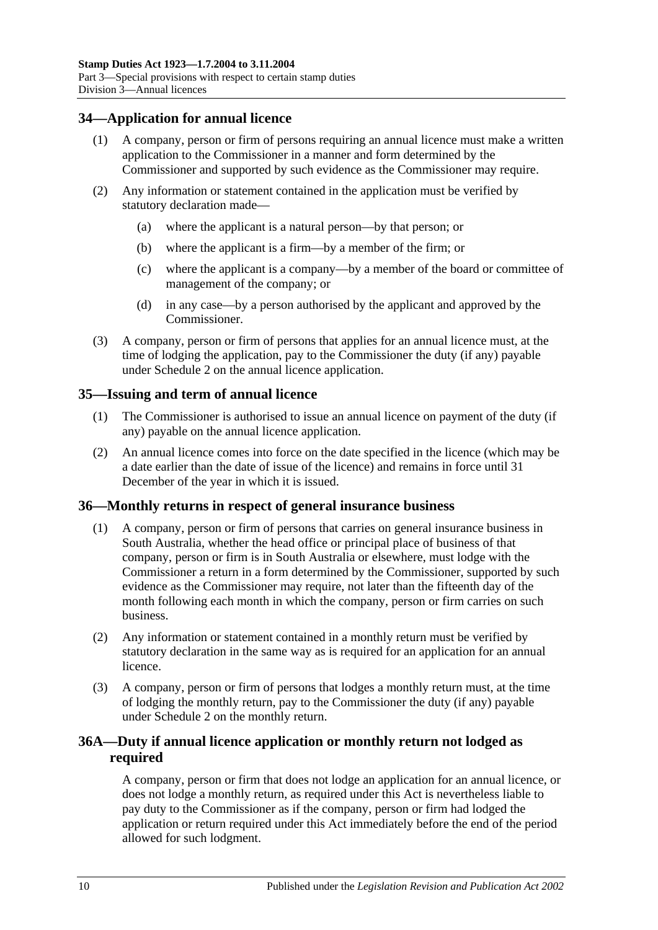## <span id="page-27-0"></span>**34—Application for annual licence**

- (1) A company, person or firm of persons requiring an annual licence must make a written application to the Commissioner in a manner and form determined by the Commissioner and supported by such evidence as the Commissioner may require.
- (2) Any information or statement contained in the application must be verified by statutory declaration made—
	- (a) where the applicant is a natural person—by that person; or
	- (b) where the applicant is a firm—by a member of the firm; or
	- (c) where the applicant is a company—by a member of the board or committee of management of the company; or
	- (d) in any case—by a person authorised by the applicant and approved by the Commissioner.
- (3) A company, person or firm of persons that applies for an annual licence must, at the time of lodging the application, pay to the Commissioner the duty (if any) payable under [Schedule 2](#page-98-2) on the annual licence application.

## <span id="page-27-1"></span>**35—Issuing and term of annual licence**

- (1) The Commissioner is authorised to issue an annual licence on payment of the duty (if any) payable on the annual licence application.
- (2) An annual licence comes into force on the date specified in the licence (which may be a date earlier than the date of issue of the licence) and remains in force until 31 December of the year in which it is issued.

#### <span id="page-27-2"></span>**36—Monthly returns in respect of general insurance business**

- (1) A company, person or firm of persons that carries on general insurance business in South Australia, whether the head office or principal place of business of that company, person or firm is in South Australia or elsewhere, must lodge with the Commissioner a return in a form determined by the Commissioner, supported by such evidence as the Commissioner may require, not later than the fifteenth day of the month following each month in which the company, person or firm carries on such business.
- (2) Any information or statement contained in a monthly return must be verified by statutory declaration in the same way as is required for an application for an annual licence.
- (3) A company, person or firm of persons that lodges a monthly return must, at the time of lodging the monthly return, pay to the Commissioner the duty (if any) payable under [Schedule 2](#page-98-2) on the monthly return.

## <span id="page-27-3"></span>**36A—Duty if annual licence application or monthly return not lodged as required**

A company, person or firm that does not lodge an application for an annual licence, or does not lodge a monthly return, as required under this Act is nevertheless liable to pay duty to the Commissioner as if the company, person or firm had lodged the application or return required under this Act immediately before the end of the period allowed for such lodgment.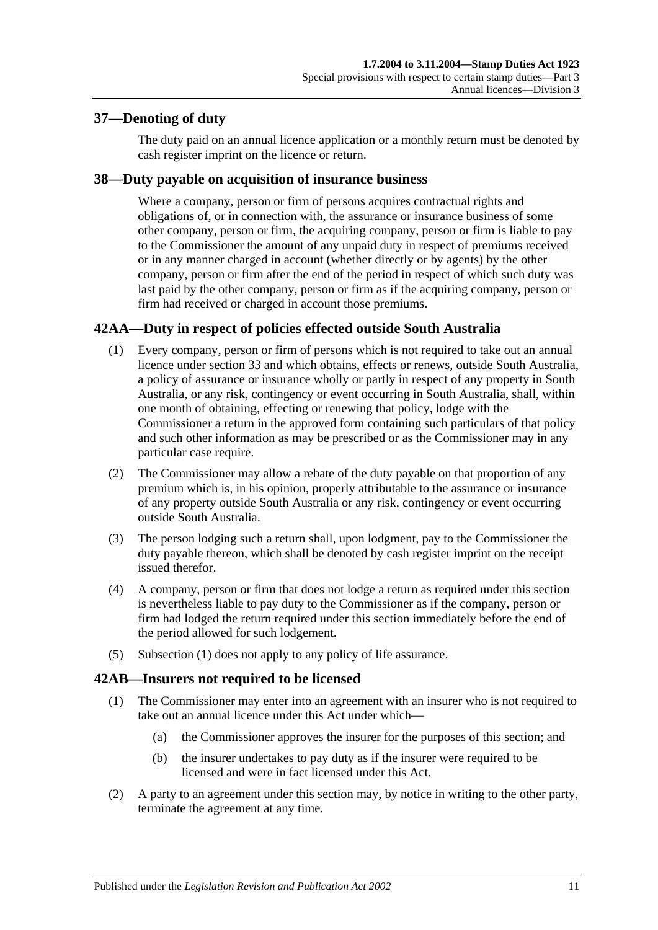## <span id="page-28-0"></span>**37—Denoting of duty**

The duty paid on an annual licence application or a monthly return must be denoted by cash register imprint on the licence or return.

## <span id="page-28-1"></span>**38—Duty payable on acquisition of insurance business**

Where a company, person or firm of persons acquires contractual rights and obligations of, or in connection with, the assurance or insurance business of some other company, person or firm, the acquiring company, person or firm is liable to pay to the Commissioner the amount of any unpaid duty in respect of premiums received or in any manner charged in account (whether directly or by agents) by the other company, person or firm after the end of the period in respect of which such duty was last paid by the other company, person or firm as if the acquiring company, person or firm had received or charged in account those premiums.

# <span id="page-28-4"></span><span id="page-28-2"></span>**42AA—Duty in respect of policies effected outside South Australia**

- (1) Every company, person or firm of persons which is not required to take out an annual licence under [section](#page-26-2) 33 and which obtains, effects or renews, outside South Australia, a policy of assurance or insurance wholly or partly in respect of any property in South Australia, or any risk, contingency or event occurring in South Australia, shall, within one month of obtaining, effecting or renewing that policy, lodge with the Commissioner a return in the approved form containing such particulars of that policy and such other information as may be prescribed or as the Commissioner may in any particular case require.
- (2) The Commissioner may allow a rebate of the duty payable on that proportion of any premium which is, in his opinion, properly attributable to the assurance or insurance of any property outside South Australia or any risk, contingency or event occurring outside South Australia.
- (3) The person lodging such a return shall, upon lodgment, pay to the Commissioner the duty payable thereon, which shall be denoted by cash register imprint on the receipt issued therefor.
- (4) A company, person or firm that does not lodge a return as required under this section is nevertheless liable to pay duty to the Commissioner as if the company, person or firm had lodged the return required under this section immediately before the end of the period allowed for such lodgement.
- (5) [Subsection](#page-28-4) (1) does not apply to any policy of life assurance.

## <span id="page-28-3"></span>**42AB—Insurers not required to be licensed**

- (1) The Commissioner may enter into an agreement with an insurer who is not required to take out an annual licence under this Act under which—
	- (a) the Commissioner approves the insurer for the purposes of this section; and
	- (b) the insurer undertakes to pay duty as if the insurer were required to be licensed and were in fact licensed under this Act.
- (2) A party to an agreement under this section may, by notice in writing to the other party, terminate the agreement at any time.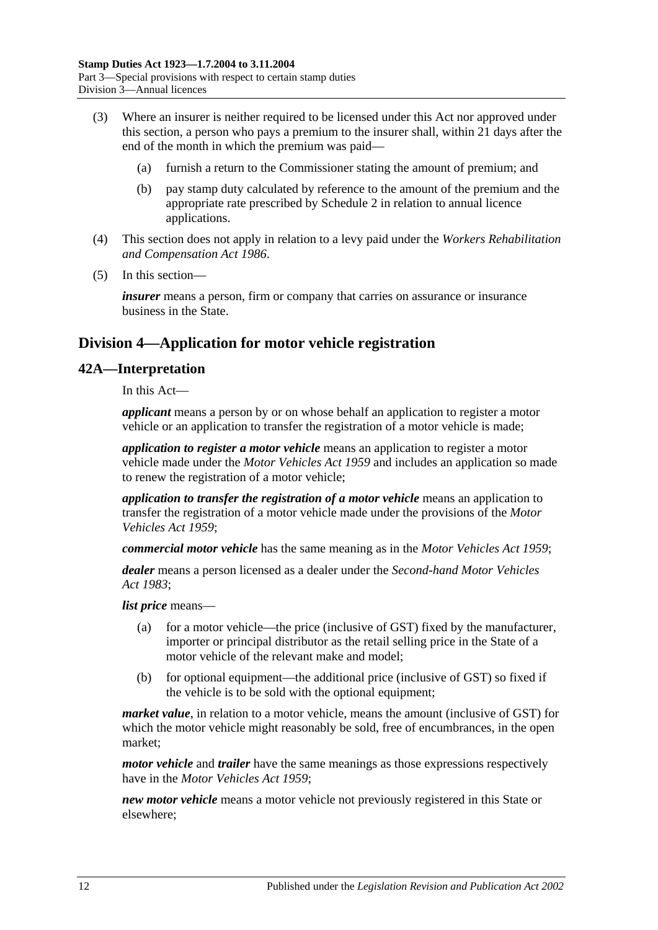- (3) Where an insurer is neither required to be licensed under this Act nor approved under this section, a person who pays a premium to the insurer shall, within 21 days after the end of the month in which the premium was paid—
	- (a) furnish a return to the Commissioner stating the amount of premium; and
	- (b) pay stamp duty calculated by reference to the amount of the premium and the appropriate rate prescribed by [Schedule 2](#page-98-2) in relation to annual licence applications.
- (4) This section does not apply in relation to a levy paid under the *[Workers Rehabilitation](http://www.legislation.sa.gov.au/index.aspx?action=legref&type=act&legtitle=Workers%20Rehabilitation%20and%20Compensation%20Act%201986)  [and Compensation Act](http://www.legislation.sa.gov.au/index.aspx?action=legref&type=act&legtitle=Workers%20Rehabilitation%20and%20Compensation%20Act%201986) 1986*.
- (5) In this section—

*insurer* means a person, firm or company that carries on assurance or insurance business in the State.

# <span id="page-29-0"></span>**Division 4—Application for motor vehicle registration**

## <span id="page-29-1"></span>**42A—Interpretation**

In this Act—

*applicant* means a person by or on whose behalf an application to register a motor vehicle or an application to transfer the registration of a motor vehicle is made;

*application to register a motor vehicle* means an application to register a motor vehicle made under the *[Motor Vehicles Act](http://www.legislation.sa.gov.au/index.aspx?action=legref&type=act&legtitle=Motor%20Vehicles%20Act%201959) 1959* and includes an application so made to renew the registration of a motor vehicle;

*application to transfer the registration of a motor vehicle* means an application to transfer the registration of a motor vehicle made under the provisions of the *[Motor](http://www.legislation.sa.gov.au/index.aspx?action=legref&type=act&legtitle=Motor%20Vehicles%20Act%201959)  [Vehicles Act](http://www.legislation.sa.gov.au/index.aspx?action=legref&type=act&legtitle=Motor%20Vehicles%20Act%201959) 1959*;

*commercial motor vehicle* has the same meaning as in the *[Motor Vehicles Act](http://www.legislation.sa.gov.au/index.aspx?action=legref&type=act&legtitle=Motor%20Vehicles%20Act%201959) 1959*;

*dealer* means a person licensed as a dealer under the *[Second-hand Motor Vehicles](http://www.legislation.sa.gov.au/index.aspx?action=legref&type=act&legtitle=Second-hand%20Motor%20Vehicles%20Act%201983)  Act [1983](http://www.legislation.sa.gov.au/index.aspx?action=legref&type=act&legtitle=Second-hand%20Motor%20Vehicles%20Act%201983)*;

*list price* means—

- (a) for a motor vehicle—the price (inclusive of GST) fixed by the manufacturer, importer or principal distributor as the retail selling price in the State of a motor vehicle of the relevant make and model;
- (b) for optional equipment—the additional price (inclusive of GST) so fixed if the vehicle is to be sold with the optional equipment;

*market value*, in relation to a motor vehicle, means the amount (inclusive of GST) for which the motor vehicle might reasonably be sold, free of encumbrances, in the open market;

*motor vehicle* and *trailer* have the same meanings as those expressions respectively have in the *[Motor Vehicles Act](http://www.legislation.sa.gov.au/index.aspx?action=legref&type=act&legtitle=Motor%20Vehicles%20Act%201959) 1959*;

*new motor vehicle* means a motor vehicle not previously registered in this State or elsewhere;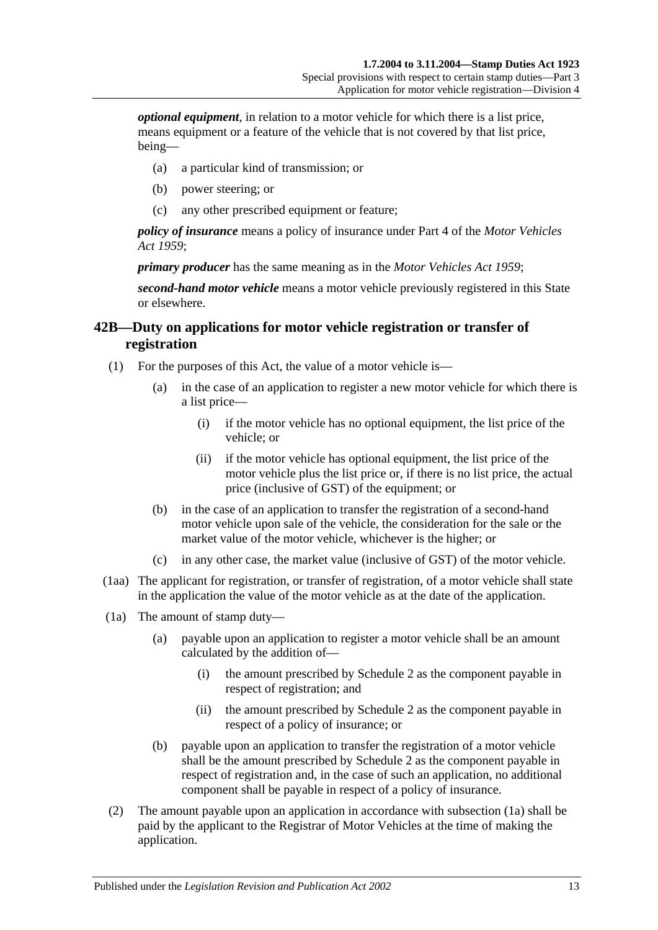*optional equipment*, in relation to a motor vehicle for which there is a list price, means equipment or a feature of the vehicle that is not covered by that list price, being—

- (a) a particular kind of transmission; or
- (b) power steering; or
- (c) any other prescribed equipment or feature;

*policy of insurance* means a policy of insurance under Part 4 of the *[Motor Vehicles](http://www.legislation.sa.gov.au/index.aspx?action=legref&type=act&legtitle=Motor%20Vehicles%20Act%201959)  Act [1959](http://www.legislation.sa.gov.au/index.aspx?action=legref&type=act&legtitle=Motor%20Vehicles%20Act%201959)*;

*primary producer* has the same meaning as in the *[Motor Vehicles Act](http://www.legislation.sa.gov.au/index.aspx?action=legref&type=act&legtitle=Motor%20Vehicles%20Act%201959) 1959*;

*second-hand motor vehicle* means a motor vehicle previously registered in this State or elsewhere.

## <span id="page-30-0"></span>**42B—Duty on applications for motor vehicle registration or transfer of registration**

- (1) For the purposes of this Act, the value of a motor vehicle is—
	- (a) in the case of an application to register a new motor vehicle for which there is a list price—
		- (i) if the motor vehicle has no optional equipment, the list price of the vehicle; or
		- (ii) if the motor vehicle has optional equipment, the list price of the motor vehicle plus the list price or, if there is no list price, the actual price (inclusive of GST) of the equipment; or
	- (b) in the case of an application to transfer the registration of a second-hand motor vehicle upon sale of the vehicle, the consideration for the sale or the market value of the motor vehicle, whichever is the higher; or
	- (c) in any other case, the market value (inclusive of GST) of the motor vehicle.
- (1aa) The applicant for registration, or transfer of registration, of a motor vehicle shall state in the application the value of the motor vehicle as at the date of the application.
- <span id="page-30-1"></span>(1a) The amount of stamp duty—
	- (a) payable upon an application to register a motor vehicle shall be an amount calculated by the addition of—
		- (i) the amount prescribed by [Schedule 2](#page-98-2) as the component payable in respect of registration; and
		- (ii) the amount prescribed by [Schedule 2](#page-98-2) as the component payable in respect of a policy of insurance; or
	- (b) payable upon an application to transfer the registration of a motor vehicle shall be the amount prescribed by [Schedule 2](#page-98-2) as the component payable in respect of registration and, in the case of such an application, no additional component shall be payable in respect of a policy of insurance.
- (2) The amount payable upon an application in accordance with [subsection](#page-30-1) (1a) shall be paid by the applicant to the Registrar of Motor Vehicles at the time of making the application.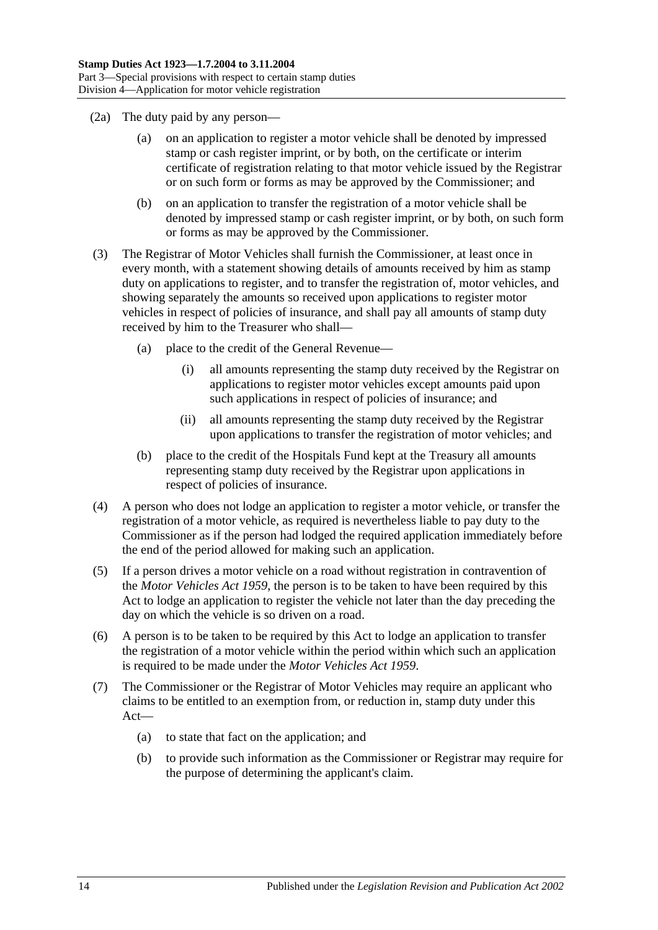- (2a) The duty paid by any person—
	- (a) on an application to register a motor vehicle shall be denoted by impressed stamp or cash register imprint, or by both, on the certificate or interim certificate of registration relating to that motor vehicle issued by the Registrar or on such form or forms as may be approved by the Commissioner; and
	- (b) on an application to transfer the registration of a motor vehicle shall be denoted by impressed stamp or cash register imprint, or by both, on such form or forms as may be approved by the Commissioner.
- (3) The Registrar of Motor Vehicles shall furnish the Commissioner, at least once in every month, with a statement showing details of amounts received by him as stamp duty on applications to register, and to transfer the registration of, motor vehicles, and showing separately the amounts so received upon applications to register motor vehicles in respect of policies of insurance, and shall pay all amounts of stamp duty received by him to the Treasurer who shall—
	- (a) place to the credit of the General Revenue—
		- (i) all amounts representing the stamp duty received by the Registrar on applications to register motor vehicles except amounts paid upon such applications in respect of policies of insurance; and
		- (ii) all amounts representing the stamp duty received by the Registrar upon applications to transfer the registration of motor vehicles; and
	- (b) place to the credit of the Hospitals Fund kept at the Treasury all amounts representing stamp duty received by the Registrar upon applications in respect of policies of insurance.
- (4) A person who does not lodge an application to register a motor vehicle, or transfer the registration of a motor vehicle, as required is nevertheless liable to pay duty to the Commissioner as if the person had lodged the required application immediately before the end of the period allowed for making such an application.
- (5) If a person drives a motor vehicle on a road without registration in contravention of the *[Motor Vehicles Act](http://www.legislation.sa.gov.au/index.aspx?action=legref&type=act&legtitle=Motor%20Vehicles%20Act%201959) 1959*, the person is to be taken to have been required by this Act to lodge an application to register the vehicle not later than the day preceding the day on which the vehicle is so driven on a road.
- (6) A person is to be taken to be required by this Act to lodge an application to transfer the registration of a motor vehicle within the period within which such an application is required to be made under the *[Motor Vehicles Act](http://www.legislation.sa.gov.au/index.aspx?action=legref&type=act&legtitle=Motor%20Vehicles%20Act%201959) 1959*.
- (7) The Commissioner or the Registrar of Motor Vehicles may require an applicant who claims to be entitled to an exemption from, or reduction in, stamp duty under this Act—
	- (a) to state that fact on the application; and
	- (b) to provide such information as the Commissioner or Registrar may require for the purpose of determining the applicant's claim.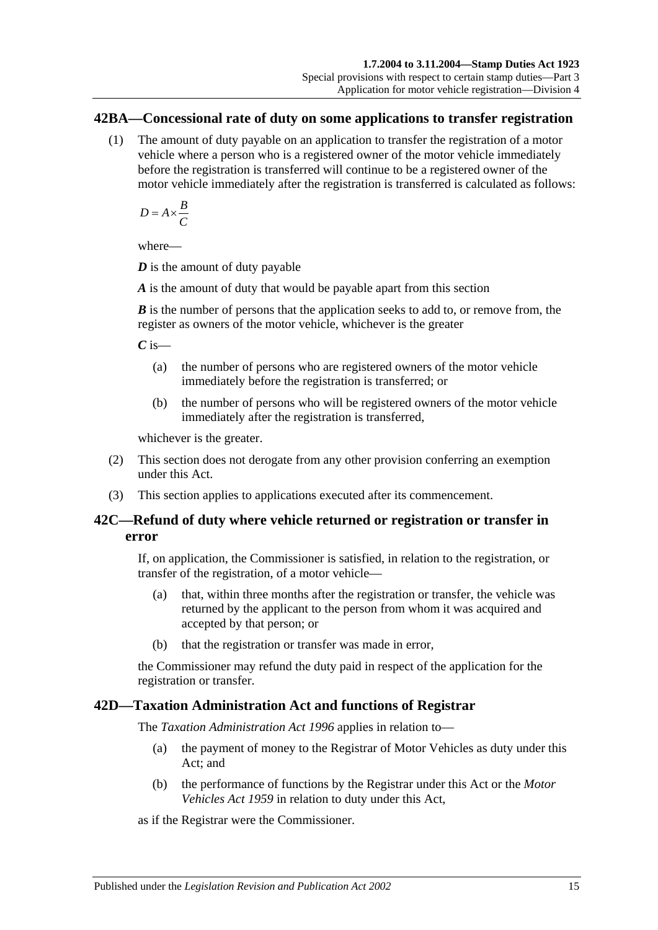#### <span id="page-32-0"></span>**42BA—Concessional rate of duty on some applications to transfer registration**

(1) The amount of duty payable on an application to transfer the registration of a motor vehicle where a person who is a registered owner of the motor vehicle immediately before the registration is transferred will continue to be a registered owner of the motor vehicle immediately after the registration is transferred is calculated as follows:

$$
D = A \times \frac{B}{C}
$$

where—

*D* is the amount of duty payable

*A* is the amount of duty that would be payable apart from this section

*B* is the number of persons that the application seeks to add to, or remove from, the register as owners of the motor vehicle, whichever is the greater

*C* is—

- (a) the number of persons who are registered owners of the motor vehicle immediately before the registration is transferred; or
- (b) the number of persons who will be registered owners of the motor vehicle immediately after the registration is transferred,

whichever is the greater.

- (2) This section does not derogate from any other provision conferring an exemption under this Act.
- (3) This section applies to applications executed after its commencement.

## <span id="page-32-1"></span>**42C—Refund of duty where vehicle returned or registration or transfer in error**

If, on application, the Commissioner is satisfied, in relation to the registration, or transfer of the registration, of a motor vehicle—

- (a) that, within three months after the registration or transfer, the vehicle was returned by the applicant to the person from whom it was acquired and accepted by that person; or
- (b) that the registration or transfer was made in error,

the Commissioner may refund the duty paid in respect of the application for the registration or transfer.

## <span id="page-32-2"></span>**42D—Taxation Administration Act and functions of Registrar**

The *[Taxation Administration Act](http://www.legislation.sa.gov.au/index.aspx?action=legref&type=act&legtitle=Taxation%20Administration%20Act%201996) 1996* applies in relation to—

- (a) the payment of money to the Registrar of Motor Vehicles as duty under this Act; and
- (b) the performance of functions by the Registrar under this Act or the *[Motor](http://www.legislation.sa.gov.au/index.aspx?action=legref&type=act&legtitle=Motor%20Vehicles%20Act%201959)  [Vehicles Act](http://www.legislation.sa.gov.au/index.aspx?action=legref&type=act&legtitle=Motor%20Vehicles%20Act%201959) 1959* in relation to duty under this Act,

as if the Registrar were the Commissioner.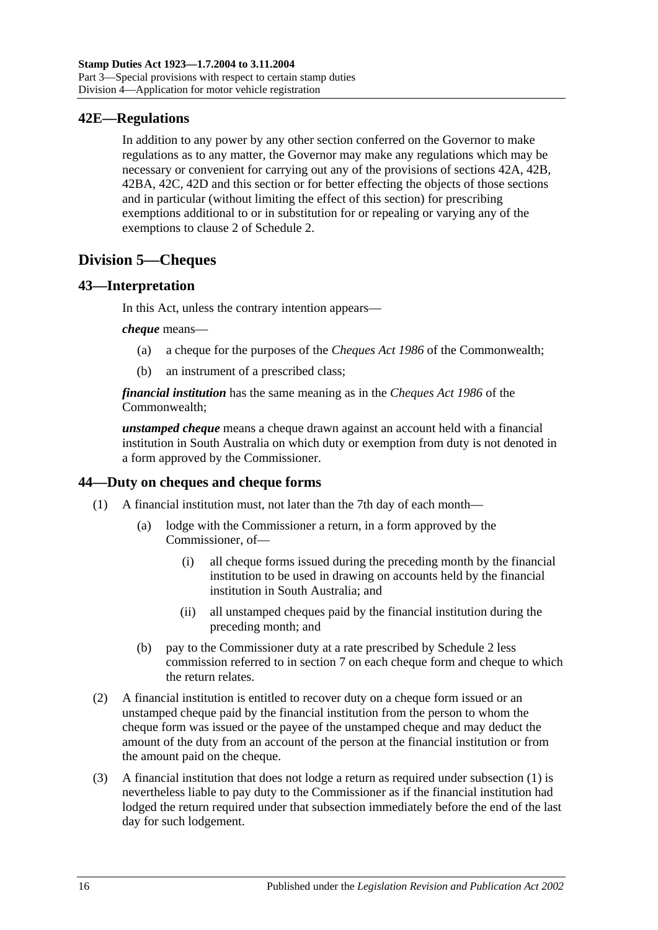## <span id="page-33-0"></span>**42E—Regulations**

In addition to any power by any other section conferred on the Governor to make regulations as to any matter, the Governor may make any regulations which may be necessary or convenient for carrying out any of the provisions of [sections 42A,](#page-29-1) [42B,](#page-30-0) [42BA,](#page-32-0) [42C,](#page-32-1) [42D](#page-32-2) and this section or for better effecting the objects of those sections and in particular (without limiting the effect of this section) for prescribing exemptions additional to or in substitution for or repealing or varying any of the exemptions to clause 2 of [Schedule 2.](#page-98-2)

# <span id="page-33-1"></span>**Division 5—Cheques**

## <span id="page-33-2"></span>**43—Interpretation**

In this Act, unless the contrary intention appears—

#### *cheque* means—

- (a) a cheque for the purposes of the *Cheques Act 1986* of the Commonwealth;
- (b) an instrument of a prescribed class;

*financial institution* has the same meaning as in the *Cheques Act 1986* of the Commonwealth;

*unstamped cheque* means a cheque drawn against an account held with a financial institution in South Australia on which duty or exemption from duty is not denoted in a form approved by the Commissioner.

# <span id="page-33-4"></span><span id="page-33-3"></span>**44—Duty on cheques and cheque forms**

- (1) A financial institution must, not later than the 7th day of each month—
	- (a) lodge with the Commissioner a return, in a form approved by the Commissioner, of—
		- (i) all cheque forms issued during the preceding month by the financial institution to be used in drawing on accounts held by the financial institution in South Australia; and
		- (ii) all unstamped cheques paid by the financial institution during the preceding month; and
	- (b) pay to the Commissioner duty at a rate prescribed by [Schedule 2](#page-98-2) less commission referred to in [section](#page-12-3) 7 on each cheque form and cheque to which the return relates.
- (2) A financial institution is entitled to recover duty on a cheque form issued or an unstamped cheque paid by the financial institution from the person to whom the cheque form was issued or the payee of the unstamped cheque and may deduct the amount of the duty from an account of the person at the financial institution or from the amount paid on the cheque.
- (3) A financial institution that does not lodge a return as required under [subsection](#page-33-4) (1) is nevertheless liable to pay duty to the Commissioner as if the financial institution had lodged the return required under that subsection immediately before the end of the last day for such lodgement.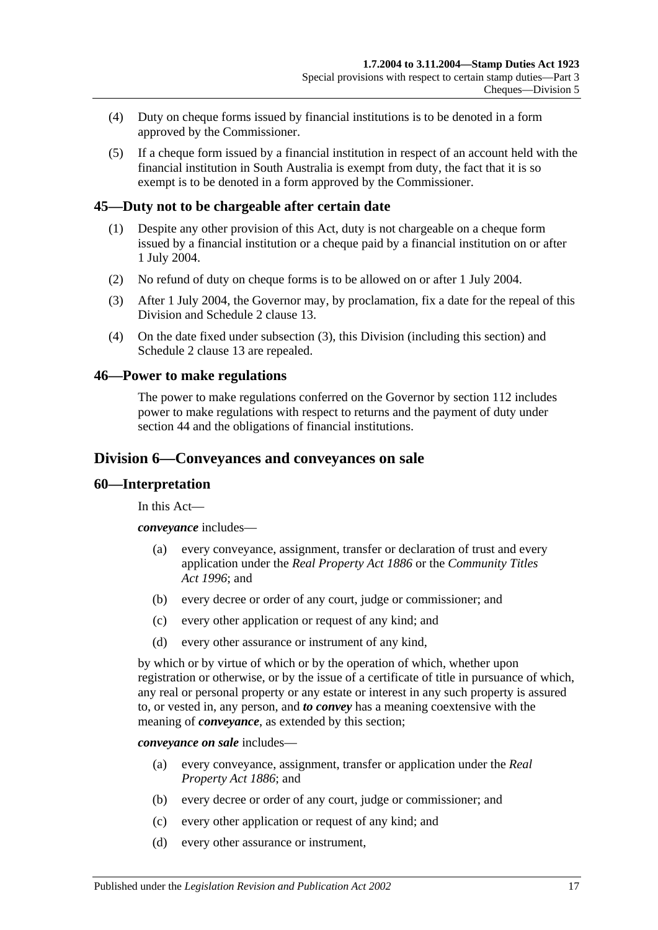- (4) Duty on cheque forms issued by financial institutions is to be denoted in a form approved by the Commissioner.
- (5) If a cheque form issued by a financial institution in respect of an account held with the financial institution in South Australia is exempt from duty, the fact that it is so exempt is to be denoted in a form approved by the Commissioner.

#### <span id="page-34-0"></span>**45—Duty not to be chargeable after certain date**

- (1) Despite any other provision of this Act, duty is not chargeable on a cheque form issued by a financial institution or a cheque paid by a financial institution on or after 1 July 2004.
- (2) No refund of duty on cheque forms is to be allowed on or after 1 July 2004.
- <span id="page-34-4"></span>(3) After 1 July 2004, the Governor may, by proclamation, fix a date for the repeal of this Division and [Schedule 2](#page-98-2) clause 13.
- (4) On the date fixed under [subsection](#page-34-4) (3), this Division (including this section) and [Schedule 2](#page-98-2) clause 13 are repealed.

#### <span id="page-34-1"></span>**46—Power to make regulations**

The power to make regulations conferred on the Governor by [section](#page-96-2) 112 includes power to make regulations with respect to returns and the payment of duty under [section](#page-33-3) 44 and the obligations of financial institutions.

#### <span id="page-34-2"></span>**Division 6—Conveyances and conveyances on sale**

#### <span id="page-34-3"></span>**60—Interpretation**

In this Act—

*conveyance* includes—

- (a) every conveyance, assignment, transfer or declaration of trust and every application under the *[Real Property Act](http://www.legislation.sa.gov.au/index.aspx?action=legref&type=act&legtitle=Real%20Property%20Act%201886) 1886* or the *[Community Titles](http://www.legislation.sa.gov.au/index.aspx?action=legref&type=act&legtitle=Community%20Titles%20Act%201996)  Act [1996](http://www.legislation.sa.gov.au/index.aspx?action=legref&type=act&legtitle=Community%20Titles%20Act%201996)*; and
- (b) every decree or order of any court, judge or commissioner; and
- (c) every other application or request of any kind; and
- (d) every other assurance or instrument of any kind,

by which or by virtue of which or by the operation of which, whether upon registration or otherwise, or by the issue of a certificate of title in pursuance of which, any real or personal property or any estate or interest in any such property is assured to, or vested in, any person, and *to convey* has a meaning coextensive with the meaning of *conveyance*, as extended by this section;

*conveyance on sale* includes—

- (a) every conveyance, assignment, transfer or application under the *[Real](http://www.legislation.sa.gov.au/index.aspx?action=legref&type=act&legtitle=Real%20Property%20Act%201886)  [Property Act](http://www.legislation.sa.gov.au/index.aspx?action=legref&type=act&legtitle=Real%20Property%20Act%201886) 1886*; and
- (b) every decree or order of any court, judge or commissioner; and
- (c) every other application or request of any kind; and
- (d) every other assurance or instrument,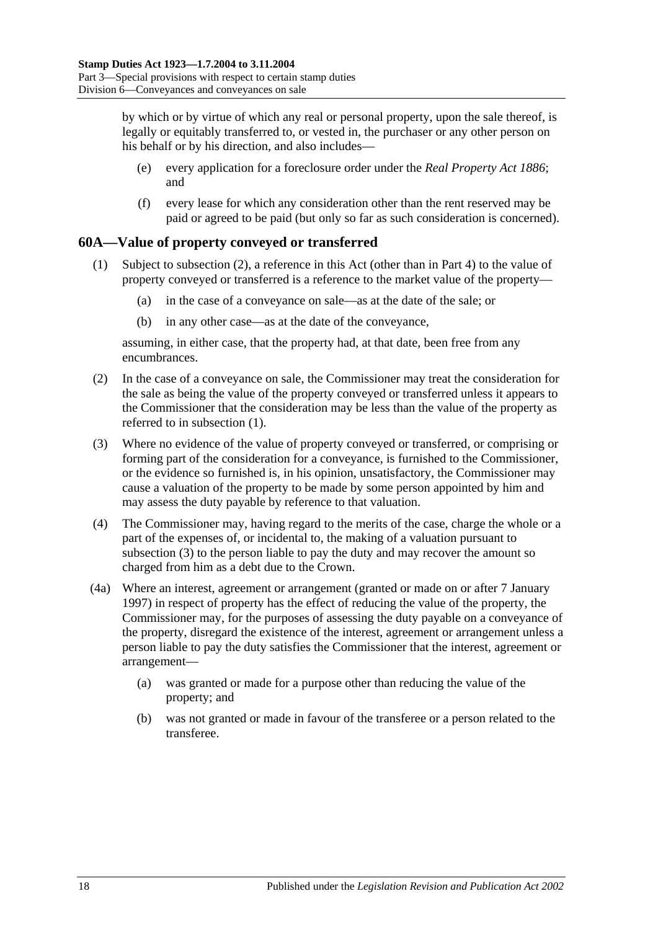by which or by virtue of which any real or personal property, upon the sale thereof, is legally or equitably transferred to, or vested in, the purchaser or any other person on his behalf or by his direction, and also includes—

- (e) every application for a foreclosure order under the *[Real Property Act](http://www.legislation.sa.gov.au/index.aspx?action=legref&type=act&legtitle=Real%20Property%20Act%201886) 1886*; and
- (f) every lease for which any consideration other than the rent reserved may be paid or agreed to be paid (but only so far as such consideration is concerned).

# <span id="page-35-2"></span><span id="page-35-0"></span>**60A—Value of property conveyed or transferred**

- (1) Subject to [subsection](#page-35-1) (2), a reference in this Act (other than in Part 4) to the value of property conveyed or transferred is a reference to the market value of the property—
	- (a) in the case of a conveyance on sale—as at the date of the sale; or
	- (b) in any other case—as at the date of the conveyance,

assuming, in either case, that the property had, at that date, been free from any encumbrances.

- <span id="page-35-1"></span>(2) In the case of a conveyance on sale, the Commissioner may treat the consideration for the sale as being the value of the property conveyed or transferred unless it appears to the Commissioner that the consideration may be less than the value of the property as referred to in [subsection](#page-35-2) (1).
- <span id="page-35-3"></span>(3) Where no evidence of the value of property conveyed or transferred, or comprising or forming part of the consideration for a conveyance, is furnished to the Commissioner, or the evidence so furnished is, in his opinion, unsatisfactory, the Commissioner may cause a valuation of the property to be made by some person appointed by him and may assess the duty payable by reference to that valuation.
- (4) The Commissioner may, having regard to the merits of the case, charge the whole or a part of the expenses of, or incidental to, the making of a valuation pursuant to [subsection](#page-35-3) (3) to the person liable to pay the duty and may recover the amount so charged from him as a debt due to the Crown.
- (4a) Where an interest, agreement or arrangement (granted or made on or after 7 January 1997) in respect of property has the effect of reducing the value of the property, the Commissioner may, for the purposes of assessing the duty payable on a conveyance of the property, disregard the existence of the interest, agreement or arrangement unless a person liable to pay the duty satisfies the Commissioner that the interest, agreement or arrangement—
	- (a) was granted or made for a purpose other than reducing the value of the property; and
	- (b) was not granted or made in favour of the transferee or a person related to the transferee.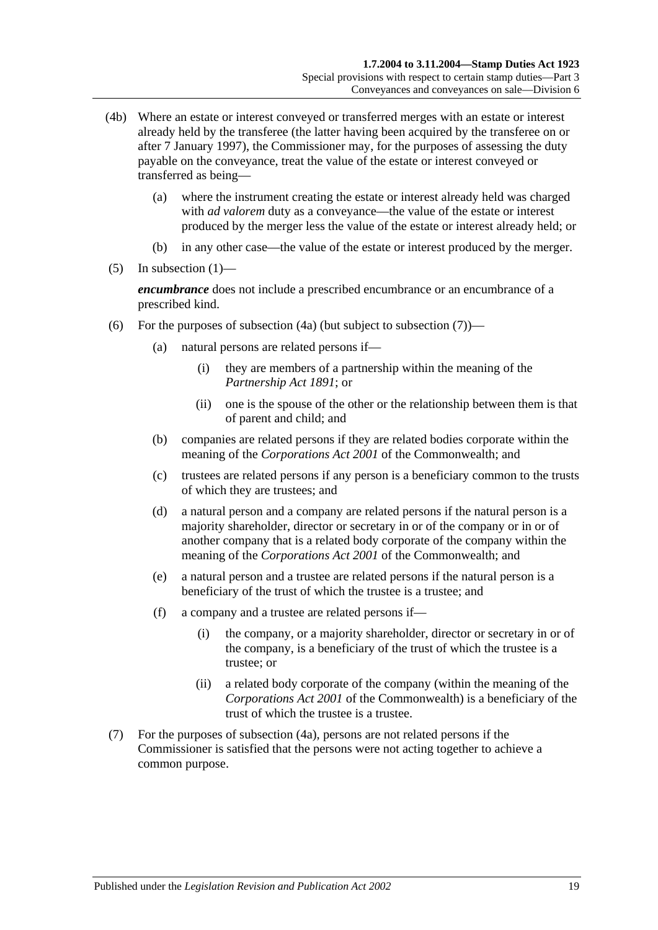- (4b) Where an estate or interest conveyed or transferred merges with an estate or interest already held by the transferee (the latter having been acquired by the transferee on or after 7 January 1997), the Commissioner may, for the purposes of assessing the duty payable on the conveyance, treat the value of the estate or interest conveyed or transferred as being—
	- (a) where the instrument creating the estate or interest already held was charged with *ad valorem* duty as a conveyance—the value of the estate or interest produced by the merger less the value of the estate or interest already held; or
	- (b) in any other case—the value of the estate or interest produced by the merger.
- $(5)$  In [subsection](#page-35-0)  $(1)$ —

*encumbrance* does not include a prescribed encumbrance or an encumbrance of a prescribed kind.

- <span id="page-36-1"></span>(6) For the purposes of [subsection](#page-36-0)  $(4a)$  (but subject to subsection  $(7)$ )—
	- (a) natural persons are related persons if—
		- (i) they are members of a partnership within the meaning of the *[Partnership Act](http://www.legislation.sa.gov.au/index.aspx?action=legref&type=act&legtitle=Partnership%20Act%201891) 1891*; or
		- (ii) one is the spouse of the other or the relationship between them is that of parent and child; and
	- (b) companies are related persons if they are related bodies corporate within the meaning of the *Corporations Act 2001* of the Commonwealth; and
	- (c) trustees are related persons if any person is a beneficiary common to the trusts of which they are trustees; and
	- (d) a natural person and a company are related persons if the natural person is a majority shareholder, director or secretary in or of the company or in or of another company that is a related body corporate of the company within the meaning of the *Corporations Act 2001* of the Commonwealth; and
	- (e) a natural person and a trustee are related persons if the natural person is a beneficiary of the trust of which the trustee is a trustee; and
	- (f) a company and a trustee are related persons if—
		- (i) the company, or a majority shareholder, director or secretary in or of the company, is a beneficiary of the trust of which the trustee is a trustee; or
		- (ii) a related body corporate of the company (within the meaning of the *Corporations Act 2001* of the Commonwealth) is a beneficiary of the trust of which the trustee is a trustee.
- <span id="page-36-0"></span>(7) For the purposes of [subsection](#page-35-1) (4a), persons are not related persons if the Commissioner is satisfied that the persons were not acting together to achieve a common purpose.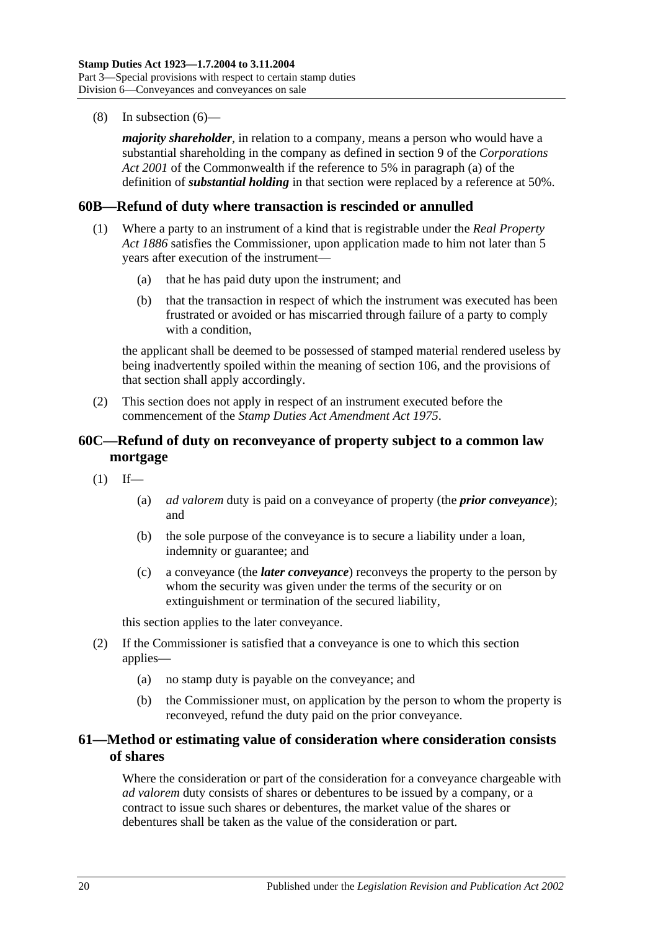(8) In [subsection](#page-36-1) (6)—

*majority shareholder*, in relation to a company, means a person who would have a substantial shareholding in the company as defined in section 9 of the *Corporations Act 2001* of the Commonwealth if the reference to 5% in paragraph (a) of the definition of *substantial holding* in that section were replaced by a reference at 50%.

## **60B—Refund of duty where transaction is rescinded or annulled**

- (1) Where a party to an instrument of a kind that is registrable under the *[Real Property](http://www.legislation.sa.gov.au/index.aspx?action=legref&type=act&legtitle=Real%20Property%20Act%201886)  Act [1886](http://www.legislation.sa.gov.au/index.aspx?action=legref&type=act&legtitle=Real%20Property%20Act%201886)* satisfies the Commissioner, upon application made to him not later than 5 years after execution of the instrument—
	- (a) that he has paid duty upon the instrument; and
	- (b) that the transaction in respect of which the instrument was executed has been frustrated or avoided or has miscarried through failure of a party to comply with a condition.

the applicant shall be deemed to be possessed of stamped material rendered useless by being inadvertently spoiled within the meaning of [section](#page-94-0) 106, and the provisions of that section shall apply accordingly.

(2) This section does not apply in respect of an instrument executed before the commencement of the *[Stamp Duties Act Amendment Act](http://www.legislation.sa.gov.au/index.aspx?action=legref&type=act&legtitle=Stamp%20Duties%20Act%20Amendment%20Act%201975) 1975*.

# **60C—Refund of duty on reconveyance of property subject to a common law mortgage**

- $(1)$  If—
	- (a) *ad valorem* duty is paid on a conveyance of property (the *prior conveyance*); and
	- (b) the sole purpose of the conveyance is to secure a liability under a loan, indemnity or guarantee; and
	- (c) a conveyance (the *later conveyance*) reconveys the property to the person by whom the security was given under the terms of the security or on extinguishment or termination of the secured liability,

this section applies to the later conveyance.

- (2) If the Commissioner is satisfied that a conveyance is one to which this section applies—
	- (a) no stamp duty is payable on the conveyance; and
	- (b) the Commissioner must, on application by the person to whom the property is reconveyed, refund the duty paid on the prior conveyance.

# **61—Method or estimating value of consideration where consideration consists of shares**

Where the consideration or part of the consideration for a conveyance chargeable with *ad valorem* duty consists of shares or debentures to be issued by a company, or a contract to issue such shares or debentures, the market value of the shares or debentures shall be taken as the value of the consideration or part.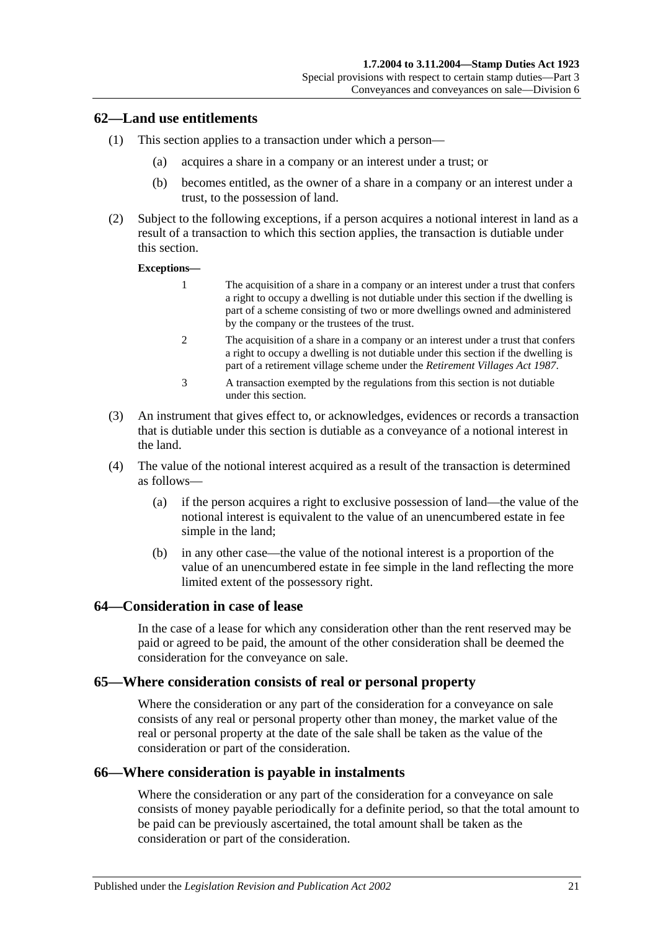## **62—Land use entitlements**

- (1) This section applies to a transaction under which a person—
	- (a) acquires a share in a company or an interest under a trust; or
	- (b) becomes entitled, as the owner of a share in a company or an interest under a trust, to the possession of land.
- (2) Subject to the following exceptions, if a person acquires a notional interest in land as a result of a transaction to which this section applies, the transaction is dutiable under this section.

#### **Exceptions—**

- 1 The acquisition of a share in a company or an interest under a trust that confers a right to occupy a dwelling is not dutiable under this section if the dwelling is part of a scheme consisting of two or more dwellings owned and administered by the company or the trustees of the trust.
- 2 The acquisition of a share in a company or an interest under a trust that confers a right to occupy a dwelling is not dutiable under this section if the dwelling is part of a retirement village scheme under the *[Retirement Villages Act](http://www.legislation.sa.gov.au/index.aspx?action=legref&type=act&legtitle=Retirement%20Villages%20Act%201987) 1987*.
- 3 A transaction exempted by the regulations from this section is not dutiable under this section.
- (3) An instrument that gives effect to, or acknowledges, evidences or records a transaction that is dutiable under this section is dutiable as a conveyance of a notional interest in the land.
- (4) The value of the notional interest acquired as a result of the transaction is determined as follows—
	- (a) if the person acquires a right to exclusive possession of land—the value of the notional interest is equivalent to the value of an unencumbered estate in fee simple in the land;
	- (b) in any other case—the value of the notional interest is a proportion of the value of an unencumbered estate in fee simple in the land reflecting the more limited extent of the possessory right.

#### **64—Consideration in case of lease**

In the case of a lease for which any consideration other than the rent reserved may be paid or agreed to be paid, the amount of the other consideration shall be deemed the consideration for the conveyance on sale.

## **65—Where consideration consists of real or personal property**

Where the consideration or any part of the consideration for a conveyance on sale consists of any real or personal property other than money, the market value of the real or personal property at the date of the sale shall be taken as the value of the consideration or part of the consideration.

#### **66—Where consideration is payable in instalments**

Where the consideration or any part of the consideration for a conveyance on sale consists of money payable periodically for a definite period, so that the total amount to be paid can be previously ascertained, the total amount shall be taken as the consideration or part of the consideration.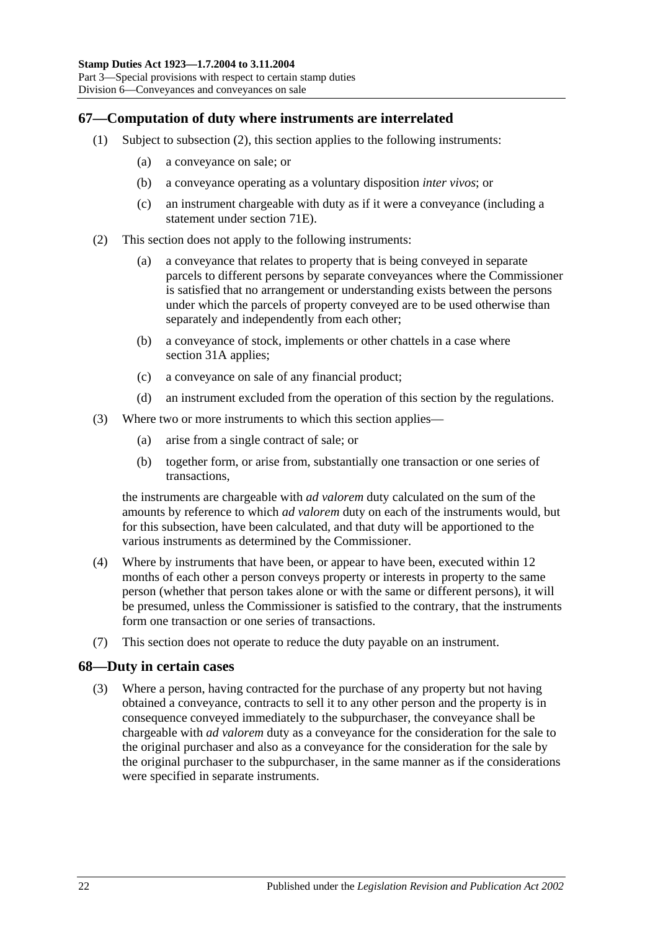# **67—Computation of duty where instruments are interrelated**

- (1) Subject to [subsection](#page-39-0) (2), this section applies to the following instruments:
	- (a) a conveyance on sale; or
	- (b) a conveyance operating as a voluntary disposition *inter vivos*; or
	- (c) an instrument chargeable with duty as if it were a conveyance (including a statement under [section](#page-60-0) 71E).
- <span id="page-39-0"></span>(2) This section does not apply to the following instruments:
	- (a) a conveyance that relates to property that is being conveyed in separate parcels to different persons by separate conveyances where the Commissioner is satisfied that no arrangement or understanding exists between the persons under which the parcels of property conveyed are to be used otherwise than separately and independently from each other;
	- (b) a conveyance of stock, implements or other chattels in a case where [section](#page-19-0) 31A applies;
	- (c) a conveyance on sale of any financial product;
	- (d) an instrument excluded from the operation of this section by the regulations.
- (3) Where two or more instruments to which this section applies—
	- (a) arise from a single contract of sale; or
	- (b) together form, or arise from, substantially one transaction or one series of transactions,

the instruments are chargeable with *ad valorem* duty calculated on the sum of the amounts by reference to which *ad valorem* duty on each of the instruments would, but for this subsection, have been calculated, and that duty will be apportioned to the various instruments as determined by the Commissioner.

- (4) Where by instruments that have been, or appear to have been, executed within 12 months of each other a person conveys property or interests in property to the same person (whether that person takes alone or with the same or different persons), it will be presumed, unless the Commissioner is satisfied to the contrary, that the instruments form one transaction or one series of transactions.
- (7) This section does not operate to reduce the duty payable on an instrument.

# **68—Duty in certain cases**

(3) Where a person, having contracted for the purchase of any property but not having obtained a conveyance, contracts to sell it to any other person and the property is in consequence conveyed immediately to the subpurchaser, the conveyance shall be chargeable with *ad valorem* duty as a conveyance for the consideration for the sale to the original purchaser and also as a conveyance for the consideration for the sale by the original purchaser to the subpurchaser, in the same manner as if the considerations were specified in separate instruments.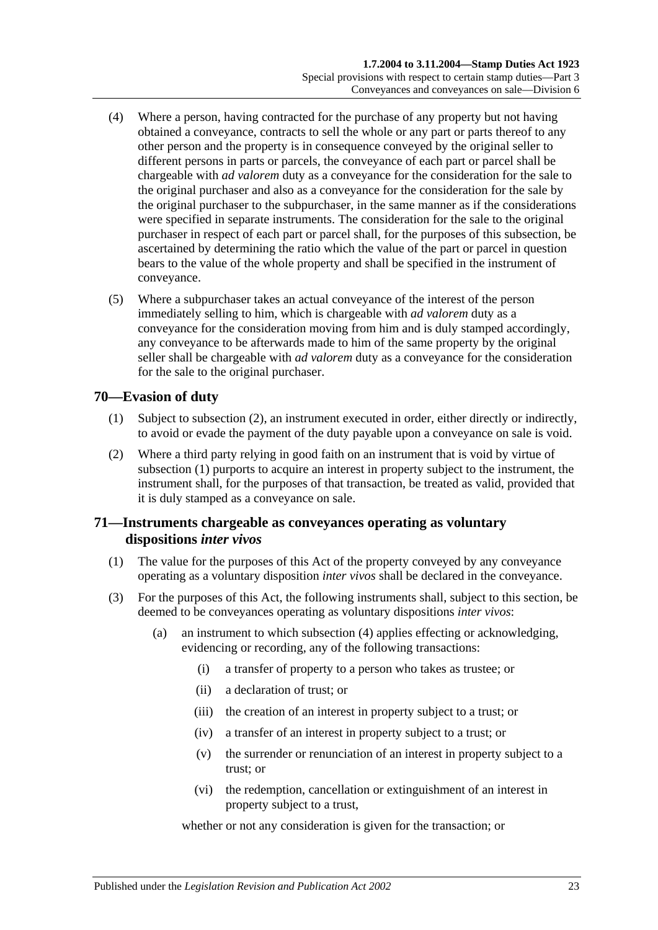- (4) Where a person, having contracted for the purchase of any property but not having obtained a conveyance, contracts to sell the whole or any part or parts thereof to any other person and the property is in consequence conveyed by the original seller to different persons in parts or parcels, the conveyance of each part or parcel shall be chargeable with *ad valorem* duty as a conveyance for the consideration for the sale to the original purchaser and also as a conveyance for the consideration for the sale by the original purchaser to the subpurchaser, in the same manner as if the considerations were specified in separate instruments. The consideration for the sale to the original purchaser in respect of each part or parcel shall, for the purposes of this subsection, be ascertained by determining the ratio which the value of the part or parcel in question bears to the value of the whole property and shall be specified in the instrument of conveyance.
- (5) Where a subpurchaser takes an actual conveyance of the interest of the person immediately selling to him, which is chargeable with *ad valorem* duty as a conveyance for the consideration moving from him and is duly stamped accordingly, any conveyance to be afterwards made to him of the same property by the original seller shall be chargeable with *ad valorem* duty as a conveyance for the consideration for the sale to the original purchaser.

# <span id="page-40-1"></span>**70—Evasion of duty**

- (1) Subject to [subsection](#page-40-0) (2), an instrument executed in order, either directly or indirectly, to avoid or evade the payment of the duty payable upon a conveyance on sale is void.
- <span id="page-40-0"></span>(2) Where a third party relying in good faith on an instrument that is void by virtue of [subsection](#page-40-1) (1) purports to acquire an interest in property subject to the instrument, the instrument shall, for the purposes of that transaction, be treated as valid, provided that it is duly stamped as a conveyance on sale.

# **71—Instruments chargeable as conveyances operating as voluntary dispositions** *inter vivos*

- (1) The value for the purposes of this Act of the property conveyed by any conveyance operating as a voluntary disposition *inter vivos* shall be declared in the conveyance.
- <span id="page-40-2"></span>(3) For the purposes of this Act, the following instruments shall, subject to this section, be deemed to be conveyances operating as voluntary dispositions *inter vivos*:
	- (a) an instrument to which [subsection](#page-41-0) (4) applies effecting or acknowledging, evidencing or recording, any of the following transactions:
		- (i) a transfer of property to a person who takes as trustee; or
		- (ii) a declaration of trust; or
		- (iii) the creation of an interest in property subject to a trust; or
		- (iv) a transfer of an interest in property subject to a trust; or
		- (v) the surrender or renunciation of an interest in property subject to a trust; or
		- (vi) the redemption, cancellation or extinguishment of an interest in property subject to a trust,

whether or not any consideration is given for the transaction; or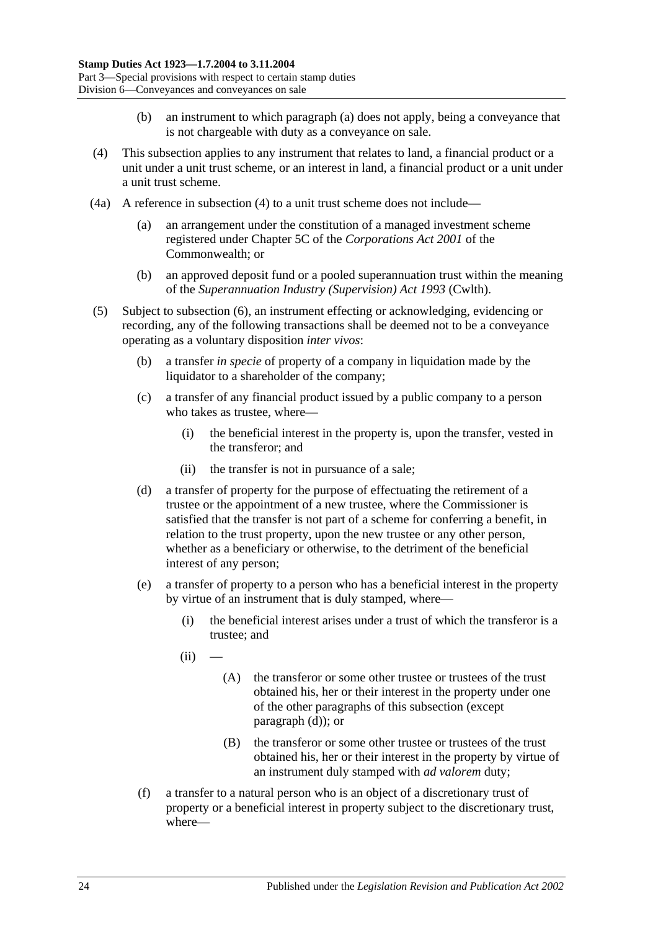- (b) an instrument to which [paragraph](#page-40-2) (a) does not apply, being a conveyance that is not chargeable with duty as a conveyance on sale.
- <span id="page-41-0"></span>(4) This subsection applies to any instrument that relates to land, a financial product or a unit under a unit trust scheme, or an interest in land, a financial product or a unit under a unit trust scheme.
- (4a) A reference in [subsection](#page-41-0) (4) to a unit trust scheme does not include—
	- (a) an arrangement under the constitution of a managed investment scheme registered under Chapter 5C of the *Corporations Act 2001* of the Commonwealth; or
	- (b) an approved deposit fund or a pooled superannuation trust within the meaning of the *Superannuation Industry (Supervision) Act 1993* (Cwlth).
- <span id="page-41-3"></span><span id="page-41-2"></span><span id="page-41-1"></span>(5) Subject to [subsection](#page-42-0) (6), an instrument effecting or acknowledging, evidencing or recording, any of the following transactions shall be deemed not to be a conveyance operating as a voluntary disposition *inter vivos*:
	- (b) a transfer *in specie* of property of a company in liquidation made by the liquidator to a shareholder of the company;
	- (c) a transfer of any financial product issued by a public company to a person who takes as trustee, where—
		- (i) the beneficial interest in the property is, upon the transfer, vested in the transferor; and
		- (ii) the transfer is not in pursuance of a sale;
	- (d) a transfer of property for the purpose of effectuating the retirement of a trustee or the appointment of a new trustee, where the Commissioner is satisfied that the transfer is not part of a scheme for conferring a benefit, in relation to the trust property, upon the new trustee or any other person, whether as a beneficiary or otherwise, to the detriment of the beneficial interest of any person;
	- (e) a transfer of property to a person who has a beneficial interest in the property by virtue of an instrument that is duly stamped, where—
		- (i) the beneficial interest arises under a trust of which the transferor is a trustee; and
		- $(ii)$ 
			- (A) the transferor or some other trustee or trustees of the trust obtained his, her or their interest in the property under one of the other paragraphs of this subsection (except [paragraph](#page-41-1) (d)); or
			- (B) the transferor or some other trustee or trustees of the trust obtained his, her or their interest in the property by virtue of an instrument duly stamped with *ad valorem* duty;
	- (f) a transfer to a natural person who is an object of a discretionary trust of property or a beneficial interest in property subject to the discretionary trust, where—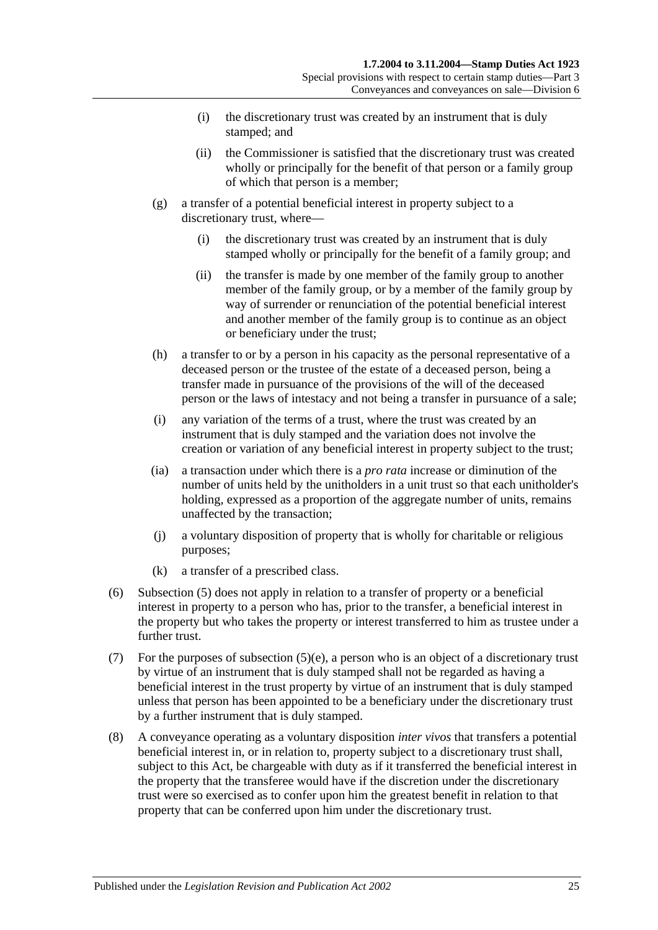- (i) the discretionary trust was created by an instrument that is duly stamped; and
- (ii) the Commissioner is satisfied that the discretionary trust was created wholly or principally for the benefit of that person or a family group of which that person is a member;
- (g) a transfer of a potential beneficial interest in property subject to a discretionary trust, where—
	- (i) the discretionary trust was created by an instrument that is duly stamped wholly or principally for the benefit of a family group; and
	- (ii) the transfer is made by one member of the family group to another member of the family group, or by a member of the family group by way of surrender or renunciation of the potential beneficial interest and another member of the family group is to continue as an object or beneficiary under the trust;
- (h) a transfer to or by a person in his capacity as the personal representative of a deceased person or the trustee of the estate of a deceased person, being a transfer made in pursuance of the provisions of the will of the deceased person or the laws of intestacy and not being a transfer in pursuance of a sale;
- (i) any variation of the terms of a trust, where the trust was created by an instrument that is duly stamped and the variation does not involve the creation or variation of any beneficial interest in property subject to the trust;
- (ia) a transaction under which there is a *pro rata* increase or diminution of the number of units held by the unitholders in a unit trust so that each unitholder's holding, expressed as a proportion of the aggregate number of units, remains unaffected by the transaction;
- (j) a voluntary disposition of property that is wholly for charitable or religious purposes;
- (k) a transfer of a prescribed class.
- <span id="page-42-0"></span>(6) [Subsection](#page-41-2) (5) does not apply in relation to a transfer of property or a beneficial interest in property to a person who has, prior to the transfer, a beneficial interest in the property but who takes the property or interest transferred to him as trustee under a further trust.
- (7) For the purposes of [subsection](#page-41-3) (5)(e), a person who is an object of a discretionary trust by virtue of an instrument that is duly stamped shall not be regarded as having a beneficial interest in the trust property by virtue of an instrument that is duly stamped unless that person has been appointed to be a beneficiary under the discretionary trust by a further instrument that is duly stamped.
- (8) A conveyance operating as a voluntary disposition *inter vivos* that transfers a potential beneficial interest in, or in relation to, property subject to a discretionary trust shall, subject to this Act, be chargeable with duty as if it transferred the beneficial interest in the property that the transferee would have if the discretion under the discretionary trust were so exercised as to confer upon him the greatest benefit in relation to that property that can be conferred upon him under the discretionary trust.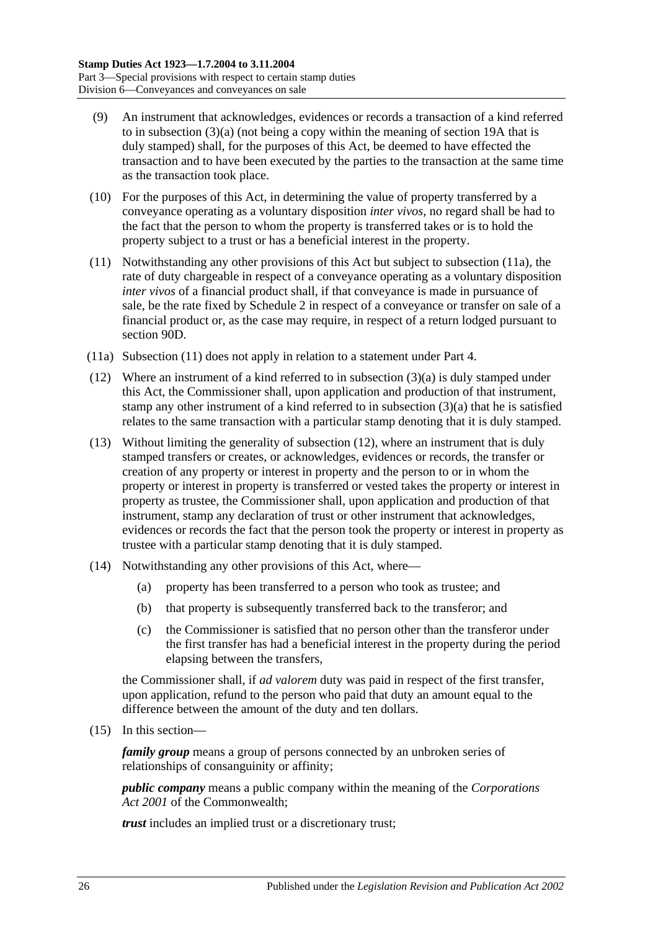- (9) An instrument that acknowledges, evidences or records a transaction of a kind referred to in [subsection](#page-40-2) (3)(a) (not being a copy within the meaning of [section](#page-14-0) 19A that is duly stamped) shall, for the purposes of this Act, be deemed to have effected the transaction and to have been executed by the parties to the transaction at the same time as the transaction took place.
- (10) For the purposes of this Act, in determining the value of property transferred by a conveyance operating as a voluntary disposition *inter vivos*, no regard shall be had to the fact that the person to whom the property is transferred takes or is to hold the property subject to a trust or has a beneficial interest in the property.
- <span id="page-43-1"></span>(11) Notwithstanding any other provisions of this Act but subject to [subsection](#page-43-0) (11a), the rate of duty chargeable in respect of a conveyance operating as a voluntary disposition *inter vivos* of a financial product shall, if that conveyance is made in pursuance of sale, be the rate fixed by [Schedule 2](#page-98-0) in respect of a conveyance or transfer on sale of a financial product or, as the case may require, in respect of a return lodged pursuant to [section](#page-76-0) 90D.
- <span id="page-43-0"></span>(11a) [Subsection](#page-43-1) (11) does not apply in relation to a statement under Part 4.
- <span id="page-43-2"></span>(12) Where an instrument of a kind referred to in [subsection](#page-40-2) (3)(a) is duly stamped under this Act, the Commissioner shall, upon application and production of that instrument, stamp any other instrument of a kind referred to in [subsection](#page-40-2)  $(3)(a)$  that he is satisfied relates to the same transaction with a particular stamp denoting that it is duly stamped.
- (13) Without limiting the generality of [subsection](#page-43-2) (12), where an instrument that is duly stamped transfers or creates, or acknowledges, evidences or records, the transfer or creation of any property or interest in property and the person to or in whom the property or interest in property is transferred or vested takes the property or interest in property as trustee, the Commissioner shall, upon application and production of that instrument, stamp any declaration of trust or other instrument that acknowledges, evidences or records the fact that the person took the property or interest in property as trustee with a particular stamp denoting that it is duly stamped.
- (14) Notwithstanding any other provisions of this Act, where—
	- (a) property has been transferred to a person who took as trustee; and
	- (b) that property is subsequently transferred back to the transferor; and
	- (c) the Commissioner is satisfied that no person other than the transferor under the first transfer has had a beneficial interest in the property during the period elapsing between the transfers,

the Commissioner shall, if *ad valorem* duty was paid in respect of the first transfer, upon application, refund to the person who paid that duty an amount equal to the difference between the amount of the duty and ten dollars.

<span id="page-43-3"></span>(15) In this section—

*family group* means a group of persons connected by an unbroken series of relationships of consanguinity or affinity;

*public company* means a public company within the meaning of the *Corporations Act 2001* of the Commonwealth;

*trust* includes an implied trust or a discretionary trust;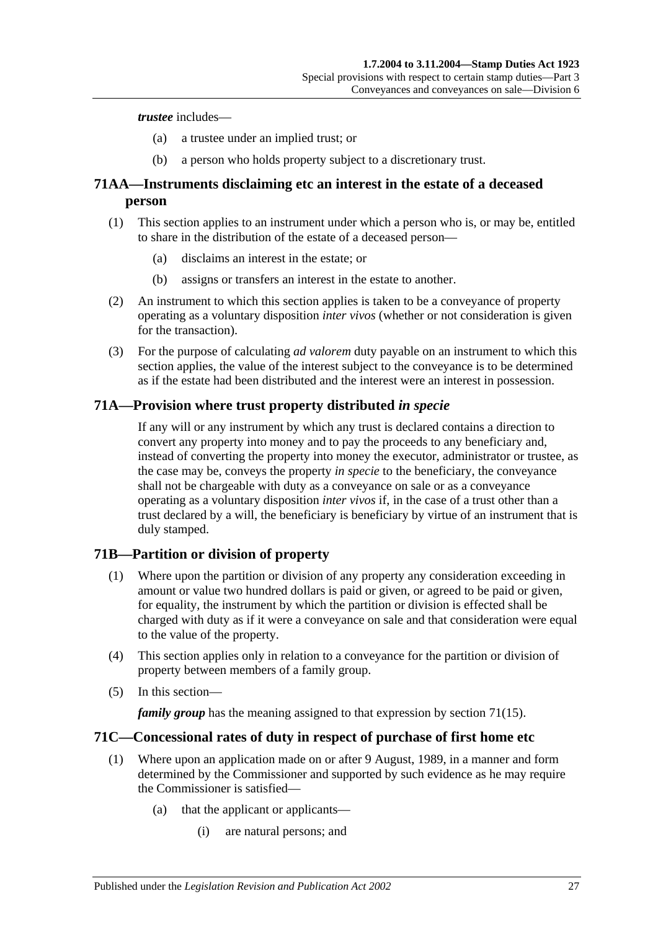#### *trustee* includes—

- (a) a trustee under an implied trust; or
- (b) a person who holds property subject to a discretionary trust.

# **71AA—Instruments disclaiming etc an interest in the estate of a deceased person**

- (1) This section applies to an instrument under which a person who is, or may be, entitled to share in the distribution of the estate of a deceased person—
	- (a) disclaims an interest in the estate; or
	- (b) assigns or transfers an interest in the estate to another.
- (2) An instrument to which this section applies is taken to be a conveyance of property operating as a voluntary disposition *inter vivos* (whether or not consideration is given for the transaction).
- (3) For the purpose of calculating *ad valorem* duty payable on an instrument to which this section applies, the value of the interest subject to the conveyance is to be determined as if the estate had been distributed and the interest were an interest in possession.

## **71A—Provision where trust property distributed** *in specie*

If any will or any instrument by which any trust is declared contains a direction to convert any property into money and to pay the proceeds to any beneficiary and, instead of converting the property into money the executor, administrator or trustee, as the case may be, conveys the property *in specie* to the beneficiary, the conveyance shall not be chargeable with duty as a conveyance on sale or as a conveyance operating as a voluntary disposition *inter vivos* if, in the case of a trust other than a trust declared by a will, the beneficiary is beneficiary by virtue of an instrument that is duly stamped.

# **71B—Partition or division of property**

- (1) Where upon the partition or division of any property any consideration exceeding in amount or value two hundred dollars is paid or given, or agreed to be paid or given, for equality, the instrument by which the partition or division is effected shall be charged with duty as if it were a conveyance on sale and that consideration were equal to the value of the property.
- (4) This section applies only in relation to a conveyance for the partition or division of property between members of a family group.
- (5) In this section—

*family group* has the meaning assigned to that expression by [section](#page-43-3) 71(15).

#### **71C—Concessional rates of duty in respect of purchase of first home etc**

- (1) Where upon an application made on or after 9 August, 1989, in a manner and form determined by the Commissioner and supported by such evidence as he may require the Commissioner is satisfied—
	- (a) that the applicant or applicants—
		- (i) are natural persons; and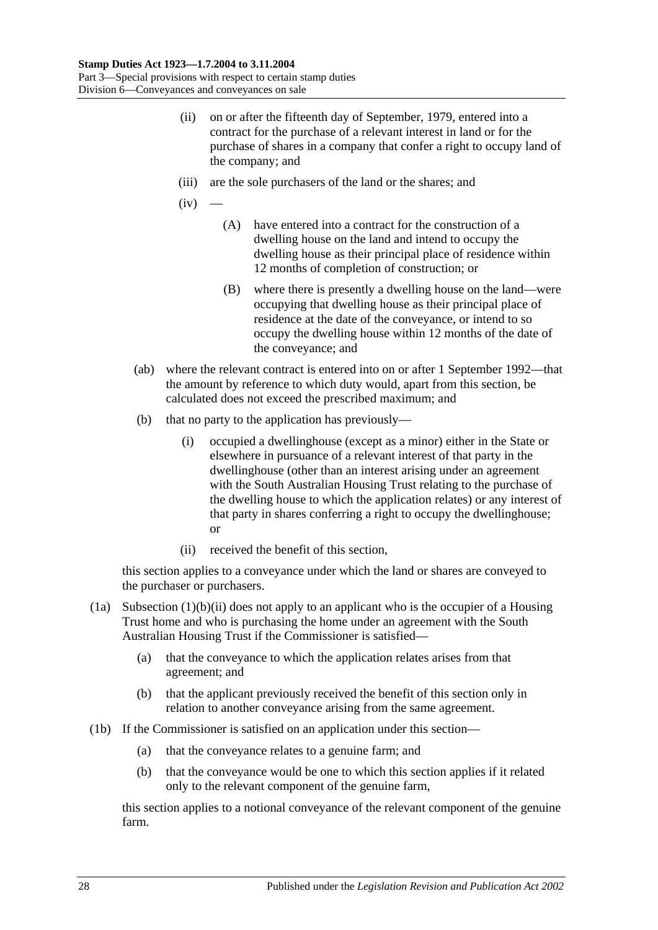- <span id="page-45-2"></span>(ii) on or after the fifteenth day of September, 1979, entered into a contract for the purchase of a relevant interest in land or for the purchase of shares in a company that confer a right to occupy land of the company; and
- <span id="page-45-1"></span>(iii) are the sole purchasers of the land or the shares; and
- $(iv)$ 
	- (A) have entered into a contract for the construction of a dwelling house on the land and intend to occupy the dwelling house as their principal place of residence within 12 months of completion of construction; or
	- (B) where there is presently a dwelling house on the land—were occupying that dwelling house as their principal place of residence at the date of the conveyance, or intend to so occupy the dwelling house within 12 months of the date of the conveyance; and
- (ab) where the relevant contract is entered into on or after 1 September 1992—that the amount by reference to which duty would, apart from this section, be calculated does not exceed the prescribed maximum; and
- (b) that no party to the application has previously—
	- (i) occupied a dwellinghouse (except as a minor) either in the State or elsewhere in pursuance of a relevant interest of that party in the dwellinghouse (other than an interest arising under an agreement with the South Australian Housing Trust relating to the purchase of the dwelling house to which the application relates) or any interest of that party in shares conferring a right to occupy the dwellinghouse; or
	- (ii) received the benefit of this section,

<span id="page-45-0"></span>this section applies to a conveyance under which the land or shares are conveyed to the purchaser or purchasers.

- (1a) [Subsection](#page-45-0)  $(1)(b)(ii)$  does not apply to an applicant who is the occupier of a Housing Trust home and who is purchasing the home under an agreement with the South Australian Housing Trust if the Commissioner is satisfied—
	- (a) that the conveyance to which the application relates arises from that agreement; and
	- (b) that the applicant previously received the benefit of this section only in relation to another conveyance arising from the same agreement.
- (1b) If the Commissioner is satisfied on an application under this section—
	- (a) that the conveyance relates to a genuine farm; and
	- (b) that the conveyance would be one to which this section applies if it related only to the relevant component of the genuine farm,

this section applies to a notional conveyance of the relevant component of the genuine farm.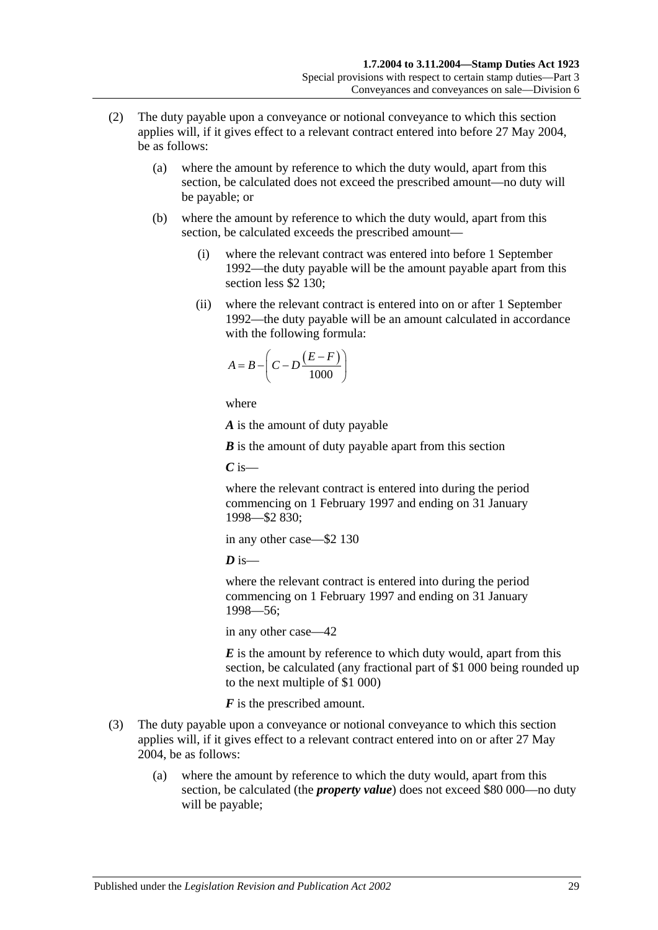- (2) The duty payable upon a conveyance or notional conveyance to which this section applies will, if it gives effect to a relevant contract entered into before 27 May 2004, be as follows:
	- (a) where the amount by reference to which the duty would, apart from this section, be calculated does not exceed the prescribed amount—no duty will be payable; or
	- (b) where the amount by reference to which the duty would, apart from this section, be calculated exceeds the prescribed amount—
		- (i) where the relevant contract was entered into before 1 September 1992—the duty payable will be the amount payable apart from this section less \$2 130;
		- (ii) where the relevant contract is entered into on or after 1 September 1992—the duty payable will be an amount calculated in accordance with the following formula:

$$
A = B - \left(C - D \frac{(E - F)}{1000}\right)
$$

where

*A* is the amount of duty payable

*B* is the amount of duty payable apart from this section

*C* is—

where the relevant contract is entered into during the period commencing on 1 February 1997 and ending on 31 January 1998—\$2 830;

in any other case—\$2 130

 $\boldsymbol{D}$  is—

where the relevant contract is entered into during the period commencing on 1 February 1997 and ending on 31 January 1998—56;

in any other case—42

*E* is the amount by reference to which duty would, apart from this section, be calculated (any fractional part of \$1 000 being rounded up to the next multiple of \$1 000)

*F* is the prescribed amount.

- (3) The duty payable upon a conveyance or notional conveyance to which this section applies will, if it gives effect to a relevant contract entered into on or after 27 May 2004, be as follows:
	- (a) where the amount by reference to which the duty would, apart from this section, be calculated (the *property value*) does not exceed \$80 000—no duty will be payable;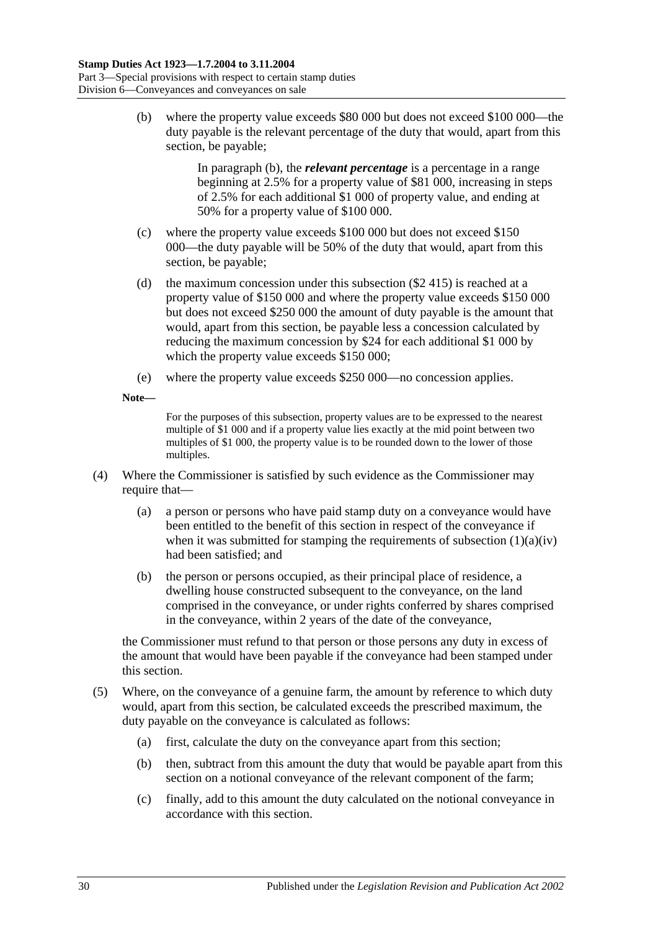<span id="page-47-0"></span>(b) where the property value exceeds \$80 000 but does not exceed \$100 000—the duty payable is the relevant percentage of the duty that would, apart from this section, be payable;

> In [paragraph](#page-47-0) (b), the *relevant percentage* is a percentage in a range beginning at 2.5% for a property value of \$81 000, increasing in steps of 2.5% for each additional \$1 000 of property value, and ending at 50% for a property value of \$100 000.

- (c) where the property value exceeds \$100 000 but does not exceed \$150 000—the duty payable will be 50% of the duty that would, apart from this section, be payable;
- (d) the maximum concession under this subsection (\$2 415) is reached at a property value of \$150 000 and where the property value exceeds \$150 000 but does not exceed \$250 000 the amount of duty payable is the amount that would, apart from this section, be payable less a concession calculated by reducing the maximum concession by \$24 for each additional \$1 000 by which the property value exceeds \$150 000;
- (e) where the property value exceeds \$250 000—no concession applies.
- **Note—**

For the purposes of this subsection, property values are to be expressed to the nearest multiple of \$1 000 and if a property value lies exactly at the mid point between two multiples of \$1 000, the property value is to be rounded down to the lower of those multiples.

- (4) Where the Commissioner is satisfied by such evidence as the Commissioner may require that—
	- (a) a person or persons who have paid stamp duty on a conveyance would have been entitled to the benefit of this section in respect of the conveyance if when it was submitted for stamping the requirements of [subsection](#page-45-1)  $(1)(a)(iv)$ had been satisfied; and
	- (b) the person or persons occupied, as their principal place of residence, a dwelling house constructed subsequent to the conveyance, on the land comprised in the conveyance, or under rights conferred by shares comprised in the conveyance, within 2 years of the date of the conveyance,

the Commissioner must refund to that person or those persons any duty in excess of the amount that would have been payable if the conveyance had been stamped under this section.

- (5) Where, on the conveyance of a genuine farm, the amount by reference to which duty would, apart from this section, be calculated exceeds the prescribed maximum, the duty payable on the conveyance is calculated as follows:
	- (a) first, calculate the duty on the conveyance apart from this section;
	- (b) then, subtract from this amount the duty that would be payable apart from this section on a notional conveyance of the relevant component of the farm;
	- (c) finally, add to this amount the duty calculated on the notional conveyance in accordance with this section.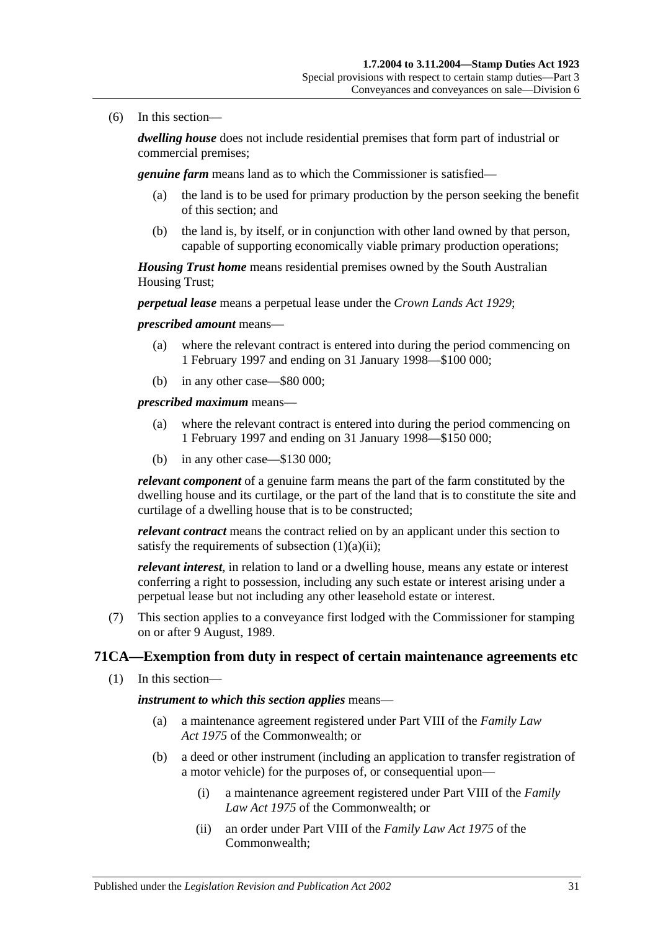(6) In this section—

*dwelling house* does not include residential premises that form part of industrial or commercial premises;

*genuine farm* means land as to which the Commissioner is satisfied—

- (a) the land is to be used for primary production by the person seeking the benefit of this section; and
- (b) the land is, by itself, or in conjunction with other land owned by that person, capable of supporting economically viable primary production operations;

*Housing Trust home* means residential premises owned by the South Australian Housing Trust;

*perpetual lease* means a perpetual lease under the *[Crown Lands Act](http://www.legislation.sa.gov.au/index.aspx?action=legref&type=act&legtitle=Crown%20Lands%20Act%201929) 1929*;

*prescribed amount* means—

- (a) where the relevant contract is entered into during the period commencing on 1 February 1997 and ending on 31 January 1998—\$100 000;
- (b) in any other case—\$80 000;

*prescribed maximum* means—

- (a) where the relevant contract is entered into during the period commencing on 1 February 1997 and ending on 31 January 1998—\$150 000;
- (b) in any other case—\$130 000;

*relevant component* of a genuine farm means the part of the farm constituted by the dwelling house and its curtilage, or the part of the land that is to constitute the site and curtilage of a dwelling house that is to be constructed;

*relevant contract* means the contract relied on by an applicant under this section to satisfy the requirements of [subsection](#page-45-2)  $(1)(a)(ii)$ ;

*relevant interest*, in relation to land or a dwelling house, means any estate or interest conferring a right to possession, including any such estate or interest arising under a perpetual lease but not including any other leasehold estate or interest.

(7) This section applies to a conveyance first lodged with the Commissioner for stamping on or after 9 August, 1989.

# **71CA—Exemption from duty in respect of certain maintenance agreements etc**

(1) In this section—

*instrument to which this section applies* means—

- (a) a maintenance agreement registered under Part VIII of the *Family Law Act 1975* of the Commonwealth; or
- (b) a deed or other instrument (including an application to transfer registration of a motor vehicle) for the purposes of, or consequential upon—
	- (i) a maintenance agreement registered under Part VIII of the *Family Law Act 1975* of the Commonwealth; or
	- (ii) an order under Part VIII of the *Family Law Act 1975* of the Commonwealth;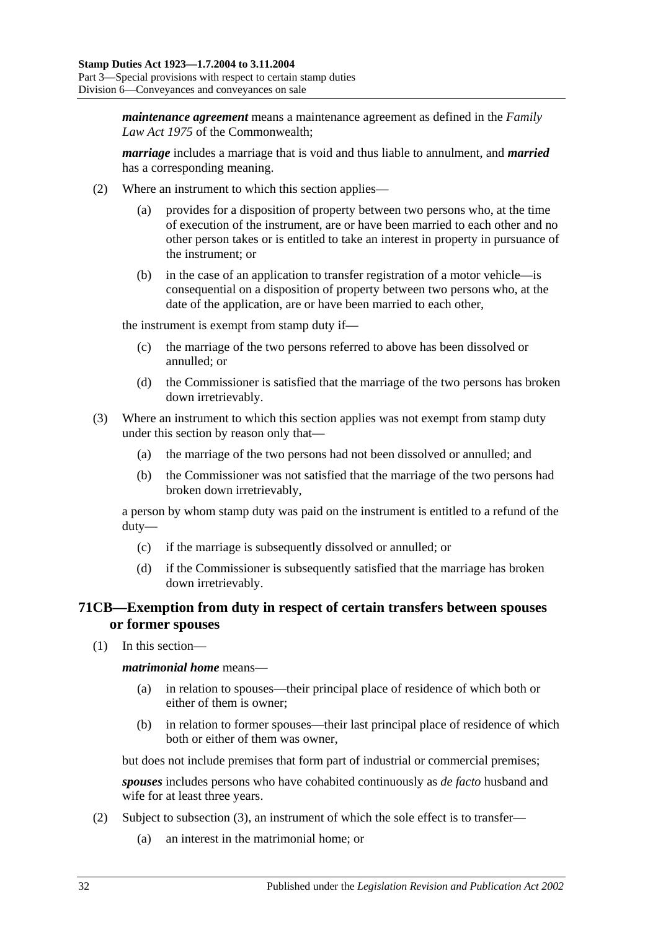*maintenance agreement* means a maintenance agreement as defined in the *Family Law Act 1975* of the Commonwealth;

*marriage* includes a marriage that is void and thus liable to annulment, and *married* has a corresponding meaning.

- (2) Where an instrument to which this section applies
	- provides for a disposition of property between two persons who, at the time of execution of the instrument, are or have been married to each other and no other person takes or is entitled to take an interest in property in pursuance of the instrument; or
	- (b) in the case of an application to transfer registration of a motor vehicle—is consequential on a disposition of property between two persons who, at the date of the application, are or have been married to each other,

the instrument is exempt from stamp duty if—

- (c) the marriage of the two persons referred to above has been dissolved or annulled; or
- (d) the Commissioner is satisfied that the marriage of the two persons has broken down irretrievably.
- (3) Where an instrument to which this section applies was not exempt from stamp duty under this section by reason only that—
	- (a) the marriage of the two persons had not been dissolved or annulled; and
	- (b) the Commissioner was not satisfied that the marriage of the two persons had broken down irretrievably,

a person by whom stamp duty was paid on the instrument is entitled to a refund of the duty—

- (c) if the marriage is subsequently dissolved or annulled; or
- (d) if the Commissioner is subsequently satisfied that the marriage has broken down irretrievably.

# **71CB—Exemption from duty in respect of certain transfers between spouses or former spouses**

(1) In this section—

*matrimonial home* means—

- (a) in relation to spouses—their principal place of residence of which both or either of them is owner;
- (b) in relation to former spouses—their last principal place of residence of which both or either of them was owner,

but does not include premises that form part of industrial or commercial premises;

*spouses* includes persons who have cohabited continuously as *de facto* husband and wife for at least three years.

- <span id="page-49-0"></span>(2) Subject to [subsection](#page-50-0) (3), an instrument of which the sole effect is to transfer—
	- (a) an interest in the matrimonial home; or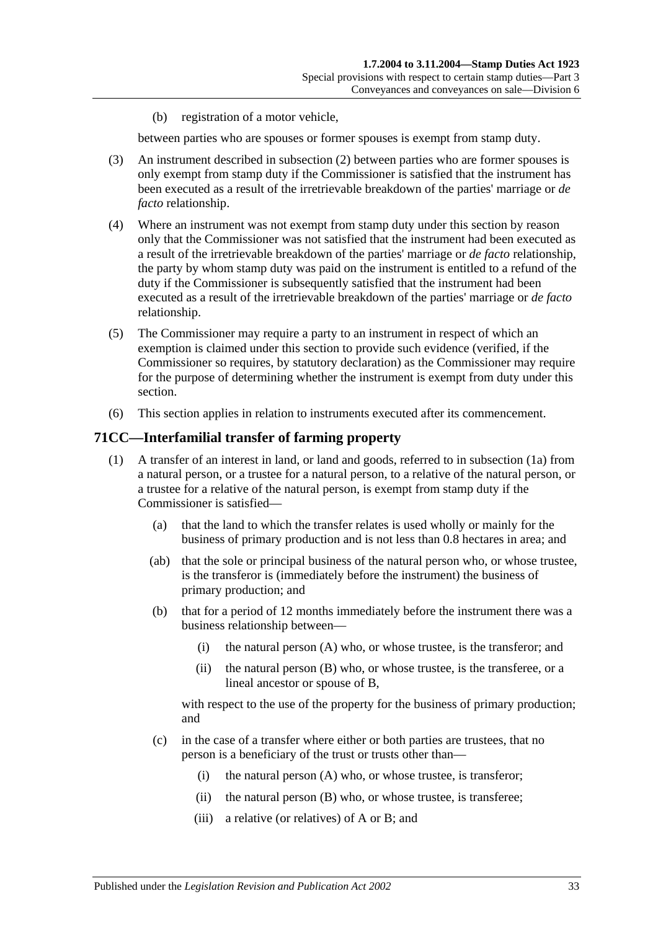(b) registration of a motor vehicle,

between parties who are spouses or former spouses is exempt from stamp duty.

- <span id="page-50-0"></span>(3) An instrument described in [subsection](#page-49-0) (2) between parties who are former spouses is only exempt from stamp duty if the Commissioner is satisfied that the instrument has been executed as a result of the irretrievable breakdown of the parties' marriage or *de facto* relationship.
- (4) Where an instrument was not exempt from stamp duty under this section by reason only that the Commissioner was not satisfied that the instrument had been executed as a result of the irretrievable breakdown of the parties' marriage or *de facto* relationship, the party by whom stamp duty was paid on the instrument is entitled to a refund of the duty if the Commissioner is subsequently satisfied that the instrument had been executed as a result of the irretrievable breakdown of the parties' marriage or *de facto* relationship.
- (5) The Commissioner may require a party to an instrument in respect of which an exemption is claimed under this section to provide such evidence (verified, if the Commissioner so requires, by statutory declaration) as the Commissioner may require for the purpose of determining whether the instrument is exempt from duty under this section.
- (6) This section applies in relation to instruments executed after its commencement.

#### <span id="page-50-1"></span>**71CC—Interfamilial transfer of farming property**

- (1) A transfer of an interest in land, or land and goods, referred to in [subsection](#page-51-0) (1a) from a natural person, or a trustee for a natural person, to a relative of the natural person, or a trustee for a relative of the natural person, is exempt from stamp duty if the Commissioner is satisfied—
	- (a) that the land to which the transfer relates is used wholly or mainly for the business of primary production and is not less than 0.8 hectares in area; and
	- (ab) that the sole or principal business of the natural person who, or whose trustee, is the transferor is (immediately before the instrument) the business of primary production; and
	- (b) that for a period of 12 months immediately before the instrument there was a business relationship between—
		- (i) the natural person (A) who, or whose trustee, is the transferor; and
		- (ii) the natural person (B) who, or whose trustee, is the transferee, or a lineal ancestor or spouse of B,

<span id="page-50-2"></span>with respect to the use of the property for the business of primary production; and

- (c) in the case of a transfer where either or both parties are trustees, that no person is a beneficiary of the trust or trusts other than—
	- (i) the natural person (A) who, or whose trustee, is transferor;
	- (ii) the natural person (B) who, or whose trustee, is transferee;
	- (iii) a relative (or relatives) of A or B; and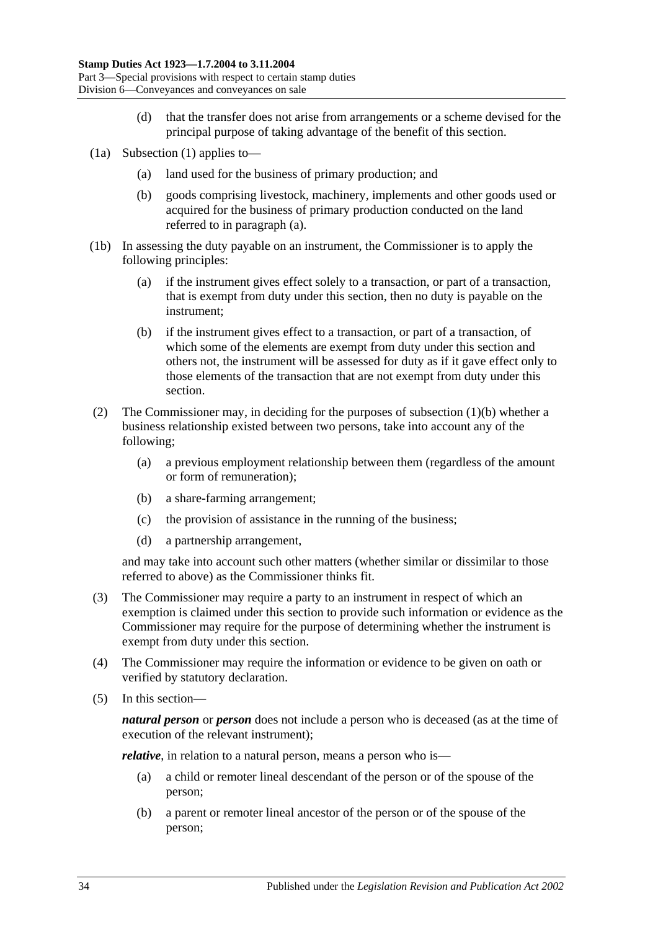- (d) that the transfer does not arise from arrangements or a scheme devised for the principal purpose of taking advantage of the benefit of this section.
- <span id="page-51-1"></span><span id="page-51-0"></span>(1a) [Subsection](#page-50-1) (1) applies to—
	- (a) land used for the business of primary production; and
	- (b) goods comprising livestock, machinery, implements and other goods used or acquired for the business of primary production conducted on the land referred to in [paragraph](#page-51-1) (a).
- (1b) In assessing the duty payable on an instrument, the Commissioner is to apply the following principles:
	- (a) if the instrument gives effect solely to a transaction, or part of a transaction, that is exempt from duty under this section, then no duty is payable on the instrument;
	- (b) if the instrument gives effect to a transaction, or part of a transaction, of which some of the elements are exempt from duty under this section and others not, the instrument will be assessed for duty as if it gave effect only to those elements of the transaction that are not exempt from duty under this section.
- (2) The Commissioner may, in deciding for the purposes of [subsection](#page-50-2) (1)(b) whether a business relationship existed between two persons, take into account any of the following;
	- (a) a previous employment relationship between them (regardless of the amount or form of remuneration);
	- (b) a share-farming arrangement;
	- (c) the provision of assistance in the running of the business;
	- (d) a partnership arrangement,

and may take into account such other matters (whether similar or dissimilar to those referred to above) as the Commissioner thinks fit.

- (3) The Commissioner may require a party to an instrument in respect of which an exemption is claimed under this section to provide such information or evidence as the Commissioner may require for the purpose of determining whether the instrument is exempt from duty under this section.
- (4) The Commissioner may require the information or evidence to be given on oath or verified by statutory declaration.
- (5) In this section—

*natural person* or *person* does not include a person who is deceased (as at the time of execution of the relevant instrument);

<span id="page-51-2"></span>*relative*, in relation to a natural person, means a person who is—

- (a) a child or remoter lineal descendant of the person or of the spouse of the person;
- <span id="page-51-3"></span>(b) a parent or remoter lineal ancestor of the person or of the spouse of the person;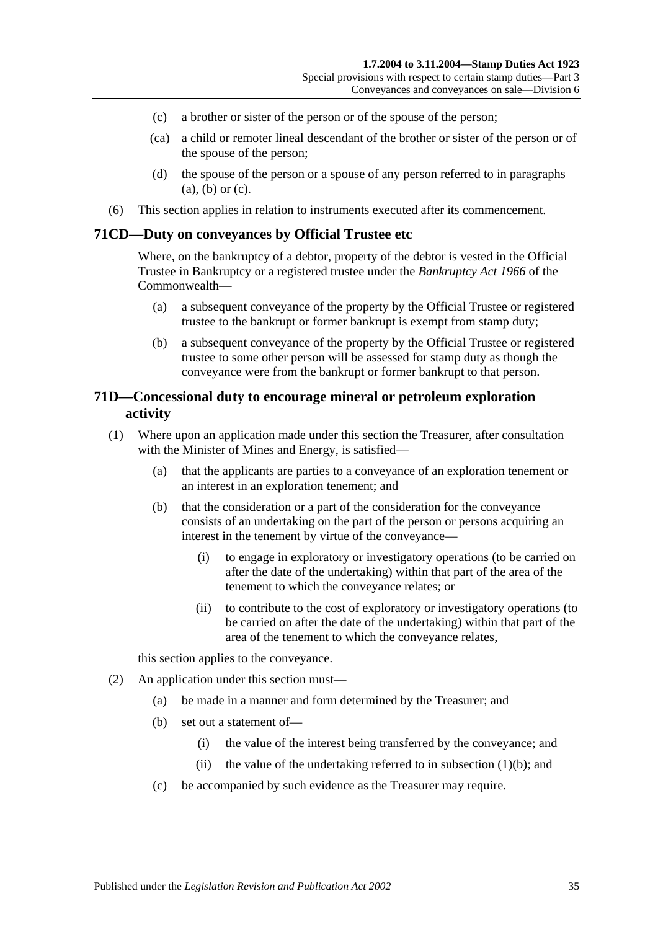- <span id="page-52-0"></span>(c) a brother or sister of the person or of the spouse of the person;
- (ca) a child or remoter lineal descendant of the brother or sister of the person or of the spouse of the person;
- (d) the spouse of the person or a spouse of any person referred to in [paragraphs](#page-51-2)  [\(a\),](#page-51-2) [\(b\)](#page-51-3) or [\(c\).](#page-52-0)
- (6) This section applies in relation to instruments executed after its commencement.

#### **71CD—Duty on conveyances by Official Trustee etc**

Where, on the bankruptcy of a debtor, property of the debtor is vested in the Official Trustee in Bankruptcy or a registered trustee under the *Bankruptcy Act 1966* of the Commonwealth—

- (a) a subsequent conveyance of the property by the Official Trustee or registered trustee to the bankrupt or former bankrupt is exempt from stamp duty;
- (b) a subsequent conveyance of the property by the Official Trustee or registered trustee to some other person will be assessed for stamp duty as though the conveyance were from the bankrupt or former bankrupt to that person.

## **71D—Concessional duty to encourage mineral or petroleum exploration activity**

- <span id="page-52-1"></span>(1) Where upon an application made under this section the Treasurer, after consultation with the Minister of Mines and Energy, is satisfied—
	- (a) that the applicants are parties to a conveyance of an exploration tenement or an interest in an exploration tenement; and
	- (b) that the consideration or a part of the consideration for the conveyance consists of an undertaking on the part of the person or persons acquiring an interest in the tenement by virtue of the conveyance—
		- (i) to engage in exploratory or investigatory operations (to be carried on after the date of the undertaking) within that part of the area of the tenement to which the conveyance relates; or
		- (ii) to contribute to the cost of exploratory or investigatory operations (to be carried on after the date of the undertaking) within that part of the area of the tenement to which the conveyance relates,

this section applies to the conveyance.

- (2) An application under this section must—
	- (a) be made in a manner and form determined by the Treasurer; and
	- (b) set out a statement of—
		- (i) the value of the interest being transferred by the conveyance; and
		- (ii) the value of the undertaking referred to in [subsection](#page-52-1)  $(1)(b)$ ; and
	- (c) be accompanied by such evidence as the Treasurer may require.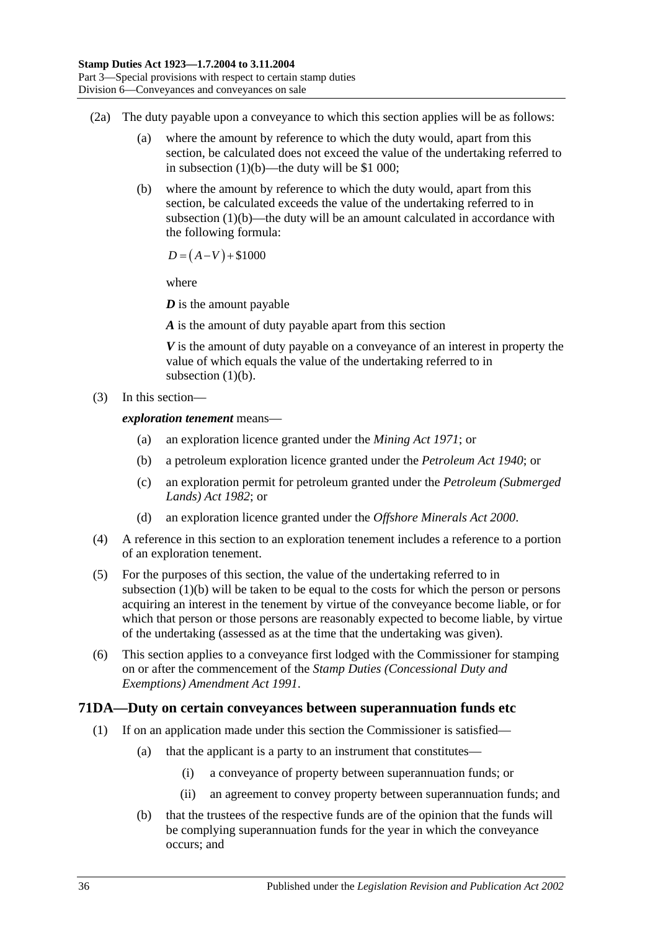- (2a) The duty payable upon a conveyance to which this section applies will be as follows:
	- (a) where the amount by reference to which the duty would, apart from this section, be calculated does not exceed the value of the undertaking referred to in [subsection](#page-52-1) (1)(b)—the duty will be \$1 000;
	- (b) where the amount by reference to which the duty would, apart from this section, be calculated exceeds the value of the undertaking referred to in [subsection](#page-52-1)  $(1)(b)$ —the duty will be an amount calculated in accordance with the following formula:

 $D = (A-V) + $1000$ 

where

*D* is the amount payable

*A* is the amount of duty payable apart from this section

*V* is the amount of duty payable on a conveyance of an interest in property the value of which equals the value of the undertaking referred to in [subsection](#page-52-1)  $(1)(b)$ .

(3) In this section—

*exploration tenement* means—

- (a) an exploration licence granted under the *[Mining Act](http://www.legislation.sa.gov.au/index.aspx?action=legref&type=act&legtitle=Mining%20Act%201971) 1971*; or
- (b) a petroleum exploration licence granted under the *[Petroleum Act](http://www.legislation.sa.gov.au/index.aspx?action=legref&type=act&legtitle=Petroleum%20Act%201940) 1940*; or
- (c) an exploration permit for petroleum granted under the *[Petroleum \(Submerged](http://www.legislation.sa.gov.au/index.aspx?action=legref&type=act&legtitle=Petroleum%20(Submerged%20Lands)%20Act%201982)  [Lands\) Act](http://www.legislation.sa.gov.au/index.aspx?action=legref&type=act&legtitle=Petroleum%20(Submerged%20Lands)%20Act%201982) 1982*; or
- (d) an exploration licence granted under the *[Offshore Minerals Act](http://www.legislation.sa.gov.au/index.aspx?action=legref&type=act&legtitle=Offshore%20Minerals%20Act%202000) 2000*.
- (4) A reference in this section to an exploration tenement includes a reference to a portion of an exploration tenement.
- (5) For the purposes of this section, the value of the undertaking referred to in [subsection](#page-52-1) (1)(b) will be taken to be equal to the costs for which the person or persons acquiring an interest in the tenement by virtue of the conveyance become liable, or for which that person or those persons are reasonably expected to become liable, by virtue of the undertaking (assessed as at the time that the undertaking was given).
- (6) This section applies to a conveyance first lodged with the Commissioner for stamping on or after the commencement of the *[Stamp Duties \(Concessional Duty and](http://www.legislation.sa.gov.au/index.aspx?action=legref&type=act&legtitle=Stamp%20Duties%20(Concessional%20Duty%20and%20Exemptions)%20Amendment%20Act%201991)  [Exemptions\) Amendment Act](http://www.legislation.sa.gov.au/index.aspx?action=legref&type=act&legtitle=Stamp%20Duties%20(Concessional%20Duty%20and%20Exemptions)%20Amendment%20Act%201991) 1991*.

# <span id="page-53-0"></span>**71DA—Duty on certain conveyances between superannuation funds etc**

- (1) If on an application made under this section the Commissioner is satisfied—
	- (a) that the applicant is a party to an instrument that constitutes—
		- (i) a conveyance of property between superannuation funds; or
		- (ii) an agreement to convey property between superannuation funds; and
	- (b) that the trustees of the respective funds are of the opinion that the funds will be complying superannuation funds for the year in which the conveyance occurs; and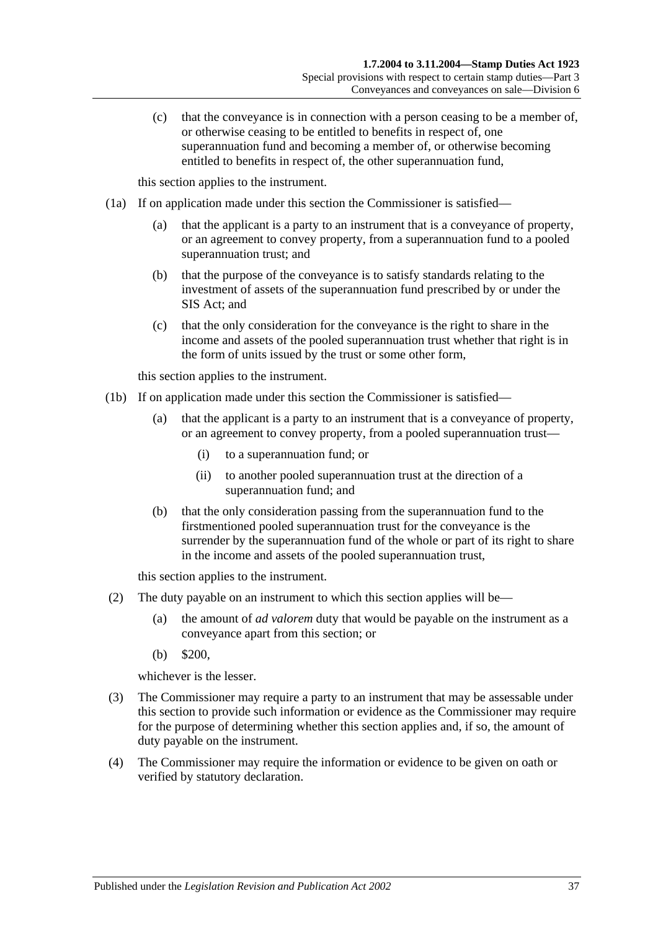(c) that the conveyance is in connection with a person ceasing to be a member of, or otherwise ceasing to be entitled to benefits in respect of, one superannuation fund and becoming a member of, or otherwise becoming entitled to benefits in respect of, the other superannuation fund,

this section applies to the instrument.

- <span id="page-54-0"></span>(1a) If on application made under this section the Commissioner is satisfied—
	- (a) that the applicant is a party to an instrument that is a conveyance of property, or an agreement to convey property, from a superannuation fund to a pooled superannuation trust; and
	- (b) that the purpose of the conveyance is to satisfy standards relating to the investment of assets of the superannuation fund prescribed by or under the SIS Act; and
	- (c) that the only consideration for the conveyance is the right to share in the income and assets of the pooled superannuation trust whether that right is in the form of units issued by the trust or some other form,

this section applies to the instrument.

- <span id="page-54-1"></span>(1b) If on application made under this section the Commissioner is satisfied—
	- (a) that the applicant is a party to an instrument that is a conveyance of property, or an agreement to convey property, from a pooled superannuation trust—
		- (i) to a superannuation fund; or
		- (ii) to another pooled superannuation trust at the direction of a superannuation fund; and
	- (b) that the only consideration passing from the superannuation fund to the firstmentioned pooled superannuation trust for the conveyance is the surrender by the superannuation fund of the whole or part of its right to share in the income and assets of the pooled superannuation trust,

this section applies to the instrument.

- (2) The duty payable on an instrument to which this section applies will be—
	- (a) the amount of *ad valorem* duty that would be payable on the instrument as a conveyance apart from this section; or
	- (b) \$200,

whichever is the lesser.

- (3) The Commissioner may require a party to an instrument that may be assessable under this section to provide such information or evidence as the Commissioner may require for the purpose of determining whether this section applies and, if so, the amount of duty payable on the instrument.
- (4) The Commissioner may require the information or evidence to be given on oath or verified by statutory declaration.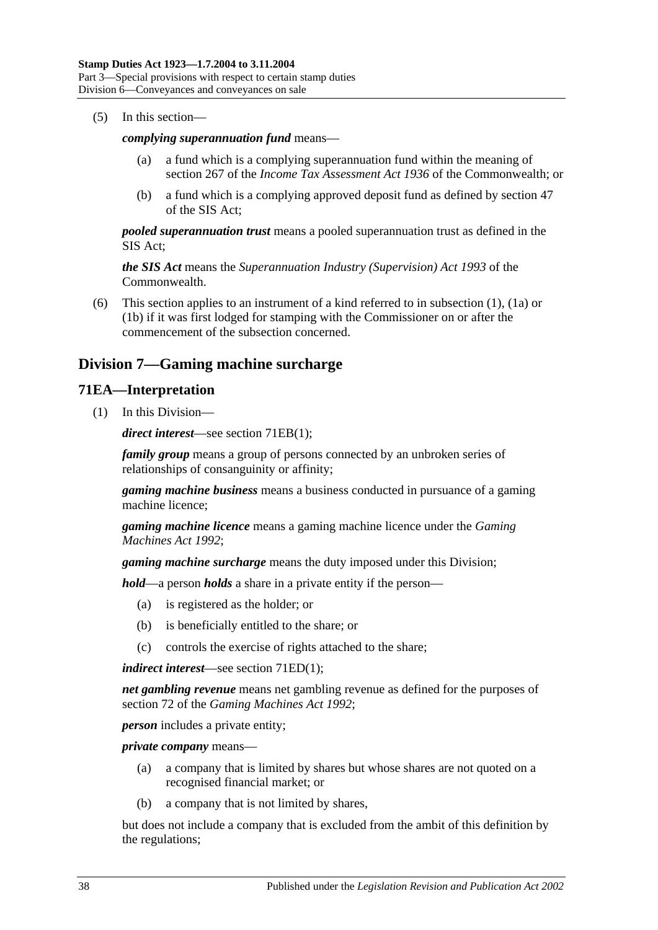(5) In this section—

#### *complying superannuation fund* means—

- (a) a fund which is a complying superannuation fund within the meaning of section 267 of the *Income Tax Assessment Act 1936* of the Commonwealth; or
- (b) a fund which is a complying approved deposit fund as defined by section 47 of the SIS Act;

*pooled superannuation trust* means a pooled superannuation trust as defined in the SIS Act;

*the SIS Act* means the *Superannuation Industry (Supervision) Act 1993* of the Commonwealth.

(6) This section applies to an instrument of a kind referred to in [subsection](#page-53-0) (1), [\(1a\)](#page-54-0) or [\(1b\)](#page-54-1) if it was first lodged for stamping with the Commissioner on or after the commencement of the subsection concerned.

# **Division 7—Gaming machine surcharge**

## **71EA—Interpretation**

(1) In this Division—

*direct interest*—see section [71EB\(1\);](#page-56-0)

*family group* means a group of persons connected by an unbroken series of relationships of consanguinity or affinity;

*gaming machine business* means a business conducted in pursuance of a gaming machine licence;

*gaming machine licence* means a gaming machine licence under the *[Gaming](http://www.legislation.sa.gov.au/index.aspx?action=legref&type=act&legtitle=Gaming%20Machines%20Act%201992)  [Machines Act](http://www.legislation.sa.gov.au/index.aspx?action=legref&type=act&legtitle=Gaming%20Machines%20Act%201992) 1992*;

*gaming machine surcharge* means the duty imposed under this Division;

*hold*—a person *holds* a share in a private entity if the person—

- (a) is registered as the holder; or
- (b) is beneficially entitled to the share; or
- (c) controls the exercise of rights attached to the share;

*indirect interest*—see section [71ED\(1\);](#page-57-0)

*net gambling revenue* means net gambling revenue as defined for the purposes of section 72 of the *[Gaming Machines Act](http://www.legislation.sa.gov.au/index.aspx?action=legref&type=act&legtitle=Gaming%20Machines%20Act%201992) 1992*;

*person* includes a private entity;

*private company* means—

- (a) a company that is limited by shares but whose shares are not quoted on a recognised financial market; or
- (b) a company that is not limited by shares,

but does not include a company that is excluded from the ambit of this definition by the regulations;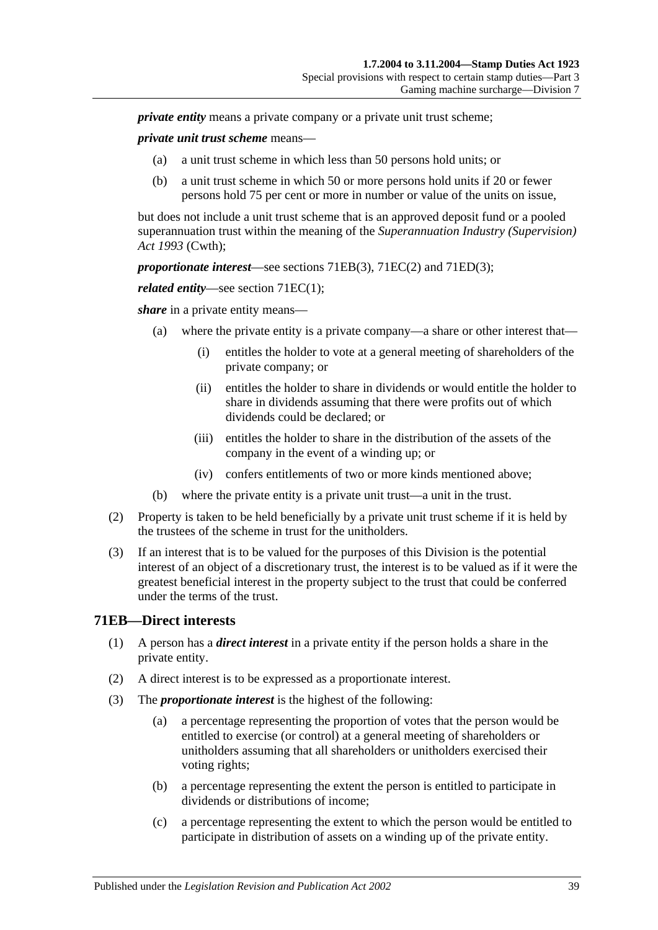*private entity* means a private company or a private unit trust scheme:

*private unit trust scheme* means—

- (a) a unit trust scheme in which less than 50 persons hold units; or
- (b) a unit trust scheme in which 50 or more persons hold units if 20 or fewer persons hold 75 per cent or more in number or value of the units on issue,

but does not include a unit trust scheme that is an approved deposit fund or a pooled superannuation trust within the meaning of the *Superannuation Industry (Supervision) Act 1993* (Cwth);

*proportionate interest*—see [sections 71EB\(3\),](#page-56-1) [71EC\(2\)](#page-57-1) and [71ED\(3\);](#page-57-2)

*related entity—see section 71EC(1):* 

*share* in a private entity means—

- (a) where the private entity is a private company—a share or other interest that—
	- (i) entitles the holder to vote at a general meeting of shareholders of the private company; or
	- (ii) entitles the holder to share in dividends or would entitle the holder to share in dividends assuming that there were profits out of which dividends could be declared; or
	- (iii) entitles the holder to share in the distribution of the assets of the company in the event of a winding up; or
	- (iv) confers entitlements of two or more kinds mentioned above;
- (b) where the private entity is a private unit trust—a unit in the trust.
- (2) Property is taken to be held beneficially by a private unit trust scheme if it is held by the trustees of the scheme in trust for the unitholders.
- (3) If an interest that is to be valued for the purposes of this Division is the potential interest of an object of a discretionary trust, the interest is to be valued as if it were the greatest beneficial interest in the property subject to the trust that could be conferred under the terms of the trust.

#### <span id="page-56-0"></span>**71EB—Direct interests**

- (1) A person has a *direct interest* in a private entity if the person holds a share in the private entity.
- (2) A direct interest is to be expressed as a proportionate interest.
- <span id="page-56-1"></span>(3) The *proportionate interest* is the highest of the following:
	- (a) a percentage representing the proportion of votes that the person would be entitled to exercise (or control) at a general meeting of shareholders or unitholders assuming that all shareholders or unitholders exercised their voting rights;
	- (b) a percentage representing the extent the person is entitled to participate in dividends or distributions of income;
	- (c) a percentage representing the extent to which the person would be entitled to participate in distribution of assets on a winding up of the private entity.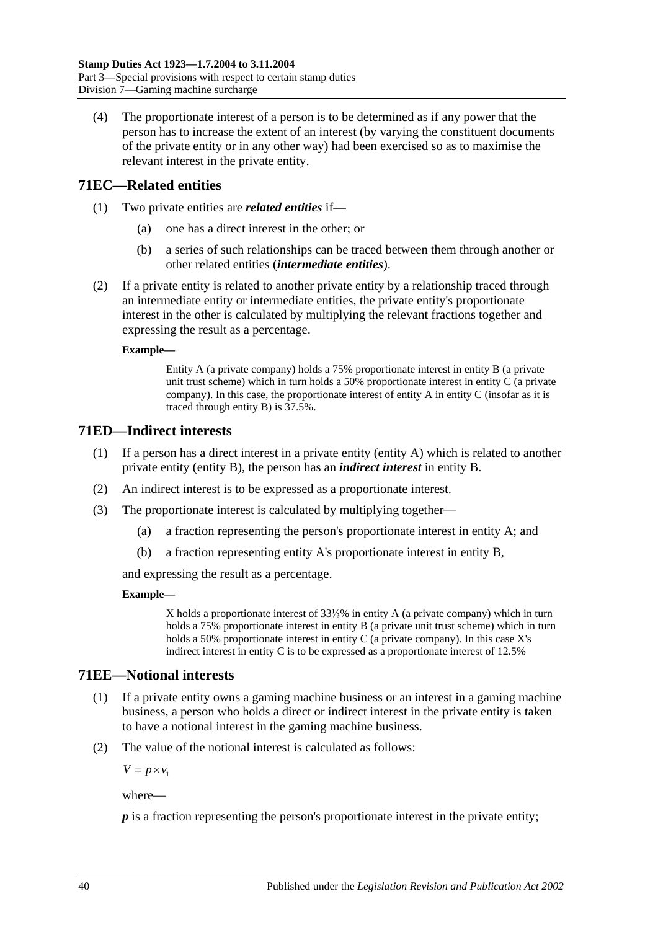(4) The proportionate interest of a person is to be determined as if any power that the person has to increase the extent of an interest (by varying the constituent documents of the private entity or in any other way) had been exercised so as to maximise the relevant interest in the private entity.

# <span id="page-57-3"></span>**71EC—Related entities**

- (1) Two private entities are *related entities* if—
	- (a) one has a direct interest in the other; or
	- (b) a series of such relationships can be traced between them through another or other related entities (*intermediate entities*).
- <span id="page-57-1"></span>(2) If a private entity is related to another private entity by a relationship traced through an intermediate entity or intermediate entities, the private entity's proportionate interest in the other is calculated by multiplying the relevant fractions together and expressing the result as a percentage.

#### **Example—**

Entity A (a private company) holds a 75% proportionate interest in entity B (a private unit trust scheme) which in turn holds a 50% proportionate interest in entity C (a private company). In this case, the proportionate interest of entity A in entity C (insofar as it is traced through entity B) is 37.5%.

# <span id="page-57-0"></span>**71ED—Indirect interests**

- (1) If a person has a direct interest in a private entity (entity A) which is related to another private entity (entity B), the person has an *indirect interest* in entity B.
- (2) An indirect interest is to be expressed as a proportionate interest.
- <span id="page-57-2"></span>(3) The proportionate interest is calculated by multiplying together—
	- (a) a fraction representing the person's proportionate interest in entity A; and
	- (b) a fraction representing entity A's proportionate interest in entity B,

and expressing the result as a percentage.

#### **Example—**

X holds a proportionate interest of 33⅓% in entity A (a private company) which in turn holds a 75% proportionate interest in entity B (a private unit trust scheme) which in turn holds a 50% proportionate interest in entity C (a private company). In this case X's indirect interest in entity C is to be expressed as a proportionate interest of 12.5%

# **71EE—Notional interests**

- (1) If a private entity owns a gaming machine business or an interest in a gaming machine business, a person who holds a direct or indirect interest in the private entity is taken to have a notional interest in the gaming machine business.
- (2) The value of the notional interest is calculated as follows:

 $V = p \times v_1$ 

where—

*p* is a fraction representing the person's proportionate interest in the private entity;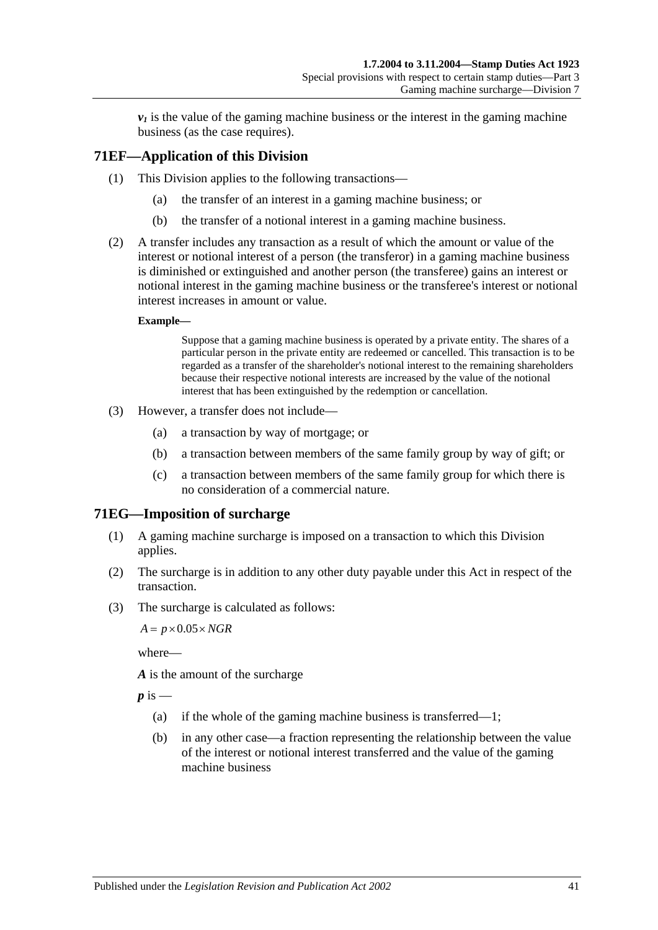$\nu_1$  is the value of the gaming machine business or the interest in the gaming machine business (as the case requires).

# **71EF—Application of this Division**

- (1) This Division applies to the following transactions—
	- (a) the transfer of an interest in a gaming machine business; or
	- (b) the transfer of a notional interest in a gaming machine business.
- (2) A transfer includes any transaction as a result of which the amount or value of the interest or notional interest of a person (the transferor) in a gaming machine business is diminished or extinguished and another person (the transferee) gains an interest or notional interest in the gaming machine business or the transferee's interest or notional interest increases in amount or value.

#### **Example—**

Suppose that a gaming machine business is operated by a private entity. The shares of a particular person in the private entity are redeemed or cancelled. This transaction is to be regarded as a transfer of the shareholder's notional interest to the remaining shareholders because their respective notional interests are increased by the value of the notional interest that has been extinguished by the redemption or cancellation.

- (3) However, a transfer does not include—
	- (a) a transaction by way of mortgage; or
	- (b) a transaction between members of the same family group by way of gift; or
	- (c) a transaction between members of the same family group for which there is no consideration of a commercial nature.

# **71EG—Imposition of surcharge**

- (1) A gaming machine surcharge is imposed on a transaction to which this Division applies.
- (2) The surcharge is in addition to any other duty payable under this Act in respect of the transaction.
- (3) The surcharge is calculated as follows:

 $A = p \times 0.05 \times NGR$ 

where—

*A* is the amount of the surcharge

 $p$  is  $-$ 

- (a) if the whole of the gaming machine business is transferred—1;
- (b) in any other case—a fraction representing the relationship between the value of the interest or notional interest transferred and the value of the gaming machine business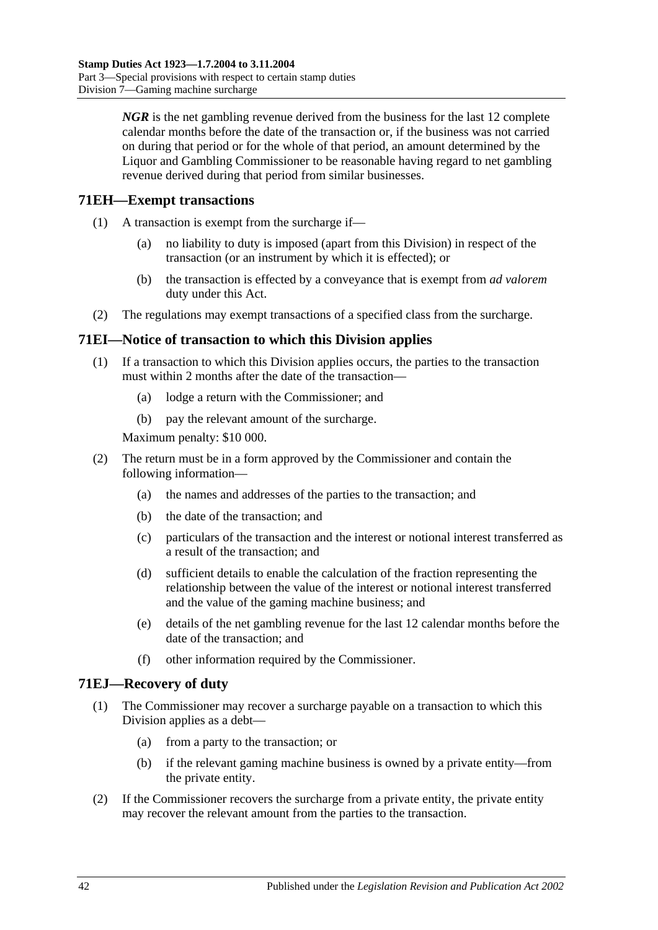*NGR* is the net gambling revenue derived from the business for the last 12 complete calendar months before the date of the transaction or, if the business was not carried on during that period or for the whole of that period, an amount determined by the Liquor and Gambling Commissioner to be reasonable having regard to net gambling revenue derived during that period from similar businesses.

# **71EH—Exempt transactions**

- (1) A transaction is exempt from the surcharge if—
	- (a) no liability to duty is imposed (apart from this Division) in respect of the transaction (or an instrument by which it is effected); or
	- (b) the transaction is effected by a conveyance that is exempt from *ad valorem* duty under this Act.
- (2) The regulations may exempt transactions of a specified class from the surcharge.

# **71EI—Notice of transaction to which this Division applies**

- (1) If a transaction to which this Division applies occurs, the parties to the transaction must within 2 months after the date of the transaction—
	- (a) lodge a return with the Commissioner; and
	- (b) pay the relevant amount of the surcharge.

Maximum penalty: \$10 000.

- (2) The return must be in a form approved by the Commissioner and contain the following information—
	- (a) the names and addresses of the parties to the transaction; and
	- (b) the date of the transaction; and
	- (c) particulars of the transaction and the interest or notional interest transferred as a result of the transaction; and
	- (d) sufficient details to enable the calculation of the fraction representing the relationship between the value of the interest or notional interest transferred and the value of the gaming machine business; and
	- (e) details of the net gambling revenue for the last 12 calendar months before the date of the transaction; and
	- (f) other information required by the Commissioner.

# **71EJ—Recovery of duty**

- (1) The Commissioner may recover a surcharge payable on a transaction to which this Division applies as a debt—
	- (a) from a party to the transaction; or
	- (b) if the relevant gaming machine business is owned by a private entity—from the private entity.
- (2) If the Commissioner recovers the surcharge from a private entity, the private entity may recover the relevant amount from the parties to the transaction.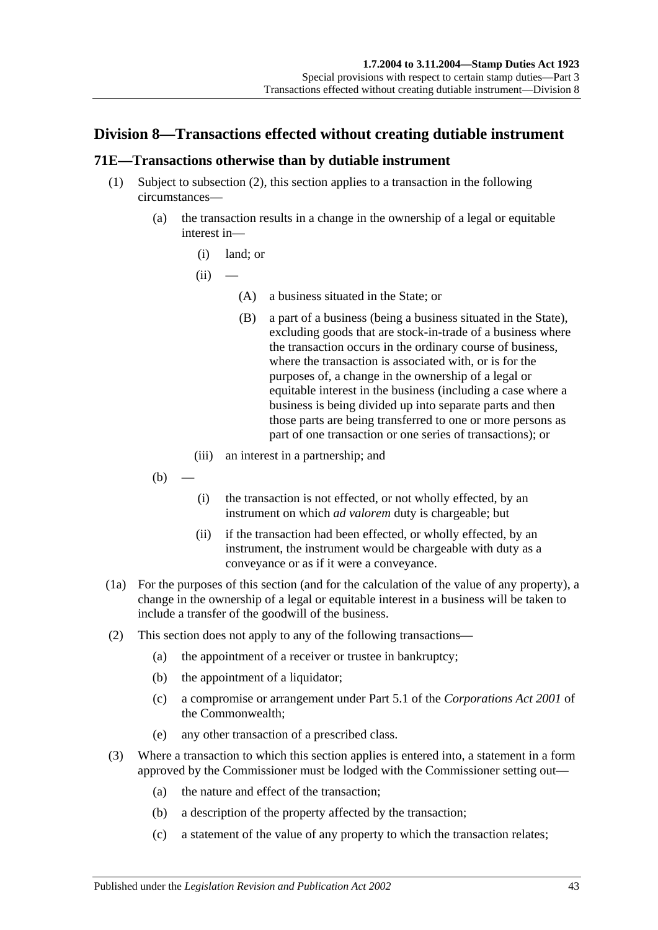# **Division 8—Transactions effected without creating dutiable instrument**

# <span id="page-60-0"></span>**71E—Transactions otherwise than by dutiable instrument**

- (1) Subject to [subsection](#page-60-1) (2), this section applies to a transaction in the following circumstances—
	- (a) the transaction results in a change in the ownership of a legal or equitable interest in—
		- (i) land; or

 $(ii)$ 

- (A) a business situated in the State; or
- (B) a part of a business (being a business situated in the State), excluding goods that are stock-in-trade of a business where the transaction occurs in the ordinary course of business, where the transaction is associated with, or is for the purposes of, a change in the ownership of a legal or equitable interest in the business (including a case where a business is being divided up into separate parts and then those parts are being transferred to one or more persons as part of one transaction or one series of transactions); or
- (iii) an interest in a partnership; and
- $(b)$
- (i) the transaction is not effected, or not wholly effected, by an instrument on which *ad valorem* duty is chargeable; but
- (ii) if the transaction had been effected, or wholly effected, by an instrument, the instrument would be chargeable with duty as a conveyance or as if it were a conveyance.
- (1a) For the purposes of this section (and for the calculation of the value of any property), a change in the ownership of a legal or equitable interest in a business will be taken to include a transfer of the goodwill of the business.
- <span id="page-60-1"></span>(2) This section does not apply to any of the following transactions—
	- (a) the appointment of a receiver or trustee in bankruptcy;
	- (b) the appointment of a liquidator;
	- (c) a compromise or arrangement under Part 5.1 of the *Corporations Act 2001* of the Commonwealth;
	- (e) any other transaction of a prescribed class.
- (3) Where a transaction to which this section applies is entered into, a statement in a form approved by the Commissioner must be lodged with the Commissioner setting out—
	- (a) the nature and effect of the transaction;
	- (b) a description of the property affected by the transaction;
	- (c) a statement of the value of any property to which the transaction relates;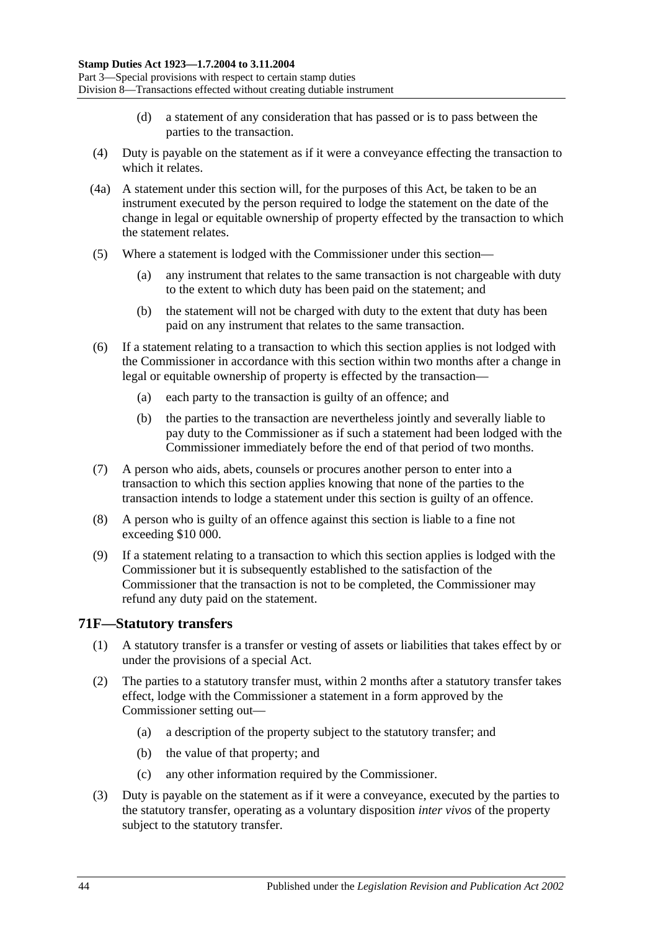- (d) a statement of any consideration that has passed or is to pass between the parties to the transaction.
- (4) Duty is payable on the statement as if it were a conveyance effecting the transaction to which it relates.
- (4a) A statement under this section will, for the purposes of this Act, be taken to be an instrument executed by the person required to lodge the statement on the date of the change in legal or equitable ownership of property effected by the transaction to which the statement relates.
- (5) Where a statement is lodged with the Commissioner under this section—
	- (a) any instrument that relates to the same transaction is not chargeable with duty to the extent to which duty has been paid on the statement; and
	- (b) the statement will not be charged with duty to the extent that duty has been paid on any instrument that relates to the same transaction.
- (6) If a statement relating to a transaction to which this section applies is not lodged with the Commissioner in accordance with this section within two months after a change in legal or equitable ownership of property is effected by the transaction—
	- (a) each party to the transaction is guilty of an offence; and
	- (b) the parties to the transaction are nevertheless jointly and severally liable to pay duty to the Commissioner as if such a statement had been lodged with the Commissioner immediately before the end of that period of two months.
- (7) A person who aids, abets, counsels or procures another person to enter into a transaction to which this section applies knowing that none of the parties to the transaction intends to lodge a statement under this section is guilty of an offence.
- (8) A person who is guilty of an offence against this section is liable to a fine not exceeding \$10 000.
- (9) If a statement relating to a transaction to which this section applies is lodged with the Commissioner but it is subsequently established to the satisfaction of the Commissioner that the transaction is not to be completed, the Commissioner may refund any duty paid on the statement.

# **71F—Statutory transfers**

- (1) A statutory transfer is a transfer or vesting of assets or liabilities that takes effect by or under the provisions of a special Act.
- (2) The parties to a statutory transfer must, within 2 months after a statutory transfer takes effect, lodge with the Commissioner a statement in a form approved by the Commissioner setting out—
	- (a) a description of the property subject to the statutory transfer; and
	- (b) the value of that property; and
	- (c) any other information required by the Commissioner.
- (3) Duty is payable on the statement as if it were a conveyance, executed by the parties to the statutory transfer, operating as a voluntary disposition *inter vivos* of the property subject to the statutory transfer.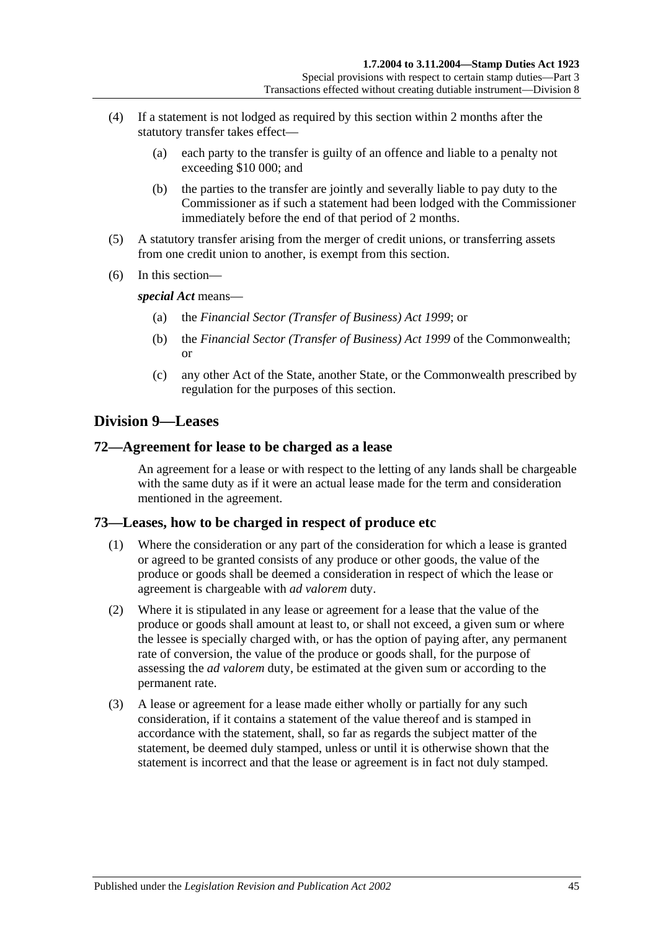- (4) If a statement is not lodged as required by this section within 2 months after the statutory transfer takes effect—
	- (a) each party to the transfer is guilty of an offence and liable to a penalty not exceeding \$10 000; and
	- (b) the parties to the transfer are jointly and severally liable to pay duty to the Commissioner as if such a statement had been lodged with the Commissioner immediately before the end of that period of 2 months.
- (5) A statutory transfer arising from the merger of credit unions, or transferring assets from one credit union to another, is exempt from this section.
- (6) In this section—

*special Act* means—

- (a) the *[Financial Sector \(Transfer of Business\) Act](http://www.legislation.sa.gov.au/index.aspx?action=legref&type=act&legtitle=Financial%20Sector%20(Transfer%20of%20Business)%20Act%201999) 1999*; or
- (b) the *Financial Sector (Transfer of Business) Act 1999* of the Commonwealth; or
- (c) any other Act of the State, another State, or the Commonwealth prescribed by regulation for the purposes of this section.

# **Division 9—Leases**

## **72—Agreement for lease to be charged as a lease**

An agreement for a lease or with respect to the letting of any lands shall be chargeable with the same duty as if it were an actual lease made for the term and consideration mentioned in the agreement.

# **73—Leases, how to be charged in respect of produce etc**

- (1) Where the consideration or any part of the consideration for which a lease is granted or agreed to be granted consists of any produce or other goods, the value of the produce or goods shall be deemed a consideration in respect of which the lease or agreement is chargeable with *ad valorem* duty.
- (2) Where it is stipulated in any lease or agreement for a lease that the value of the produce or goods shall amount at least to, or shall not exceed, a given sum or where the lessee is specially charged with, or has the option of paying after, any permanent rate of conversion, the value of the produce or goods shall, for the purpose of assessing the *ad valorem* duty, be estimated at the given sum or according to the permanent rate.
- (3) A lease or agreement for a lease made either wholly or partially for any such consideration, if it contains a statement of the value thereof and is stamped in accordance with the statement, shall, so far as regards the subject matter of the statement, be deemed duly stamped, unless or until it is otherwise shown that the statement is incorrect and that the lease or agreement is in fact not duly stamped.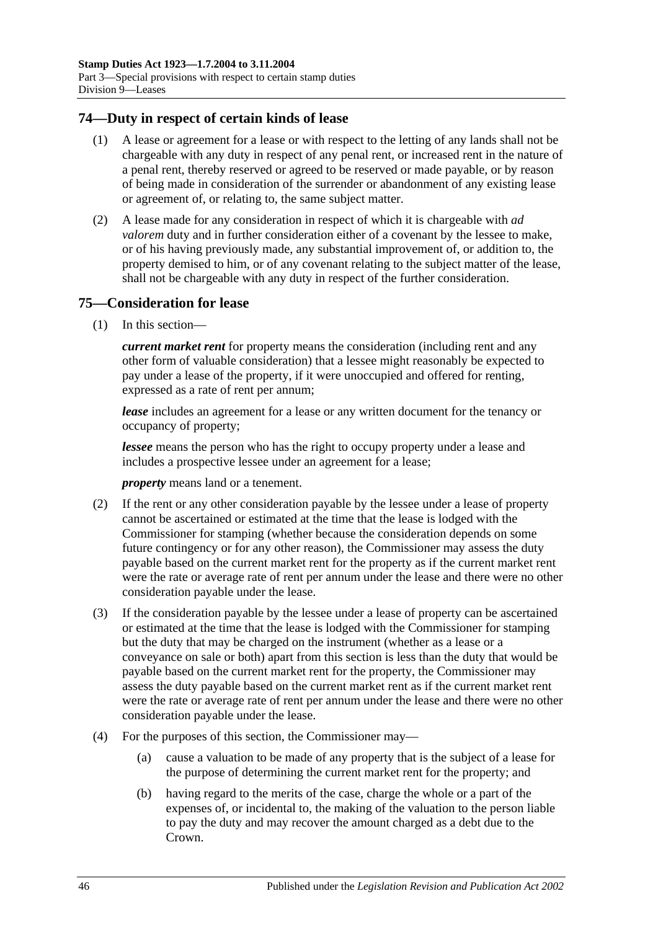## **74—Duty in respect of certain kinds of lease**

- (1) A lease or agreement for a lease or with respect to the letting of any lands shall not be chargeable with any duty in respect of any penal rent, or increased rent in the nature of a penal rent, thereby reserved or agreed to be reserved or made payable, or by reason of being made in consideration of the surrender or abandonment of any existing lease or agreement of, or relating to, the same subject matter.
- (2) A lease made for any consideration in respect of which it is chargeable with *ad valorem* duty and in further consideration either of a covenant by the lessee to make, or of his having previously made, any substantial improvement of, or addition to, the property demised to him, or of any covenant relating to the subject matter of the lease, shall not be chargeable with any duty in respect of the further consideration.

## **75—Consideration for lease**

(1) In this section—

*current market rent* for property means the consideration (including rent and any other form of valuable consideration) that a lessee might reasonably be expected to pay under a lease of the property, if it were unoccupied and offered for renting, expressed as a rate of rent per annum;

*lease* includes an agreement for a lease or any written document for the tenancy or occupancy of property;

*lessee* means the person who has the right to occupy property under a lease and includes a prospective lessee under an agreement for a lease;

*property* means land or a tenement.

- (2) If the rent or any other consideration payable by the lessee under a lease of property cannot be ascertained or estimated at the time that the lease is lodged with the Commissioner for stamping (whether because the consideration depends on some future contingency or for any other reason), the Commissioner may assess the duty payable based on the current market rent for the property as if the current market rent were the rate or average rate of rent per annum under the lease and there were no other consideration payable under the lease.
- (3) If the consideration payable by the lessee under a lease of property can be ascertained or estimated at the time that the lease is lodged with the Commissioner for stamping but the duty that may be charged on the instrument (whether as a lease or a conveyance on sale or both) apart from this section is less than the duty that would be payable based on the current market rent for the property, the Commissioner may assess the duty payable based on the current market rent as if the current market rent were the rate or average rate of rent per annum under the lease and there were no other consideration payable under the lease.
- (4) For the purposes of this section, the Commissioner may—
	- (a) cause a valuation to be made of any property that is the subject of a lease for the purpose of determining the current market rent for the property; and
	- (b) having regard to the merits of the case, charge the whole or a part of the expenses of, or incidental to, the making of the valuation to the person liable to pay the duty and may recover the amount charged as a debt due to the Crown.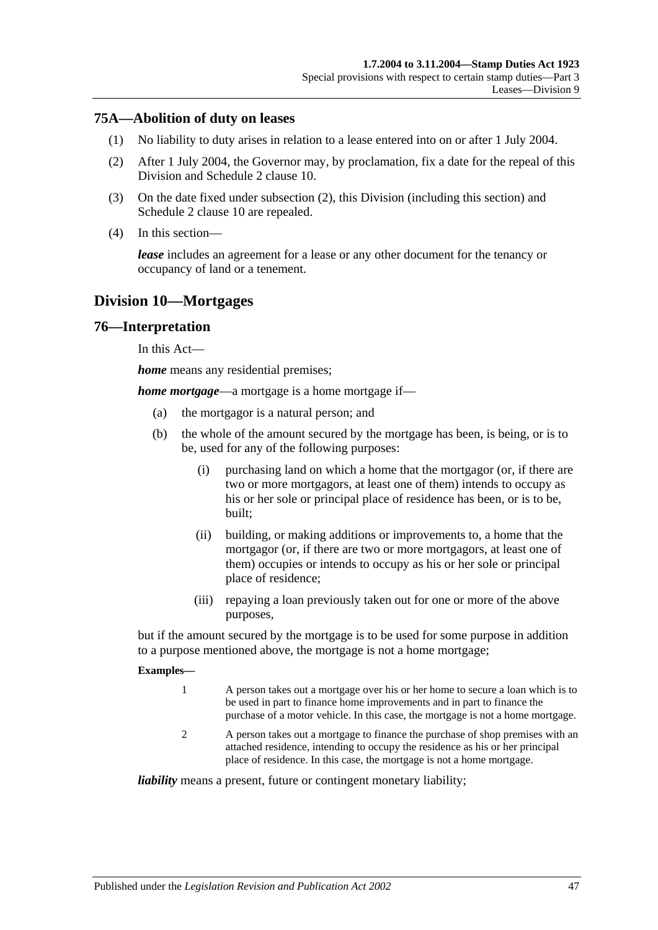## **75A—Abolition of duty on leases**

- (1) No liability to duty arises in relation to a lease entered into on or after 1 July 2004.
- <span id="page-64-0"></span>(2) After 1 July 2004, the Governor may, by proclamation, fix a date for the repeal of this Division and [Schedule 2](#page-98-0) clause 10.
- (3) On the date fixed under [subsection](#page-64-0) (2), this Division (including this section) and [Schedule 2](#page-98-0) clause 10 are repealed.
- (4) In this section—

*lease* includes an agreement for a lease or any other document for the tenancy or occupancy of land or a tenement.

# **Division 10—Mortgages**

#### **76—Interpretation**

In this Act—

*home* means any residential premises;

*home mortgage*—a mortgage is a home mortgage if—

- (a) the mortgagor is a natural person; and
- (b) the whole of the amount secured by the mortgage has been, is being, or is to be, used for any of the following purposes:
	- (i) purchasing land on which a home that the mortgagor (or, if there are two or more mortgagors, at least one of them) intends to occupy as his or her sole or principal place of residence has been, or is to be, built;
	- (ii) building, or making additions or improvements to, a home that the mortgagor (or, if there are two or more mortgagors, at least one of them) occupies or intends to occupy as his or her sole or principal place of residence;
	- (iii) repaying a loan previously taken out for one or more of the above purposes,

but if the amount secured by the mortgage is to be used for some purpose in addition to a purpose mentioned above, the mortgage is not a home mortgage;

#### **Examples—**

- 1 A person takes out a mortgage over his or her home to secure a loan which is to be used in part to finance home improvements and in part to finance the purchase of a motor vehicle. In this case, the mortgage is not a home mortgage.
- 2 A person takes out a mortgage to finance the purchase of shop premises with an attached residence, intending to occupy the residence as his or her principal place of residence. In this case, the mortgage is not a home mortgage.

*liability* means a present, future or contingent monetary liability;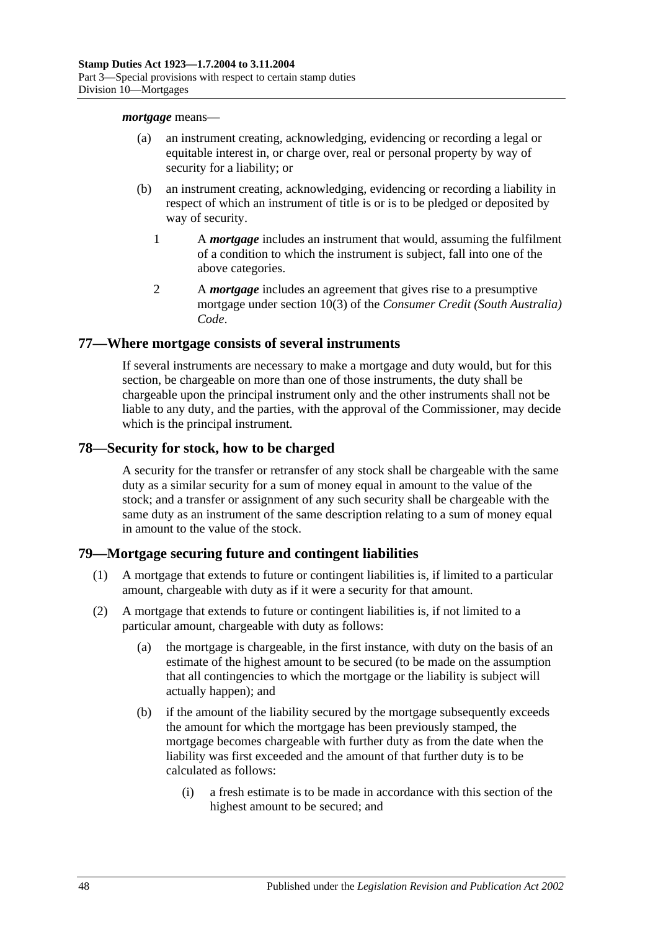#### *mortgage* means—

- (a) an instrument creating, acknowledging, evidencing or recording a legal or equitable interest in, or charge over, real or personal property by way of security for a liability; or
- (b) an instrument creating, acknowledging, evidencing or recording a liability in respect of which an instrument of title is or is to be pledged or deposited by way of security.
	- 1 A *mortgage* includes an instrument that would, assuming the fulfilment of a condition to which the instrument is subject, fall into one of the above categories.
	- 2 A *mortgage* includes an agreement that gives rise to a presumptive mortgage under section 10(3) of the *Consumer Credit (South Australia) Code*.

## **77—Where mortgage consists of several instruments**

If several instruments are necessary to make a mortgage and duty would, but for this section, be chargeable on more than one of those instruments, the duty shall be chargeable upon the principal instrument only and the other instruments shall not be liable to any duty, and the parties, with the approval of the Commissioner, may decide which is the principal instrument.

## **78—Security for stock, how to be charged**

A security for the transfer or retransfer of any stock shall be chargeable with the same duty as a similar security for a sum of money equal in amount to the value of the stock; and a transfer or assignment of any such security shall be chargeable with the same duty as an instrument of the same description relating to a sum of money equal in amount to the value of the stock.

# **79—Mortgage securing future and contingent liabilities**

- (1) A mortgage that extends to future or contingent liabilities is, if limited to a particular amount, chargeable with duty as if it were a security for that amount.
- <span id="page-65-1"></span><span id="page-65-0"></span>(2) A mortgage that extends to future or contingent liabilities is, if not limited to a particular amount, chargeable with duty as follows:
	- (a) the mortgage is chargeable, in the first instance, with duty on the basis of an estimate of the highest amount to be secured (to be made on the assumption that all contingencies to which the mortgage or the liability is subject will actually happen); and
	- (b) if the amount of the liability secured by the mortgage subsequently exceeds the amount for which the mortgage has been previously stamped, the mortgage becomes chargeable with further duty as from the date when the liability was first exceeded and the amount of that further duty is to be calculated as follows:
		- (i) a fresh estimate is to be made in accordance with this section of the highest amount to be secured; and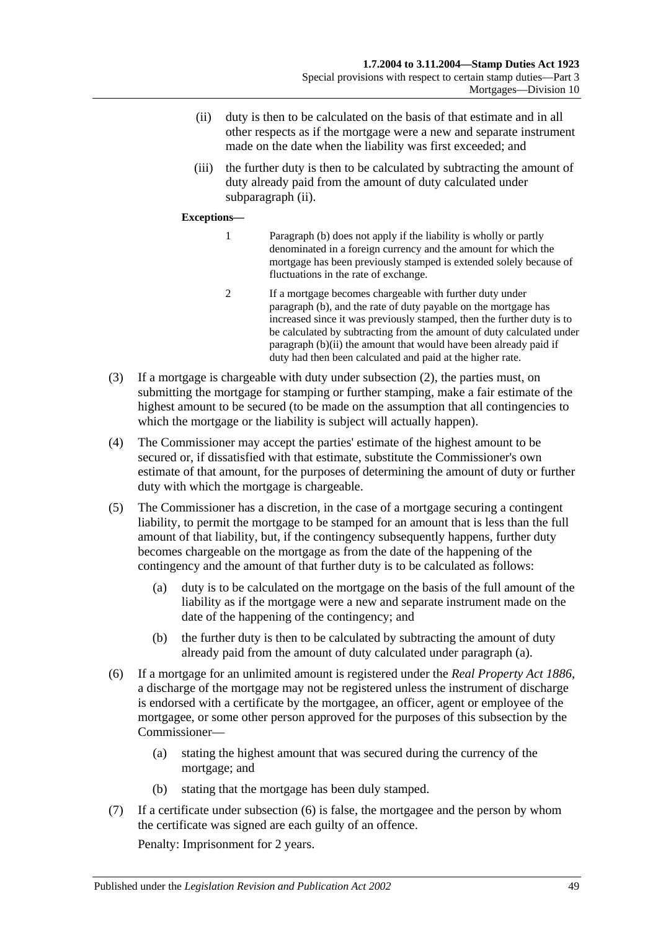- <span id="page-66-0"></span>(ii) duty is then to be calculated on the basis of that estimate and in all other respects as if the mortgage were a new and separate instrument made on the date when the liability was first exceeded; and
- (iii) the further duty is then to be calculated by subtracting the amount of duty already paid from the amount of duty calculated under [subparagraph](#page-66-0) (ii).

#### **Exceptions—**

- 1 [Paragraph](#page-65-0) (b) does not apply if the liability is wholly or partly denominated in a foreign currency and the amount for which the mortgage has been previously stamped is extended solely because of fluctuations in the rate of exchange.
- 2 If a mortgage becomes chargeable with further duty under [paragraph](#page-65-0) (b), and the rate of duty payable on the mortgage has increased since it was previously stamped, then the further duty is to be calculated by subtracting from the amount of duty calculated under [paragraph](#page-66-0) (b)(ii) the amount that would have been already paid if duty had then been calculated and paid at the higher rate.
- (3) If a mortgage is chargeable with duty under [subsection](#page-65-1) (2), the parties must, on submitting the mortgage for stamping or further stamping, make a fair estimate of the highest amount to be secured (to be made on the assumption that all contingencies to which the mortgage or the liability is subject will actually happen).
- (4) The Commissioner may accept the parties' estimate of the highest amount to be secured or, if dissatisfied with that estimate, substitute the Commissioner's own estimate of that amount, for the purposes of determining the amount of duty or further duty with which the mortgage is chargeable.
- <span id="page-66-1"></span>(5) The Commissioner has a discretion, in the case of a mortgage securing a contingent liability, to permit the mortgage to be stamped for an amount that is less than the full amount of that liability, but, if the contingency subsequently happens, further duty becomes chargeable on the mortgage as from the date of the happening of the contingency and the amount of that further duty is to be calculated as follows:
	- (a) duty is to be calculated on the mortgage on the basis of the full amount of the liability as if the mortgage were a new and separate instrument made on the date of the happening of the contingency; and
	- (b) the further duty is then to be calculated by subtracting the amount of duty already paid from the amount of duty calculated under [paragraph](#page-66-1) (a).
- <span id="page-66-2"></span>(6) If a mortgage for an unlimited amount is registered under the *[Real Property Act](http://www.legislation.sa.gov.au/index.aspx?action=legref&type=act&legtitle=Real%20Property%20Act%201886) 1886*, a discharge of the mortgage may not be registered unless the instrument of discharge is endorsed with a certificate by the mortgagee, an officer, agent or employee of the mortgagee, or some other person approved for the purposes of this subsection by the Commissioner—
	- (a) stating the highest amount that was secured during the currency of the mortgage; and
	- (b) stating that the mortgage has been duly stamped.
- (7) If a certificate under [subsection](#page-66-2) (6) is false, the mortgagee and the person by whom the certificate was signed are each guilty of an offence.

Penalty: Imprisonment for 2 years.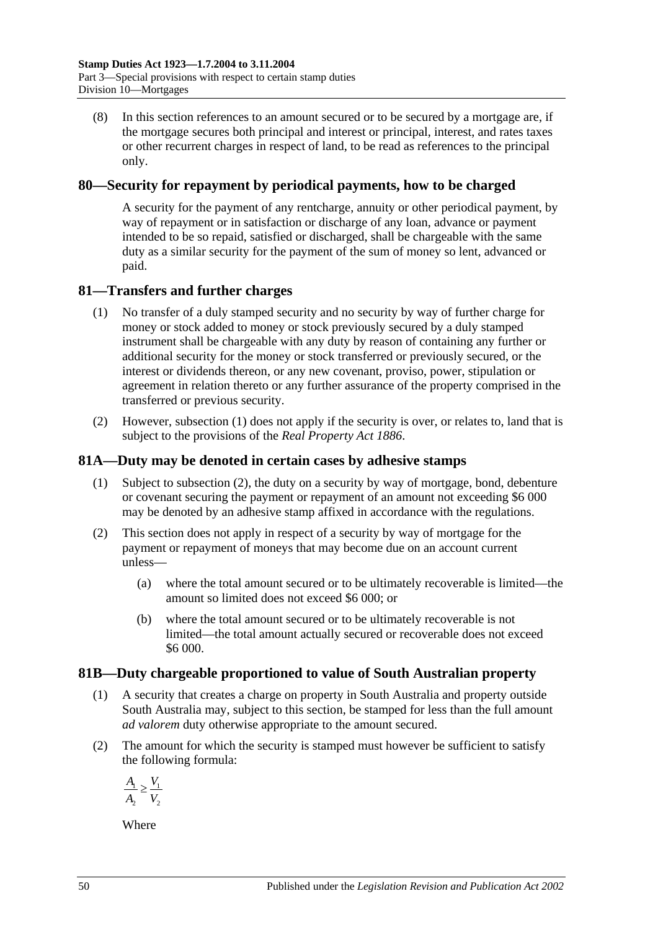(8) In this section references to an amount secured or to be secured by a mortgage are, if the mortgage secures both principal and interest or principal, interest, and rates taxes or other recurrent charges in respect of land, to be read as references to the principal only.

# **80—Security for repayment by periodical payments, how to be charged**

A security for the payment of any rentcharge, annuity or other periodical payment, by way of repayment or in satisfaction or discharge of any loan, advance or payment intended to be so repaid, satisfied or discharged, shall be chargeable with the same duty as a similar security for the payment of the sum of money so lent, advanced or paid.

# <span id="page-67-0"></span>**81—Transfers and further charges**

- (1) No transfer of a duly stamped security and no security by way of further charge for money or stock added to money or stock previously secured by a duly stamped instrument shall be chargeable with any duty by reason of containing any further or additional security for the money or stock transferred or previously secured, or the interest or dividends thereon, or any new covenant, proviso, power, stipulation or agreement in relation thereto or any further assurance of the property comprised in the transferred or previous security.
- (2) However, [subsection](#page-67-0) (1) does not apply if the security is over, or relates to, land that is subject to the provisions of the *[Real Property Act](http://www.legislation.sa.gov.au/index.aspx?action=legref&type=act&legtitle=Real%20Property%20Act%201886) 1886*.

# **81A—Duty may be denoted in certain cases by adhesive stamps**

- (1) Subject to [subsection](#page-67-1) (2), the duty on a security by way of mortgage, bond, debenture or covenant securing the payment or repayment of an amount not exceeding \$6 000 may be denoted by an adhesive stamp affixed in accordance with the regulations.
- <span id="page-67-1"></span>(2) This section does not apply in respect of a security by way of mortgage for the payment or repayment of moneys that may become due on an account current unless—
	- (a) where the total amount secured or to be ultimately recoverable is limited—the amount so limited does not exceed \$6 000; or
	- (b) where the total amount secured or to be ultimately recoverable is not limited—the total amount actually secured or recoverable does not exceed \$6 000.

# **81B—Duty chargeable proportioned to value of South Australian property**

- (1) A security that creates a charge on property in South Australia and property outside South Australia may, subject to this section, be stamped for less than the full amount *ad valorem* duty otherwise appropriate to the amount secured.
- (2) The amount for which the security is stamped must however be sufficient to satisfy the following formula:

$$
\frac{A_1}{A_2} \ge \frac{V_1}{V_2}
$$

Where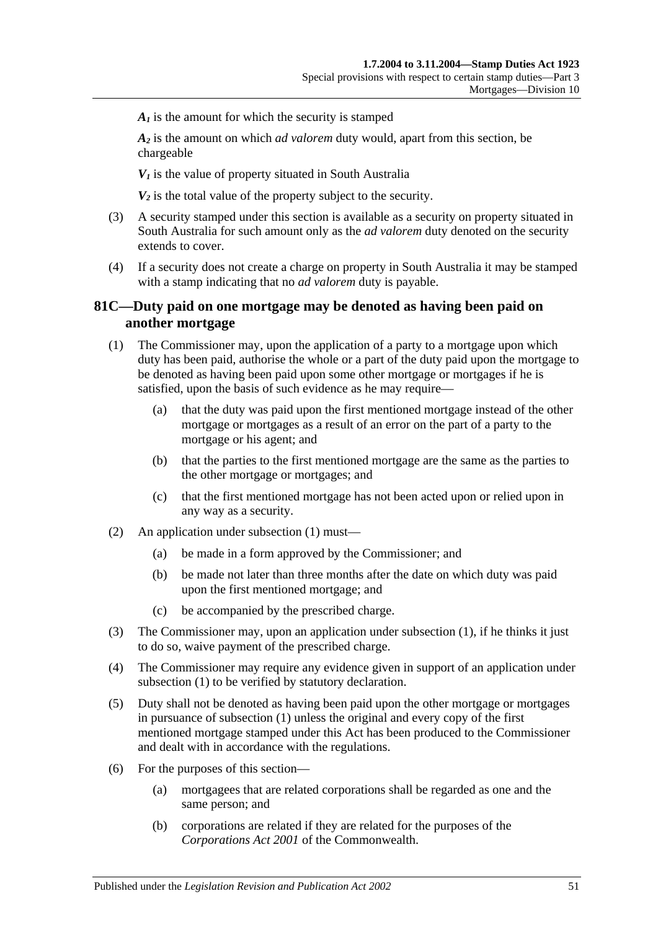$A<sub>i</sub>$  is the amount for which the security is stamped

*A2* is the amount on which *ad valorem* duty would, apart from this section, be chargeable

 $V_1$  is the value of property situated in South Australia

 $V_2$  is the total value of the property subject to the security.

- (3) A security stamped under this section is available as a security on property situated in South Australia for such amount only as the *ad valorem* duty denoted on the security extends to cover.
- (4) If a security does not create a charge on property in South Australia it may be stamped with a stamp indicating that no *ad valorem* duty is payable.

## **81C—Duty paid on one mortgage may be denoted as having been paid on another mortgage**

- <span id="page-68-0"></span>(1) The Commissioner may, upon the application of a party to a mortgage upon which duty has been paid, authorise the whole or a part of the duty paid upon the mortgage to be denoted as having been paid upon some other mortgage or mortgages if he is satisfied, upon the basis of such evidence as he may require—
	- (a) that the duty was paid upon the first mentioned mortgage instead of the other mortgage or mortgages as a result of an error on the part of a party to the mortgage or his agent; and
	- (b) that the parties to the first mentioned mortgage are the same as the parties to the other mortgage or mortgages; and
	- (c) that the first mentioned mortgage has not been acted upon or relied upon in any way as a security.
- (2) An application under [subsection](#page-68-0) (1) must—
	- (a) be made in a form approved by the Commissioner; and
	- (b) be made not later than three months after the date on which duty was paid upon the first mentioned mortgage; and
	- (c) be accompanied by the prescribed charge.
- (3) The Commissioner may, upon an application under [subsection](#page-68-0) (1), if he thinks it just to do so, waive payment of the prescribed charge.
- (4) The Commissioner may require any evidence given in support of an application under [subsection](#page-68-0) (1) to be verified by statutory declaration.
- (5) Duty shall not be denoted as having been paid upon the other mortgage or mortgages in pursuance of [subsection](#page-68-0) (1) unless the original and every copy of the first mentioned mortgage stamped under this Act has been produced to the Commissioner and dealt with in accordance with the regulations.
- (6) For the purposes of this section—
	- (a) mortgagees that are related corporations shall be regarded as one and the same person; and
	- (b) corporations are related if they are related for the purposes of the *Corporations Act 2001* of the Commonwealth.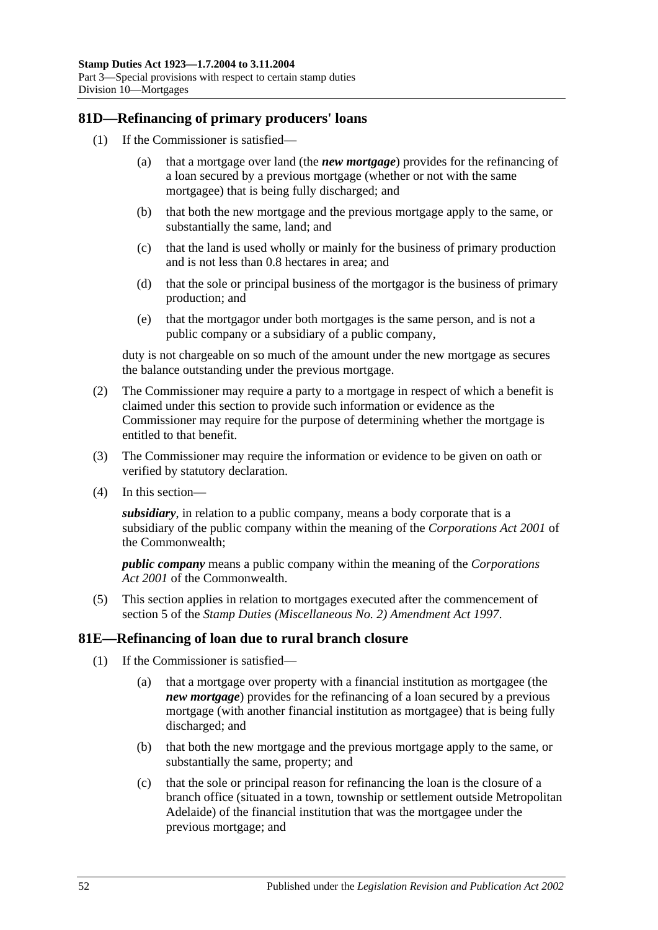# **81D—Refinancing of primary producers' loans**

- (1) If the Commissioner is satisfied—
	- (a) that a mortgage over land (the *new mortgage*) provides for the refinancing of a loan secured by a previous mortgage (whether or not with the same mortgagee) that is being fully discharged; and
	- (b) that both the new mortgage and the previous mortgage apply to the same, or substantially the same, land; and
	- (c) that the land is used wholly or mainly for the business of primary production and is not less than 0.8 hectares in area; and
	- (d) that the sole or principal business of the mortgagor is the business of primary production; and
	- (e) that the mortgagor under both mortgages is the same person, and is not a public company or a subsidiary of a public company,

duty is not chargeable on so much of the amount under the new mortgage as secures the balance outstanding under the previous mortgage.

- (2) The Commissioner may require a party to a mortgage in respect of which a benefit is claimed under this section to provide such information or evidence as the Commissioner may require for the purpose of determining whether the mortgage is entitled to that benefit.
- (3) The Commissioner may require the information or evidence to be given on oath or verified by statutory declaration.
- (4) In this section—

*subsidiary*, in relation to a public company, means a body corporate that is a subsidiary of the public company within the meaning of the *Corporations Act 2001* of the Commonwealth;

*public company* means a public company within the meaning of the *Corporations Act 2001* of the Commonwealth.

(5) This section applies in relation to mortgages executed after the commencement of section 5 of the *[Stamp Duties \(Miscellaneous No. 2\) Amendment Act](http://www.legislation.sa.gov.au/index.aspx?action=legref&type=act&legtitle=Stamp%20Duties%20(Miscellaneous%20No.%202)%20Amendment%20Act%201997) 1997*.

#### **81E—Refinancing of loan due to rural branch closure**

- (1) If the Commissioner is satisfied—
	- (a) that a mortgage over property with a financial institution as mortgagee (the *new mortgage*) provides for the refinancing of a loan secured by a previous mortgage (with another financial institution as mortgagee) that is being fully discharged; and
	- (b) that both the new mortgage and the previous mortgage apply to the same, or substantially the same, property; and
	- (c) that the sole or principal reason for refinancing the loan is the closure of a branch office (situated in a town, township or settlement outside Metropolitan Adelaide) of the financial institution that was the mortgagee under the previous mortgage; and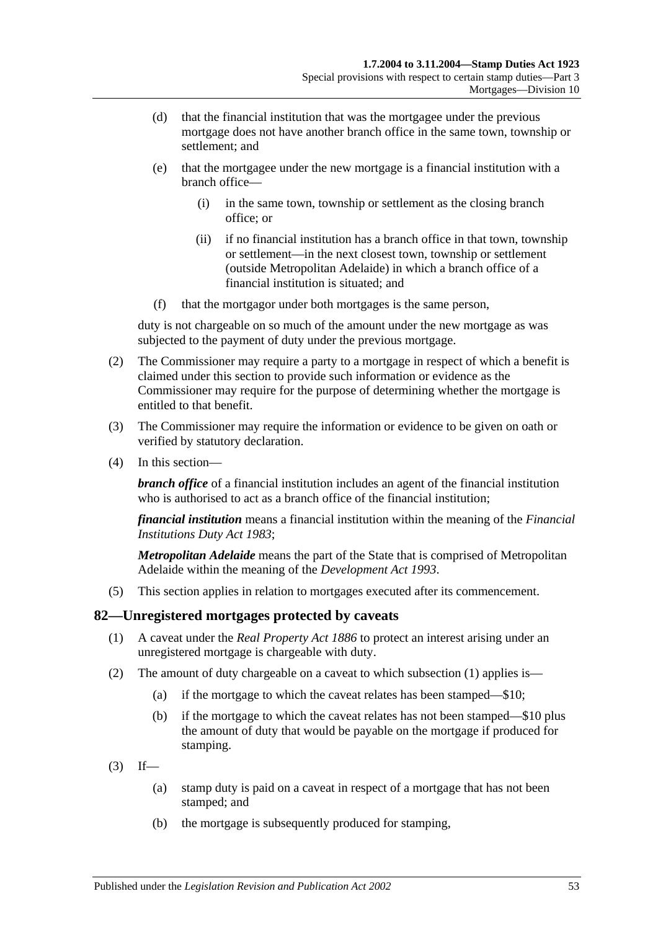- (d) that the financial institution that was the mortgagee under the previous mortgage does not have another branch office in the same town, township or settlement; and
- (e) that the mortgagee under the new mortgage is a financial institution with a branch office—
	- (i) in the same town, township or settlement as the closing branch office; or
	- (ii) if no financial institution has a branch office in that town, township or settlement—in the next closest town, township or settlement (outside Metropolitan Adelaide) in which a branch office of a financial institution is situated; and
- (f) that the mortgagor under both mortgages is the same person,

duty is not chargeable on so much of the amount under the new mortgage as was subjected to the payment of duty under the previous mortgage.

- (2) The Commissioner may require a party to a mortgage in respect of which a benefit is claimed under this section to provide such information or evidence as the Commissioner may require for the purpose of determining whether the mortgage is entitled to that benefit.
- (3) The Commissioner may require the information or evidence to be given on oath or verified by statutory declaration.
- (4) In this section—

*branch office* of a financial institution includes an agent of the financial institution who is authorised to act as a branch office of the financial institution:

*financial institution* means a financial institution within the meaning of the *[Financial](http://www.legislation.sa.gov.au/index.aspx?action=legref&type=act&legtitle=Financial%20Institutions%20Duty%20Act%201983)  [Institutions Duty Act](http://www.legislation.sa.gov.au/index.aspx?action=legref&type=act&legtitle=Financial%20Institutions%20Duty%20Act%201983) 1983*;

*Metropolitan Adelaide* means the part of the State that is comprised of Metropolitan Adelaide within the meaning of the *[Development Act](http://www.legislation.sa.gov.au/index.aspx?action=legref&type=act&legtitle=Development%20Act%201993) 1993*.

(5) This section applies in relation to mortgages executed after its commencement.

#### <span id="page-70-0"></span>**82—Unregistered mortgages protected by caveats**

- (1) A caveat under the *[Real Property Act](http://www.legislation.sa.gov.au/index.aspx?action=legref&type=act&legtitle=Real%20Property%20Act%201886) 1886* to protect an interest arising under an unregistered mortgage is chargeable with duty.
- (2) The amount of duty chargeable on a caveat to which [subsection](#page-70-0) (1) applies is—
	- (a) if the mortgage to which the caveat relates has been stamped—\$10;
	- (b) if the mortgage to which the caveat relates has not been stamped—\$10 plus the amount of duty that would be payable on the mortgage if produced for stamping.
- $(3)$  If—
	- (a) stamp duty is paid on a caveat in respect of a mortgage that has not been stamped; and
	- (b) the mortgage is subsequently produced for stamping,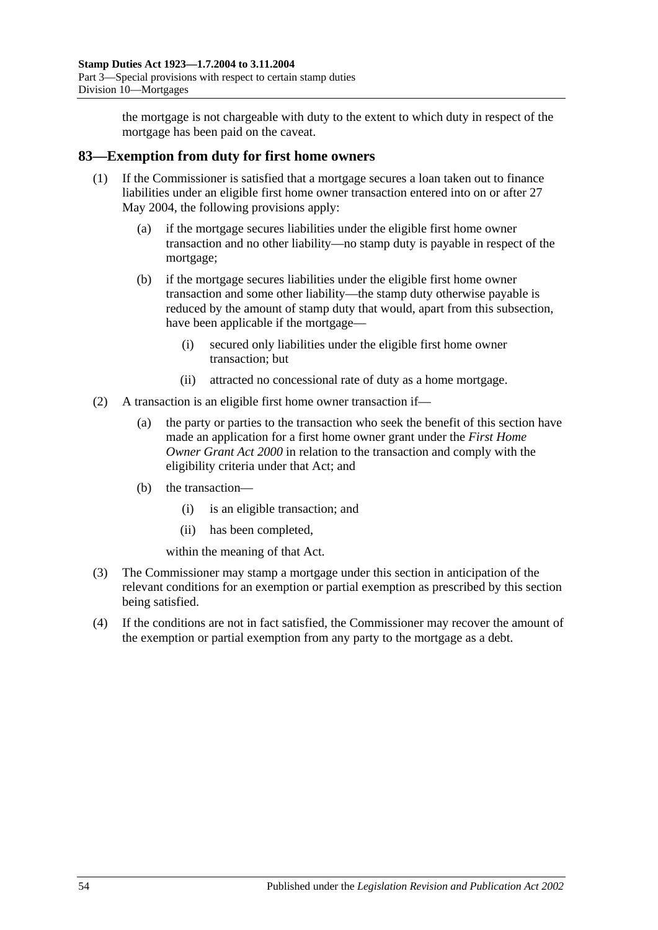the mortgage is not chargeable with duty to the extent to which duty in respect of the mortgage has been paid on the caveat.

# **83—Exemption from duty for first home owners**

- (1) If the Commissioner is satisfied that a mortgage secures a loan taken out to finance liabilities under an eligible first home owner transaction entered into on or after 27 May 2004, the following provisions apply:
	- (a) if the mortgage secures liabilities under the eligible first home owner transaction and no other liability—no stamp duty is payable in respect of the mortgage;
	- (b) if the mortgage secures liabilities under the eligible first home owner transaction and some other liability—the stamp duty otherwise payable is reduced by the amount of stamp duty that would, apart from this subsection, have been applicable if the mortgage—
		- (i) secured only liabilities under the eligible first home owner transaction; but
		- (ii) attracted no concessional rate of duty as a home mortgage.
- (2) A transaction is an eligible first home owner transaction if—
	- (a) the party or parties to the transaction who seek the benefit of this section have made an application for a first home owner grant under the *[First Home](http://www.legislation.sa.gov.au/index.aspx?action=legref&type=act&legtitle=First%20Home%20Owner%20Grant%20Act%202000)  [Owner Grant Act](http://www.legislation.sa.gov.au/index.aspx?action=legref&type=act&legtitle=First%20Home%20Owner%20Grant%20Act%202000) 2000* in relation to the transaction and comply with the eligibility criteria under that Act; and
	- (b) the transaction—
		- (i) is an eligible transaction; and
		- (ii) has been completed,

within the meaning of that Act.

- (3) The Commissioner may stamp a mortgage under this section in anticipation of the relevant conditions for an exemption or partial exemption as prescribed by this section being satisfied.
- (4) If the conditions are not in fact satisfied, the Commissioner may recover the amount of the exemption or partial exemption from any party to the mortgage as a debt.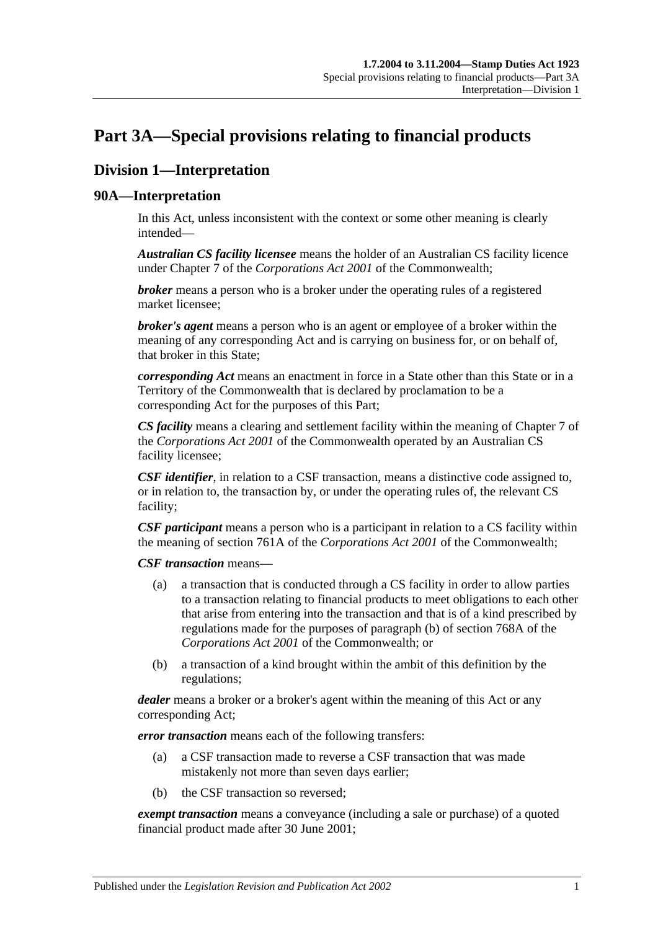# <span id="page-72-0"></span>**Part 3A—Special provisions relating to financial products**

# **Division 1—Interpretation**

## **90A—Interpretation**

In this Act, unless inconsistent with the context or some other meaning is clearly intended—

*Australian CS facility licensee* means the holder of an Australian CS facility licence under Chapter 7 of the *Corporations Act 2001* of the Commonwealth;

*broker* means a person who is a broker under the operating rules of a registered market licensee;

*broker's agent* means a person who is an agent or employee of a broker within the meaning of any corresponding Act and is carrying on business for, or on behalf of, that broker in this State;

*corresponding Act* means an enactment in force in a State other than this State or in a Territory of the Commonwealth that is declared by proclamation to be a corresponding Act for the purposes of this Part;

*CS facility* means a clearing and settlement facility within the meaning of Chapter 7 of the *Corporations Act 2001* of the Commonwealth operated by an Australian CS facility licensee;

*CSF identifier*, in relation to a CSF transaction, means a distinctive code assigned to, or in relation to, the transaction by, or under the operating rules of, the relevant CS facility;

*CSF participant* means a person who is a participant in relation to a CS facility within the meaning of section 761A of the *Corporations Act 2001* of the Commonwealth;

*CSF transaction* means—

- (a) a transaction that is conducted through a CS facility in order to allow parties to a transaction relating to financial products to meet obligations to each other that arise from entering into the transaction and that is of a kind prescribed by regulations made for the purposes of paragraph (b) of section 768A of the *Corporations Act 2001* of the Commonwealth; or
- (b) a transaction of a kind brought within the ambit of this definition by the regulations;

*dealer* means a broker or a broker's agent within the meaning of this Act or any corresponding Act;

*error transaction* means each of the following transfers:

- (a) a CSF transaction made to reverse a CSF transaction that was made mistakenly not more than seven days earlier;
- (b) the CSF transaction so reversed;

*exempt transaction* means a conveyance (including a sale or purchase) of a quoted financial product made after 30 June 2001;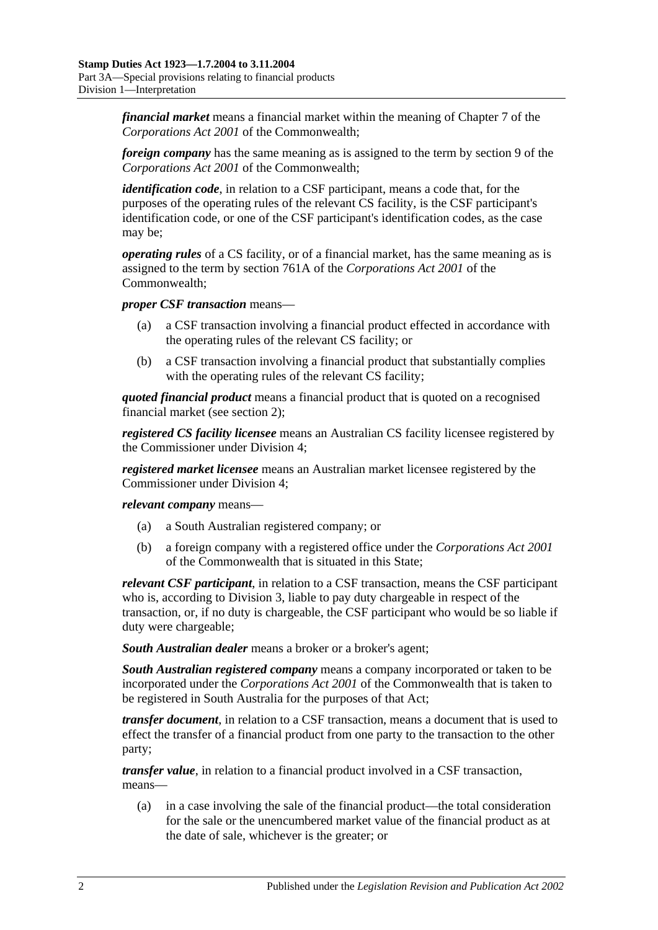*financial market* means a financial market within the meaning of Chapter 7 of the *Corporations Act 2001* of the Commonwealth;

*foreign company* has the same meaning as is assigned to the term by section 9 of the *Corporations Act 2001* of the Commonwealth;

*identification code*, in relation to a CSF participant, means a code that, for the purposes of the operating rules of the relevant CS facility, is the CSF participant's identification code, or one of the CSF participant's identification codes, as the case may be;

*operating rules* of a CS facility, or of a financial market, has the same meaning as is assigned to the term by section 761A of the *Corporations Act 2001* of the Commonwealth;

*proper CSF transaction* means—

- (a) a CSF transaction involving a financial product effected in accordance with the operating rules of the relevant CS facility; or
- (b) a CSF transaction involving a financial product that substantially complies with the operating rules of the relevant CS facility;

*quoted financial product* means a financial product that is quoted on a recognised financial market (see [section](#page-6-0) 2);

*registered CS facility licensee* means an Australian CS facility licensee registered by the Commissioner under [Division 4;](#page-82-0)

*registered market licensee* means an Australian market licensee registered by the Commissioner under [Division 4;](#page-82-0)

*relevant company* means—

- (a) a South Australian registered company; or
- (b) a foreign company with a registered office under the *Corporations Act 2001* of the Commonwealth that is situated in this State;

*relevant CSF participant*, in relation to a CSF transaction, means the CSF participant who is, according to [Division 3,](#page-79-0) liable to pay duty chargeable in respect of the transaction, or, if no duty is chargeable, the CSF participant who would be so liable if duty were chargeable;

*South Australian dealer* means a broker or a broker's agent;

*South Australian registered company* means a company incorporated or taken to be incorporated under the *Corporations Act 2001* of the Commonwealth that is taken to be registered in South Australia for the purposes of that Act;

*transfer document*, in relation to a CSF transaction, means a document that is used to effect the transfer of a financial product from one party to the transaction to the other party;

*transfer value*, in relation to a financial product involved in a CSF transaction, means—

(a) in a case involving the sale of the financial product—the total consideration for the sale or the unencumbered market value of the financial product as at the date of sale, whichever is the greater; or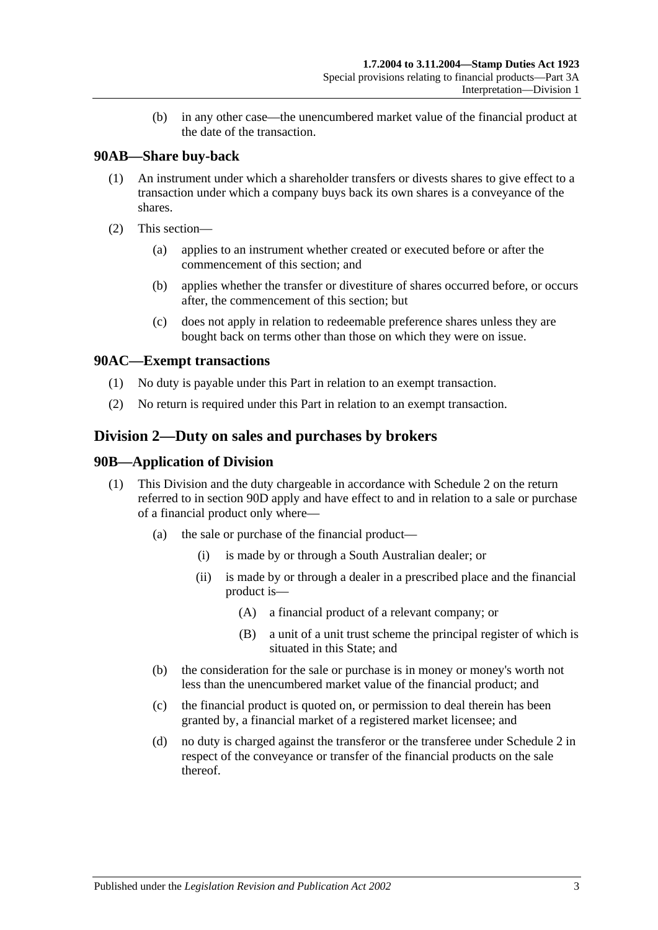(b) in any other case—the unencumbered market value of the financial product at the date of the transaction.

## **90AB—Share buy-back**

- (1) An instrument under which a shareholder transfers or divests shares to give effect to a transaction under which a company buys back its own shares is a conveyance of the shares.
- (2) This section—
	- (a) applies to an instrument whether created or executed before or after the commencement of this section; and
	- (b) applies whether the transfer or divestiture of shares occurred before, or occurs after, the commencement of this section; but
	- (c) does not apply in relation to redeemable preference shares unless they are bought back on terms other than those on which they were on issue.

## **90AC—Exempt transactions**

- (1) No duty is payable under this Part in relation to an exempt transaction.
- (2) No return is required under this Part in relation to an exempt transaction.

# <span id="page-74-0"></span>**Division 2—Duty on sales and purchases by brokers**

## **90B—Application of Division**

- (1) This Division and the duty chargeable in accordance with [Schedule 2](#page-98-0) on the return referred to in [section](#page-76-0) 90D apply and have effect to and in relation to a sale or purchase of a financial product only where—
	- (a) the sale or purchase of the financial product—
		- (i) is made by or through a South Australian dealer; or
		- (ii) is made by or through a dealer in a prescribed place and the financial product is—
			- (A) a financial product of a relevant company; or
			- (B) a unit of a unit trust scheme the principal register of which is situated in this State; and
	- (b) the consideration for the sale or purchase is in money or money's worth not less than the unencumbered market value of the financial product; and
	- (c) the financial product is quoted on, or permission to deal therein has been granted by, a financial market of a registered market licensee; and
	- (d) no duty is charged against the transferor or the transferee under [Schedule 2](#page-98-0) in respect of the conveyance or transfer of the financial products on the sale thereof.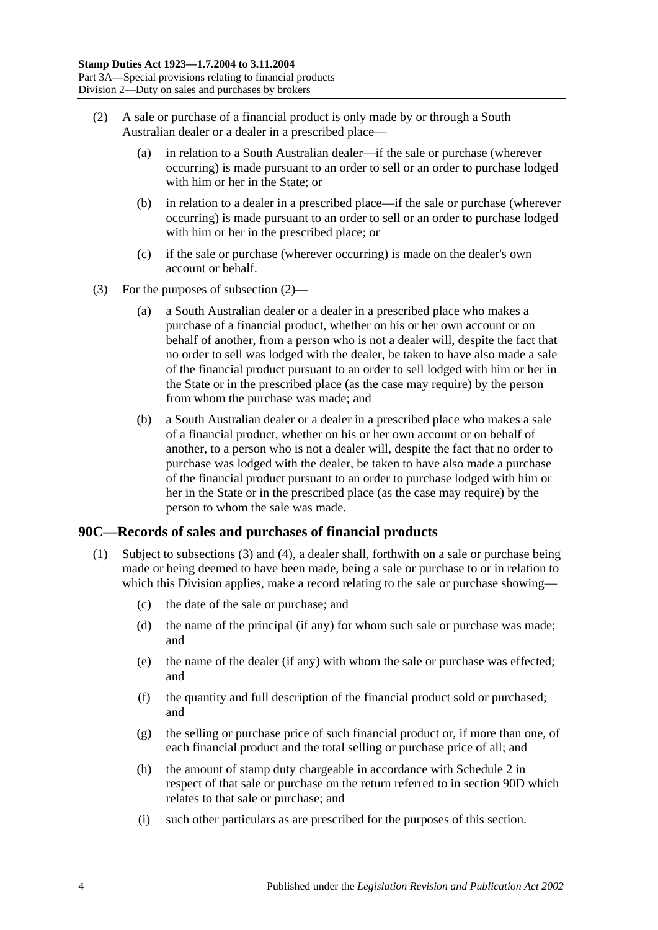- <span id="page-75-0"></span>(2) A sale or purchase of a financial product is only made by or through a South Australian dealer or a dealer in a prescribed place—
	- (a) in relation to a South Australian dealer—if the sale or purchase (wherever occurring) is made pursuant to an order to sell or an order to purchase lodged with him or her in the State; or
	- (b) in relation to a dealer in a prescribed place—if the sale or purchase (wherever occurring) is made pursuant to an order to sell or an order to purchase lodged with him or her in the prescribed place; or
	- (c) if the sale or purchase (wherever occurring) is made on the dealer's own account or behalf.
- (3) For the purposes of [subsection](#page-75-0) (2)—
	- (a) a South Australian dealer or a dealer in a prescribed place who makes a purchase of a financial product, whether on his or her own account or on behalf of another, from a person who is not a dealer will, despite the fact that no order to sell was lodged with the dealer, be taken to have also made a sale of the financial product pursuant to an order to sell lodged with him or her in the State or in the prescribed place (as the case may require) by the person from whom the purchase was made; and
	- (b) a South Australian dealer or a dealer in a prescribed place who makes a sale of a financial product, whether on his or her own account or on behalf of another, to a person who is not a dealer will, despite the fact that no order to purchase was lodged with the dealer, be taken to have also made a purchase of the financial product pursuant to an order to purchase lodged with him or her in the State or in the prescribed place (as the case may require) by the person to whom the sale was made.

## <span id="page-75-2"></span><span id="page-75-1"></span>**90C—Records of sales and purchases of financial products**

- (1) Subject to [subsections \(3\)](#page-76-1) and [\(4\),](#page-76-2) a dealer shall, forthwith on a sale or purchase being made or being deemed to have been made, being a sale or purchase to or in relation to which this Division applies, make a record relating to the sale or purchase showing—
	- (c) the date of the sale or purchase; and
	- (d) the name of the principal (if any) for whom such sale or purchase was made; and
	- (e) the name of the dealer (if any) with whom the sale or purchase was effected; and
	- (f) the quantity and full description of the financial product sold or purchased; and
	- (g) the selling or purchase price of such financial product or, if more than one, of each financial product and the total selling or purchase price of all; and
	- (h) the amount of stamp duty chargeable in accordance with [Schedule 2](#page-98-0) in respect of that sale or purchase on the return referred to in [section](#page-76-0) 90D which relates to that sale or purchase; and
	- (i) such other particulars as are prescribed for the purposes of this section.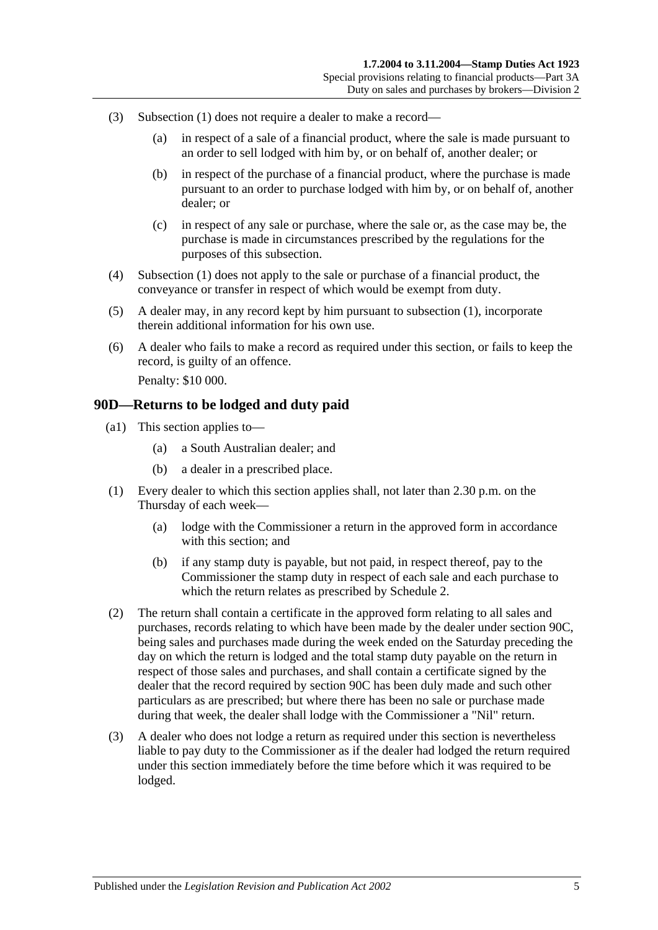- <span id="page-76-1"></span>(3) [Subsection](#page-75-1) (1) does not require a dealer to make a record—
	- (a) in respect of a sale of a financial product, where the sale is made pursuant to an order to sell lodged with him by, or on behalf of, another dealer; or
	- (b) in respect of the purchase of a financial product, where the purchase is made pursuant to an order to purchase lodged with him by, or on behalf of, another dealer; or
	- (c) in respect of any sale or purchase, where the sale or, as the case may be, the purchase is made in circumstances prescribed by the regulations for the purposes of this subsection.
- <span id="page-76-2"></span>(4) [Subsection \(1\)](#page-75-1) does not apply to the sale or purchase of a financial product, the conveyance or transfer in respect of which would be exempt from duty.
- (5) A dealer may, in any record kept by him pursuant to [subsection](#page-75-1) (1), incorporate therein additional information for his own use.
- (6) A dealer who fails to make a record as required under this section, or fails to keep the record, is guilty of an offence. Penalty: \$10 000.

#### <span id="page-76-0"></span>**90D—Returns to be lodged and duty paid**

- (a1) This section applies to—
	- (a) a South Australian dealer; and
	- (b) a dealer in a prescribed place.
- (1) Every dealer to which this section applies shall, not later than 2.30 p.m. on the Thursday of each week—
	- (a) lodge with the Commissioner a return in the approved form in accordance with this section; and
	- (b) if any stamp duty is payable, but not paid, in respect thereof, pay to the Commissioner the stamp duty in respect of each sale and each purchase to which the return relates as prescribed by [Schedule 2.](#page-98-0)
- (2) The return shall contain a certificate in the approved form relating to all sales and purchases, records relating to which have been made by the dealer under [section](#page-75-2) 90C, being sales and purchases made during the week ended on the Saturday preceding the day on which the return is lodged and the total stamp duty payable on the return in respect of those sales and purchases, and shall contain a certificate signed by the dealer that the record required by [section](#page-75-2) 90C has been duly made and such other particulars as are prescribed; but where there has been no sale or purchase made during that week, the dealer shall lodge with the Commissioner a "Nil" return.
- (3) A dealer who does not lodge a return as required under this section is nevertheless liable to pay duty to the Commissioner as if the dealer had lodged the return required under this section immediately before the time before which it was required to be lodged.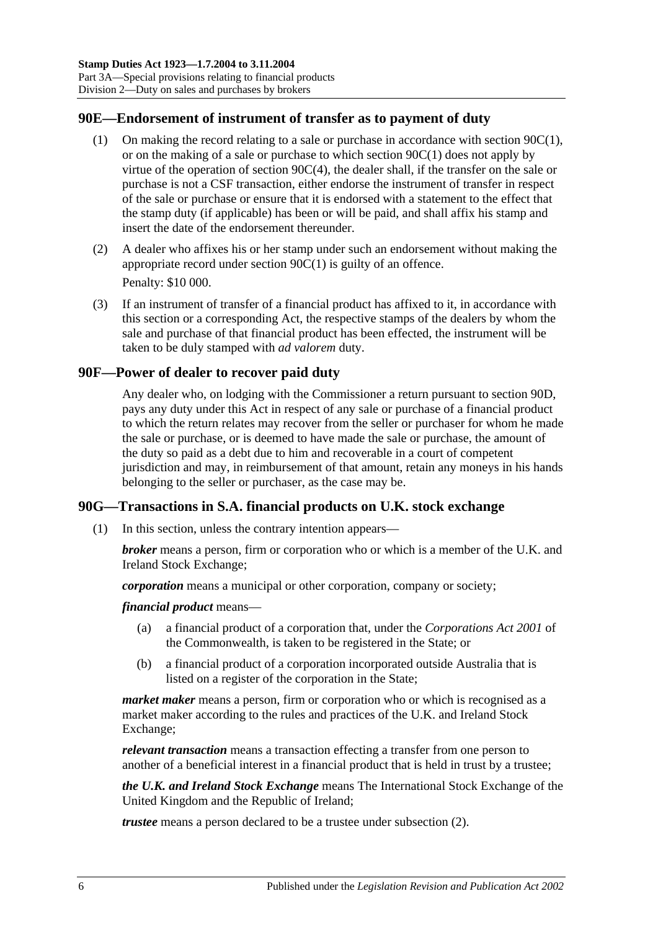## **90E—Endorsement of instrument of transfer as to payment of duty**

- (1) On making the record relating to a sale or purchase in accordance with [section](#page-75-1) 90C(1), or on the making of a sale or purchase to which [section](#page-75-1) 90C(1) does not apply by virtue of the operation of section [90C\(4\),](#page-76-2) the dealer shall, if the transfer on the sale or purchase is not a CSF transaction, either endorse the instrument of transfer in respect of the sale or purchase or ensure that it is endorsed with a statement to the effect that the stamp duty (if applicable) has been or will be paid, and shall affix his stamp and insert the date of the endorsement thereunder.
- (2) A dealer who affixes his or her stamp under such an endorsement without making the appropriate record under [section](#page-75-1) 90C(1) is guilty of an offence. Penalty: \$10 000.
- <span id="page-77-0"></span>(3) If an instrument of transfer of a financial product has affixed to it, in accordance with this section or a corresponding Act, the respective stamps of the dealers by whom the sale and purchase of that financial product has been effected, the instrument will be taken to be duly stamped with *ad valorem* duty.

## **90F—Power of dealer to recover paid duty**

Any dealer who, on lodging with the Commissioner a return pursuant to [section](#page-76-0) 90D, pays any duty under this Act in respect of any sale or purchase of a financial product to which the return relates may recover from the seller or purchaser for whom he made the sale or purchase, or is deemed to have made the sale or purchase, the amount of the duty so paid as a debt due to him and recoverable in a court of competent jurisdiction and may, in reimbursement of that amount, retain any moneys in his hands belonging to the seller or purchaser, as the case may be.

# <span id="page-77-1"></span>**90G—Transactions in S.A. financial products on U.K. stock exchange**

(1) In this section, unless the contrary intention appears—

*broker* means a person, firm or corporation who or which is a member of the U.K. and Ireland Stock Exchange;

*corporation* means a municipal or other corporation, company or society;

*financial product* means—

- (a) a financial product of a corporation that, under the *Corporations Act 2001* of the Commonwealth, is taken to be registered in the State; or
- (b) a financial product of a corporation incorporated outside Australia that is listed on a register of the corporation in the State;

*market maker* means a person, firm or corporation who or which is recognised as a market maker according to the rules and practices of the U.K. and Ireland Stock Exchange;

*relevant transaction* means a transaction effecting a transfer from one person to another of a beneficial interest in a financial product that is held in trust by a trustee;

*the U.K. and Ireland Stock Exchange* means The International Stock Exchange of the United Kingdom and the Republic of Ireland;

*trustee* means a person declared to be a trustee under [subsection](#page-78-0) (2).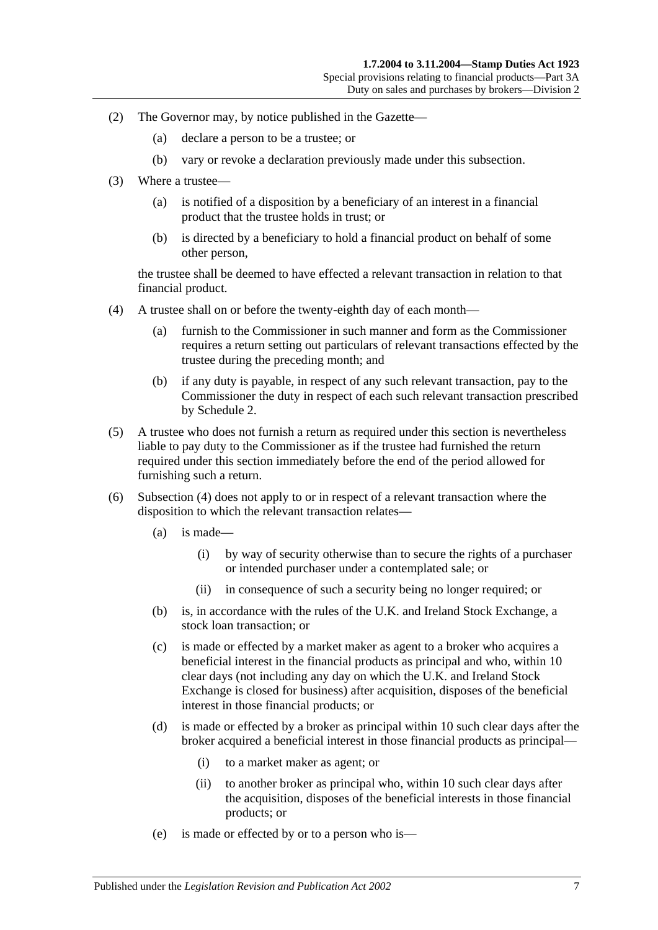- <span id="page-78-0"></span>(2) The Governor may, by notice published in the Gazette—
	- (a) declare a person to be a trustee; or
	- (b) vary or revoke a declaration previously made under this subsection.
- (3) Where a trustee—
	- (a) is notified of a disposition by a beneficiary of an interest in a financial product that the trustee holds in trust; or
	- (b) is directed by a beneficiary to hold a financial product on behalf of some other person,

the trustee shall be deemed to have effected a relevant transaction in relation to that financial product.

- <span id="page-78-1"></span>(4) A trustee shall on or before the twenty-eighth day of each month—
	- (a) furnish to the Commissioner in such manner and form as the Commissioner requires a return setting out particulars of relevant transactions effected by the trustee during the preceding month; and
	- (b) if any duty is payable, in respect of any such relevant transaction, pay to the Commissioner the duty in respect of each such relevant transaction prescribed by [Schedule 2.](#page-98-0)
- (5) A trustee who does not furnish a return as required under this section is nevertheless liable to pay duty to the Commissioner as if the trustee had furnished the return required under this section immediately before the end of the period allowed for furnishing such a return.
- (6) [Subsection](#page-78-1) (4) does not apply to or in respect of a relevant transaction where the disposition to which the relevant transaction relates—
	- (a) is made—
		- (i) by way of security otherwise than to secure the rights of a purchaser or intended purchaser under a contemplated sale; or
		- (ii) in consequence of such a security being no longer required; or
	- (b) is, in accordance with the rules of the U.K. and Ireland Stock Exchange, a stock loan transaction; or
	- (c) is made or effected by a market maker as agent to a broker who acquires a beneficial interest in the financial products as principal and who, within 10 clear days (not including any day on which the U.K. and Ireland Stock Exchange is closed for business) after acquisition, disposes of the beneficial interest in those financial products; or
	- (d) is made or effected by a broker as principal within 10 such clear days after the broker acquired a beneficial interest in those financial products as principal—
		- (i) to a market maker as agent; or
		- (ii) to another broker as principal who, within 10 such clear days after the acquisition, disposes of the beneficial interests in those financial products; or
	- (e) is made or effected by or to a person who is—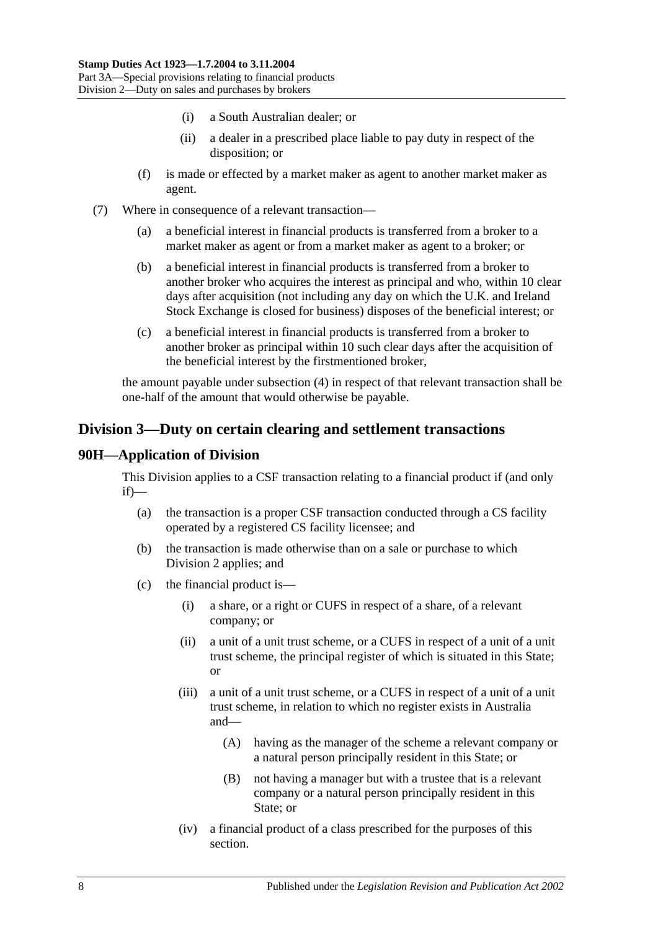- (i) a South Australian dealer; or
- (ii) a dealer in a prescribed place liable to pay duty in respect of the disposition; or
- (f) is made or effected by a market maker as agent to another market maker as agent.
- (7) Where in consequence of a relevant transaction—
	- (a) a beneficial interest in financial products is transferred from a broker to a market maker as agent or from a market maker as agent to a broker; or
	- (b) a beneficial interest in financial products is transferred from a broker to another broker who acquires the interest as principal and who, within 10 clear days after acquisition (not including any day on which the U.K. and Ireland Stock Exchange is closed for business) disposes of the beneficial interest; or
	- (c) a beneficial interest in financial products is transferred from a broker to another broker as principal within 10 such clear days after the acquisition of the beneficial interest by the firstmentioned broker,

the amount payable under [subsection](#page-78-1) (4) in respect of that relevant transaction shall be one-half of the amount that would otherwise be payable.

# <span id="page-79-0"></span>**Division 3—Duty on certain clearing and settlement transactions**

## **90H—Application of Division**

This Division applies to a CSF transaction relating to a financial product if (and only if)—

- (a) the transaction is a proper CSF transaction conducted through a CS facility operated by a registered CS facility licensee; and
- (b) the transaction is made otherwise than on a sale or purchase to which [Division 2](#page-74-0) applies; and
- (c) the financial product is—
	- (i) a share, or a right or CUFS in respect of a share, of a relevant company; or
	- (ii) a unit of a unit trust scheme, or a CUFS in respect of a unit of a unit trust scheme, the principal register of which is situated in this State; or
	- (iii) a unit of a unit trust scheme, or a CUFS in respect of a unit of a unit trust scheme, in relation to which no register exists in Australia and—
		- (A) having as the manager of the scheme a relevant company or a natural person principally resident in this State; or
		- (B) not having a manager but with a trustee that is a relevant company or a natural person principally resident in this State; or
	- (iv) a financial product of a class prescribed for the purposes of this section.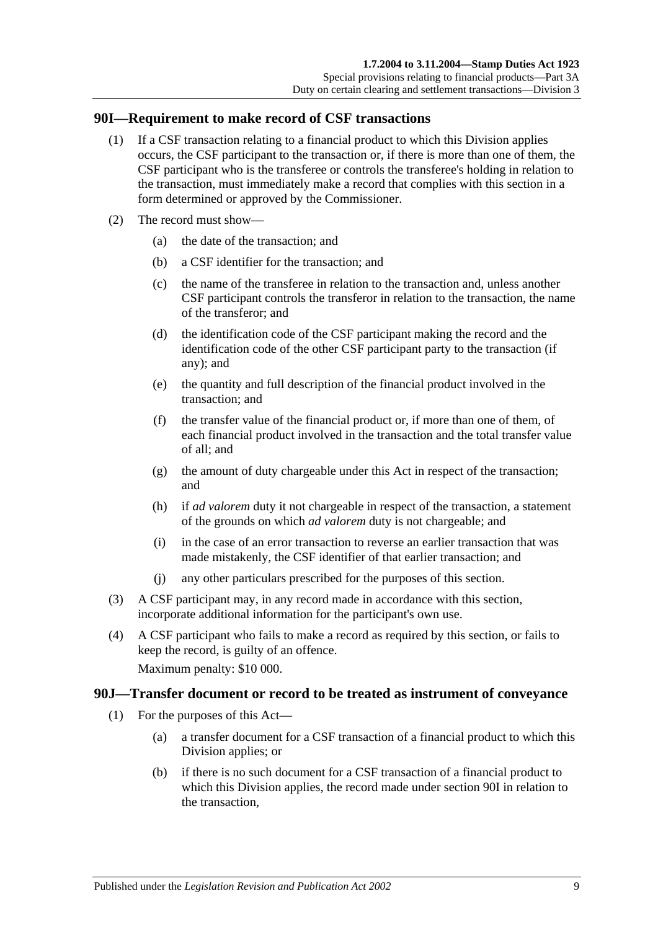#### <span id="page-80-0"></span>**90I—Requirement to make record of CSF transactions**

- (1) If a CSF transaction relating to a financial product to which this Division applies occurs, the CSF participant to the transaction or, if there is more than one of them, the CSF participant who is the transferee or controls the transferee's holding in relation to the transaction, must immediately make a record that complies with this section in a form determined or approved by the Commissioner.
- (2) The record must show—
	- (a) the date of the transaction; and
	- (b) a CSF identifier for the transaction; and
	- (c) the name of the transferee in relation to the transaction and, unless another CSF participant controls the transferor in relation to the transaction, the name of the transferor; and
	- (d) the identification code of the CSF participant making the record and the identification code of the other CSF participant party to the transaction (if any); and
	- (e) the quantity and full description of the financial product involved in the transaction; and
	- (f) the transfer value of the financial product or, if more than one of them, of each financial product involved in the transaction and the total transfer value of all; and
	- (g) the amount of duty chargeable under this Act in respect of the transaction; and
	- (h) if *ad valorem* duty it not chargeable in respect of the transaction, a statement of the grounds on which *ad valorem* duty is not chargeable; and
	- (i) in the case of an error transaction to reverse an earlier transaction that was made mistakenly, the CSF identifier of that earlier transaction; and
	- (j) any other particulars prescribed for the purposes of this section.
- (3) A CSF participant may, in any record made in accordance with this section, incorporate additional information for the participant's own use.
- (4) A CSF participant who fails to make a record as required by this section, or fails to keep the record, is guilty of an offence.

Maximum penalty: \$10 000.

#### <span id="page-80-1"></span>**90J—Transfer document or record to be treated as instrument of conveyance**

- (1) For the purposes of this Act—
	- (a) a transfer document for a CSF transaction of a financial product to which this Division applies; or
	- (b) if there is no such document for a CSF transaction of a financial product to which this Division applies, the record made under [section](#page-80-0) 90I in relation to the transaction,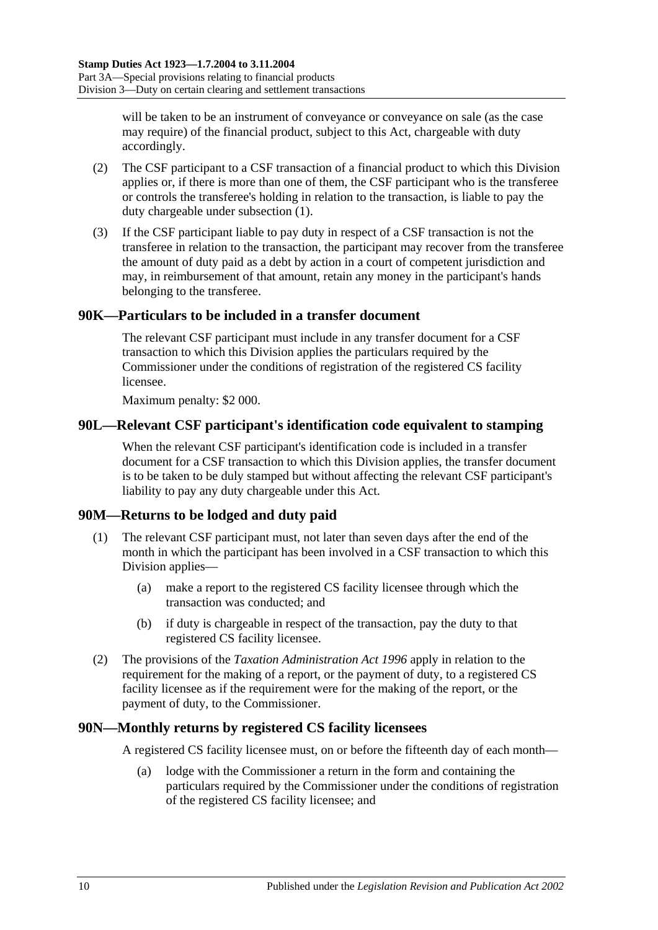will be taken to be an instrument of conveyance or conveyance on sale (as the case may require) of the financial product, subject to this Act, chargeable with duty accordingly.

- (2) The CSF participant to a CSF transaction of a financial product to which this Division applies or, if there is more than one of them, the CSF participant who is the transferee or controls the transferee's holding in relation to the transaction, is liable to pay the duty chargeable under [subsection](#page-80-1) (1).
- (3) If the CSF participant liable to pay duty in respect of a CSF transaction is not the transferee in relation to the transaction, the participant may recover from the transferee the amount of duty paid as a debt by action in a court of competent jurisdiction and may, in reimbursement of that amount, retain any money in the participant's hands belonging to the transferee.

## **90K—Particulars to be included in a transfer document**

The relevant CSF participant must include in any transfer document for a CSF transaction to which this Division applies the particulars required by the Commissioner under the conditions of registration of the registered CS facility licensee.

Maximum penalty: \$2 000.

## **90L—Relevant CSF participant's identification code equivalent to stamping**

When the relevant CSF participant's identification code is included in a transfer document for a CSF transaction to which this Division applies, the transfer document is to be taken to be duly stamped but without affecting the relevant CSF participant's liability to pay any duty chargeable under this Act.

## **90M—Returns to be lodged and duty paid**

- (1) The relevant CSF participant must, not later than seven days after the end of the month in which the participant has been involved in a CSF transaction to which this Division applies—
	- (a) make a report to the registered CS facility licensee through which the transaction was conducted; and
	- (b) if duty is chargeable in respect of the transaction, pay the duty to that registered CS facility licensee.
- (2) The provisions of the *[Taxation Administration Act](http://www.legislation.sa.gov.au/index.aspx?action=legref&type=act&legtitle=Taxation%20Administration%20Act%201996) 1996* apply in relation to the requirement for the making of a report, or the payment of duty, to a registered CS facility licensee as if the requirement were for the making of the report, or the payment of duty, to the Commissioner.

#### **90N—Monthly returns by registered CS facility licensees**

A registered CS facility licensee must, on or before the fifteenth day of each month—

(a) lodge with the Commissioner a return in the form and containing the particulars required by the Commissioner under the conditions of registration of the registered CS facility licensee; and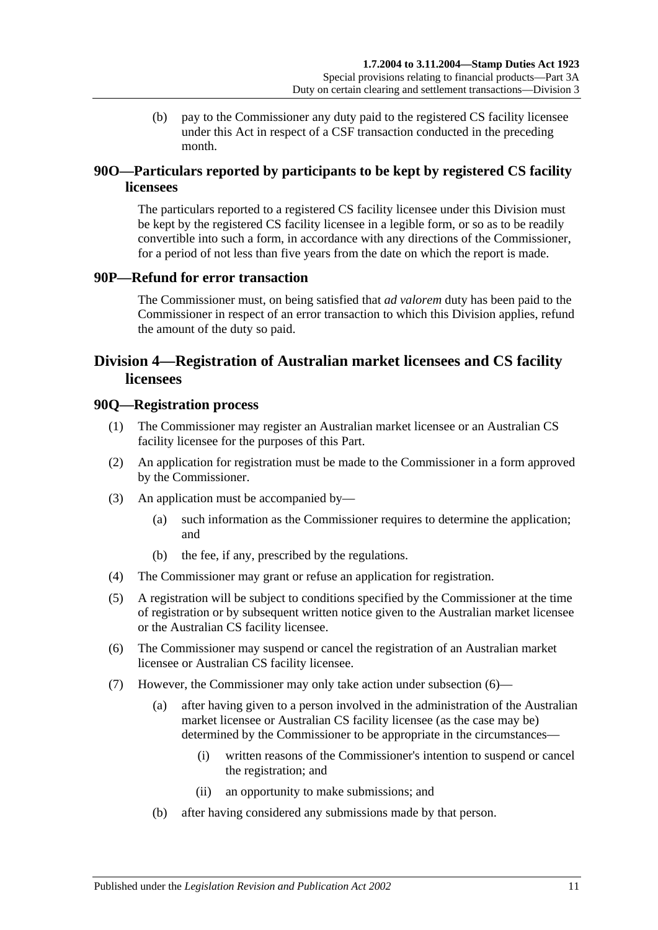(b) pay to the Commissioner any duty paid to the registered CS facility licensee under this Act in respect of a CSF transaction conducted in the preceding month.

# **90O—Particulars reported by participants to be kept by registered CS facility licensees**

The particulars reported to a registered CS facility licensee under this Division must be kept by the registered CS facility licensee in a legible form, or so as to be readily convertible into such a form, in accordance with any directions of the Commissioner, for a period of not less than five years from the date on which the report is made.

## **90P—Refund for error transaction**

The Commissioner must, on being satisfied that *ad valorem* duty has been paid to the Commissioner in respect of an error transaction to which this Division applies, refund the amount of the duty so paid.

# <span id="page-82-0"></span>**Division 4—Registration of Australian market licensees and CS facility licensees**

#### **90Q—Registration process**

- (1) The Commissioner may register an Australian market licensee or an Australian CS facility licensee for the purposes of this Part.
- (2) An application for registration must be made to the Commissioner in a form approved by the Commissioner.
- (3) An application must be accompanied by—
	- (a) such information as the Commissioner requires to determine the application; and
	- (b) the fee, if any, prescribed by the regulations.
- (4) The Commissioner may grant or refuse an application for registration.
- (5) A registration will be subject to conditions specified by the Commissioner at the time of registration or by subsequent written notice given to the Australian market licensee or the Australian CS facility licensee.
- <span id="page-82-1"></span>(6) The Commissioner may suspend or cancel the registration of an Australian market licensee or Australian CS facility licensee.
- <span id="page-82-2"></span>(7) However, the Commissioner may only take action under [subsection](#page-82-1) (6)—
	- (a) after having given to a person involved in the administration of the Australian market licensee or Australian CS facility licensee (as the case may be) determined by the Commissioner to be appropriate in the circumstances—
		- (i) written reasons of the Commissioner's intention to suspend or cancel the registration; and
		- (ii) an opportunity to make submissions; and
	- (b) after having considered any submissions made by that person.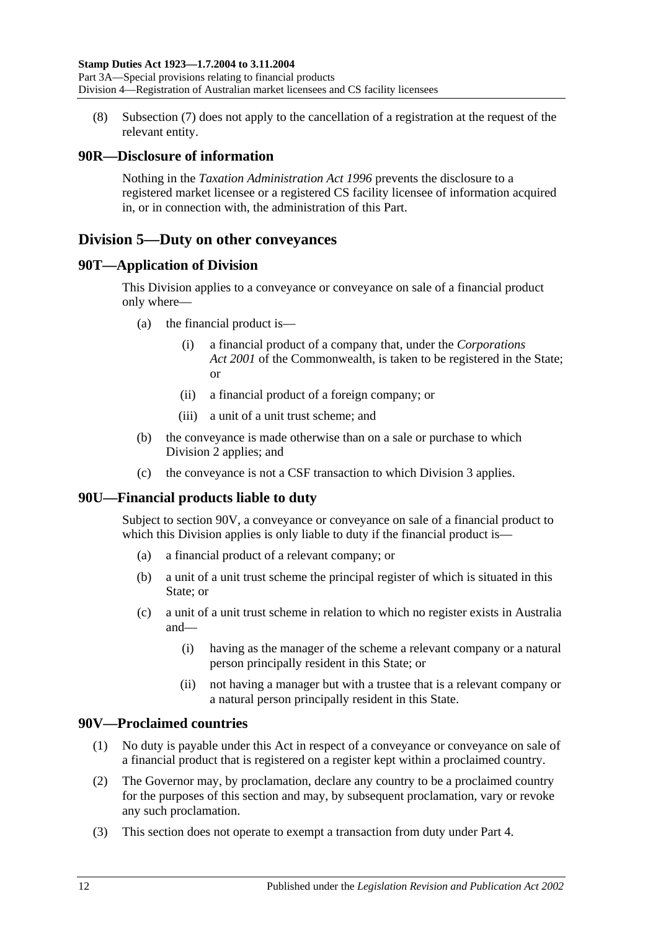(8) [Subsection \(7\)](#page-82-2) does not apply to the cancellation of a registration at the request of the relevant entity.

## **90R—Disclosure of information**

Nothing in the *[Taxation Administration Act](http://www.legislation.sa.gov.au/index.aspx?action=legref&type=act&legtitle=Taxation%20Administration%20Act%201996) 1996* prevents the disclosure to a registered market licensee or a registered CS facility licensee of information acquired in, or in connection with, the administration of this Part.

# <span id="page-83-1"></span>**Division 5—Duty on other conveyances**

## **90T—Application of Division**

This Division applies to a conveyance or conveyance on sale of a financial product only where—

- (a) the financial product is—
	- (i) a financial product of a company that, under the *Corporations Act 2001* of the Commonwealth, is taken to be registered in the State; or
	- (ii) a financial product of a foreign company; or
	- (iii) a unit of a unit trust scheme; and
- (b) the conveyance is made otherwise than on a sale or purchase to which [Division 2](#page-74-0) applies; and
- (c) the conveyance is not a CSF transaction to which [Division 3](#page-79-0) applies.

# **90U—Financial products liable to duty**

Subject to [section](#page-83-0) 90V, a conveyance or conveyance on sale of a financial product to which this Division applies is only liable to duty if the financial product is—

- (a) a financial product of a relevant company; or
- (b) a unit of a unit trust scheme the principal register of which is situated in this State; or
- (c) a unit of a unit trust scheme in relation to which no register exists in Australia and—
	- (i) having as the manager of the scheme a relevant company or a natural person principally resident in this State; or
	- (ii) not having a manager but with a trustee that is a relevant company or a natural person principally resident in this State.

## <span id="page-83-0"></span>**90V—Proclaimed countries**

- (1) No duty is payable under this Act in respect of a conveyance or conveyance on sale of a financial product that is registered on a register kept within a proclaimed country.
- (2) The Governor may, by proclamation, declare any country to be a proclaimed country for the purposes of this section and may, by subsequent proclamation, vary or revoke any such proclamation.
- (3) This section does not operate to exempt a transaction from duty under [Part 4.](#page-84-0)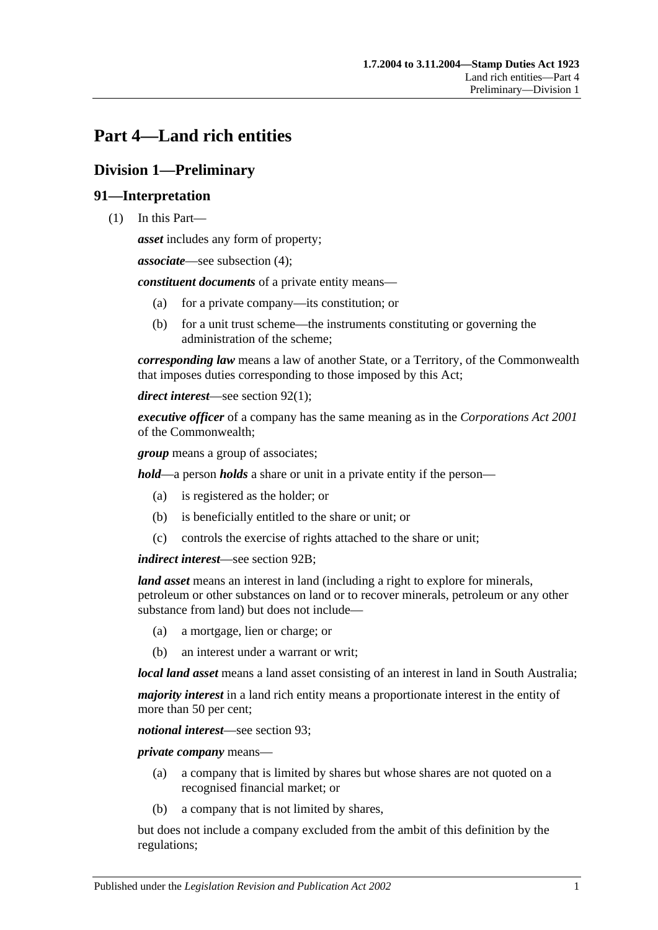# <span id="page-84-0"></span>**Part 4—Land rich entities**

# **Division 1—Preliminary**

## **91—Interpretation**

(1) In this Part—

*asset* includes any form of property;

*associate*—see [subsection](#page-86-0) (4);

*constituent documents* of a private entity means—

- (a) for a private company—its constitution; or
- (b) for a unit trust scheme—the instruments constituting or governing the administration of the scheme;

*corresponding law* means a law of another State, or a Territory, of the Commonwealth that imposes duties corresponding to those imposed by this Act;

*direct interest*—see [section](#page-86-1) 92(1);

*executive officer* of a company has the same meaning as in the *Corporations Act 2001* of the Commonwealth;

*group* means a group of associates;

*hold*—a person *holds* a share or unit in a private entity if the person—

- (a) is registered as the holder; or
- (b) is beneficially entitled to the share or unit; or
- (c) controls the exercise of rights attached to the share or unit;

*indirect interest*—see [section](#page-87-0) 92B;

*land asset* means an interest in land (including a right to explore for minerals, petroleum or other substances on land or to recover minerals, petroleum or any other substance from land) but does not include—

- (a) a mortgage, lien or charge; or
- (b) an interest under a warrant or writ;

*local land asset* means a land asset consisting of an interest in land in South Australia;

*majority interest* in a land rich entity means a proportionate interest in the entity of more than 50 per cent;

*notional interest*—see [section](#page-87-1) 93;

*private company* means—

- (a) a company that is limited by shares but whose shares are not quoted on a recognised financial market; or
- (b) a company that is not limited by shares,

but does not include a company excluded from the ambit of this definition by the regulations;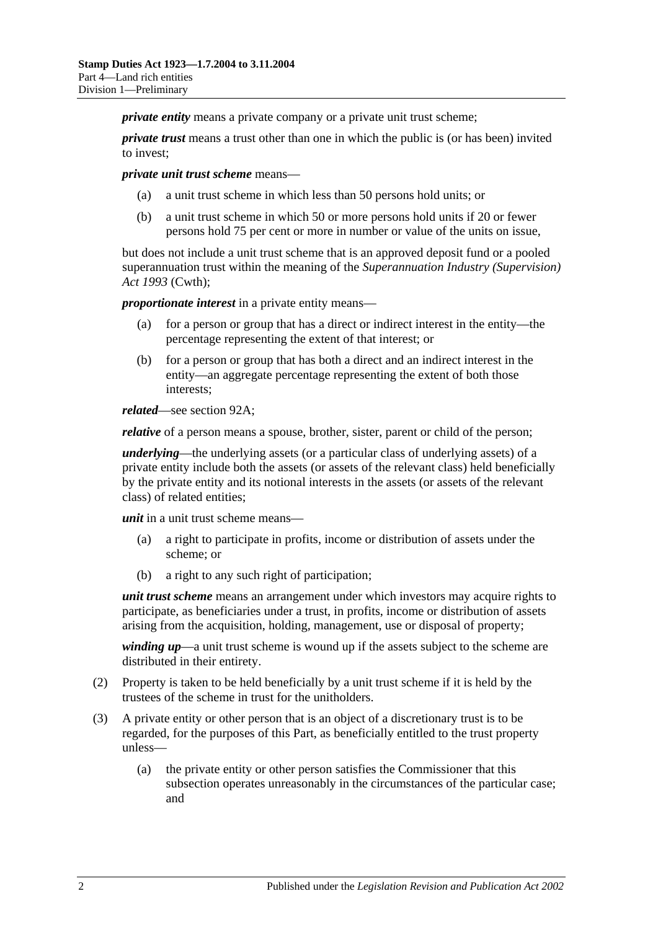*private entity* means a private company or a private unit trust scheme:

*private trust* means a trust other than one in which the public is (or has been) invited to invest;

*private unit trust scheme* means—

- (a) a unit trust scheme in which less than 50 persons hold units; or
- (b) a unit trust scheme in which 50 or more persons hold units if 20 or fewer persons hold 75 per cent or more in number or value of the units on issue,

but does not include a unit trust scheme that is an approved deposit fund or a pooled superannuation trust within the meaning of the *Superannuation Industry (Supervision) Act 1993* (Cwth);

*proportionate interest* in a private entity means—

- (a) for a person or group that has a direct or indirect interest in the entity—the percentage representing the extent of that interest; or
- (b) for a person or group that has both a direct and an indirect interest in the entity—an aggregate percentage representing the extent of both those interests;

*related*—see [section](#page-87-2) 92A;

*relative* of a person means a spouse, brother, sister, parent or child of the person;

*underlying*—the underlying assets (or a particular class of underlying assets) of a private entity include both the assets (or assets of the relevant class) held beneficially by the private entity and its notional interests in the assets (or assets of the relevant class) of related entities;

*unit* in a unit trust scheme means—

- (a) a right to participate in profits, income or distribution of assets under the scheme; or
- (b) a right to any such right of participation;

*unit trust scheme* means an arrangement under which investors may acquire rights to participate, as beneficiaries under a trust, in profits, income or distribution of assets arising from the acquisition, holding, management, use or disposal of property;

*winding up*—a unit trust scheme is wound up if the assets subject to the scheme are distributed in their entirety.

- (2) Property is taken to be held beneficially by a unit trust scheme if it is held by the trustees of the scheme in trust for the unitholders.
- (3) A private entity or other person that is an object of a discretionary trust is to be regarded, for the purposes of this Part, as beneficially entitled to the trust property unless—
	- (a) the private entity or other person satisfies the Commissioner that this subsection operates unreasonably in the circumstances of the particular case; and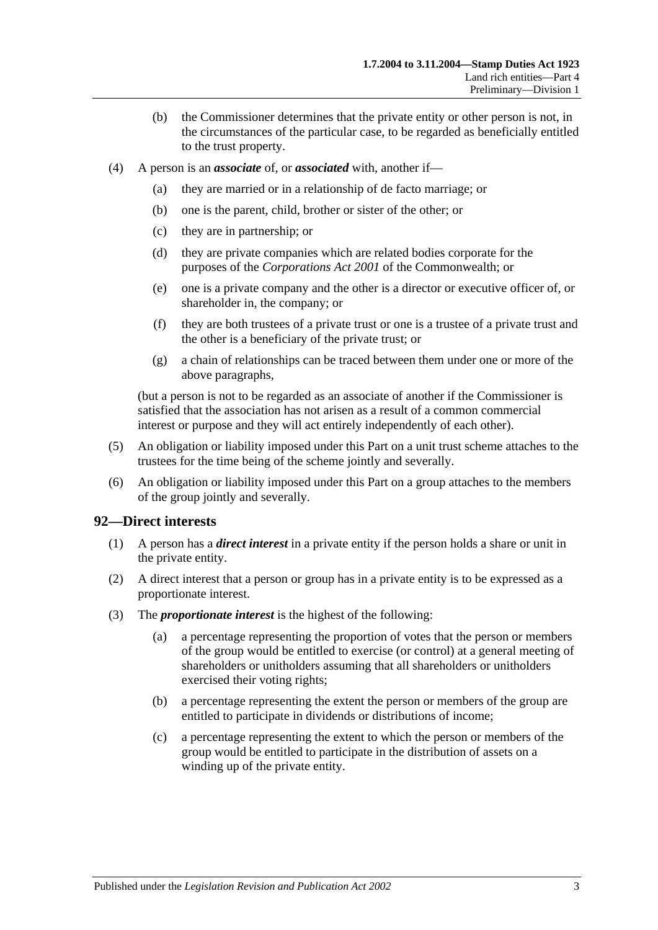- (b) the Commissioner determines that the private entity or other person is not, in the circumstances of the particular case, to be regarded as beneficially entitled to the trust property.
- <span id="page-86-0"></span>(4) A person is an *associate* of, or *associated* with, another if—
	- (a) they are married or in a relationship of de facto marriage; or
	- (b) one is the parent, child, brother or sister of the other; or
	- (c) they are in partnership; or
	- (d) they are private companies which are related bodies corporate for the purposes of the *Corporations Act 2001* of the Commonwealth; or
	- (e) one is a private company and the other is a director or executive officer of, or shareholder in, the company; or
	- (f) they are both trustees of a private trust or one is a trustee of a private trust and the other is a beneficiary of the private trust; or
	- (g) a chain of relationships can be traced between them under one or more of the above paragraphs,

(but a person is not to be regarded as an associate of another if the Commissioner is satisfied that the association has not arisen as a result of a common commercial interest or purpose and they will act entirely independently of each other).

- (5) An obligation or liability imposed under this Part on a unit trust scheme attaches to the trustees for the time being of the scheme jointly and severally.
- (6) An obligation or liability imposed under this Part on a group attaches to the members of the group jointly and severally.

#### <span id="page-86-1"></span>**92—Direct interests**

- (1) A person has a *direct interest* in a private entity if the person holds a share or unit in the private entity.
- (2) A direct interest that a person or group has in a private entity is to be expressed as a proportionate interest.
- (3) The *proportionate interest* is the highest of the following:
	- (a) a percentage representing the proportion of votes that the person or members of the group would be entitled to exercise (or control) at a general meeting of shareholders or unitholders assuming that all shareholders or unitholders exercised their voting rights;
	- (b) a percentage representing the extent the person or members of the group are entitled to participate in dividends or distributions of income;
	- (c) a percentage representing the extent to which the person or members of the group would be entitled to participate in the distribution of assets on a winding up of the private entity.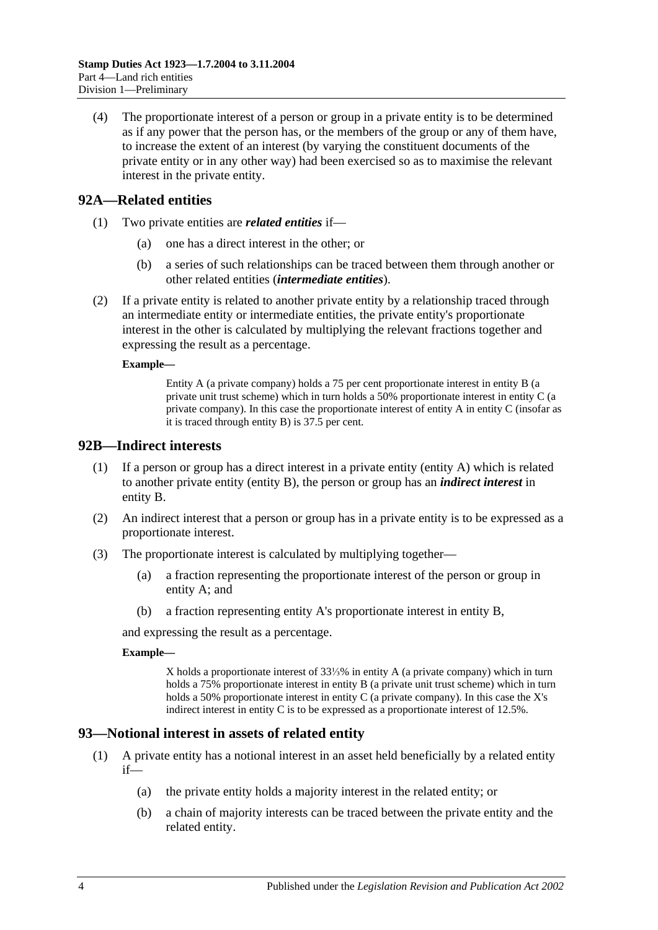(4) The proportionate interest of a person or group in a private entity is to be determined as if any power that the person has, or the members of the group or any of them have, to increase the extent of an interest (by varying the constituent documents of the private entity or in any other way) had been exercised so as to maximise the relevant interest in the private entity.

## <span id="page-87-2"></span>**92A—Related entities**

- (1) Two private entities are *related entities* if—
	- (a) one has a direct interest in the other; or
	- (b) a series of such relationships can be traced between them through another or other related entities (*intermediate entities*).
- (2) If a private entity is related to another private entity by a relationship traced through an intermediate entity or intermediate entities, the private entity's proportionate interest in the other is calculated by multiplying the relevant fractions together and expressing the result as a percentage.

#### **Example—**

Entity A (a private company) holds a 75 per cent proportionate interest in entity B (a private unit trust scheme) which in turn holds a 50% proportionate interest in entity C (a private company). In this case the proportionate interest of entity A in entity C (insofar as it is traced through entity B) is 37.5 per cent.

#### <span id="page-87-0"></span>**92B—Indirect interests**

- (1) If a person or group has a direct interest in a private entity (entity A) which is related to another private entity (entity B), the person or group has an *indirect interest* in entity B.
- (2) An indirect interest that a person or group has in a private entity is to be expressed as a proportionate interest.
- (3) The proportionate interest is calculated by multiplying together—
	- (a) a fraction representing the proportionate interest of the person or group in entity A; and
	- (b) a fraction representing entity A's proportionate interest in entity B,

and expressing the result as a percentage.

#### **Example—**

X holds a proportionate interest of 33⅓% in entity A (a private company) which in turn holds a 75% proportionate interest in entity B (a private unit trust scheme) which in turn holds a 50% proportionate interest in entity C (a private company). In this case the X's indirect interest in entity C is to be expressed as a proportionate interest of 12.5%.

## <span id="page-87-1"></span>**93—Notional interest in assets of related entity**

- (1) A private entity has a notional interest in an asset held beneficially by a related entity  $if$ —
	- (a) the private entity holds a majority interest in the related entity; or
	- (b) a chain of majority interests can be traced between the private entity and the related entity.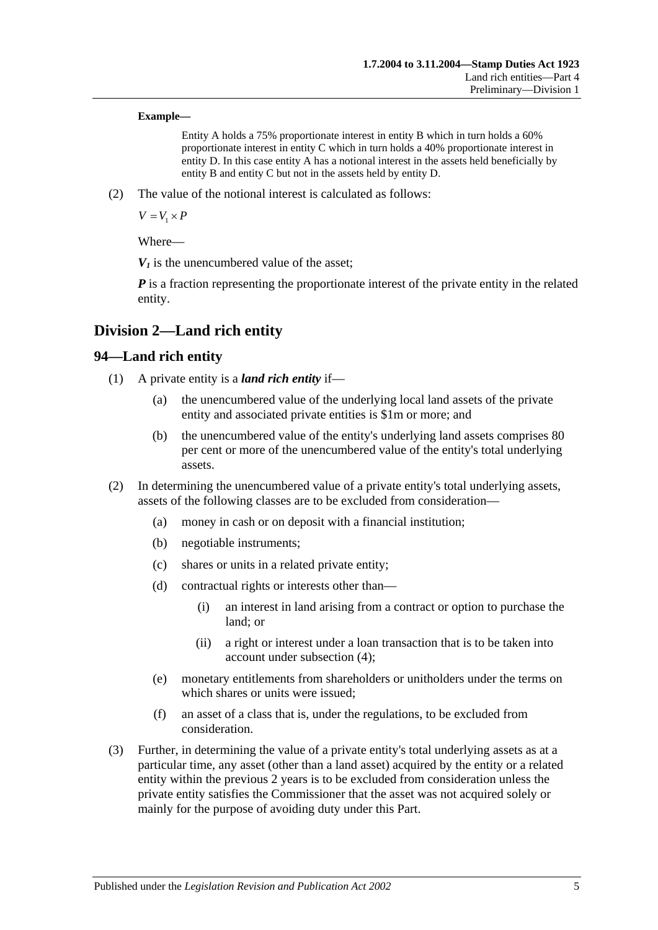#### **Example—**

Entity A holds a 75% proportionate interest in entity B which in turn holds a 60% proportionate interest in entity C which in turn holds a 40% proportionate interest in entity D. In this case entity A has a notional interest in the assets held beneficially by entity B and entity C but not in the assets held by entity D.

(2) The value of the notional interest is calculated as follows:

 $V = V_1 \times P$ 

Where—

 $V_1$  is the unencumbered value of the asset:

*P* is a fraction representing the proportionate interest of the private entity in the related entity.

# **Division 2—Land rich entity**

## **94—Land rich entity**

- (1) A private entity is a *land rich entity* if—
	- (a) the unencumbered value of the underlying local land assets of the private entity and associated private entities is \$1m or more; and
	- (b) the unencumbered value of the entity's underlying land assets comprises 80 per cent or more of the unencumbered value of the entity's total underlying assets.
- (2) In determining the unencumbered value of a private entity's total underlying assets, assets of the following classes are to be excluded from consideration—
	- (a) money in cash or on deposit with a financial institution;
	- (b) negotiable instruments;
	- (c) shares or units in a related private entity;
	- (d) contractual rights or interests other than—
		- (i) an interest in land arising from a contract or option to purchase the land; or
		- (ii) a right or interest under a loan transaction that is to be taken into account under [subsection](#page-89-0) (4);
	- (e) monetary entitlements from shareholders or unitholders under the terms on which shares or units were issued;
	- (f) an asset of a class that is, under the regulations, to be excluded from consideration.
- <span id="page-88-0"></span>(3) Further, in determining the value of a private entity's total underlying assets as at a particular time, any asset (other than a land asset) acquired by the entity or a related entity within the previous 2 years is to be excluded from consideration unless the private entity satisfies the Commissioner that the asset was not acquired solely or mainly for the purpose of avoiding duty under this Part.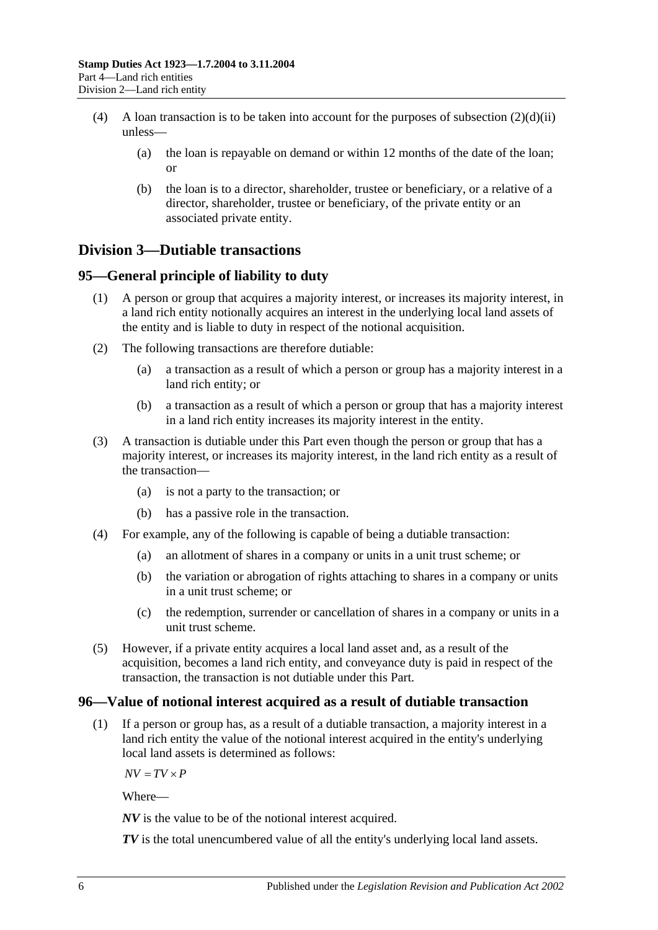- <span id="page-89-0"></span>(4) A loan transaction is to be taken into account for the purposes of [subsection](#page-88-0)  $(2)(d)(ii)$ unless—
	- (a) the loan is repayable on demand or within 12 months of the date of the loan; or
	- (b) the loan is to a director, shareholder, trustee or beneficiary, or a relative of a director, shareholder, trustee or beneficiary, of the private entity or an associated private entity.

# **Division 3—Dutiable transactions**

# **95—General principle of liability to duty**

- (1) A person or group that acquires a majority interest, or increases its majority interest, in a land rich entity notionally acquires an interest in the underlying local land assets of the entity and is liable to duty in respect of the notional acquisition.
- (2) The following transactions are therefore dutiable:
	- (a) a transaction as a result of which a person or group has a majority interest in a land rich entity; or
	- (b) a transaction as a result of which a person or group that has a majority interest in a land rich entity increases its majority interest in the entity.
- (3) A transaction is dutiable under this Part even though the person or group that has a majority interest, or increases its majority interest, in the land rich entity as a result of the transaction—
	- (a) is not a party to the transaction; or
	- (b) has a passive role in the transaction.
- (4) For example, any of the following is capable of being a dutiable transaction:
	- (a) an allotment of shares in a company or units in a unit trust scheme; or
	- (b) the variation or abrogation of rights attaching to shares in a company or units in a unit trust scheme; or
	- (c) the redemption, surrender or cancellation of shares in a company or units in a unit trust scheme.
- (5) However, if a private entity acquires a local land asset and, as a result of the acquisition, becomes a land rich entity, and conveyance duty is paid in respect of the transaction, the transaction is not dutiable under this Part.

## **96—Value of notional interest acquired as a result of dutiable transaction**

(1) If a person or group has, as a result of a dutiable transaction, a majority interest in a land rich entity the value of the notional interest acquired in the entity's underlying local land assets is determined as follows:

 $\overline{AV} = \overline{TV} \times \overline{P}$ 

Where—

*NV* is the value to be of the notional interest acquired.

*TV* is the total unencumbered value of all the entity's underlying local land assets.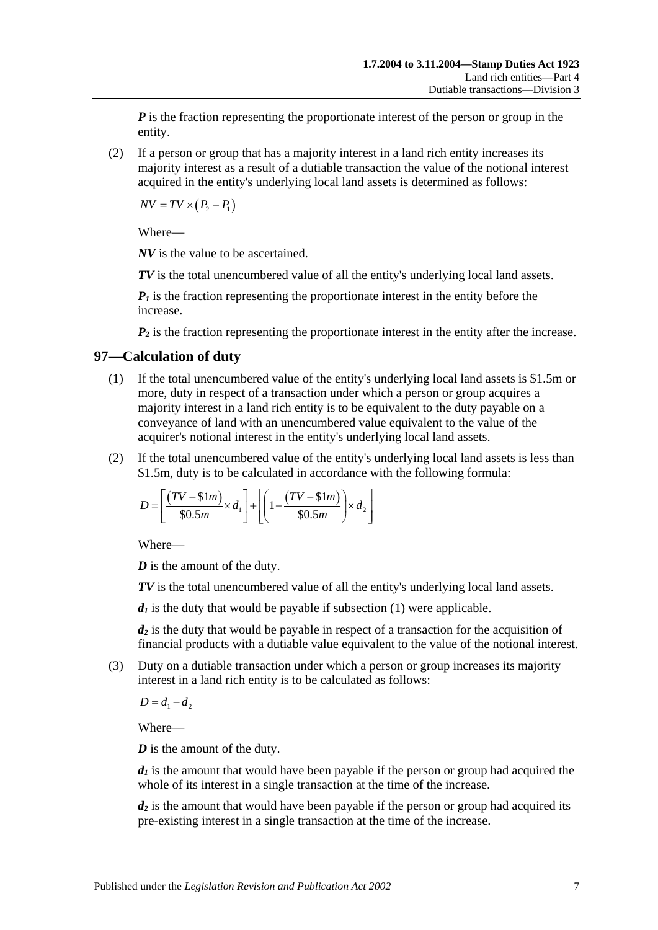*P* is the fraction representing the proportionate interest of the person or group in the entity.

(2) If a person or group that has a majority interest in a land rich entity increases its majority interest as a result of a dutiable transaction the value of the notional interest acquired in the entity's underlying local land assets is determined as follows:

 $\overline{NV} = \overline{TV} \times (P_2 - P_1)$ 

Where—

*NV* is the value to be ascertained.

*TV* is the total unencumbered value of all the entity's underlying local land assets.

 $P_1$  is the fraction representing the proportionate interest in the entity before the increase.

 $P_2$  is the fraction representing the proportionate interest in the entity after the increase.

## <span id="page-90-0"></span>**97—Calculation of duty**

- (1) If the total unencumbered value of the entity's underlying local land assets is \$1.5m or more, duty in respect of a transaction under which a person or group acquires a majority interest in a land rich entity is to be equivalent to the duty payable on a conveyance of land with an unencumbered value equivalent to the value of the acquirer's notional interest in the entity's underlying local land assets.
- (2) If the total unencumbered value of the entity's underlying local land assets is less than \$1.5m, duty is to be calculated in accordance with the following formula:

$$
D = \left[ \frac{(TV - \text{$\$}1m)}{\text{$\$}0.5m} \times d_1 \right] + \left[ \left( 1 - \frac{(TV - \text{$\$}1m)}{\text{$\$}0.5m} \right) \times d_2 \right]
$$

Where—

*D* is the amount of the duty.

*TV* is the total unencumbered value of all the entity's underlying local land assets.

 $d_1$  is the duty that would be payable if [subsection](#page-90-0)  $(1)$  were applicable.

*d2* is the duty that would be payable in respect of a transaction for the acquisition of financial products with a dutiable value equivalent to the value of the notional interest.

(3) Duty on a dutiable transaction under which a person or group increases its majority interest in a land rich entity is to be calculated as follows:

 $D = d_1 - d_2$ 

Where—

*D* is the amount of the duty.

 $d_1$  is the amount that would have been payable if the person or group had acquired the whole of its interest in a single transaction at the time of the increase.

*d<sub>2</sub>* is the amount that would have been payable if the person or group had acquired its pre-existing interest in a single transaction at the time of the increase.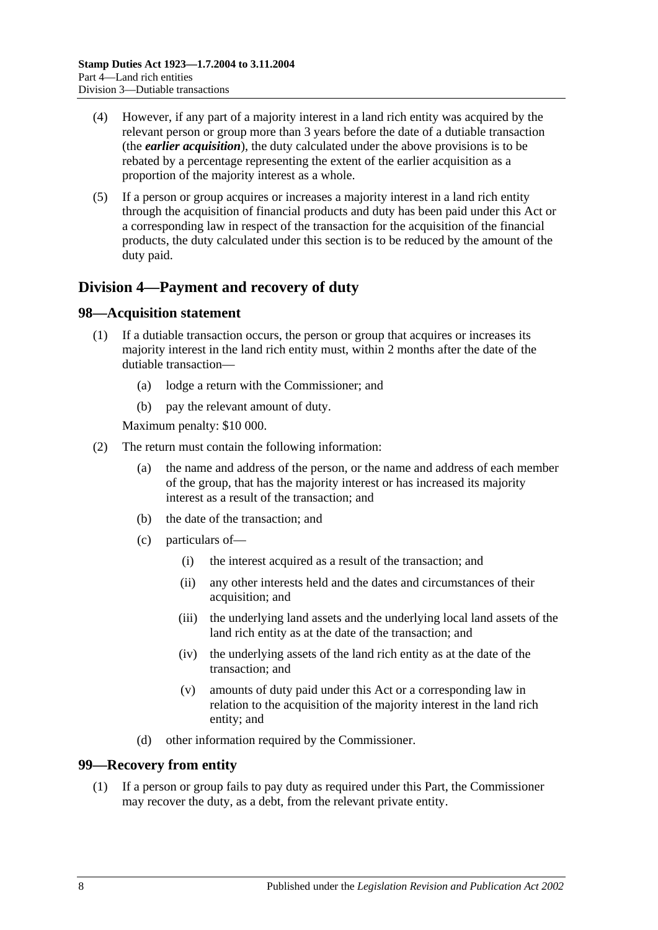- (4) However, if any part of a majority interest in a land rich entity was acquired by the relevant person or group more than 3 years before the date of a dutiable transaction (the *earlier acquisition*), the duty calculated under the above provisions is to be rebated by a percentage representing the extent of the earlier acquisition as a proportion of the majority interest as a whole.
- (5) If a person or group acquires or increases a majority interest in a land rich entity through the acquisition of financial products and duty has been paid under this Act or a corresponding law in respect of the transaction for the acquisition of the financial products, the duty calculated under this section is to be reduced by the amount of the duty paid.

# **Division 4—Payment and recovery of duty**

#### **98—Acquisition statement**

- (1) If a dutiable transaction occurs, the person or group that acquires or increases its majority interest in the land rich entity must, within 2 months after the date of the dutiable transaction—
	- (a) lodge a return with the Commissioner; and
	- (b) pay the relevant amount of duty.

Maximum penalty: \$10 000.

- (2) The return must contain the following information:
	- (a) the name and address of the person, or the name and address of each member of the group, that has the majority interest or has increased its majority interest as a result of the transaction; and
	- (b) the date of the transaction; and
	- (c) particulars of—
		- (i) the interest acquired as a result of the transaction; and
		- (ii) any other interests held and the dates and circumstances of their acquisition; and
		- (iii) the underlying land assets and the underlying local land assets of the land rich entity as at the date of the transaction; and
		- (iv) the underlying assets of the land rich entity as at the date of the transaction; and
		- (v) amounts of duty paid under this Act or a corresponding law in relation to the acquisition of the majority interest in the land rich entity; and
	- (d) other information required by the Commissioner.

#### **99—Recovery from entity**

(1) If a person or group fails to pay duty as required under this Part, the Commissioner may recover the duty, as a debt, from the relevant private entity.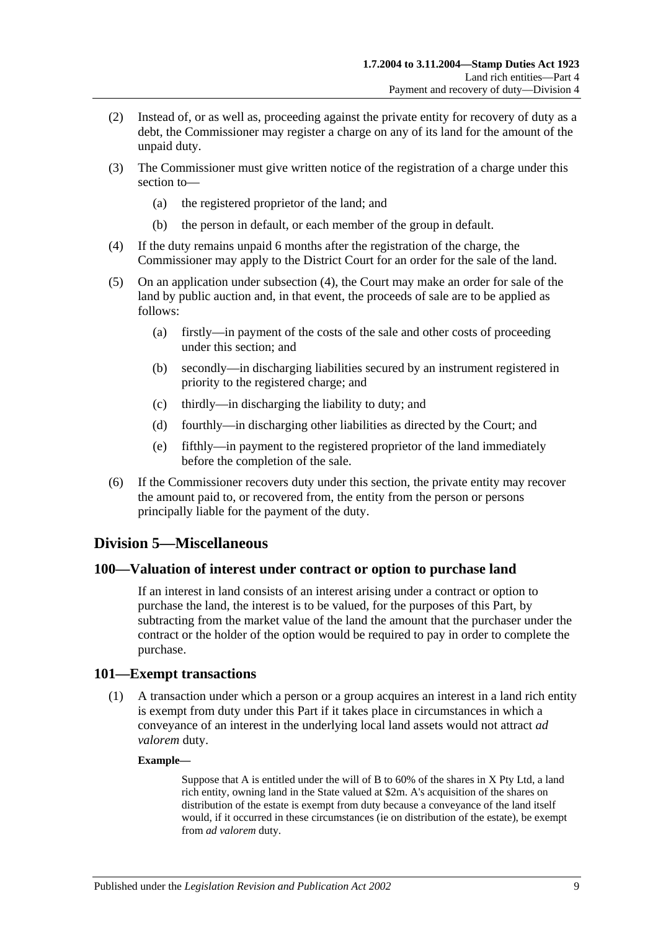- (2) Instead of, or as well as, proceeding against the private entity for recovery of duty as a debt, the Commissioner may register a charge on any of its land for the amount of the unpaid duty.
- (3) The Commissioner must give written notice of the registration of a charge under this section to—
	- (a) the registered proprietor of the land; and
	- (b) the person in default, or each member of the group in default.
- <span id="page-92-0"></span>(4) If the duty remains unpaid 6 months after the registration of the charge, the Commissioner may apply to the District Court for an order for the sale of the land.
- (5) On an application under [subsection](#page-92-0) (4), the Court may make an order for sale of the land by public auction and, in that event, the proceeds of sale are to be applied as follows:
	- (a) firstly—in payment of the costs of the sale and other costs of proceeding under this section; and
	- (b) secondly—in discharging liabilities secured by an instrument registered in priority to the registered charge; and
	- (c) thirdly—in discharging the liability to duty; and
	- (d) fourthly—in discharging other liabilities as directed by the Court; and
	- (e) fifthly—in payment to the registered proprietor of the land immediately before the completion of the sale.
- (6) If the Commissioner recovers duty under this section, the private entity may recover the amount paid to, or recovered from, the entity from the person or persons principally liable for the payment of the duty.

## **Division 5—Miscellaneous**

#### **100—Valuation of interest under contract or option to purchase land**

If an interest in land consists of an interest arising under a contract or option to purchase the land, the interest is to be valued, for the purposes of this Part, by subtracting from the market value of the land the amount that the purchaser under the contract or the holder of the option would be required to pay in order to complete the purchase.

#### **101—Exempt transactions**

(1) A transaction under which a person or a group acquires an interest in a land rich entity is exempt from duty under this Part if it takes place in circumstances in which a conveyance of an interest in the underlying local land assets would not attract *ad valorem* duty.

#### **Example—**

Suppose that A is entitled under the will of B to 60% of the shares in X Pty Ltd, a land rich entity, owning land in the State valued at \$2m. A's acquisition of the shares on distribution of the estate is exempt from duty because a conveyance of the land itself would, if it occurred in these circumstances (ie on distribution of the estate), be exempt from *ad valorem* duty.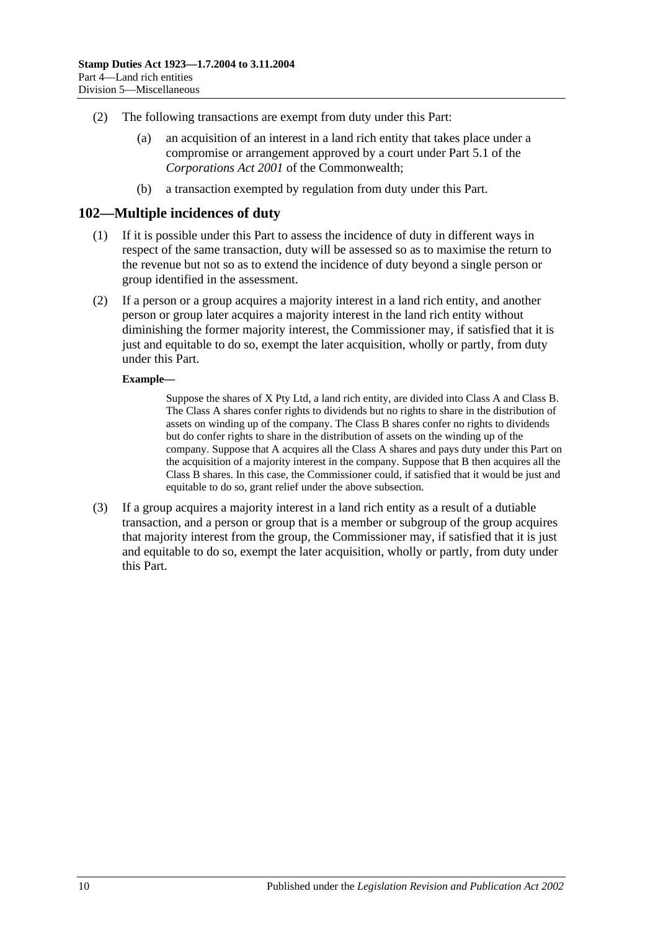- (2) The following transactions are exempt from duty under this Part:
	- (a) an acquisition of an interest in a land rich entity that takes place under a compromise or arrangement approved by a court under Part 5.1 of the *Corporations Act 2001* of the Commonwealth;
	- (b) a transaction exempted by regulation from duty under this Part.

#### **102—Multiple incidences of duty**

- (1) If it is possible under this Part to assess the incidence of duty in different ways in respect of the same transaction, duty will be assessed so as to maximise the return to the revenue but not so as to extend the incidence of duty beyond a single person or group identified in the assessment.
- (2) If a person or a group acquires a majority interest in a land rich entity, and another person or group later acquires a majority interest in the land rich entity without diminishing the former majority interest, the Commissioner may, if satisfied that it is just and equitable to do so, exempt the later acquisition, wholly or partly, from duty under this Part.

#### **Example—**

Suppose the shares of X Pty Ltd, a land rich entity, are divided into Class A and Class B. The Class A shares confer rights to dividends but no rights to share in the distribution of assets on winding up of the company. The Class B shares confer no rights to dividends but do confer rights to share in the distribution of assets on the winding up of the company. Suppose that A acquires all the Class A shares and pays duty under this Part on the acquisition of a majority interest in the company. Suppose that B then acquires all the Class B shares. In this case, the Commissioner could, if satisfied that it would be just and equitable to do so, grant relief under the above subsection.

(3) If a group acquires a majority interest in a land rich entity as a result of a dutiable transaction, and a person or group that is a member or subgroup of the group acquires that majority interest from the group, the Commissioner may, if satisfied that it is just and equitable to do so, exempt the later acquisition, wholly or partly, from duty under this Part.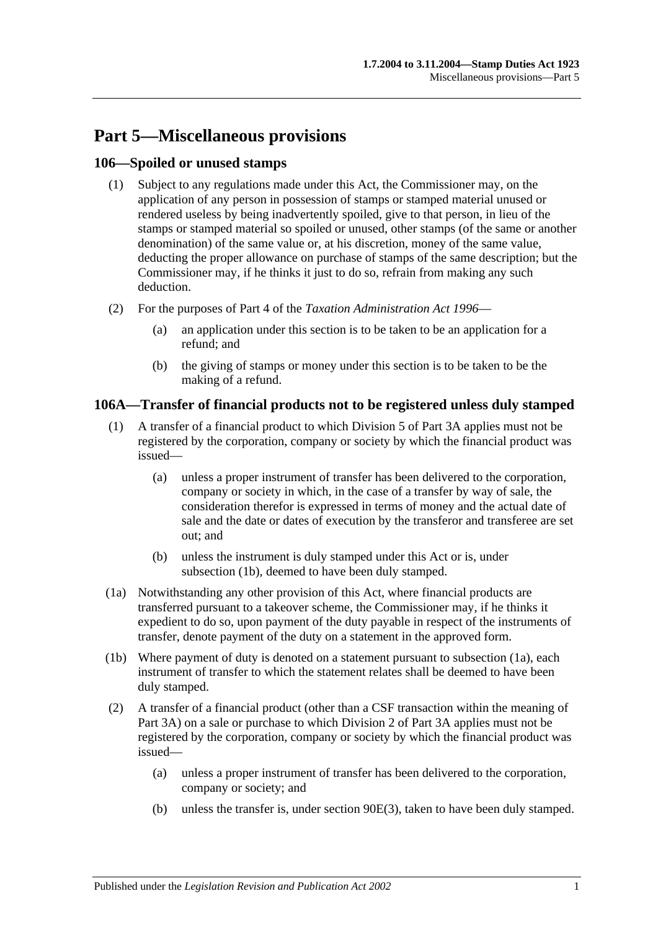# **Part 5—Miscellaneous provisions**

## **106—Spoiled or unused stamps**

- (1) Subject to any regulations made under this Act, the Commissioner may, on the application of any person in possession of stamps or stamped material unused or rendered useless by being inadvertently spoiled, give to that person, in lieu of the stamps or stamped material so spoiled or unused, other stamps (of the same or another denomination) of the same value or, at his discretion, money of the same value, deducting the proper allowance on purchase of stamps of the same description; but the Commissioner may, if he thinks it just to do so, refrain from making any such deduction.
- (2) For the purposes of Part 4 of the *[Taxation Administration Act](http://www.legislation.sa.gov.au/index.aspx?action=legref&type=act&legtitle=Taxation%20Administration%20Act%201996) 1996*
	- (a) an application under this section is to be taken to be an application for a refund; and
	- (b) the giving of stamps or money under this section is to be taken to be the making of a refund.

## **106A—Transfer of financial products not to be registered unless duly stamped**

- (1) A transfer of a financial product to which [Division 5](#page-83-1) of [Part 3A](#page-72-0) applies must not be registered by the corporation, company or society by which the financial product was issued—
	- (a) unless a proper instrument of transfer has been delivered to the corporation, company or society in which, in the case of a transfer by way of sale, the consideration therefor is expressed in terms of money and the actual date of sale and the date or dates of execution by the transferor and transferee are set out; and
	- (b) unless the instrument is duly stamped under this Act or is, under [subsection](#page-94-0) (1b), deemed to have been duly stamped.
- <span id="page-94-1"></span>(1a) Notwithstanding any other provision of this Act, where financial products are transferred pursuant to a takeover scheme, the Commissioner may, if he thinks it expedient to do so, upon payment of the duty payable in respect of the instruments of transfer, denote payment of the duty on a statement in the approved form.
- <span id="page-94-0"></span>(1b) Where payment of duty is denoted on a statement pursuant to [subsection](#page-94-1) (1a), each instrument of transfer to which the statement relates shall be deemed to have been duly stamped.
- (2) A transfer of a financial product (other than a CSF transaction within the meaning of [Part 3A\)](#page-72-0) on a sale or purchase to which [Division 2](#page-74-0) of [Part 3A](#page-72-0) applies must not be registered by the corporation, company or society by which the financial product was issued—
	- (a) unless a proper instrument of transfer has been delivered to the corporation, company or society; and
	- (b) unless the transfer is, under [section](#page-77-0) 90E(3), taken to have been duly stamped.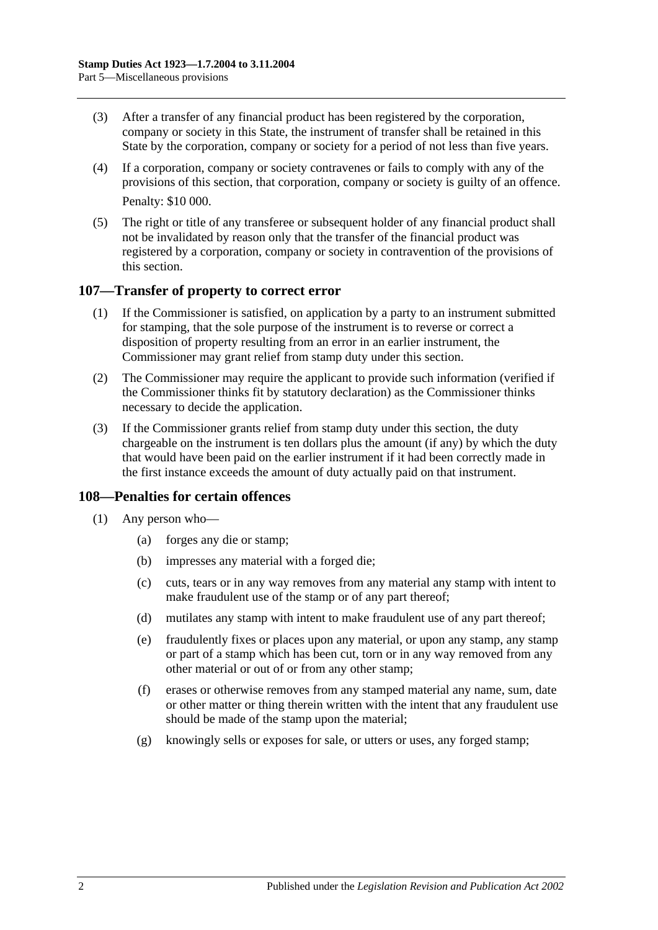- (3) After a transfer of any financial product has been registered by the corporation, company or society in this State, the instrument of transfer shall be retained in this State by the corporation, company or society for a period of not less than five years.
- (4) If a corporation, company or society contravenes or fails to comply with any of the provisions of this section, that corporation, company or society is guilty of an offence. Penalty: \$10 000.
- (5) The right or title of any transferee or subsequent holder of any financial product shall not be invalidated by reason only that the transfer of the financial product was registered by a corporation, company or society in contravention of the provisions of this section.

#### **107—Transfer of property to correct error**

- (1) If the Commissioner is satisfied, on application by a party to an instrument submitted for stamping, that the sole purpose of the instrument is to reverse or correct a disposition of property resulting from an error in an earlier instrument, the Commissioner may grant relief from stamp duty under this section.
- (2) The Commissioner may require the applicant to provide such information (verified if the Commissioner thinks fit by statutory declaration) as the Commissioner thinks necessary to decide the application.
- (3) If the Commissioner grants relief from stamp duty under this section, the duty chargeable on the instrument is ten dollars plus the amount (if any) by which the duty that would have been paid on the earlier instrument if it had been correctly made in the first instance exceeds the amount of duty actually paid on that instrument.

## **108—Penalties for certain offences**

- <span id="page-95-0"></span>(1) Any person who—
	- (a) forges any die or stamp;
	- (b) impresses any material with a forged die;
	- (c) cuts, tears or in any way removes from any material any stamp with intent to make fraudulent use of the stamp or of any part thereof;
	- (d) mutilates any stamp with intent to make fraudulent use of any part thereof;
	- (e) fraudulently fixes or places upon any material, or upon any stamp, any stamp or part of a stamp which has been cut, torn or in any way removed from any other material or out of or from any other stamp;
	- (f) erases or otherwise removes from any stamped material any name, sum, date or other matter or thing therein written with the intent that any fraudulent use should be made of the stamp upon the material;
	- (g) knowingly sells or exposes for sale, or utters or uses, any forged stamp;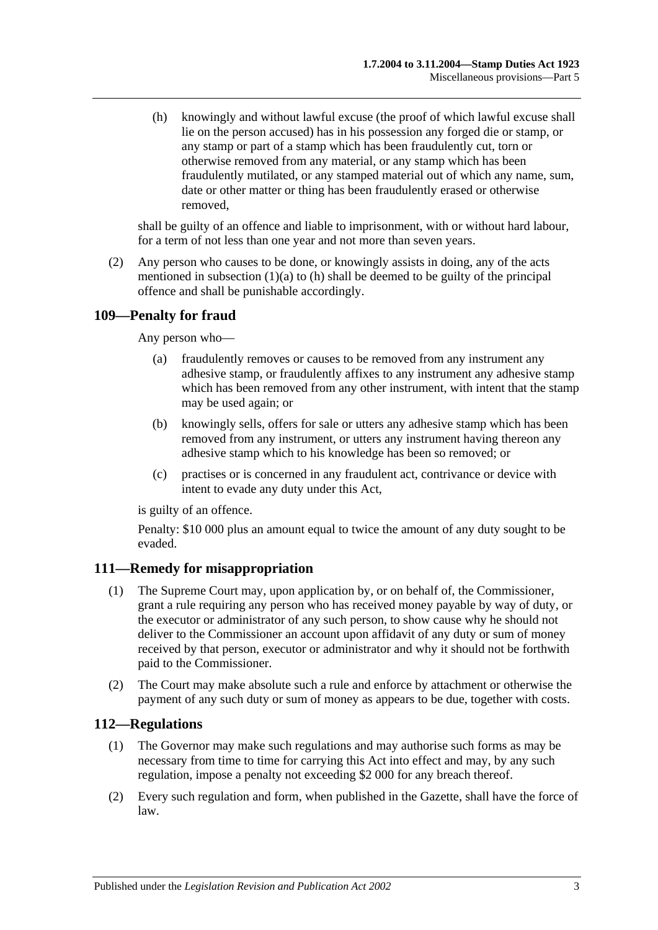<span id="page-96-0"></span>(h) knowingly and without lawful excuse (the proof of which lawful excuse shall lie on the person accused) has in his possession any forged die or stamp, or any stamp or part of a stamp which has been fraudulently cut, torn or otherwise removed from any material, or any stamp which has been fraudulently mutilated, or any stamped material out of which any name, sum, date or other matter or thing has been fraudulently erased or otherwise removed,

shall be guilty of an offence and liable to imprisonment, with or without hard labour, for a term of not less than one year and not more than seven years.

(2) Any person who causes to be done, or knowingly assists in doing, any of the acts mentioned in [subsection](#page-95-0)  $(1)(a)$  to  $(h)$  shall be deemed to be guilty of the principal offence and shall be punishable accordingly.

# **109—Penalty for fraud**

Any person who—

- (a) fraudulently removes or causes to be removed from any instrument any adhesive stamp, or fraudulently affixes to any instrument any adhesive stamp which has been removed from any other instrument, with intent that the stamp may be used again; or
- (b) knowingly sells, offers for sale or utters any adhesive stamp which has been removed from any instrument, or utters any instrument having thereon any adhesive stamp which to his knowledge has been so removed; or
- (c) practises or is concerned in any fraudulent act, contrivance or device with intent to evade any duty under this Act,

is guilty of an offence.

Penalty: \$10 000 plus an amount equal to twice the amount of any duty sought to be evaded.

## **111—Remedy for misappropriation**

- (1) The Supreme Court may, upon application by, or on behalf of, the Commissioner, grant a rule requiring any person who has received money payable by way of duty, or the executor or administrator of any such person, to show cause why he should not deliver to the Commissioner an account upon affidavit of any duty or sum of money received by that person, executor or administrator and why it should not be forthwith paid to the Commissioner.
- (2) The Court may make absolute such a rule and enforce by attachment or otherwise the payment of any such duty or sum of money as appears to be due, together with costs.

## **112—Regulations**

- (1) The Governor may make such regulations and may authorise such forms as may be necessary from time to time for carrying this Act into effect and may, by any such regulation, impose a penalty not exceeding \$2 000 for any breach thereof.
- (2) Every such regulation and form, when published in the Gazette, shall have the force of law.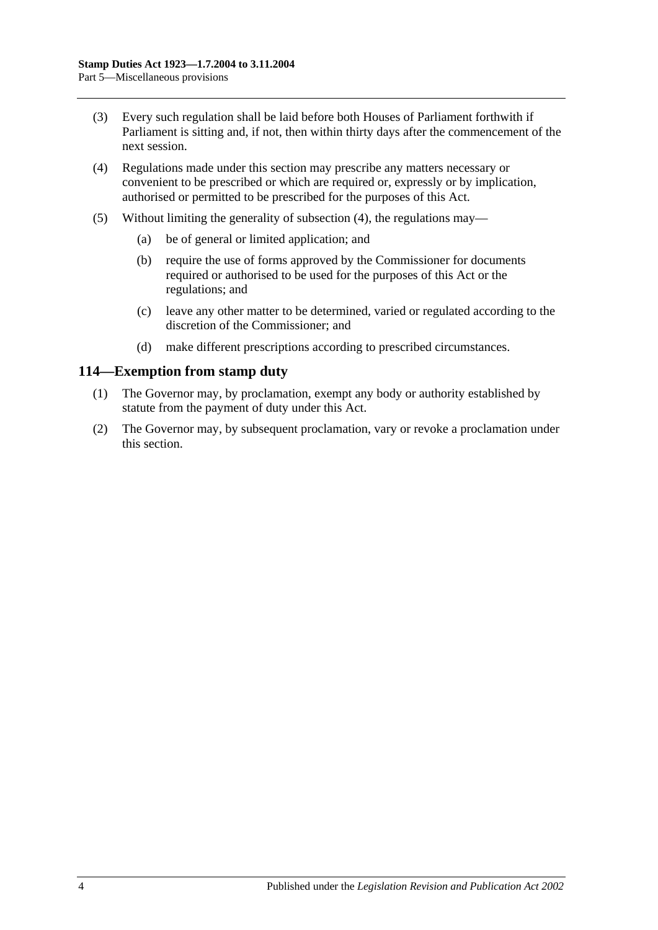- (3) Every such regulation shall be laid before both Houses of Parliament forthwith if Parliament is sitting and, if not, then within thirty days after the commencement of the next session.
- <span id="page-97-0"></span>(4) Regulations made under this section may prescribe any matters necessary or convenient to be prescribed or which are required or, expressly or by implication, authorised or permitted to be prescribed for the purposes of this Act.
- (5) Without limiting the generality of [subsection](#page-97-0) (4), the regulations may—
	- (a) be of general or limited application; and
	- (b) require the use of forms approved by the Commissioner for documents required or authorised to be used for the purposes of this Act or the regulations; and
	- (c) leave any other matter to be determined, varied or regulated according to the discretion of the Commissioner; and
	- (d) make different prescriptions according to prescribed circumstances.

#### **114—Exemption from stamp duty**

- (1) The Governor may, by proclamation, exempt any body or authority established by statute from the payment of duty under this Act.
- (2) The Governor may, by subsequent proclamation, vary or revoke a proclamation under this section.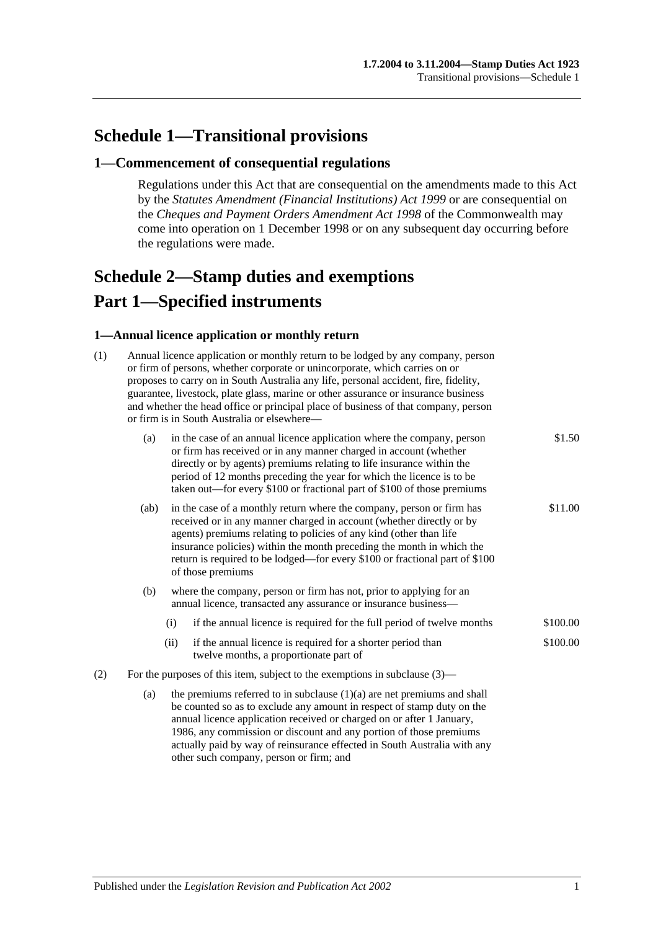# **Schedule 1—Transitional provisions**

#### **1—Commencement of consequential regulations**

Regulations under this Act that are consequential on the amendments made to this Act by the *[Statutes Amendment \(Financial Institutions\) Act](http://www.legislation.sa.gov.au/index.aspx?action=legref&type=act&legtitle=Statutes%20Amendment%20(Financial%20Institutions)%20Act%201999) 1999* or are consequential on the *Cheques and Payment Orders Amendment Act 1998* of the Commonwealth may come into operation on 1 December 1998 or on any subsequent day occurring before the regulations were made.

# <span id="page-98-0"></span>**Schedule 2—Stamp duties and exemptions Part 1—Specified instruments**

#### **1—Annual licence application or monthly return**

| (1) | Annual licence application or monthly return to be lodged by any company, person<br>or firm of persons, whether corporate or unincorporate, which carries on or<br>proposes to carry on in South Australia any life, personal accident, fire, fidelity,<br>guarantee, livestock, plate glass, marine or other assurance or insurance business<br>and whether the head office or principal place of business of that company, person<br>or firm is in South Australia or elsewhere- |                                                                                                                                                                                                                                                                                                                                                                                |                                                                                                                                                                                                                                                                                                                                                                                                  |          |  |
|-----|------------------------------------------------------------------------------------------------------------------------------------------------------------------------------------------------------------------------------------------------------------------------------------------------------------------------------------------------------------------------------------------------------------------------------------------------------------------------------------|--------------------------------------------------------------------------------------------------------------------------------------------------------------------------------------------------------------------------------------------------------------------------------------------------------------------------------------------------------------------------------|--------------------------------------------------------------------------------------------------------------------------------------------------------------------------------------------------------------------------------------------------------------------------------------------------------------------------------------------------------------------------------------------------|----------|--|
|     | (a)                                                                                                                                                                                                                                                                                                                                                                                                                                                                                | in the case of an annual licence application where the company, person<br>or firm has received or in any manner charged in account (whether<br>directly or by agents) premiums relating to life insurance within the<br>period of 12 months preceding the year for which the licence is to be<br>taken out—for every \$100 or fractional part of \$100 of those premiums       |                                                                                                                                                                                                                                                                                                                                                                                                  | \$1.50   |  |
|     | (ab)                                                                                                                                                                                                                                                                                                                                                                                                                                                                               |                                                                                                                                                                                                                                                                                                                                                                                | in the case of a monthly return where the company, person or firm has<br>received or in any manner charged in account (whether directly or by<br>agents) premiums relating to policies of any kind (other than life<br>insurance policies) within the month preceding the month in which the<br>return is required to be lodged—for every \$100 or fractional part of \$100<br>of those premiums | \$11.00  |  |
|     | (b)                                                                                                                                                                                                                                                                                                                                                                                                                                                                                |                                                                                                                                                                                                                                                                                                                                                                                | where the company, person or firm has not, prior to applying for an<br>annual licence, transacted any assurance or insurance business-                                                                                                                                                                                                                                                           |          |  |
|     |                                                                                                                                                                                                                                                                                                                                                                                                                                                                                    | (i)                                                                                                                                                                                                                                                                                                                                                                            | if the annual licence is required for the full period of twelve months                                                                                                                                                                                                                                                                                                                           | \$100.00 |  |
|     |                                                                                                                                                                                                                                                                                                                                                                                                                                                                                    | (ii)                                                                                                                                                                                                                                                                                                                                                                           | if the annual licence is required for a shorter period than<br>twelve months, a proportionate part of                                                                                                                                                                                                                                                                                            | \$100.00 |  |
| (2) | For the purposes of this item, subject to the exemptions in subclause $(3)$ —                                                                                                                                                                                                                                                                                                                                                                                                      |                                                                                                                                                                                                                                                                                                                                                                                |                                                                                                                                                                                                                                                                                                                                                                                                  |          |  |
|     | (a)                                                                                                                                                                                                                                                                                                                                                                                                                                                                                | the premiums referred to in subclause $(1)(a)$ are net premiums and shall<br>be counted so as to exclude any amount in respect of stamp duty on the<br>annual licence application received or charged on or after 1 January,<br>1986, any commission or discount and any portion of those premiums<br>actually paid by way of reinsurance effected in South Australia with any |                                                                                                                                                                                                                                                                                                                                                                                                  |          |  |

other such company, person or firm; and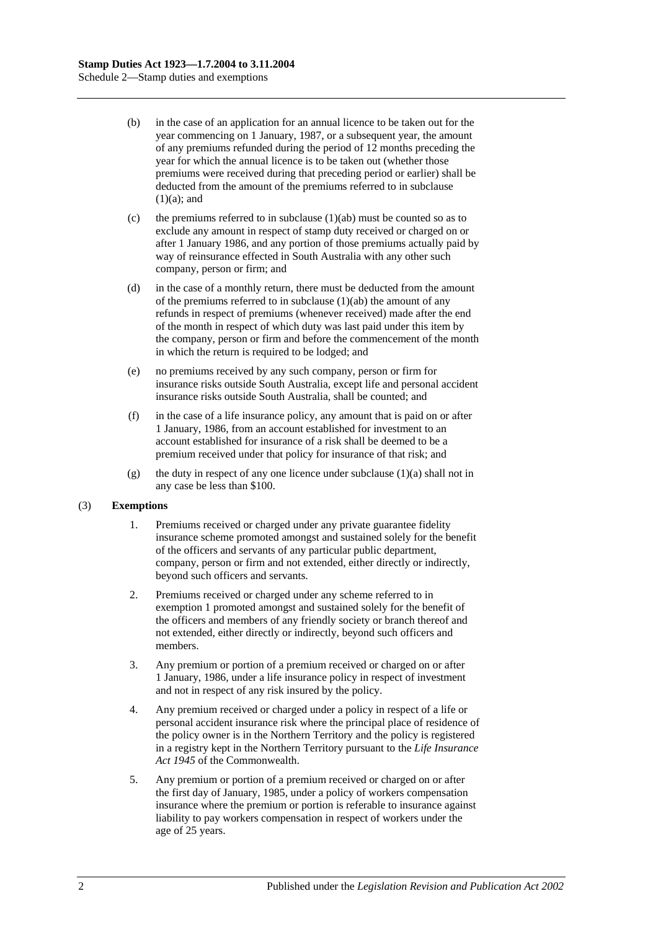- (b) in the case of an application for an annual licence to be taken out for the year commencing on 1 January, 1987, or a subsequent year, the amount of any premiums refunded during the period of 12 months preceding the year for which the annual licence is to be taken out (whether those premiums were received during that preceding period or earlier) shall be deducted from the amount of the premiums referred to in subclause  $(1)(a)$ ; and
- (c) the premiums referred to in subclause  $(1)(ab)$  must be counted so as to exclude any amount in respect of stamp duty received or charged on or after 1 January 1986, and any portion of those premiums actually paid by way of reinsurance effected in South Australia with any other such company, person or firm; and
- (d) in the case of a monthly return, there must be deducted from the amount of the premiums referred to in subclause  $(1)(ab)$  the amount of any refunds in respect of premiums (whenever received) made after the end of the month in respect of which duty was last paid under this item by the company, person or firm and before the commencement of the month in which the return is required to be lodged; and
- (e) no premiums received by any such company, person or firm for insurance risks outside South Australia, except life and personal accident insurance risks outside South Australia, shall be counted; and
- (f) in the case of a life insurance policy, any amount that is paid on or after 1 January, 1986, from an account established for investment to an account established for insurance of a risk shall be deemed to be a premium received under that policy for insurance of that risk; and
- (g) the duty in respect of any one licence under subclause  $(1)(a)$  shall not in any case be less than \$100.

#### (3) **Exemptions**

- 1. Premiums received or charged under any private guarantee fidelity insurance scheme promoted amongst and sustained solely for the benefit of the officers and servants of any particular public department, company, person or firm and not extended, either directly or indirectly, beyond such officers and servants.
- 2. Premiums received or charged under any scheme referred to in exemption 1 promoted amongst and sustained solely for the benefit of the officers and members of any friendly society or branch thereof and not extended, either directly or indirectly, beyond such officers and members.
- 3. Any premium or portion of a premium received or charged on or after 1 January, 1986, under a life insurance policy in respect of investment and not in respect of any risk insured by the policy.
- 4. Any premium received or charged under a policy in respect of a life or personal accident insurance risk where the principal place of residence of the policy owner is in the Northern Territory and the policy is registered in a registry kept in the Northern Territory pursuant to the *Life Insurance Act 1945* of the Commonwealth.
- 5. Any premium or portion of a premium received or charged on or after the first day of January, 1985, under a policy of workers compensation insurance where the premium or portion is referable to insurance against liability to pay workers compensation in respect of workers under the age of 25 years.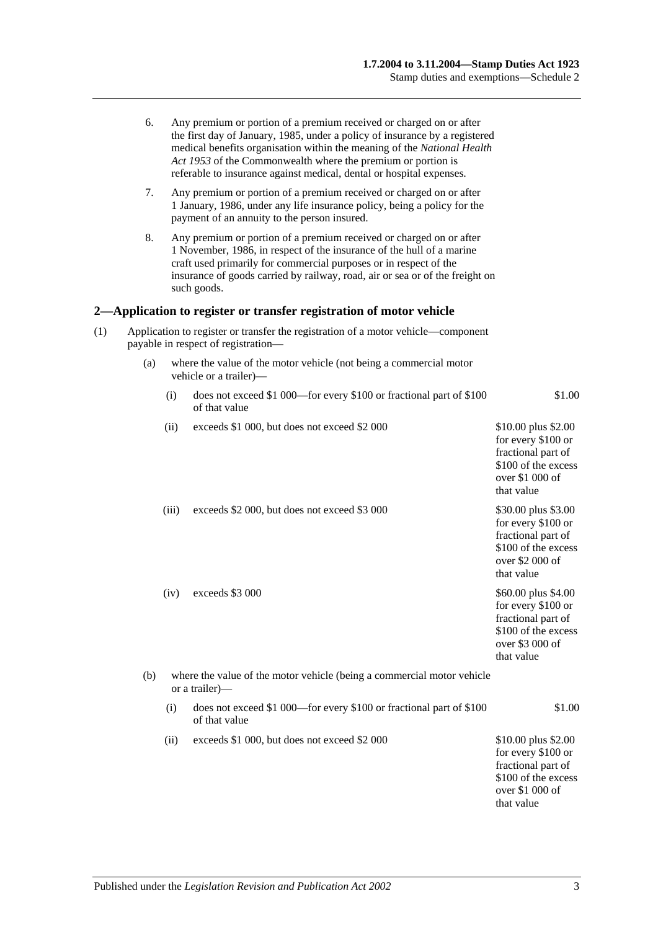|     | 6.                                                                                                                       |       | Any premium or portion of a premium received or charged on or after<br>the first day of January, 1985, under a policy of insurance by a registered<br>medical benefits organisation within the meaning of the National Health<br>Act 1953 of the Commonwealth where the premium or portion is<br>referable to insurance against medical, dental or hospital expenses. |                                                                                                                         |  |  |
|-----|--------------------------------------------------------------------------------------------------------------------------|-------|-----------------------------------------------------------------------------------------------------------------------------------------------------------------------------------------------------------------------------------------------------------------------------------------------------------------------------------------------------------------------|-------------------------------------------------------------------------------------------------------------------------|--|--|
|     | 7.                                                                                                                       |       | Any premium or portion of a premium received or charged on or after<br>1 January, 1986, under any life insurance policy, being a policy for the<br>payment of an annuity to the person insured.                                                                                                                                                                       |                                                                                                                         |  |  |
|     | 8.                                                                                                                       |       | Any premium or portion of a premium received or charged on or after<br>1 November, 1986, in respect of the insurance of the hull of a marine<br>craft used primarily for commercial purposes or in respect of the<br>insurance of goods carried by railway, road, air or sea or of the freight on<br>such goods.                                                      |                                                                                                                         |  |  |
|     |                                                                                                                          |       | 2—Application to register or transfer registration of motor vehicle                                                                                                                                                                                                                                                                                                   |                                                                                                                         |  |  |
| (1) | Application to register or transfer the registration of a motor vehicle—component<br>payable in respect of registration- |       |                                                                                                                                                                                                                                                                                                                                                                       |                                                                                                                         |  |  |
|     | (a)                                                                                                                      |       | where the value of the motor vehicle (not being a commercial motor<br>vehicle or a trailer)-                                                                                                                                                                                                                                                                          |                                                                                                                         |  |  |
|     |                                                                                                                          | (i)   | does not exceed \$1 000—for every \$100 or fractional part of \$100<br>of that value                                                                                                                                                                                                                                                                                  | \$1.00                                                                                                                  |  |  |
|     |                                                                                                                          | (ii)  | exceeds \$1 000, but does not exceed \$2 000                                                                                                                                                                                                                                                                                                                          | \$10.00 plus \$2.00<br>for every \$100 or<br>fractional part of<br>\$100 of the excess<br>over \$1 000 of<br>that value |  |  |
|     |                                                                                                                          | (iii) | exceeds \$2 000, but does not exceed \$3 000                                                                                                                                                                                                                                                                                                                          | \$30.00 plus \$3.00<br>for every \$100 or<br>fractional part of<br>\$100 of the excess<br>over \$2 000 of<br>that value |  |  |
|     |                                                                                                                          | (iv)  | exceeds \$3 000                                                                                                                                                                                                                                                                                                                                                       | \$60.00 plus \$4.00<br>for every \$100 or<br>fractional part of<br>\$100 of the excess<br>over \$3 000 of<br>that value |  |  |
|     | (b)                                                                                                                      |       | where the value of the motor vehicle (being a commercial motor vehicle<br>or a trailer)-                                                                                                                                                                                                                                                                              |                                                                                                                         |  |  |
|     |                                                                                                                          | (i)   | does not exceed \$1 000—for every \$100 or fractional part of \$100<br>of that value                                                                                                                                                                                                                                                                                  | \$1.00                                                                                                                  |  |  |
|     |                                                                                                                          | (ii)  | exceeds \$1 000, but does not exceed \$2 000                                                                                                                                                                                                                                                                                                                          | \$10.00 plus \$2.00<br>for every \$100 or<br>fractional part of<br>\$100 of the excess<br>over \$1 000 of<br>that value |  |  |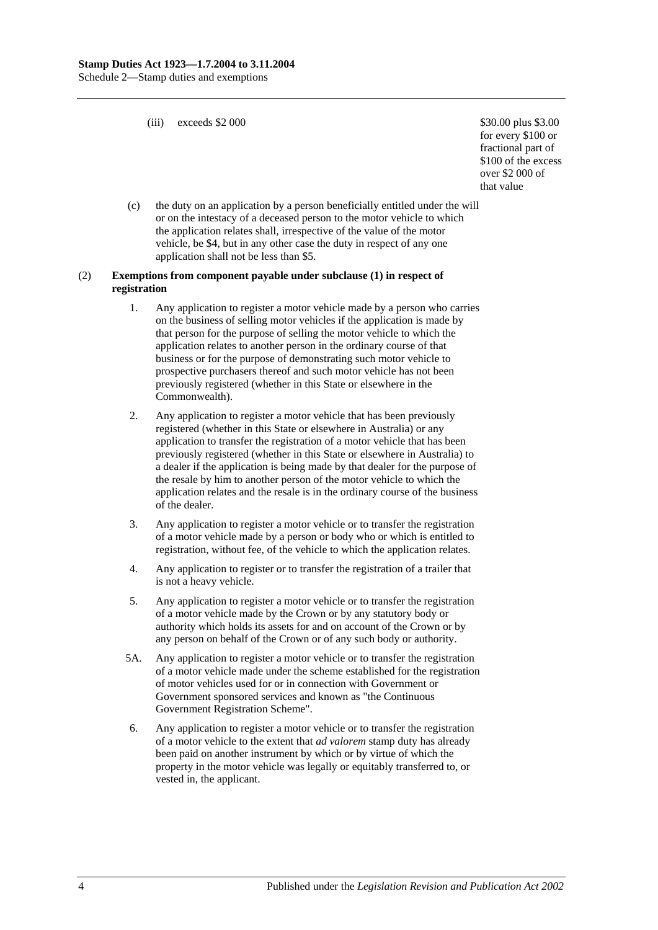(iii) exceeds  $$2\,000$   $$30.00 \text{ plus } $3.00$ 

for every \$100 or fractional part of \$100 of the excess over \$2 000 of that value

(c) the duty on an application by a person beneficially entitled under the will or on the intestacy of a deceased person to the motor vehicle to which the application relates shall, irrespective of the value of the motor vehicle, be \$4, but in any other case the duty in respect of any one application shall not be less than \$5.

#### (2) **Exemptions from component payable under subclause (1) in respect of registration**

- 1. Any application to register a motor vehicle made by a person who carries on the business of selling motor vehicles if the application is made by that person for the purpose of selling the motor vehicle to which the application relates to another person in the ordinary course of that business or for the purpose of demonstrating such motor vehicle to prospective purchasers thereof and such motor vehicle has not been previously registered (whether in this State or elsewhere in the Commonwealth).
- 2. Any application to register a motor vehicle that has been previously registered (whether in this State or elsewhere in Australia) or any application to transfer the registration of a motor vehicle that has been previously registered (whether in this State or elsewhere in Australia) to a dealer if the application is being made by that dealer for the purpose of the resale by him to another person of the motor vehicle to which the application relates and the resale is in the ordinary course of the business of the dealer.
- 3. Any application to register a motor vehicle or to transfer the registration of a motor vehicle made by a person or body who or which is entitled to registration, without fee, of the vehicle to which the application relates.
- 4. Any application to register or to transfer the registration of a trailer that is not a heavy vehicle.
- 5. Any application to register a motor vehicle or to transfer the registration of a motor vehicle made by the Crown or by any statutory body or authority which holds its assets for and on account of the Crown or by any person on behalf of the Crown or of any such body or authority.
- 5A. Any application to register a motor vehicle or to transfer the registration of a motor vehicle made under the scheme established for the registration of motor vehicles used for or in connection with Government or Government sponsored services and known as "the Continuous Government Registration Scheme".
- 6. Any application to register a motor vehicle or to transfer the registration of a motor vehicle to the extent that *ad valorem* stamp duty has already been paid on another instrument by which or by virtue of which the property in the motor vehicle was legally or equitably transferred to, or vested in, the applicant.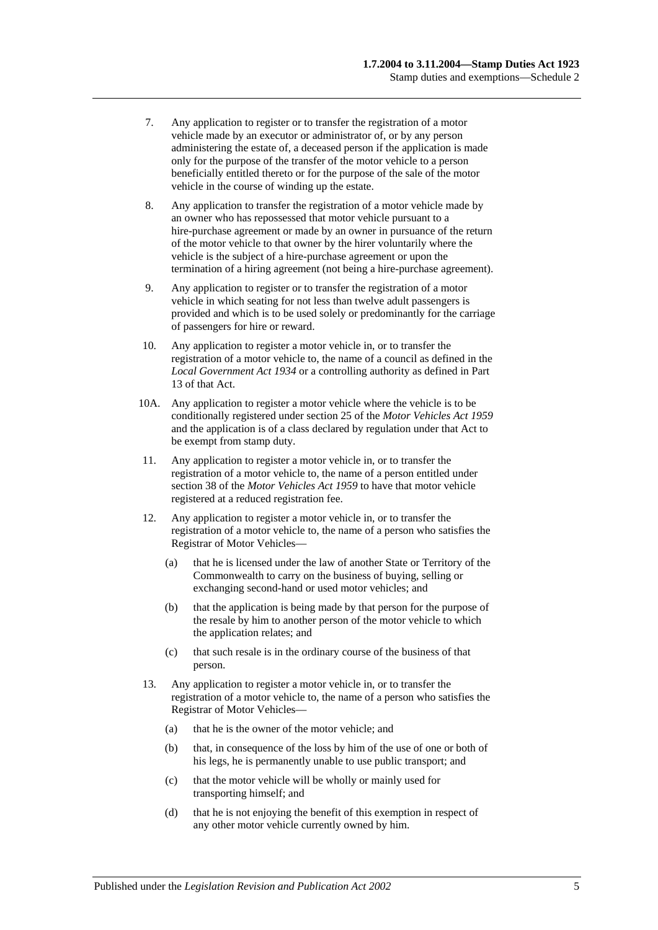- 7. Any application to register or to transfer the registration of a motor vehicle made by an executor or administrator of, or by any person administering the estate of, a deceased person if the application is made only for the purpose of the transfer of the motor vehicle to a person beneficially entitled thereto or for the purpose of the sale of the motor vehicle in the course of winding up the estate.
- 8. Any application to transfer the registration of a motor vehicle made by an owner who has repossessed that motor vehicle pursuant to a hire-purchase agreement or made by an owner in pursuance of the return of the motor vehicle to that owner by the hirer voluntarily where the vehicle is the subject of a hire-purchase agreement or upon the termination of a hiring agreement (not being a hire-purchase agreement).
- 9. Any application to register or to transfer the registration of a motor vehicle in which seating for not less than twelve adult passengers is provided and which is to be used solely or predominantly for the carriage of passengers for hire or reward.
- 10. Any application to register a motor vehicle in, or to transfer the registration of a motor vehicle to, the name of a council as defined in the *[Local Government Act](http://www.legislation.sa.gov.au/index.aspx?action=legref&type=act&legtitle=Local%20Government%20Act%201934) 1934* or a controlling authority as defined in Part 13 of that Act.
- 10A. Any application to register a motor vehicle where the vehicle is to be conditionally registered under section 25 of the *[Motor Vehicles Act](http://www.legislation.sa.gov.au/index.aspx?action=legref&type=act&legtitle=Motor%20Vehicles%20Act%201959) 1959* and the application is of a class declared by regulation under that Act to be exempt from stamp duty.
- 11. Any application to register a motor vehicle in, or to transfer the registration of a motor vehicle to, the name of a person entitled under section 38 of the *[Motor Vehicles Act](http://www.legislation.sa.gov.au/index.aspx?action=legref&type=act&legtitle=Motor%20Vehicles%20Act%201959) 1959* to have that motor vehicle registered at a reduced registration fee.
- 12. Any application to register a motor vehicle in, or to transfer the registration of a motor vehicle to, the name of a person who satisfies the Registrar of Motor Vehicles—
	- (a) that he is licensed under the law of another State or Territory of the Commonwealth to carry on the business of buying, selling or exchanging second-hand or used motor vehicles; and
	- (b) that the application is being made by that person for the purpose of the resale by him to another person of the motor vehicle to which the application relates; and
	- (c) that such resale is in the ordinary course of the business of that person.
- 13. Any application to register a motor vehicle in, or to transfer the registration of a motor vehicle to, the name of a person who satisfies the Registrar of Motor Vehicles—
	- (a) that he is the owner of the motor vehicle; and
	- (b) that, in consequence of the loss by him of the use of one or both of his legs, he is permanently unable to use public transport; and
	- (c) that the motor vehicle will be wholly or mainly used for transporting himself; and
	- (d) that he is not enjoying the benefit of this exemption in respect of any other motor vehicle currently owned by him.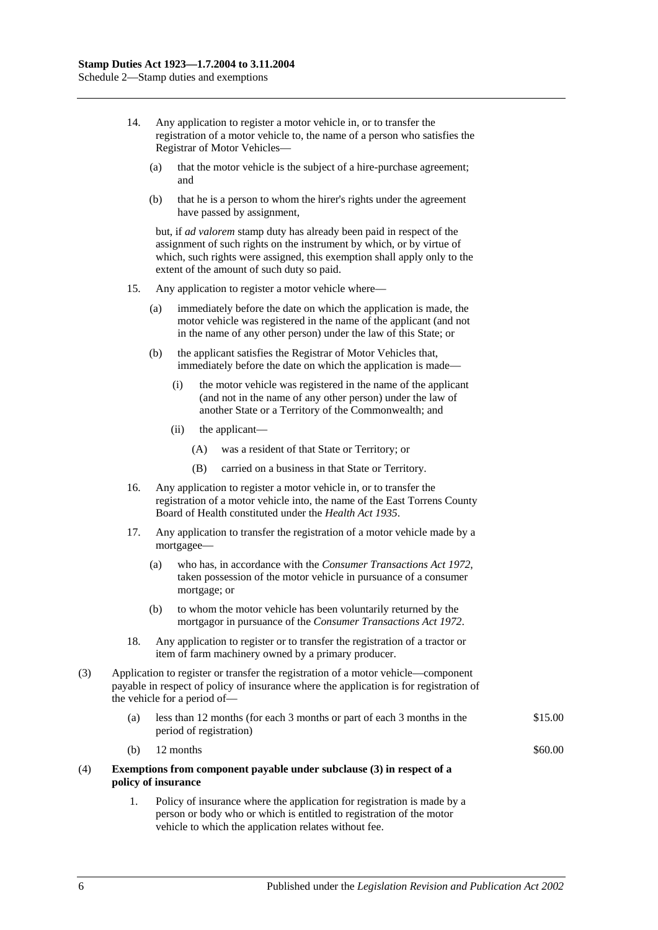- 14. Any application to register a motor vehicle in, or to transfer the registration of a motor vehicle to, the name of a person who satisfies the Registrar of Motor Vehicles—
	- (a) that the motor vehicle is the subject of a hire-purchase agreement; and
	- (b) that he is a person to whom the hirer's rights under the agreement have passed by assignment,

but, if *ad valorem* stamp duty has already been paid in respect of the assignment of such rights on the instrument by which, or by virtue of which, such rights were assigned, this exemption shall apply only to the extent of the amount of such duty so paid.

- 15. Any application to register a motor vehicle where—
	- (a) immediately before the date on which the application is made, the motor vehicle was registered in the name of the applicant (and not in the name of any other person) under the law of this State; or
	- (b) the applicant satisfies the Registrar of Motor Vehicles that, immediately before the date on which the application is made—
		- (i) the motor vehicle was registered in the name of the applicant (and not in the name of any other person) under the law of another State or a Territory of the Commonwealth; and
		- (ii) the applicant—
			- (A) was a resident of that State or Territory; or
			- (B) carried on a business in that State or Territory.
- 16. Any application to register a motor vehicle in, or to transfer the registration of a motor vehicle into, the name of the East Torrens County Board of Health constituted under the *[Health Act](http://www.legislation.sa.gov.au/index.aspx?action=legref&type=act&legtitle=Health%20Act%201935) 1935*.
- 17. Any application to transfer the registration of a motor vehicle made by a mortgagee—
	- (a) who has, in accordance with the *[Consumer Transactions Act](http://www.legislation.sa.gov.au/index.aspx?action=legref&type=act&legtitle=Consumer%20Transactions%20Act%201972) 1972*, taken possession of the motor vehicle in pursuance of a consumer mortgage; or
	- (b) to whom the motor vehicle has been voluntarily returned by the mortgagor in pursuance of the *[Consumer Transactions Act](http://www.legislation.sa.gov.au/index.aspx?action=legref&type=act&legtitle=Consumer%20Transactions%20Act%201972) 1972*.
- 18. Any application to register or to transfer the registration of a tractor or item of farm machinery owned by a primary producer.
- (3) Application to register or transfer the registration of a motor vehicle—component payable in respect of policy of insurance where the application is for registration of the vehicle for a period of—
	- (a) less than 12 months (for each 3 months or part of each 3 months in the period of registration) \$15.00
	- (b)  $12$  months  $\$60.00$

#### (4) **Exemptions from component payable under subclause (3) in respect of a policy of insurance**

1. Policy of insurance where the application for registration is made by a person or body who or which is entitled to registration of the motor vehicle to which the application relates without fee.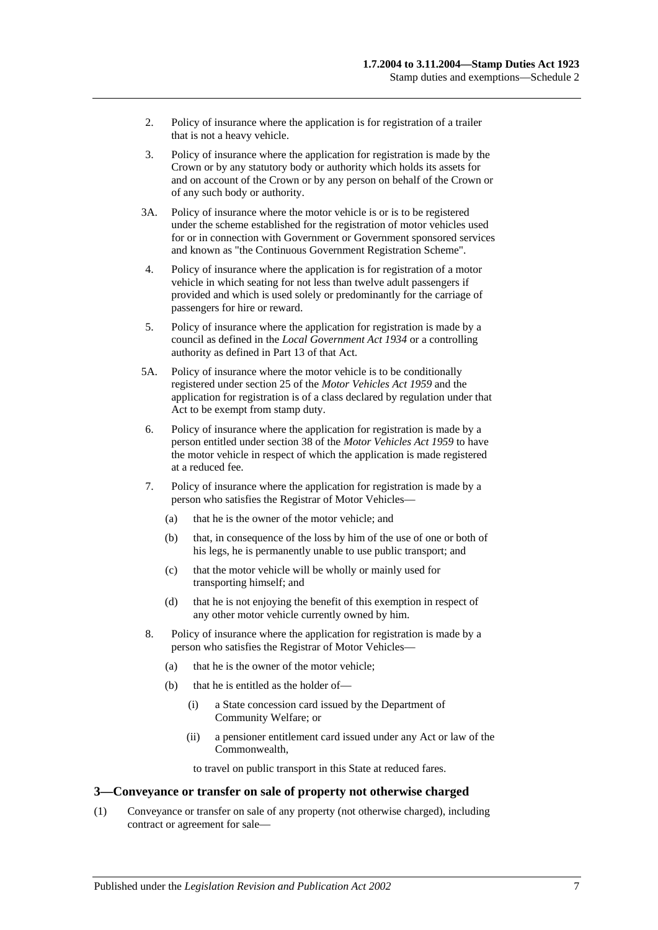- 2. Policy of insurance where the application is for registration of a trailer that is not a heavy vehicle.
- 3. Policy of insurance where the application for registration is made by the Crown or by any statutory body or authority which holds its assets for and on account of the Crown or by any person on behalf of the Crown or of any such body or authority.
- 3A. Policy of insurance where the motor vehicle is or is to be registered under the scheme established for the registration of motor vehicles used for or in connection with Government or Government sponsored services and known as "the Continuous Government Registration Scheme".
- 4. Policy of insurance where the application is for registration of a motor vehicle in which seating for not less than twelve adult passengers if provided and which is used solely or predominantly for the carriage of passengers for hire or reward.
- 5. Policy of insurance where the application for registration is made by a council as defined in the *[Local Government Act](http://www.legislation.sa.gov.au/index.aspx?action=legref&type=act&legtitle=Local%20Government%20Act%201934) 1934* or a controlling authority as defined in Part 13 of that Act.
- 5A. Policy of insurance where the motor vehicle is to be conditionally registered under section 25 of the *[Motor Vehicles Act](http://www.legislation.sa.gov.au/index.aspx?action=legref&type=act&legtitle=Motor%20Vehicles%20Act%201959) 1959* and the application for registration is of a class declared by regulation under that Act to be exempt from stamp duty.
- 6. Policy of insurance where the application for registration is made by a person entitled under section 38 of the *[Motor Vehicles Act](http://www.legislation.sa.gov.au/index.aspx?action=legref&type=act&legtitle=Motor%20Vehicles%20Act%201959) 1959* to have the motor vehicle in respect of which the application is made registered at a reduced fee.
- 7. Policy of insurance where the application for registration is made by a person who satisfies the Registrar of Motor Vehicles—
	- (a) that he is the owner of the motor vehicle; and
	- (b) that, in consequence of the loss by him of the use of one or both of his legs, he is permanently unable to use public transport; and
	- (c) that the motor vehicle will be wholly or mainly used for transporting himself; and
	- (d) that he is not enjoying the benefit of this exemption in respect of any other motor vehicle currently owned by him.
- 8. Policy of insurance where the application for registration is made by a person who satisfies the Registrar of Motor Vehicles—
	- (a) that he is the owner of the motor vehicle;
	- (b) that he is entitled as the holder of—
		- (i) a State concession card issued by the Department of Community Welfare; or
		- (ii) a pensioner entitlement card issued under any Act or law of the Commonwealth,

to travel on public transport in this State at reduced fares.

#### **3—Conveyance or transfer on sale of property not otherwise charged**

(1) Conveyance or transfer on sale of any property (not otherwise charged), including contract or agreement for sale—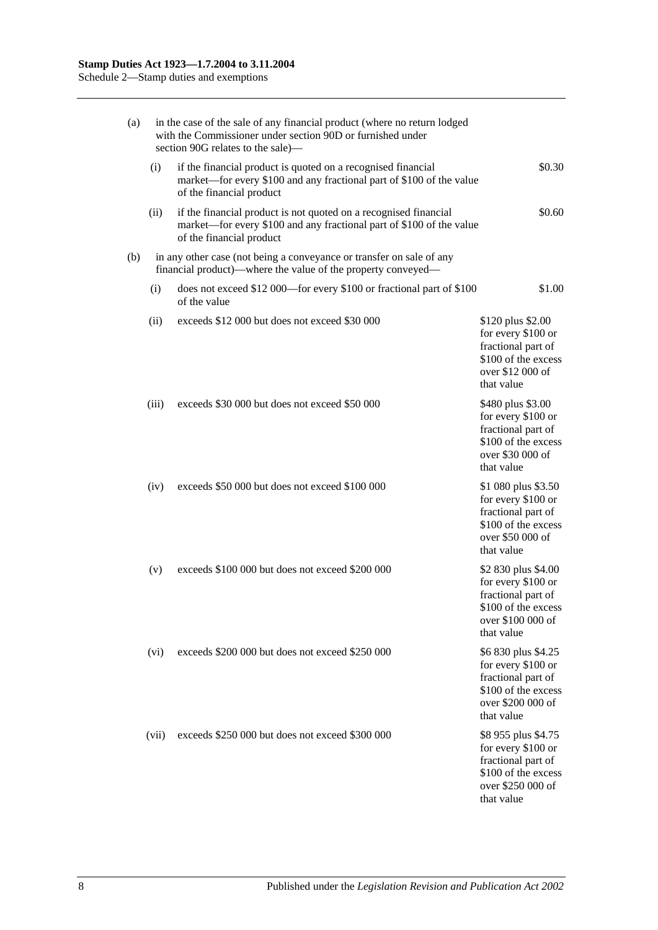|  | (a) | in the case of the sale of any financial product (where no return lodged<br>with the Commissioner under section 90D or furnished under<br>section 90G relates to the sale)— |                                                                                                                                                                      |                                                                                                                           |  |  |  |
|--|-----|-----------------------------------------------------------------------------------------------------------------------------------------------------------------------------|----------------------------------------------------------------------------------------------------------------------------------------------------------------------|---------------------------------------------------------------------------------------------------------------------------|--|--|--|
|  |     | (i)                                                                                                                                                                         | if the financial product is quoted on a recognised financial<br>market—for every \$100 and any fractional part of \$100 of the value<br>of the financial product     | \$0.30                                                                                                                    |  |  |  |
|  |     | (ii)                                                                                                                                                                        | if the financial product is not quoted on a recognised financial<br>market—for every \$100 and any fractional part of \$100 of the value<br>of the financial product | \$0.60                                                                                                                    |  |  |  |
|  | (b) | in any other case (not being a conveyance or transfer on sale of any<br>financial product)—where the value of the property conveyed—                                        |                                                                                                                                                                      |                                                                                                                           |  |  |  |
|  |     | (i)                                                                                                                                                                         | does not exceed \$12 000—for every \$100 or fractional part of \$100<br>of the value                                                                                 | \$1.00                                                                                                                    |  |  |  |
|  |     | (ii)                                                                                                                                                                        | exceeds \$12 000 but does not exceed \$30 000                                                                                                                        | \$120 plus \$2.00<br>for every \$100 or<br>fractional part of<br>\$100 of the excess<br>over \$12 000 of<br>that value    |  |  |  |
|  |     | (iii)                                                                                                                                                                       | exceeds \$30 000 but does not exceed \$50 000                                                                                                                        | \$480 plus \$3.00<br>for every \$100 or<br>fractional part of<br>\$100 of the excess<br>over \$30 000 of<br>that value    |  |  |  |
|  |     | (iv)                                                                                                                                                                        | exceeds \$50 000 but does not exceed \$100 000                                                                                                                       | \$1 080 plus \$3.50<br>for every \$100 or<br>fractional part of<br>\$100 of the excess<br>over \$50 000 of<br>that value  |  |  |  |
|  |     | (v)                                                                                                                                                                         | exceeds \$100 000 but does not exceed \$200 000                                                                                                                      | \$2 830 plus \$4.00<br>for every \$100 or<br>fractional part of<br>\$100 of the excess<br>over \$100 000 of<br>that value |  |  |  |
|  |     | (vi)                                                                                                                                                                        | exceeds \$200 000 but does not exceed \$250 000                                                                                                                      | \$6 830 plus \$4.25<br>for every \$100 or<br>fractional part of<br>\$100 of the excess<br>over \$200 000 of<br>that value |  |  |  |
|  |     | (vii)                                                                                                                                                                       | exceeds \$250 000 but does not exceed \$300 000                                                                                                                      | \$8 955 plus \$4.75<br>for every \$100 or<br>fractional part of<br>\$100 of the excess<br>over \$250 000 of<br>that value |  |  |  |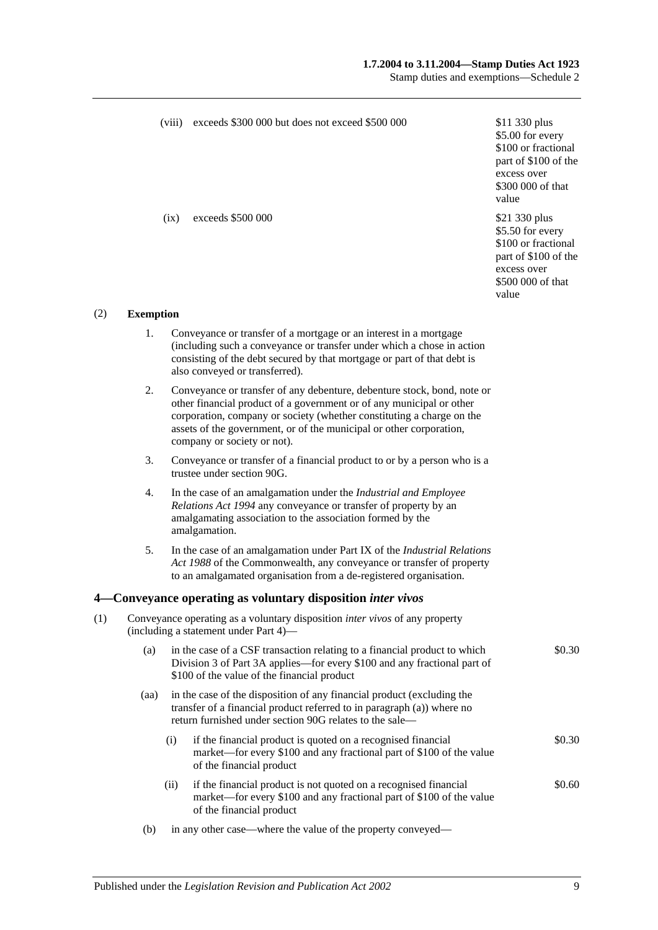#### **1.7.2004 to 3.11.2004—Stamp Duties Act 1923**

Stamp duties and exemptions—Schedule 2

|     |                                                                                                                             | (viii) | exceeds \$300 000 but does not exceed \$500 000                                                                                                                                                                                                                                                                                | \$11 330 plus<br>\$5.00 for every<br>\$100 or fractional<br>part of \$100 of the<br>excess over<br>\$300 000 of that<br>value |  |
|-----|-----------------------------------------------------------------------------------------------------------------------------|--------|--------------------------------------------------------------------------------------------------------------------------------------------------------------------------------------------------------------------------------------------------------------------------------------------------------------------------------|-------------------------------------------------------------------------------------------------------------------------------|--|
|     |                                                                                                                             | (ix)   | exceeds \$500 000                                                                                                                                                                                                                                                                                                              | \$21 330 plus<br>\$5.50 for every<br>\$100 or fractional<br>part of \$100 of the<br>excess over<br>\$500 000 of that<br>value |  |
| (2) | <b>Exemption</b>                                                                                                            |        |                                                                                                                                                                                                                                                                                                                                |                                                                                                                               |  |
|     | 1.                                                                                                                          |        | Conveyance or transfer of a mortgage or an interest in a mortgage<br>(including such a conveyance or transfer under which a chose in action<br>consisting of the debt secured by that mortgage or part of that debt is<br>also conveyed or transferred).                                                                       |                                                                                                                               |  |
|     | 2.                                                                                                                          |        | Conveyance or transfer of any debenture, debenture stock, bond, note or<br>other financial product of a government or of any municipal or other<br>corporation, company or society (whether constituting a charge on the<br>assets of the government, or of the municipal or other corporation,<br>company or society or not). |                                                                                                                               |  |
|     | 3.                                                                                                                          |        | Conveyance or transfer of a financial product to or by a person who is a<br>trustee under section 90G.                                                                                                                                                                                                                         |                                                                                                                               |  |
|     | 4.                                                                                                                          |        | In the case of an amalgamation under the Industrial and Employee<br>Relations Act 1994 any conveyance or transfer of property by an<br>amalgamating association to the association formed by the<br>amalgamation.                                                                                                              |                                                                                                                               |  |
|     | 5.                                                                                                                          |        | In the case of an amalgamation under Part IX of the Industrial Relations<br>Act 1988 of the Commonwealth, any conveyance or transfer of property<br>to an amalgamated organisation from a de-registered organisation.                                                                                                          |                                                                                                                               |  |
|     |                                                                                                                             |        | 4 Conveyance operating as voluntary disposition inter vivos                                                                                                                                                                                                                                                                    |                                                                                                                               |  |
| (1) | Conveyance operating as a voluntary disposition <i>inter vivos</i> of any property<br>(including a statement under Part 4)- |        |                                                                                                                                                                                                                                                                                                                                |                                                                                                                               |  |
|     | (a)                                                                                                                         |        | in the case of a CSF transaction relating to a financial product to which<br>Division 3 of Part 3A applies—for every \$100 and any fractional part of<br>\$100 of the value of the financial product                                                                                                                           | \$0.30                                                                                                                        |  |
|     | (aa)                                                                                                                        |        | in the case of the disposition of any financial product (excluding the<br>transfer of a financial product referred to in paragraph (a)) where no<br>return furnished under section 90G relates to the sale—                                                                                                                    |                                                                                                                               |  |
|     |                                                                                                                             | (i)    | if the financial product is quoted on a recognised financial<br>market—for every \$100 and any fractional part of \$100 of the value<br>of the financial product                                                                                                                                                               | \$0.30                                                                                                                        |  |
|     |                                                                                                                             | (ii)   | if the financial product is not quoted on a recognised financial<br>market—for every \$100 and any fractional part of \$100 of the value<br>of the financial product                                                                                                                                                           | \$0.60                                                                                                                        |  |
|     | (b)                                                                                                                         |        | in any other case—where the value of the property conveyed—                                                                                                                                                                                                                                                                    |                                                                                                                               |  |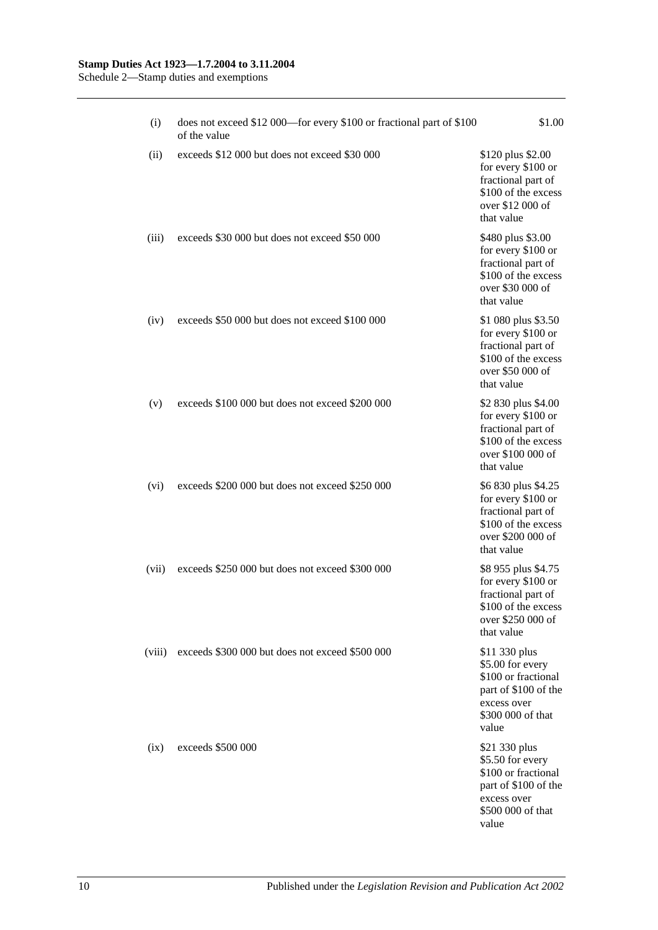#### **Stamp Duties Act 1923—1.7.2004 to 3.11.2004**

Schedule 2—Stamp duties and exemptions

| (i)    | does not exceed \$12 000—for every \$100 or fractional part of \$100<br>of the value | \$1.00                                                                                                                        |
|--------|--------------------------------------------------------------------------------------|-------------------------------------------------------------------------------------------------------------------------------|
| (ii)   | exceeds \$12 000 but does not exceed \$30 000                                        | \$120 plus \$2.00<br>for every \$100 or<br>fractional part of<br>\$100 of the excess<br>over \$12 000 of<br>that value        |
| (iii)  | exceeds \$30 000 but does not exceed \$50 000                                        | \$480 plus \$3.00<br>for every \$100 or<br>fractional part of<br>\$100 of the excess<br>over \$30 000 of<br>that value        |
| (iv)   | exceeds \$50 000 but does not exceed \$100 000                                       | \$1 080 plus \$3.50<br>for every \$100 or<br>fractional part of<br>\$100 of the excess<br>over \$50 000 of<br>that value      |
| (v)    | exceeds \$100 000 but does not exceed \$200 000                                      | \$2 830 plus \$4.00<br>for every \$100 or<br>fractional part of<br>\$100 of the excess<br>over \$100 000 of<br>that value     |
| (vi)   | exceeds \$200 000 but does not exceed \$250 000                                      | \$6 830 plus \$4.25<br>for every \$100 or<br>fractional part of<br>\$100 of the excess<br>over \$200 000 of<br>that value     |
| (vii)  | exceeds \$250 000 but does not exceed \$300 000                                      | \$8 955 plus \$4.75<br>for every \$100 or<br>fractional part of<br>\$100 of the excess<br>over \$250 000 of<br>that value     |
| (viii) | exceeds \$300 000 but does not exceed \$500 000                                      | \$11 330 plus<br>\$5.00 for every<br>\$100 or fractional<br>part of \$100 of the<br>excess over<br>\$300 000 of that<br>value |
| (ix)   | exceeds \$500 000                                                                    | \$21 330 plus<br>\$5.50 for every<br>\$100 or fractional<br>part of \$100 of the<br>excess over<br>\$500 000 of that<br>value |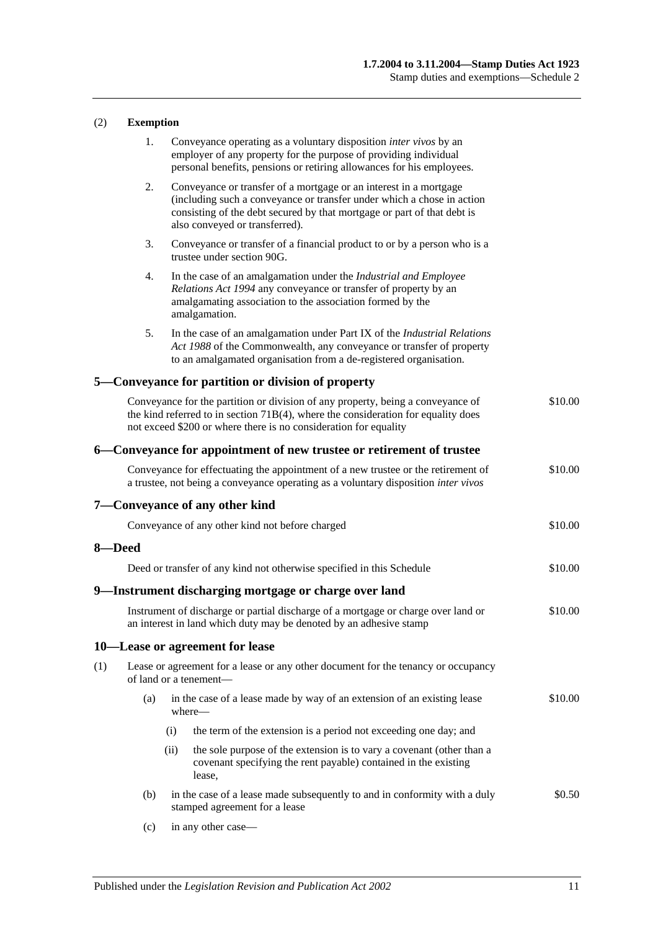### (2) **Exemption**

|     | 1.     |      | Conveyance operating as a voluntary disposition <i>inter vivos</i> by an<br>employer of any property for the purpose of providing individual<br>personal benefits, pensions or retiring allowances for his employees.                                    |         |
|-----|--------|------|----------------------------------------------------------------------------------------------------------------------------------------------------------------------------------------------------------------------------------------------------------|---------|
|     | 2.     |      | Conveyance or transfer of a mortgage or an interest in a mortgage<br>(including such a conveyance or transfer under which a chose in action<br>consisting of the debt secured by that mortgage or part of that debt is<br>also conveyed or transferred). |         |
|     | 3.     |      | Conveyance or transfer of a financial product to or by a person who is a<br>trustee under section 90G.                                                                                                                                                   |         |
|     | 4.     |      | In the case of an amalgamation under the Industrial and Employee<br>Relations Act 1994 any conveyance or transfer of property by an<br>amalgamating association to the association formed by the<br>amalgamation.                                        |         |
|     | 5.     |      | In the case of an amalgamation under Part IX of the <i>Industrial Relations</i><br>Act 1988 of the Commonwealth, any conveyance or transfer of property<br>to an amalgamated organisation from a de-registered organisation.                             |         |
|     |        |      | 5—Conveyance for partition or division of property                                                                                                                                                                                                       |         |
|     |        |      | Conveyance for the partition or division of any property, being a conveyance of<br>the kind referred to in section $71B(4)$ , where the consideration for equality does<br>not exceed \$200 or where there is no consideration for equality              | \$10.00 |
|     |        |      | 6—Conveyance for appointment of new trustee or retirement of trustee                                                                                                                                                                                     |         |
|     |        |      | Conveyance for effectuating the appointment of a new trustee or the retirement of<br>a trustee, not being a conveyance operating as a voluntary disposition inter vivos                                                                                  | \$10.00 |
|     |        |      | 7—Conveyance of any other kind                                                                                                                                                                                                                           |         |
|     |        |      | Conveyance of any other kind not before charged                                                                                                                                                                                                          | \$10.00 |
|     | 8-Deed |      |                                                                                                                                                                                                                                                          |         |
|     |        |      | Deed or transfer of any kind not otherwise specified in this Schedule                                                                                                                                                                                    | \$10.00 |
|     |        |      | 9—Instrument discharging mortgage or charge over land                                                                                                                                                                                                    |         |
|     |        |      | Instrument of discharge or partial discharge of a mortgage or charge over land or<br>an interest in land which duty may be denoted by an adhesive stamp                                                                                                  | \$10.00 |
|     |        |      | 10-Lease or agreement for lease                                                                                                                                                                                                                          |         |
| (1) |        |      | Lease or agreement for a lease or any other document for the tenancy or occupancy<br>of land or a tenement-                                                                                                                                              |         |
|     | (a)    |      | in the case of a lease made by way of an extension of an existing lease<br>where-                                                                                                                                                                        | \$10.00 |
|     |        | (i)  | the term of the extension is a period not exceeding one day; and                                                                                                                                                                                         |         |
|     |        | (ii) | the sole purpose of the extension is to vary a covenant (other than a<br>covenant specifying the rent payable) contained in the existing<br>lease,                                                                                                       |         |
|     | (b)    |      | in the case of a lease made subsequently to and in conformity with a duly<br>stamped agreement for a lease                                                                                                                                               | \$0.50  |

(c) in any other case—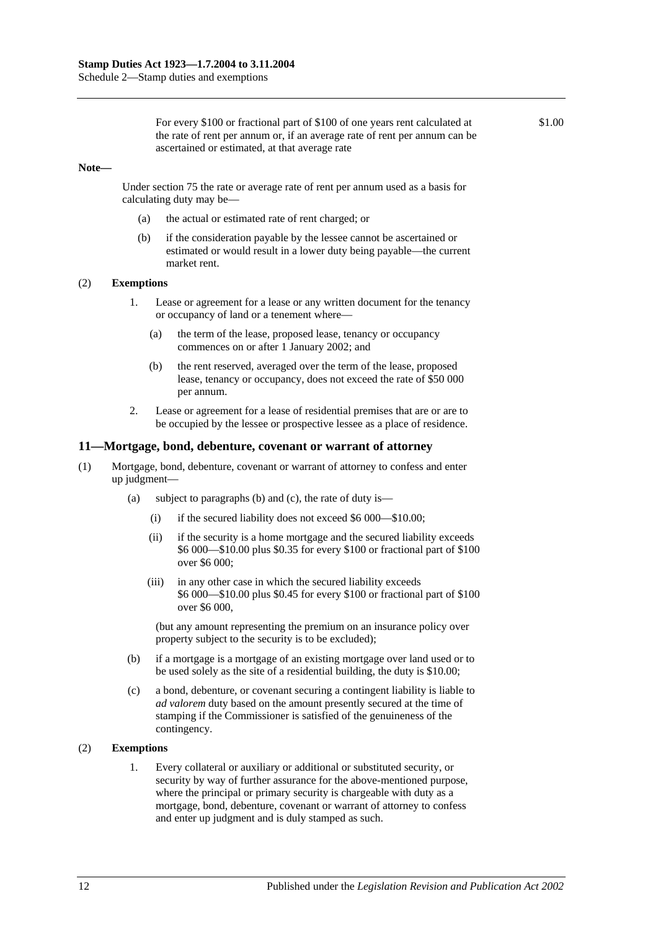For every \$100 or fractional part of \$100 of one years rent calculated at the rate of rent per annum or, if an average rate of rent per annum can be ascertained or estimated, at that average rate

\$1.00

#### **Note—**

Under [section](#page-63-0) 75 the rate or average rate of rent per annum used as a basis for calculating duty may be—

- (a) the actual or estimated rate of rent charged; or
- (b) if the consideration payable by the lessee cannot be ascertained or estimated or would result in a lower duty being payable—the current market rent.

#### (2) **Exemptions**

- 1. Lease or agreement for a lease or any written document for the tenancy or occupancy of land or a tenement where—
	- (a) the term of the lease, proposed lease, tenancy or occupancy commences on or after 1 January 2002; and
	- (b) the rent reserved, averaged over the term of the lease, proposed lease, tenancy or occupancy, does not exceed the rate of \$50 000 per annum.
- 2. Lease or agreement for a lease of residential premises that are or are to be occupied by the lessee or prospective lessee as a place of residence.

#### **11—Mortgage, bond, debenture, covenant or warrant of attorney**

- (1) Mortgage, bond, debenture, covenant or warrant of attorney to confess and enter up judgment—
	- (a) subject to paragraphs (b) and (c), the rate of duty is—
		- (i) if the secured liability does not exceed \$6 000—\$10.00;
		- (ii) if the security is a home mortgage and the secured liability exceeds \$6 000—\$10.00 plus \$0.35 for every \$100 or fractional part of \$100 over \$6 000;
		- (iii) in any other case in which the secured liability exceeds \$6 000—\$10.00 plus \$0.45 for every \$100 or fractional part of \$100 over \$6 000,

(but any amount representing the premium on an insurance policy over property subject to the security is to be excluded);

- (b) if a mortgage is a mortgage of an existing mortgage over land used or to be used solely as the site of a residential building, the duty is \$10.00;
- (c) a bond, debenture, or covenant securing a contingent liability is liable to *ad valorem* duty based on the amount presently secured at the time of stamping if the Commissioner is satisfied of the genuineness of the contingency.

#### (2) **Exemptions**

1. Every collateral or auxiliary or additional or substituted security, or security by way of further assurance for the above-mentioned purpose, where the principal or primary security is chargeable with duty as a mortgage, bond, debenture, covenant or warrant of attorney to confess and enter up judgment and is duly stamped as such.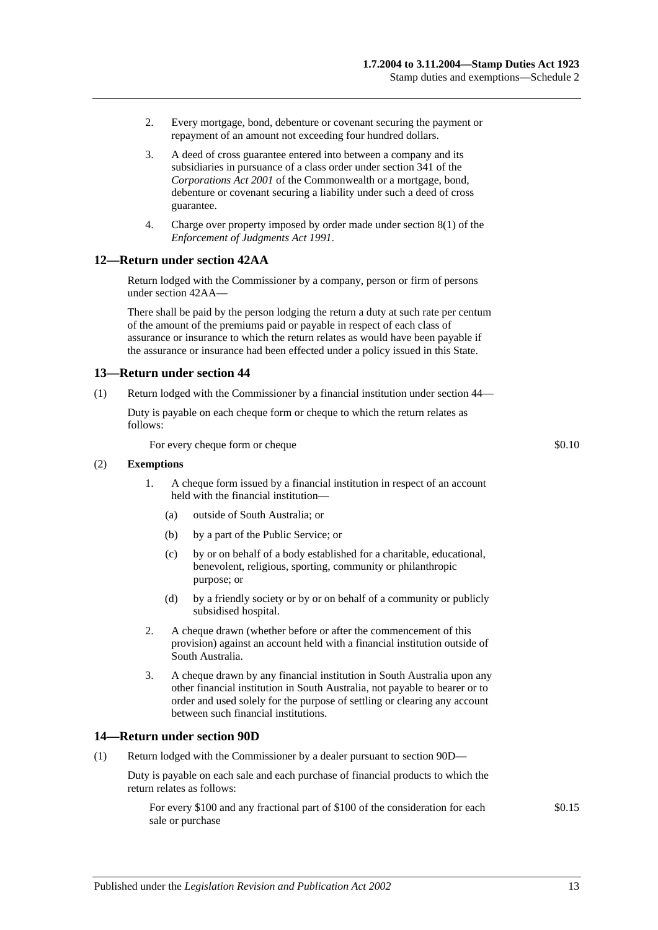- 2. Every mortgage, bond, debenture or covenant securing the payment or repayment of an amount not exceeding four hundred dollars.
- 3. A deed of cross guarantee entered into between a company and its subsidiaries in pursuance of a class order under section 341 of the *Corporations Act 2001* of the Commonwealth or a mortgage, bond, debenture or covenant securing a liability under such a deed of cross guarantee.
- 4. Charge over property imposed by order made under section 8(1) of the *[Enforcement of Judgments Act](http://www.legislation.sa.gov.au/index.aspx?action=legref&type=act&legtitle=Enforcement%20of%20Judgments%20Act%201991) 1991*.

### **12—Return under [section](#page-28-0) 42AA**

Return lodged with the Commissioner by a company, person or firm of persons unde[r section](#page-28-0) 42AA—

There shall be paid by the person lodging the return a duty at such rate per centum of the amount of the premiums paid or payable in respect of each class of assurance or insurance to which the return relates as would have been payable if the assurance or insurance had been effected under a policy issued in this State.

#### **13—Return under [section](#page-33-0) 44**

(1) Return lodged with the Commissioner by a financial institution under [section](#page-33-0) 44—

Duty is payable on each cheque form or cheque to which the return relates as follows:

For every cheque form or cheque  $\text{\$0.10}$ 

#### (2) **Exemptions**

- 1. A cheque form issued by a financial institution in respect of an account held with the financial institution—
	- (a) outside of South Australia; or
	- (b) by a part of the Public Service; or
	- (c) by or on behalf of a body established for a charitable, educational, benevolent, religious, sporting, community or philanthropic purpose; or
	- (d) by a friendly society or by or on behalf of a community or publicly subsidised hospital.
- 2. A cheque drawn (whether before or after the commencement of this provision) against an account held with a financial institution outside of South Australia.
- 3. A cheque drawn by any financial institution in South Australia upon any other financial institution in South Australia, not payable to bearer or to order and used solely for the purpose of settling or clearing any account between such financial institutions.

#### **14—Return under [section](#page-76-0) 90D**

(1) Return lodged with the Commissioner by a dealer pursuant to [section](#page-76-0) 90D—

Duty is payable on each sale and each purchase of financial products to which the return relates as follows:

For every \$100 and any fractional part of \$100 of the consideration for each sale or purchase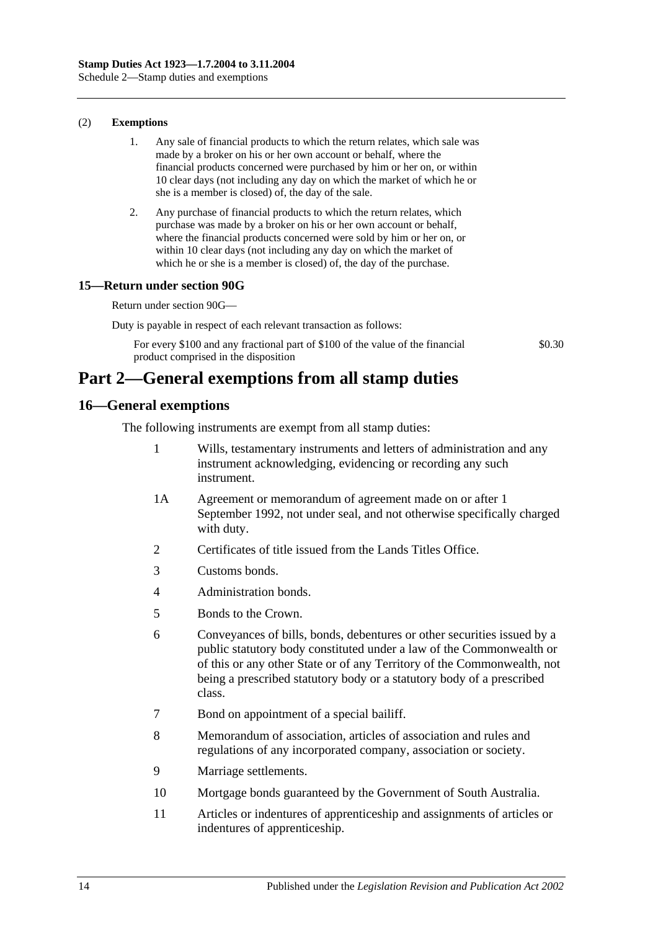#### (2) **Exemptions**

- 1. Any sale of financial products to which the return relates, which sale was made by a broker on his or her own account or behalf, where the financial products concerned were purchased by him or her on, or within 10 clear days (not including any day on which the market of which he or she is a member is closed) of, the day of the sale.
- 2. Any purchase of financial products to which the return relates, which purchase was made by a broker on his or her own account or behalf, where the financial products concerned were sold by him or her on, or within 10 clear days (not including any day on which the market of which he or she is a member is closed) of, the day of the purchase.

### **15—Return under [section](#page-77-0) 90G**

Return under [section](#page-77-0) 90G—

Duty is payable in respect of each relevant transaction as follows:

For every \$100 and any fractional part of \$100 of the value of the financial product comprised in the disposition

\$0.30

## **Part 2—General exemptions from all stamp duties**

### **16—General exemptions**

The following instruments are exempt from all stamp duties:

- 1 Wills, testamentary instruments and letters of administration and any instrument acknowledging, evidencing or recording any such instrument.
- 1A Agreement or memorandum of agreement made on or after 1 September 1992, not under seal, and not otherwise specifically charged with duty.
- 2 Certificates of title issued from the Lands Titles Office.
- 3 Customs bonds.
- 4 Administration bonds.
- 5 Bonds to the Crown.
- 6 Conveyances of bills, bonds, debentures or other securities issued by a public statutory body constituted under a law of the Commonwealth or of this or any other State or of any Territory of the Commonwealth, not being a prescribed statutory body or a statutory body of a prescribed class.
- 7 Bond on appointment of a special bailiff.
- 8 Memorandum of association, articles of association and rules and regulations of any incorporated company, association or society.
- 9 Marriage settlements.
- 10 Mortgage bonds guaranteed by the Government of South Australia.
- 11 Articles or indentures of apprenticeship and assignments of articles or indentures of apprenticeship.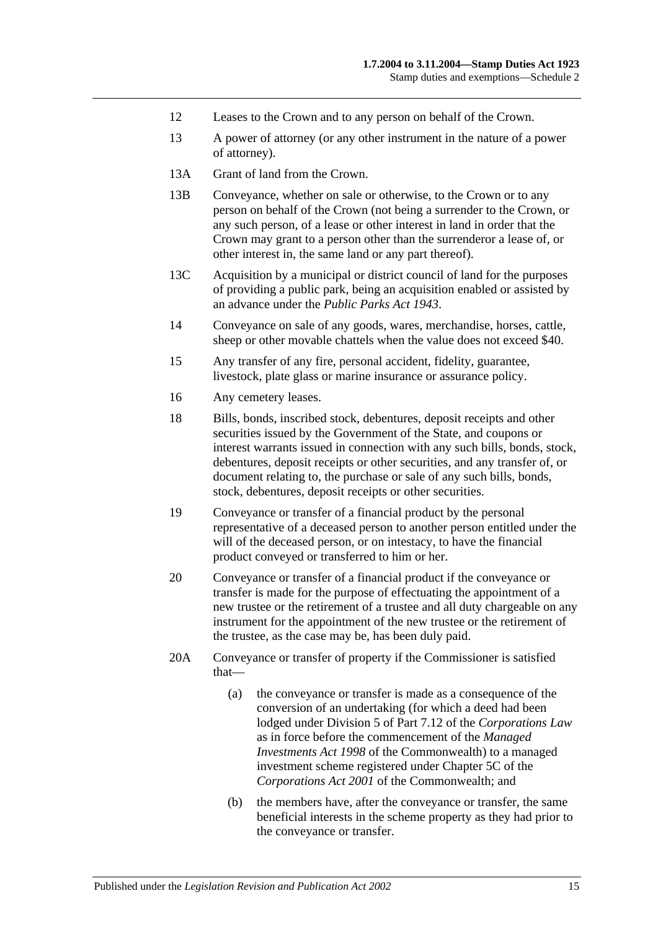- 12 Leases to the Crown and to any person on behalf of the Crown.
- 13 A power of attorney (or any other instrument in the nature of a power of attorney).
- 13A Grant of land from the Crown.
- 13B Conveyance, whether on sale or otherwise, to the Crown or to any person on behalf of the Crown (not being a surrender to the Crown, or any such person, of a lease or other interest in land in order that the Crown may grant to a person other than the surrenderor a lease of, or other interest in, the same land or any part thereof).
- 13C Acquisition by a municipal or district council of land for the purposes of providing a public park, being an acquisition enabled or assisted by an advance under the *[Public Parks Act](http://www.legislation.sa.gov.au/index.aspx?action=legref&type=act&legtitle=Public%20Parks%20Act%201943) 1943*.
- 14 Conveyance on sale of any goods, wares, merchandise, horses, cattle, sheep or other movable chattels when the value does not exceed \$40.
- 15 Any transfer of any fire, personal accident, fidelity, guarantee, livestock, plate glass or marine insurance or assurance policy.
- 16 Any cemetery leases.
- 18 Bills, bonds, inscribed stock, debentures, deposit receipts and other securities issued by the Government of the State, and coupons or interest warrants issued in connection with any such bills, bonds, stock, debentures, deposit receipts or other securities, and any transfer of, or document relating to, the purchase or sale of any such bills, bonds, stock, debentures, deposit receipts or other securities.
- 19 Conveyance or transfer of a financial product by the personal representative of a deceased person to another person entitled under the will of the deceased person, or on intestacy, to have the financial product conveyed or transferred to him or her.
- 20 Conveyance or transfer of a financial product if the conveyance or transfer is made for the purpose of effectuating the appointment of a new trustee or the retirement of a trustee and all duty chargeable on any instrument for the appointment of the new trustee or the retirement of the trustee, as the case may be, has been duly paid.
- 20A Conveyance or transfer of property if the Commissioner is satisfied that—
	- (a) the conveyance or transfer is made as a consequence of the conversion of an undertaking (for which a deed had been lodged under Division 5 of Part 7.12 of the *Corporations Law* as in force before the commencement of the *Managed Investments Act 1998* of the Commonwealth) to a managed investment scheme registered under Chapter 5C of the *Corporations Act 2001* of the Commonwealth; and
	- (b) the members have, after the conveyance or transfer, the same beneficial interests in the scheme property as they had prior to the conveyance or transfer.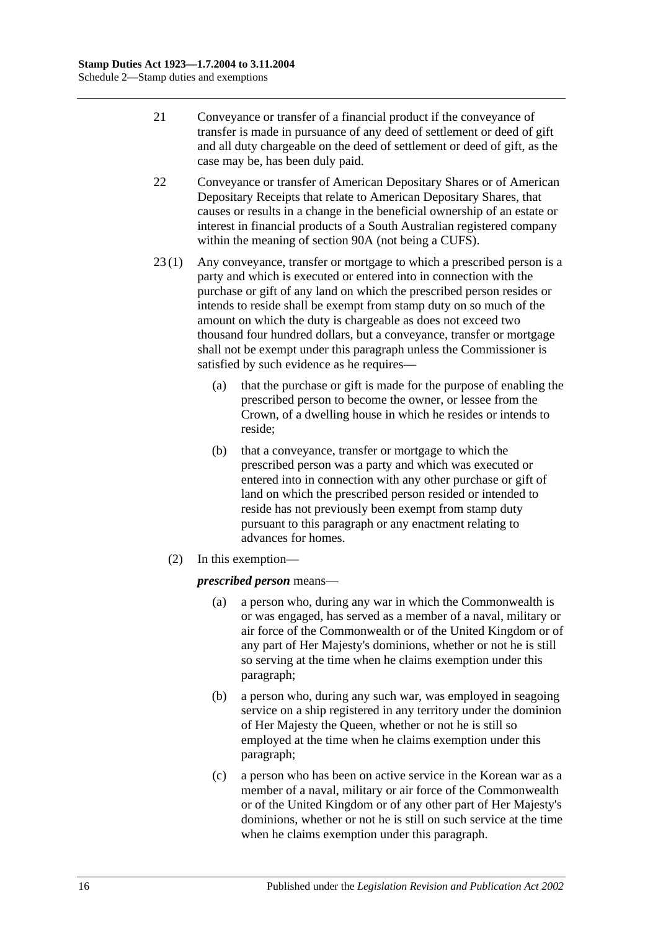- 21 Conveyance or transfer of a financial product if the conveyance of transfer is made in pursuance of any deed of settlement or deed of gift and all duty chargeable on the deed of settlement or deed of gift, as the case may be, has been duly paid.
- 22 Conveyance or transfer of American Depositary Shares or of American Depositary Receipts that relate to American Depositary Shares, that causes or results in a change in the beneficial ownership of an estate or interest in financial products of a South Australian registered company within the meaning of [section](#page-72-0) 90A (not being a CUFS).
- 23 (1) Any conveyance, transfer or mortgage to which a prescribed person is a party and which is executed or entered into in connection with the purchase or gift of any land on which the prescribed person resides or intends to reside shall be exempt from stamp duty on so much of the amount on which the duty is chargeable as does not exceed two thousand four hundred dollars, but a conveyance, transfer or mortgage shall not be exempt under this paragraph unless the Commissioner is satisfied by such evidence as he requires—
	- (a) that the purchase or gift is made for the purpose of enabling the prescribed person to become the owner, or lessee from the Crown, of a dwelling house in which he resides or intends to reside;
	- (b) that a conveyance, transfer or mortgage to which the prescribed person was a party and which was executed or entered into in connection with any other purchase or gift of land on which the prescribed person resided or intended to reside has not previously been exempt from stamp duty pursuant to this paragraph or any enactment relating to advances for homes.
	- (2) In this exemption—

### <span id="page-113-0"></span>*prescribed person* means—

- (a) a person who, during any war in which the Commonwealth is or was engaged, has served as a member of a naval, military or air force of the Commonwealth or of the United Kingdom or of any part of Her Majesty's dominions, whether or not he is still so serving at the time when he claims exemption under this paragraph;
- <span id="page-113-1"></span>(b) a person who, during any such war, was employed in seagoing service on a ship registered in any territory under the dominion of Her Majesty the Queen, whether or not he is still so employed at the time when he claims exemption under this paragraph;
- <span id="page-113-2"></span>(c) a person who has been on active service in the Korean war as a member of a naval, military or air force of the Commonwealth or of the United Kingdom or of any other part of Her Majesty's dominions, whether or not he is still on such service at the time when he claims exemption under this paragraph.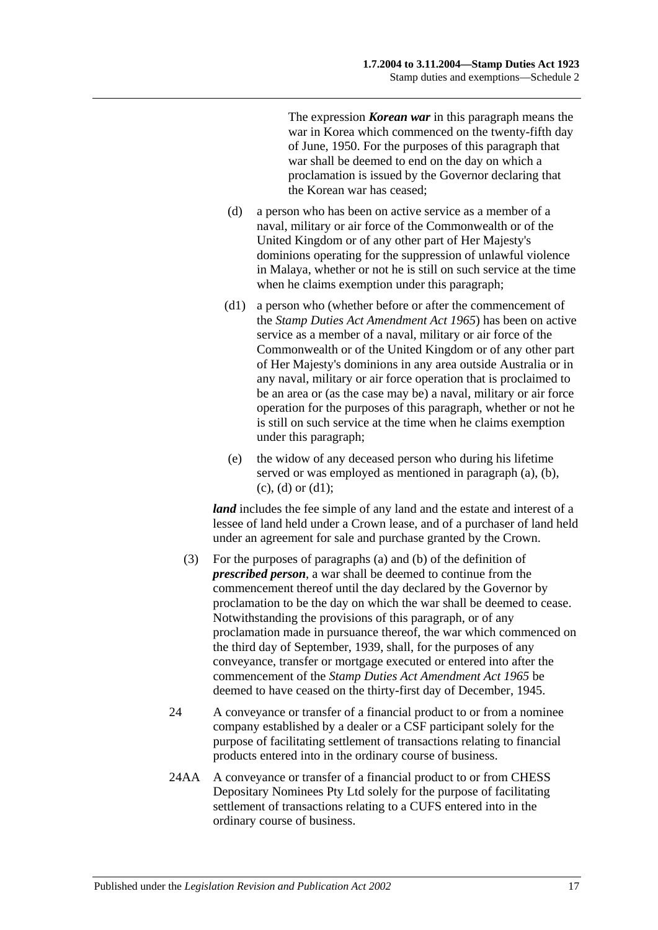The expression *Korean war* in this paragraph means the war in Korea which commenced on the twenty-fifth day of June, 1950. For the purposes of this paragraph that war shall be deemed to end on the day on which a proclamation is issued by the Governor declaring that the Korean war has ceased;

- <span id="page-114-0"></span>(d) a person who has been on active service as a member of a naval, military or air force of the Commonwealth or of the United Kingdom or of any other part of Her Majesty's dominions operating for the suppression of unlawful violence in Malaya, whether or not he is still on such service at the time when he claims exemption under this paragraph;
- <span id="page-114-1"></span>(d1) a person who (whether before or after the commencement of the *[Stamp Duties Act](http://www.legislation.sa.gov.au/index.aspx?action=legref&type=act&legtitle=Stamp%20Duties%20Act%20Amendment%20Act%201965) Amendment Act 1965*) has been on active service as a member of a naval, military or air force of the Commonwealth or of the United Kingdom or of any other part of Her Majesty's dominions in any area outside Australia or in any naval, military or air force operation that is proclaimed to be an area or (as the case may be) a naval, military or air force operation for the purposes of this paragraph, whether or not he is still on such service at the time when he claims exemption under this paragraph;
- (e) the widow of any deceased person who during his lifetime served or was employed as mentioned in [paragraph](#page-113-0) (a), [\(b\),](#page-113-1)  $(c)$ ,  $(d)$  or  $(d1)$ ;

*land* includes the fee simple of any land and the estate and interest of a lessee of land held under a Crown lease, and of a purchaser of land held under an agreement for sale and purchase granted by the Crown.

- (3) For the purposes of paragraphs (a) and (b) of the definition of *prescribed person*, a war shall be deemed to continue from the commencement thereof until the day declared by the Governor by proclamation to be the day on which the war shall be deemed to cease. Notwithstanding the provisions of this paragraph, or of any proclamation made in pursuance thereof, the war which commenced on the third day of September, 1939, shall, for the purposes of any conveyance, transfer or mortgage executed or entered into after the commencement of the *[Stamp Duties Act Amendment Act](http://www.legislation.sa.gov.au/index.aspx?action=legref&type=act&legtitle=Stamp%20Duties%20Act%20Amendment%20Act%201965) 1965* be deemed to have ceased on the thirty-first day of December, 1945.
- 24 A conveyance or transfer of a financial product to or from a nominee company established by a dealer or a CSF participant solely for the purpose of facilitating settlement of transactions relating to financial products entered into in the ordinary course of business.
- 24AA A conveyance or transfer of a financial product to or from CHESS Depositary Nominees Pty Ltd solely for the purpose of facilitating settlement of transactions relating to a CUFS entered into in the ordinary course of business.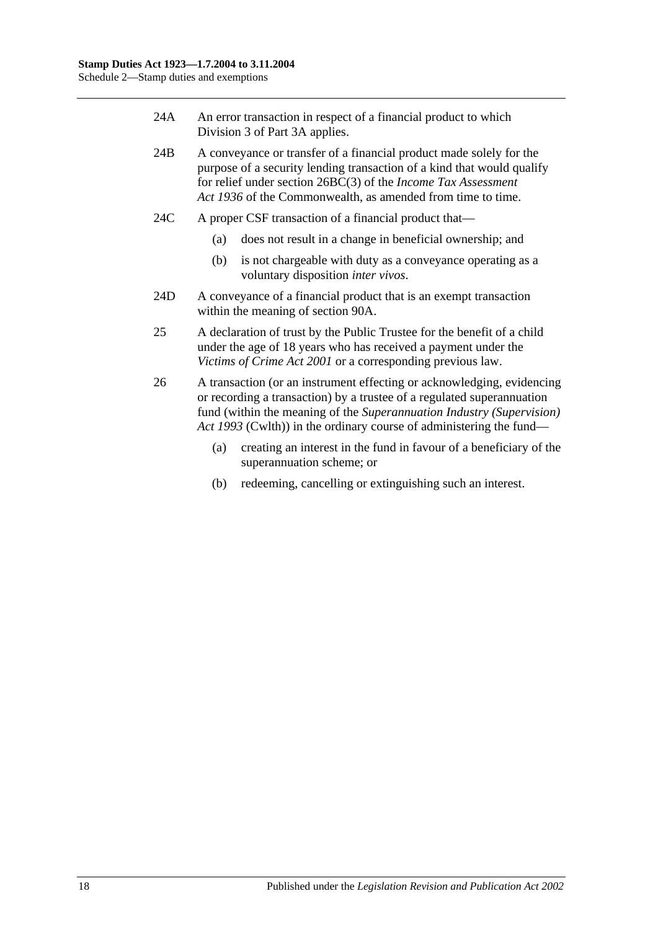- 24A An error transaction in respect of a financial product to which [Division](#page-79-0) 3 of [Part](#page-72-1) 3A applies.
- 24B A conveyance or transfer of a financial product made solely for the purpose of a security lending transaction of a kind that would qualify for relief under section 26BC(3) of the *Income Tax Assessment Act 1936* of the Commonwealth, as amended from time to time.
- 24C A proper CSF transaction of a financial product that—
	- (a) does not result in a change in beneficial ownership; and
	- (b) is not chargeable with duty as a conveyance operating as a voluntary disposition *inter vivos*.
- 24D A conveyance of a financial product that is an exempt transaction within the meaning of [section](#page-72-0) 90A.
- 25 A declaration of trust by the Public Trustee for the benefit of a child under the age of 18 years who has received a payment under the *[Victims of Crime Act](http://www.legislation.sa.gov.au/index.aspx?action=legref&type=act&legtitle=Victims%20of%20Crime%20Act%202001) 2001* or a corresponding previous law.
- 26 A transaction (or an instrument effecting or acknowledging, evidencing or recording a transaction) by a trustee of a regulated superannuation fund (within the meaning of the *Superannuation Industry (Supervision) Act 1993* (Cwlth)) in the ordinary course of administering the fund—
	- (a) creating an interest in the fund in favour of a beneficiary of the superannuation scheme; or
	- (b) redeeming, cancelling or extinguishing such an interest.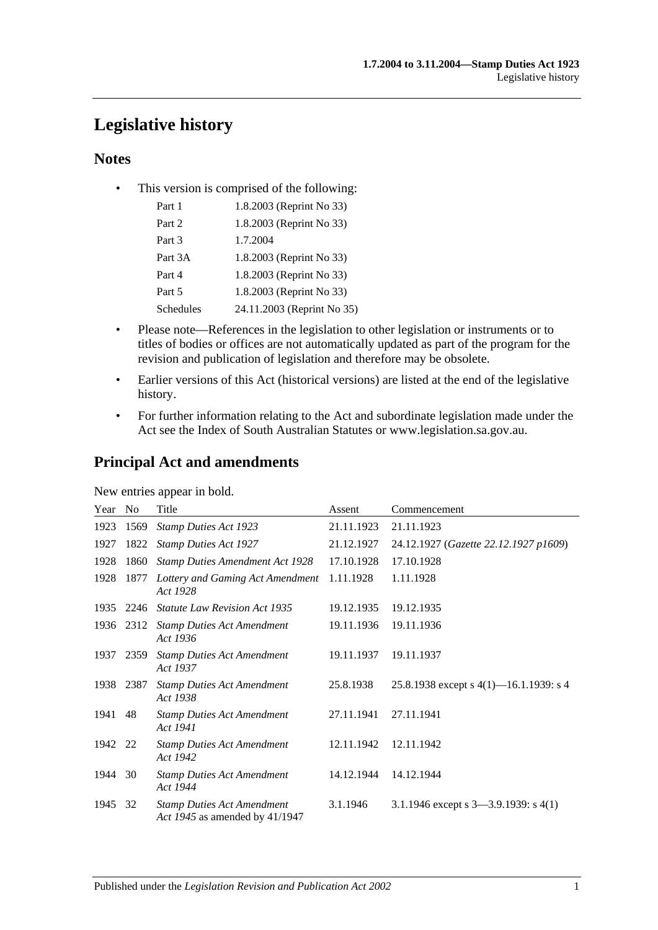# **Legislative history**

## **Notes**

• This version is comprised of the following:

| Part 1           | 1.8.2003 (Reprint No 33)   |
|------------------|----------------------------|
| Part 2           | 1.8.2003 (Reprint No 33)   |
| Part 3           | 1.7.2004                   |
| Part 3A          | 1.8.2003 (Reprint No 33)   |
| Part 4           | 1.8.2003 (Reprint No 33)   |
| Part 5           | 1.8.2003 (Reprint No 33)   |
| <b>Schedules</b> | 24.11.2003 (Reprint No 35) |

- Please note—References in the legislation to other legislation or instruments or to titles of bodies or offices are not automatically updated as part of the program for the revision and publication of legislation and therefore may be obsolete.
- Earlier versions of this Act (historical versions) are listed at the end of the legislative history.
- For further information relating to the Act and subordinate legislation made under the Act see the Index of South Australian Statutes or www.legislation.sa.gov.au.

## **Principal Act and amendments**

New entries appear in bold.

| Year    | No        | Title                                                               | Assent     | Commencement                              |
|---------|-----------|---------------------------------------------------------------------|------------|-------------------------------------------|
| 1923    | 1569      | <b>Stamp Duties Act 1923</b>                                        | 21.11.1923 | 21.11.1923                                |
| 1927    | 1822      | <b>Stamp Duties Act 1927</b>                                        | 21.12.1927 | 24.12.1927 (Gazette 22.12.1927 p1609)     |
| 1928    | 1860      | <b>Stamp Duties Amendment Act 1928</b>                              | 17.10.1928 | 17.10.1928                                |
| 1928    | 1877      | Lottery and Gaming Act Amendment<br>Act 1928                        | 1.11.1928  | 1.11.1928                                 |
| 1935    | 2246      | <b>Statute Law Revision Act 1935</b>                                | 19.12.1935 | 19.12.1935                                |
|         |           | 1936 2312 Stamp Duties Act Amendment<br>Act 1936                    | 19.11.1936 | 19.11.1936                                |
| 1937    | 2359      | <b>Stamp Duties Act Amendment</b><br>Act 1937                       | 19.11.1937 | 19.11.1937                                |
|         | 1938 2387 | <b>Stamp Duties Act Amendment</b><br>Act 1938                       | 25.8.1938  | 25.8.1938 except s $4(1)$ —16.1.1939: s 4 |
| 1941    | 48        | <b>Stamp Duties Act Amendment</b><br>Act 1941                       | 27.11.1941 | 27.11.1941                                |
| 1942 22 |           | <b>Stamp Duties Act Amendment</b><br>Act 1942                       | 12.11.1942 | 12.11.1942                                |
| 1944 30 |           | <b>Stamp Duties Act Amendment</b><br>Act 1944                       | 14.12.1944 | 14.12.1944                                |
| 1945    | 32        | <b>Stamp Duties Act Amendment</b><br>Act 1945 as amended by 41/1947 | 3.1.1946   | 3.1.1946 except s $3-3.9.1939$ : s $4(1)$ |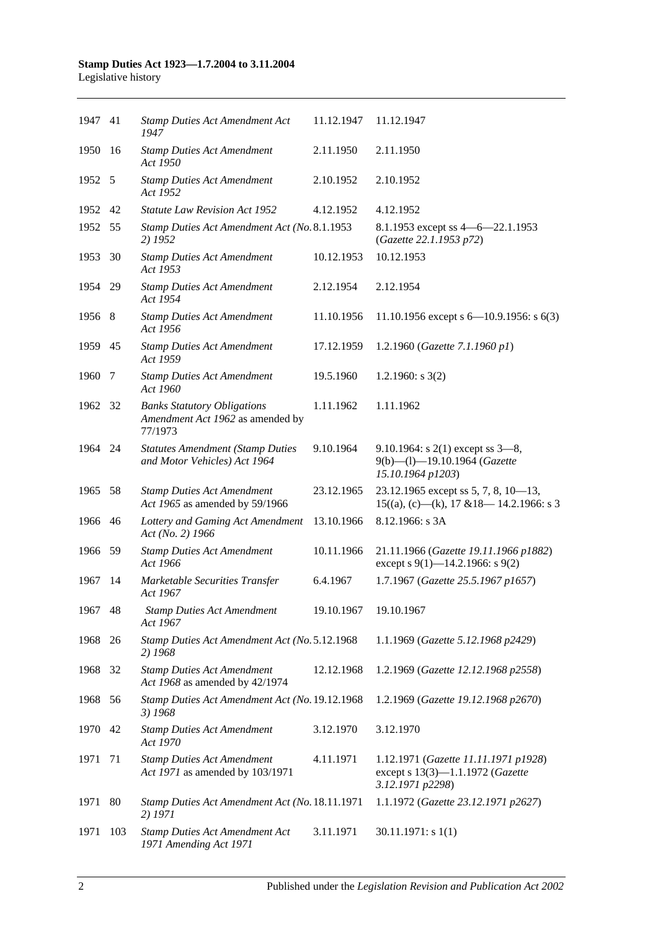| 1947 41 |     | <b>Stamp Duties Act Amendment Act</b><br>1947                                     | 11.12.1947 | 11.12.1947                                                                                      |
|---------|-----|-----------------------------------------------------------------------------------|------------|-------------------------------------------------------------------------------------------------|
| 1950    | -16 | <b>Stamp Duties Act Amendment</b><br>Act 1950                                     | 2.11.1950  | 2.11.1950                                                                                       |
| 1952 5  |     | <b>Stamp Duties Act Amendment</b><br>Act 1952                                     | 2.10.1952  | 2.10.1952                                                                                       |
| 1952    | 42  | <b>Statute Law Revision Act 1952</b>                                              | 4.12.1952  | 4.12.1952                                                                                       |
| 1952 55 |     | Stamp Duties Act Amendment Act (No. 8.1.1953<br>2) 1952                           |            | 8.1.1953 except ss 4 - 6 - 22.1.1953<br>(Gazette 22.1.1953 p72)                                 |
| 1953    | 30  | <b>Stamp Duties Act Amendment</b><br>Act 1953                                     | 10.12.1953 | 10.12.1953                                                                                      |
| 1954 29 |     | <b>Stamp Duties Act Amendment</b><br>Act 1954                                     | 2.12.1954  | 2.12.1954                                                                                       |
| 1956 8  |     | <b>Stamp Duties Act Amendment</b><br>Act 1956                                     | 11.10.1956 | 11.10.1956 except s $6-10.9.1956$ : s $6(3)$                                                    |
| 1959 45 |     | <b>Stamp Duties Act Amendment</b><br>Act 1959                                     | 17.12.1959 | 1.2.1960 (Gazette 7.1.1960 p1)                                                                  |
| 1960    | 7   | <b>Stamp Duties Act Amendment</b><br>Act 1960                                     | 19.5.1960  | 1.2.1960: s $3(2)$                                                                              |
| 1962 32 |     | <b>Banks Statutory Obligations</b><br>Amendment Act 1962 as amended by<br>77/1973 | 1.11.1962  | 1.11.1962                                                                                       |
| 1964 24 |     | <b>Statutes Amendment (Stamp Duties</b><br>and Motor Vehicles) Act 1964           | 9.10.1964  | 9.10.1964: s $2(1)$ except ss $3-8$ ,<br>9(b)-(l)-19.10.1964 (Gazette<br>15.10.1964 p1203)      |
| 1965 58 |     | <b>Stamp Duties Act Amendment</b><br>Act 1965 as amended by 59/1966               | 23.12.1965 | 23.12.1965 except ss 5, 7, 8, $10-13$ ,<br>$15((a), (c)$ —(k), 17 & 18—14.2.1966: s 3           |
| 1966    | 46  | Lottery and Gaming Act Amendment<br>Act (No. 2) 1966                              | 13.10.1966 | 8.12.1966: s 3A                                                                                 |
| 1966 59 |     | <b>Stamp Duties Act Amendment</b><br>Act 1966                                     | 10.11.1966 | 21.11.1966 (Gazette 19.11.1966 p1882)<br>except s 9(1)–14.2.1966: s 9(2)                        |
| 1967    | -14 | Marketable Securities Transfer<br>Act 1967                                        | 6.4.1967   | 1.7.1967 (Gazette 25.5.1967 p1657)                                                              |
| 1967    | 48  | <b>Stamp Duties Act Amendment</b><br>Act 1967                                     | 19.10.1967 | 19.10.1967                                                                                      |
| 1968    | 26  | Stamp Duties Act Amendment Act (No. 5.12.1968<br>2) 1968                          |            | 1.1.1969 (Gazette 5.12.1968 p2429)                                                              |
| 1968    | 32  | <b>Stamp Duties Act Amendment</b><br>Act 1968 as amended by 42/1974               | 12.12.1968 | 1.2.1969 (Gazette 12.12.1968 p2558)                                                             |
| 1968    | 56  | Stamp Duties Act Amendment Act (No. 19.12.1968<br>3) 1968                         |            | 1.2.1969 (Gazette 19.12.1968 p2670)                                                             |
| 1970    | 42  | <b>Stamp Duties Act Amendment</b><br>Act 1970                                     | 3.12.1970  | 3.12.1970                                                                                       |
| 1971    | 71  | <b>Stamp Duties Act Amendment</b><br>Act 1971 as amended by 103/1971              | 4.11.1971  | 1.12.1971 (Gazette 11.11.1971 p1928)<br>except s $13(3)$ —1.1.1972 (Gazette<br>3.12.1971 p2298) |
| 1971    | 80  | Stamp Duties Act Amendment Act (No. 18.11.1971<br>2) 1971                         |            | 1.1.1972 (Gazette 23.12.1971 p2627)                                                             |
| 1971    | 103 | <b>Stamp Duties Act Amendment Act</b><br>1971 Amending Act 1971                   | 3.11.1971  | $30.11.1971$ : s 1(1)                                                                           |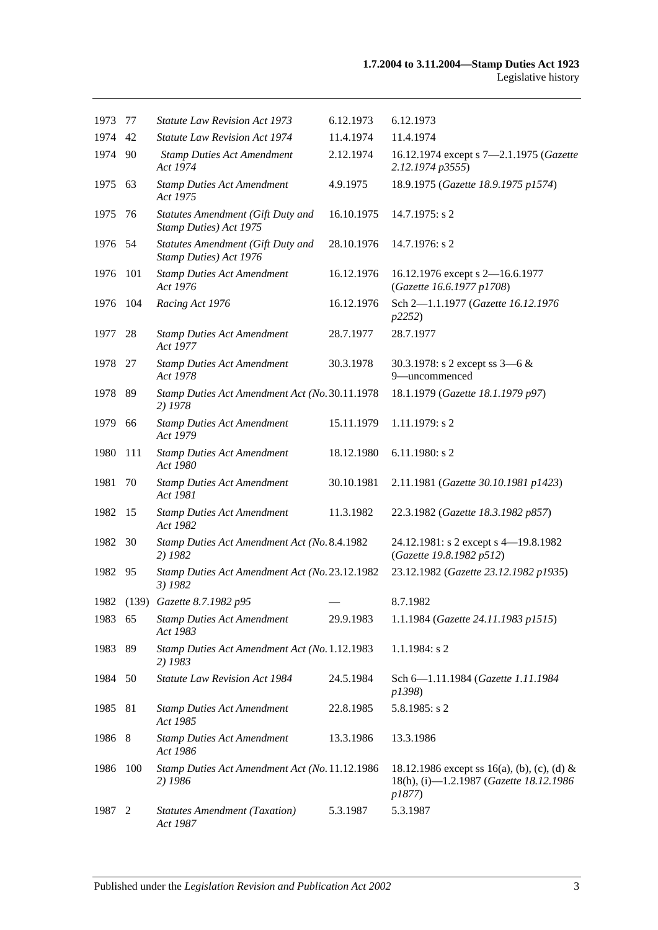| 1973    | 77  | <b>Statute Law Revision Act 1973</b>                        | 6.12.1973  | 6.12.1973                                                                                        |
|---------|-----|-------------------------------------------------------------|------------|--------------------------------------------------------------------------------------------------|
| 1974    | 42  | <b>Statute Law Revision Act 1974</b>                        | 11.4.1974  | 11.4.1974                                                                                        |
| 1974    | 90  | <b>Stamp Duties Act Amendment</b><br>Act 1974               | 2.12.1974  | 16.12.1974 except s 7-2.1.1975 (Gazette<br>2.12.1974 p3555)                                      |
| 1975    | 63  | <b>Stamp Duties Act Amendment</b><br>Act 1975               | 4.9.1975   | 18.9.1975 (Gazette 18.9.1975 p1574)                                                              |
| 1975    | 76  | Statutes Amendment (Gift Duty and<br>Stamp Duties) Act 1975 | 16.10.1975 | 14.7.1975: s 2                                                                                   |
| 1976 54 |     | Statutes Amendment (Gift Duty and<br>Stamp Duties) Act 1976 | 28.10.1976 | 14.7.1976: s 2                                                                                   |
| 1976    | 101 | <b>Stamp Duties Act Amendment</b><br>Act 1976               | 16.12.1976 | 16.12.1976 except s 2-16.6.1977<br>(Gazette 16.6.1977 p1708)                                     |
| 1976    | 104 | Racing Act 1976                                             | 16.12.1976 | Sch 2-1.1.1977 (Gazette 16.12.1976<br>p2252)                                                     |
| 1977    | 28  | <b>Stamp Duties Act Amendment</b><br>Act 1977               | 28.7.1977  | 28.7.1977                                                                                        |
| 1978    | -27 | <b>Stamp Duties Act Amendment</b><br>Act 1978               | 30.3.1978  | 30.3.1978: s 2 except ss $3-6 &$<br>9-uncommenced                                                |
| 1978    | 89  | Stamp Duties Act Amendment Act (No. 30.11.1978<br>2) 1978   |            | 18.1.1979 (Gazette 18.1.1979 p97)                                                                |
| 1979    | 66  | <b>Stamp Duties Act Amendment</b><br>Act 1979               | 15.11.1979 | 1.11.1979: s 2                                                                                   |
| 1980    | 111 | <b>Stamp Duties Act Amendment</b><br>Act 1980               | 18.12.1980 | $6.11.1980$ : s 2                                                                                |
| 1981    | 70  | <b>Stamp Duties Act Amendment</b><br>Act 1981               | 30.10.1981 | 2.11.1981 (Gazette 30.10.1981 p1423)                                                             |
| 1982    | 15  | <b>Stamp Duties Act Amendment</b><br>Act 1982               | 11.3.1982  | 22.3.1982 (Gazette 18.3.1982 p857)                                                               |
| 1982    | 30  | Stamp Duties Act Amendment Act (No. 8.4.1982<br>2) 1982     |            | 24.12.1981: s 2 except s 4-19.8.1982<br>(Gazette 19.8.1982 p512)                                 |
| 1982    | 95  | Stamp Duties Act Amendment Act (No. 23.12.1982<br>3) 1982   |            | 23.12.1982 (Gazette 23.12.1982 p1935)                                                            |
|         |     | 1982 (139) Gazette 8.7.1982 p95                             |            | 8.7.1982                                                                                         |
| 1983 65 |     | <b>Stamp Duties Act Amendment</b><br>Act 1983               | 29.9.1983  | 1.1.1984 (Gazette 24.11.1983 p1515)                                                              |
| 1983    | 89  | Stamp Duties Act Amendment Act (No. 1.12.1983<br>2) 1983    |            | 1.1.1984: s 2                                                                                    |
| 1984    | 50  | <b>Statute Law Revision Act 1984</b>                        | 24.5.1984  | Sch 6-1.11.1984 (Gazette 1.11.1984<br>p1398)                                                     |
| 1985    | 81  | <b>Stamp Duties Act Amendment</b><br>Act 1985               | 22.8.1985  | 5.8.1985: s 2                                                                                    |
| 1986 8  |     | <b>Stamp Duties Act Amendment</b><br>Act 1986               | 13.3.1986  | 13.3.1986                                                                                        |
| 1986    | 100 | Stamp Duties Act Amendment Act (No. 11.12.1986<br>2) 1986   |            | 18.12.1986 except ss 16(a), (b), (c), (d) &<br>18(h), (i)-1.2.1987 (Gazette 18.12.1986<br>p1877) |
| 1987    | 2   | <b>Statutes Amendment (Taxation)</b><br>Act 1987            | 5.3.1987   | 5.3.1987                                                                                         |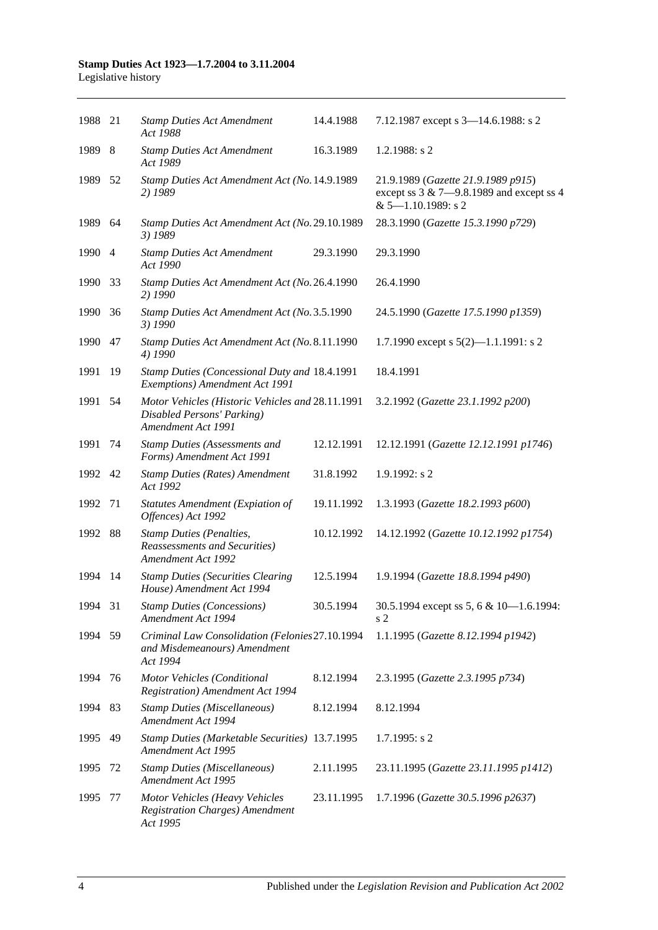| 1988 21 |     | <b>Stamp Duties Act Amendment</b><br>Act 1988                                                        | 14.4.1988  | 7.12.1987 except s 3-14.6.1988: s 2                                                                           |
|---------|-----|------------------------------------------------------------------------------------------------------|------------|---------------------------------------------------------------------------------------------------------------|
| 1989    | 8   | <b>Stamp Duties Act Amendment</b><br>Act 1989                                                        | 16.3.1989  | 1.2.1988: $s$ 2                                                                                               |
| 1989    | 52  | Stamp Duties Act Amendment Act (No. 14.9.1989<br>2) 1989                                             |            | 21.9.1989 (Gazette 21.9.1989 p915)<br>except ss $3 & 7 - 9.8.1989$ and except ss 4<br>$& 5 - 1.10.1989$ : s 2 |
| 1989    | 64  | Stamp Duties Act Amendment Act (No. 29.10.1989<br>3) 1989                                            |            | 28.3.1990 (Gazette 15.3.1990 p729)                                                                            |
| 1990 4  |     | <b>Stamp Duties Act Amendment</b><br>Act 1990                                                        | 29.3.1990  | 29.3.1990                                                                                                     |
| 1990    | 33  | Stamp Duties Act Amendment Act (No. 26.4.1990<br>2) 1990                                             |            | 26.4.1990                                                                                                     |
| 1990    | 36  | Stamp Duties Act Amendment Act (No. 3.5.1990<br>3) 1990                                              |            | 24.5.1990 (Gazette 17.5.1990 p1359)                                                                           |
| 1990    | 47  | Stamp Duties Act Amendment Act (No. 8.11.1990<br>4) 1990                                             |            | 1.7.1990 except s $5(2)$ —1.1.1991: s 2                                                                       |
| 1991    | 19  | Stamp Duties (Concessional Duty and 18.4.1991<br>Exemptions) Amendment Act 1991                      |            | 18.4.1991                                                                                                     |
| 1991    | 54  | Motor Vehicles (Historic Vehicles and 28.11.1991<br>Disabled Persons' Parking)<br>Amendment Act 1991 |            | 3.2.1992 (Gazette 23.1.1992 p200)                                                                             |
| 1991    | 74  | <b>Stamp Duties (Assessments and</b><br>Forms) Amendment Act 1991                                    | 12.12.1991 | 12.12.1991 (Gazette 12.12.1991 p1746)                                                                         |
| 1992 42 |     | <b>Stamp Duties (Rates) Amendment</b><br>Act 1992                                                    | 31.8.1992  | 1.9.1992: s2                                                                                                  |
| 1992    | 71  | <b>Statutes Amendment (Expiation of</b><br>Offences) Act 1992                                        | 19.11.1992 | 1.3.1993 (Gazette 18.2.1993 p600)                                                                             |
| 1992    | 88  | <b>Stamp Duties (Penalties,</b><br>Reassessments and Securities)<br>Amendment Act 1992               | 10.12.1992 | 14.12.1992 (Gazette 10.12.1992 p1754)                                                                         |
| 1994    | -14 | <b>Stamp Duties (Securities Clearing</b><br>House) Amendment Act 1994                                | 12.5.1994  | 1.9.1994 (Gazette 18.8.1994 p490)                                                                             |
| 1994 31 |     | <b>Stamp Duties (Concessions)</b><br>Amendment Act 1994                                              | 30.5.1994  | 30.5.1994 except ss 5, 6 & 10-1.6.1994:<br>s 2                                                                |
| 1994    | 59  | Criminal Law Consolidation (Felonies 27.10.1994<br>and Misdemeanours) Amendment<br>Act 1994          |            | 1.1.1995 (Gazette 8.12.1994 p1942)                                                                            |
| 1994    | 76  | Motor Vehicles (Conditional<br><b>Registration</b> ) Amendment Act 1994                              | 8.12.1994  | 2.3.1995 (Gazette 2.3.1995 p734)                                                                              |
| 1994 83 |     | <b>Stamp Duties (Miscellaneous)</b><br>Amendment Act 1994                                            | 8.12.1994  | 8.12.1994                                                                                                     |
| 1995    | 49  | <b>Stamp Duties (Marketable Securities) 13.7.1995</b><br>Amendment Act 1995                          |            | $1.7.1995$ : s 2                                                                                              |
| 1995    | 72  | <b>Stamp Duties (Miscellaneous)</b><br>Amendment Act 1995                                            | 2.11.1995  | 23.11.1995 (Gazette 23.11.1995 p1412)                                                                         |
| 1995    | 77  | Motor Vehicles (Heavy Vehicles<br><b>Registration Charges)</b> Amendment<br>Act 1995                 | 23.11.1995 | 1.7.1996 (Gazette 30.5.1996 p2637)                                                                            |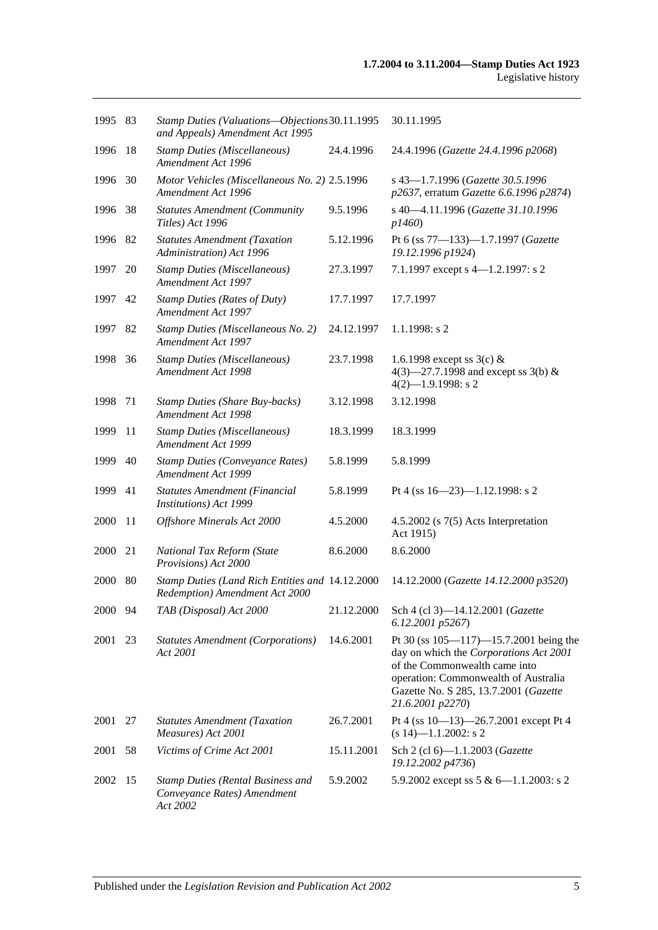| 1995 83 |     | Stamp Duties (Valuations-Objections 30.11.1995<br>and Appeals) Amendment Act 1995   |            | 30.11.1995                                                                                                                                                                                                                   |
|---------|-----|-------------------------------------------------------------------------------------|------------|------------------------------------------------------------------------------------------------------------------------------------------------------------------------------------------------------------------------------|
| 1996    | -18 | <b>Stamp Duties (Miscellaneous)</b><br>Amendment Act 1996                           | 24.4.1996  | 24.4.1996 (Gazette 24.4.1996 p2068)                                                                                                                                                                                          |
| 1996 30 |     | Motor Vehicles (Miscellaneous No. 2) 2.5.1996<br>Amendment Act 1996                 |            | s 43-1.7.1996 (Gazette 30.5.1996<br>p2637, erratum Gazette 6.6.1996 p2874)                                                                                                                                                   |
| 1996    | 38  | <b>Statutes Amendment (Community</b><br>Titles) Act 1996                            | 9.5.1996   | s 40-4.11.1996 (Gazette 31.10.1996<br>p1460)                                                                                                                                                                                 |
| 1996 82 |     | <b>Statutes Amendment (Taxation</b><br>Administration) Act 1996                     | 5.12.1996  | Pt 6 (ss 77-133)-1.7.1997 (Gazette<br>19.12.1996 p1924)                                                                                                                                                                      |
| 1997    | 20  | <b>Stamp Duties (Miscellaneous)</b><br>Amendment Act 1997                           | 27.3.1997  | 7.1.1997 except s 4-1.2.1997: s 2                                                                                                                                                                                            |
| 1997    | 42  | <b>Stamp Duties (Rates of Duty)</b><br>Amendment Act 1997                           | 17.7.1997  | 17.7.1997                                                                                                                                                                                                                    |
| 1997    | 82  | Stamp Duties (Miscellaneous No. 2)<br>Amendment Act 1997                            | 24.12.1997 | $1.1.1998$ : s 2                                                                                                                                                                                                             |
| 1998    | 36  | <b>Stamp Duties (Miscellaneous)</b><br>Amendment Act 1998                           | 23.7.1998  | 1.6.1998 except ss $3(c)$ &<br>4(3)–27.7.1998 and except ss 3(b) $&$<br>$4(2)$ -1.9.1998: s 2                                                                                                                                |
| 1998    | 71  | <b>Stamp Duties (Share Buy-backs)</b><br>Amendment Act 1998                         | 3.12.1998  | 3.12.1998                                                                                                                                                                                                                    |
| 1999    | 11  | <b>Stamp Duties (Miscellaneous)</b><br>Amendment Act 1999                           | 18.3.1999  | 18.3.1999                                                                                                                                                                                                                    |
| 1999    | 40  | <b>Stamp Duties (Conveyance Rates)</b><br>Amendment Act 1999                        | 5.8.1999   | 5.8.1999                                                                                                                                                                                                                     |
| 1999    | 41  | Statutes Amendment (Financial<br>Institutions) Act 1999                             | 5.8.1999   | Pt 4 (ss $16 - 23$ )-1.12.1998: s 2                                                                                                                                                                                          |
| 2000    | 11  | Offshore Minerals Act 2000                                                          | 4.5.2000   | 4.5.2002 (s $7(5)$ Acts Interpretation<br>Act 1915)                                                                                                                                                                          |
| 2000    | 21  | National Tax Reform (State<br>Provisions) Act 2000                                  | 8.6.2000   | 8.6.2000                                                                                                                                                                                                                     |
| 2000    | 80  | Stamp Duties (Land Rich Entities and 14.12.2000<br>Redemption) Amendment Act 2000   |            | 14.12.2000 (Gazette 14.12.2000 p3520)                                                                                                                                                                                        |
| 2000 94 |     | TAB (Disposal) Act 2000                                                             | 21.12.2000 | Sch 4 (cl 3)-14.12.2001 (Gazette<br>6.12.2001 p5267)                                                                                                                                                                         |
| 2001    | 23  | <b>Statutes Amendment (Corporations)</b><br>Act 2001                                | 14.6.2001  | Pt 30 (ss $105 - 117$ ) -15.7.2001 being the<br>day on which the Corporations Act 2001<br>of the Commonwealth came into<br>operation: Commonwealth of Australia<br>Gazette No. S 285, 13.7.2001 (Gazette<br>21.6.2001 p2270) |
| 2001    | 27  | <b>Statutes Amendment (Taxation</b><br>Measures) Act 2001                           | 26.7.2001  | Pt 4 (ss $10-13$ )-26.7.2001 except Pt 4<br>$(s 14)$ —1.1.2002: s 2                                                                                                                                                          |
| 2001    | 58  | Victims of Crime Act 2001                                                           | 15.11.2001 | Sch 2 (cl 6)-1.1.2003 (Gazette<br>19.12.2002 p4736)                                                                                                                                                                          |
| 2002    | -15 | <b>Stamp Duties (Rental Business and</b><br>Conveyance Rates) Amendment<br>Act 2002 | 5.9.2002   | 5.9.2002 except ss $5 & 6 - 1.1.2003$ : s 2                                                                                                                                                                                  |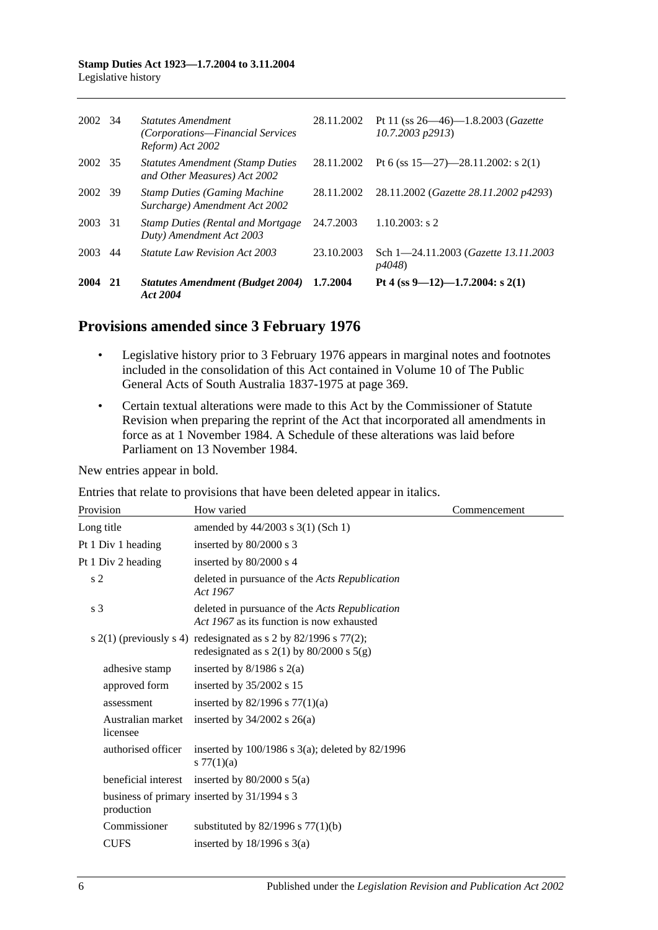| 2002 | -34 | Statutes Amendment<br>(Corporations—Financial Services<br>Reform) Act 2002 | 28.11.2002 | Pt 11 (ss $26 - 46$ )-1.8.2003 ( <i>Gazette</i><br>$10.7,2003$ $p2913$ |
|------|-----|----------------------------------------------------------------------------|------------|------------------------------------------------------------------------|
| 2002 | -35 | <b>Statutes Amendment (Stamp Duties)</b><br>and Other Measures) Act 2002   | 28.11.2002 | Pt 6 (ss $15-27$ )-28.11.2002: s 2(1)                                  |
| 2002 | 39  | <b>Stamp Duties (Gaming Machine</b><br>Surcharge) Amendment Act 2002       | 28.11.2002 | 28.11.2002 (Gazette 28.11.2002 p4293)                                  |
| 2003 | -31 | <b>Stamp Duties (Rental and Mortgage)</b><br>Duty) Amendment Act 2003      | 24.7.2003  | $1.10.2003$ : s 2                                                      |
| 2003 | 44  | <i>Statute Law Revision Act 2003</i>                                       | 23.10.2003 | Sch 1-24.11.2003 ( <i>Gazette 13.11.2003</i><br><i>p4048</i> )         |
| 2004 | 21  | <b>Statutes Amendment (Budget 2004)</b><br>Act 2004                        | 1.7.2004   | Pt 4 (ss 9–12)–1.7.2004: s 2(1)                                        |

## **Provisions amended since 3 February 1976**

- Legislative history prior to 3 February 1976 appears in marginal notes and footnotes included in the consolidation of this Act contained in Volume 10 of The Public General Acts of South Australia 1837-1975 at page 369.
- Certain textual alterations were made to this Act by the Commissioner of Statute Revision when preparing the reprint of the Act that incorporated all amendments in force as at 1 November 1984. A Schedule of these alterations was laid before Parliament on 13 November 1984.

New entries appear in bold.

Entries that relate to provisions that have been deleted appear in italics.

| Provision                     | How varied                                                                                                    | Commencement |
|-------------------------------|---------------------------------------------------------------------------------------------------------------|--------------|
| Long title                    | amended by 44/2003 s 3(1) (Sch 1)                                                                             |              |
| Pt 1 Div 1 heading            | inserted by $80/2000$ s 3                                                                                     |              |
| Pt 1 Div 2 heading            | inserted by 80/2000 s 4                                                                                       |              |
| s <sub>2</sub>                | deleted in pursuance of the Acts Republication<br>Act 1967                                                    |              |
| s <sub>3</sub>                | deleted in pursuance of the <i>Acts Republication</i><br>Act 1967 as its function is now exhausted            |              |
|                               | s 2(1) (previously s 4) redesignated as s 2 by 82/1996 s 77(2);<br>redesignated as $s$ 2(1) by 80/2000 s 5(g) |              |
| adhesive stamp                | inserted by $8/1986$ s $2(a)$                                                                                 |              |
| approved form                 | inserted by 35/2002 s 15                                                                                      |              |
| assessment                    | inserted by 82/1996 s $77(1)(a)$                                                                              |              |
| Australian market<br>licensee | inserted by $34/2002$ s $26(a)$                                                                               |              |
| authorised officer            | inserted by $100/1986$ s $3(a)$ ; deleted by $82/1996$<br>s $77(1)(a)$                                        |              |
| beneficial interest           | inserted by $80/2000$ s $5(a)$                                                                                |              |
| production                    | business of primary inserted by 31/1994 s 3                                                                   |              |
| Commissioner                  | substituted by $82/1996$ s $77(1)(b)$                                                                         |              |
| <b>CUFS</b>                   | inserted by $18/1996$ s $3(a)$                                                                                |              |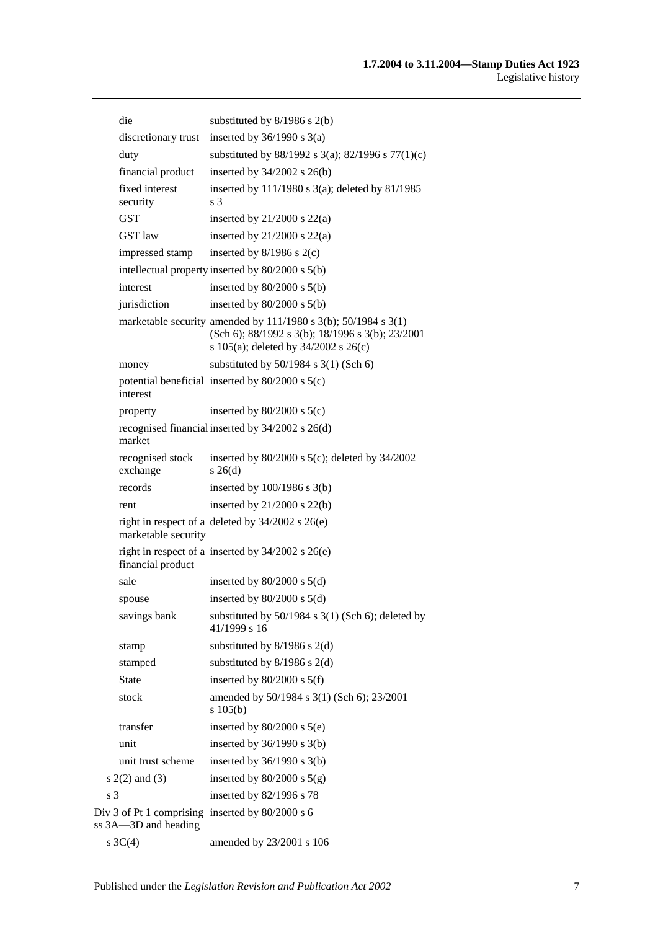| die                                                                        | substituted by $8/1986$ s $2(b)$                                                                                                                                      |
|----------------------------------------------------------------------------|-----------------------------------------------------------------------------------------------------------------------------------------------------------------------|
| discretionary trust                                                        | inserted by $36/1990$ s $3(a)$                                                                                                                                        |
| duty                                                                       | substituted by 88/1992 s 3(a); 82/1996 s 77(1)(c)                                                                                                                     |
| financial product                                                          | inserted by $34/2002$ s $26(b)$                                                                                                                                       |
| fixed interest<br>security                                                 | inserted by $111/1980$ s $3(a)$ ; deleted by $81/1985$<br>s 3                                                                                                         |
| <b>GST</b>                                                                 | inserted by $21/2000$ s $22(a)$                                                                                                                                       |
| <b>GST</b> law                                                             | inserted by $21/2000$ s $22(a)$                                                                                                                                       |
| impressed stamp                                                            | inserted by $8/1986$ s $2(c)$                                                                                                                                         |
|                                                                            | intellectual property inserted by 80/2000 s 5(b)                                                                                                                      |
| interest                                                                   | inserted by $80/2000$ s $5(b)$                                                                                                                                        |
| jurisdiction                                                               | inserted by $80/2000$ s $5(b)$                                                                                                                                        |
|                                                                            | marketable security amended by $111/1980$ s $3(b)$ ; $50/1984$ s $3(1)$<br>(Sch 6); 88/1992 s 3(b); 18/1996 s 3(b); 23/2001<br>s 105(a); deleted by $34/2002$ s 26(c) |
| money                                                                      | substituted by $50/1984$ s $3(1)$ (Sch 6)                                                                                                                             |
| interest                                                                   | potential beneficial inserted by $80/2000$ s $5(c)$                                                                                                                   |
| property                                                                   | inserted by $80/2000$ s $5(c)$                                                                                                                                        |
| market                                                                     | recognised financial inserted by 34/2002 s 26(d)                                                                                                                      |
| recognised stock<br>exchange                                               | inserted by $80/2000$ s $5(c)$ ; deleted by $34/2002$<br>$s \; 26(d)$                                                                                                 |
| records                                                                    | inserted by $100/1986$ s $3(b)$                                                                                                                                       |
| rent                                                                       | inserted by $21/2000$ s $22(b)$                                                                                                                                       |
| marketable security                                                        | right in respect of a deleted by $34/2002$ s $26(e)$                                                                                                                  |
| financial product                                                          | right in respect of a inserted by $34/2002$ s $26(e)$                                                                                                                 |
| sale                                                                       | inserted by $80/2000$ s $5(d)$                                                                                                                                        |
| spouse                                                                     | inserted by $80/2000$ s $5(d)$                                                                                                                                        |
| savings bank                                                               | substituted by $50/1984$ s $3(1)$ (Sch 6); deleted by<br>41/1999 s 16                                                                                                 |
| stamp                                                                      | substituted by $8/1986$ s $2(d)$                                                                                                                                      |
| stamped                                                                    | substituted by $8/1986$ s $2(d)$                                                                                                                                      |
| <b>State</b>                                                               | inserted by $80/2000$ s $5(f)$                                                                                                                                        |
| stock                                                                      | amended by 50/1984 s 3(1) (Sch 6); 23/2001<br>s 105(b)                                                                                                                |
| transfer                                                                   | inserted by $80/2000$ s $5(e)$                                                                                                                                        |
| unit                                                                       | inserted by $36/1990$ s $3(b)$                                                                                                                                        |
| unit trust scheme                                                          | inserted by $36/1990$ s $3(b)$                                                                                                                                        |
| $s(2(2)$ and $(3)$                                                         | inserted by $80/2000$ s $5(g)$                                                                                                                                        |
| s <sub>3</sub>                                                             | inserted by 82/1996 s 78                                                                                                                                              |
| Div 3 of Pt 1 comprising inserted by $80/2000$ s 6<br>ss 3A-3D and heading |                                                                                                                                                                       |
| s $3C(4)$                                                                  | amended by 23/2001 s 106                                                                                                                                              |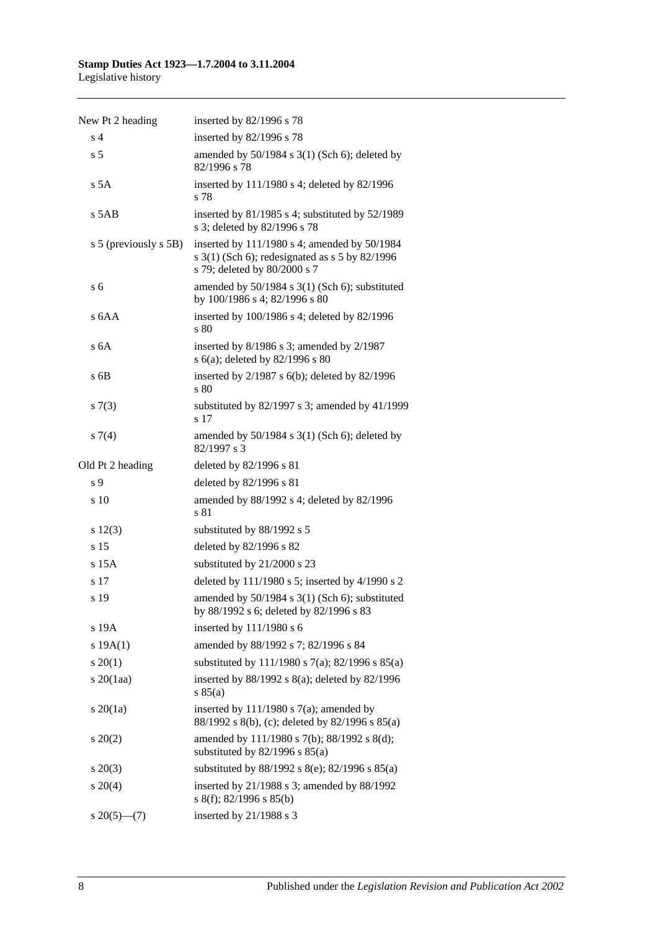| New Pt 2 heading      | inserted by 82/1996 s 78                                                                                                         |
|-----------------------|----------------------------------------------------------------------------------------------------------------------------------|
| s <sub>4</sub>        | inserted by 82/1996 s 78                                                                                                         |
| s <sub>5</sub>        | amended by $50/1984$ s $3(1)$ (Sch 6); deleted by<br>82/1996 s 78                                                                |
| s 5A                  | inserted by 111/1980 s 4; deleted by 82/1996<br>s 78                                                                             |
| s 5AB                 | inserted by 81/1985 s 4; substituted by 52/1989<br>s 3; deleted by 82/1996 s 78                                                  |
| s 5 (previously s 5B) | inserted by 111/1980 s 4; amended by 50/1984<br>s $3(1)$ (Sch 6); redesignated as s 5 by 82/1996<br>s 79; deleted by 80/2000 s 7 |
| s <sub>6</sub>        | amended by 50/1984 s 3(1) (Sch 6); substituted<br>by 100/1986 s 4; 82/1996 s 80                                                  |
| s 6AA                 | inserted by 100/1986 s 4; deleted by 82/1996<br>s 80                                                                             |
| s <sub>6A</sub>       | inserted by 8/1986 s 3; amended by 2/1987<br>s 6(a); deleted by 82/1996 s 80                                                     |
| s 6B                  | inserted by $2/1987$ s $6(b)$ ; deleted by $82/1996$<br>s 80                                                                     |
| s(7(3)                | substituted by 82/1997 s 3; amended by 41/1999<br>s <sub>17</sub>                                                                |
| s7(4)                 | amended by $50/1984$ s $3(1)$ (Sch 6); deleted by<br>82/1997 s 3                                                                 |
| Old Pt 2 heading      | deleted by 82/1996 s 81                                                                                                          |
| s <sub>9</sub>        | deleted by 82/1996 s 81                                                                                                          |
| s 10                  | amended by 88/1992 s 4; deleted by 82/1996<br>s 81                                                                               |
| s 12(3)               | substituted by 88/1992 s 5                                                                                                       |
| s 15                  | deleted by 82/1996 s 82                                                                                                          |
| $s$ 15 $A$            | substituted by 21/2000 s 23                                                                                                      |
| s 17                  | deleted by 111/1980 s 5; inserted by 4/1990 s 2                                                                                  |
| s 19                  | amended by 50/1984 s 3(1) (Sch 6); substituted<br>by 88/1992 s 6; deleted by 82/1996 s 83                                        |
| s 19A                 | inserted by $111/1980$ s 6                                                                                                       |
| s 19A(1)              | amended by 88/1992 s 7; 82/1996 s 84                                                                                             |
| $s \, 20(1)$          | substituted by 111/1980 s 7(a); 82/1996 s 85(a)                                                                                  |
| $s\,20(1aa)$          | inserted by $88/1992$ s $8(a)$ ; deleted by $82/1996$<br>s 85(a)                                                                 |
| $s \, 20(1a)$         | inserted by $111/1980$ s $7(a)$ ; amended by<br>88/1992 s 8(b), (c); deleted by 82/1996 s 85(a)                                  |
| $\pm 20(2)$           | amended by 111/1980 s 7(b); 88/1992 s 8(d);<br>substituted by $82/1996$ s $85(a)$                                                |
| $s\,20(3)$            | substituted by 88/1992 s 8(e); 82/1996 s 85(a)                                                                                   |
| $s \ 20(4)$           | inserted by $21/1988$ s 3; amended by $88/1992$<br>s 8(f); 82/1996 s 85(b)                                                       |
| $s\,20(5)$ —(7)       | inserted by $21/1988$ s 3                                                                                                        |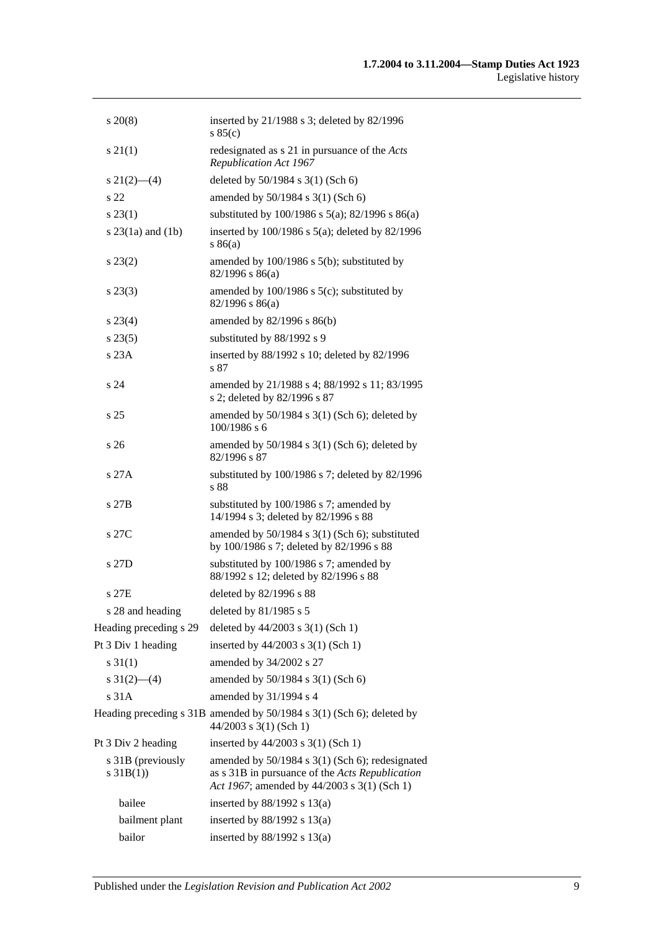| $s\,20(8)$                        | inserted by $21/1988$ s 3; deleted by $82/1996$<br>s 85(c)                                                                                        |
|-----------------------------------|---------------------------------------------------------------------------------------------------------------------------------------------------|
| s 21(1)                           | redesignated as s 21 in pursuance of the Acts<br>Republication Act 1967                                                                           |
| $s\ 21(2)$ —(4)                   | deleted by 50/1984 s 3(1) (Sch 6)                                                                                                                 |
| s 22                              | amended by $50/1984$ s $3(1)$ (Sch 6)                                                                                                             |
| $s\,23(1)$                        | substituted by 100/1986 s 5(a); 82/1996 s 86(a)                                                                                                   |
| s $23(1a)$ and $(1b)$             | inserted by $100/1986$ s $5(a)$ ; deleted by 82/1996<br>s86(a)                                                                                    |
| $s\,23(2)$                        | amended by $100/1986$ s $5(b)$ ; substituted by<br>$82/1996$ s $86(a)$                                                                            |
| $s\,23(3)$                        | amended by $100/1986$ s $5(c)$ ; substituted by<br>$82/1996$ s $86(a)$                                                                            |
| $s\,23(4)$                        | amended by 82/1996 s 86(b)                                                                                                                        |
| $s\,23(5)$                        | substituted by 88/1992 s 9                                                                                                                        |
| s 23A                             | inserted by 88/1992 s 10; deleted by 82/1996<br>s 87                                                                                              |
| s 24                              | amended by 21/1988 s 4; 88/1992 s 11; 83/1995<br>s 2; deleted by 82/1996 s 87                                                                     |
| s <sub>25</sub>                   | amended by 50/1984 s 3(1) (Sch 6); deleted by<br>$100/1986$ s 6                                                                                   |
| s 26                              | amended by $50/1984$ s $3(1)$ (Sch 6); deleted by<br>82/1996 s 87                                                                                 |
| s 27A                             | substituted by $100/1986$ s 7; deleted by 82/1996<br>s 88                                                                                         |
| s 27B                             | substituted by 100/1986 s 7; amended by<br>14/1994 s 3; deleted by 82/1996 s 88                                                                   |
| s 27C                             | amended by $50/1984$ s $3(1)$ (Sch 6); substituted<br>by 100/1986 s 7; deleted by 82/1996 s 88                                                    |
| s 27D                             | substituted by 100/1986 s 7; amended by<br>88/1992 s 12; deleted by 82/1996 s 88                                                                  |
| s 27E                             | deleted by 82/1996 s 88                                                                                                                           |
| s 28 and heading                  | deleted by 81/1985 s 5                                                                                                                            |
| Heading preceding s 29            | deleted by $44/2003$ s 3(1) (Sch 1)                                                                                                               |
| Pt 3 Div 1 heading                | inserted by 44/2003 s 3(1) (Sch 1)                                                                                                                |
| $s \ 31(1)$                       | amended by 34/2002 s 27                                                                                                                           |
| s $31(2)$ - (4)                   | amended by 50/1984 s 3(1) (Sch 6)                                                                                                                 |
| s 31A                             | amended by 31/1994 s 4                                                                                                                            |
|                                   | Heading preceding s 31B amended by 50/1984 s 3(1) (Sch 6); deleted by<br>$44/2003$ s 3(1) (Sch 1)                                                 |
| Pt 3 Div 2 heading                | inserted by 44/2003 s 3(1) (Sch 1)                                                                                                                |
| s 31B (previously<br>s $31B(1)$ ) | amended by 50/1984 s 3(1) (Sch 6); redesignated<br>as s 31B in pursuance of the Acts Republication<br>Act 1967; amended by 44/2003 s 3(1) (Sch 1) |
| bailee                            | inserted by $88/1992$ s $13(a)$                                                                                                                   |
| bailment plant                    | inserted by $88/1992$ s $13(a)$                                                                                                                   |
| bailor                            | inserted by $88/1992$ s $13(a)$                                                                                                                   |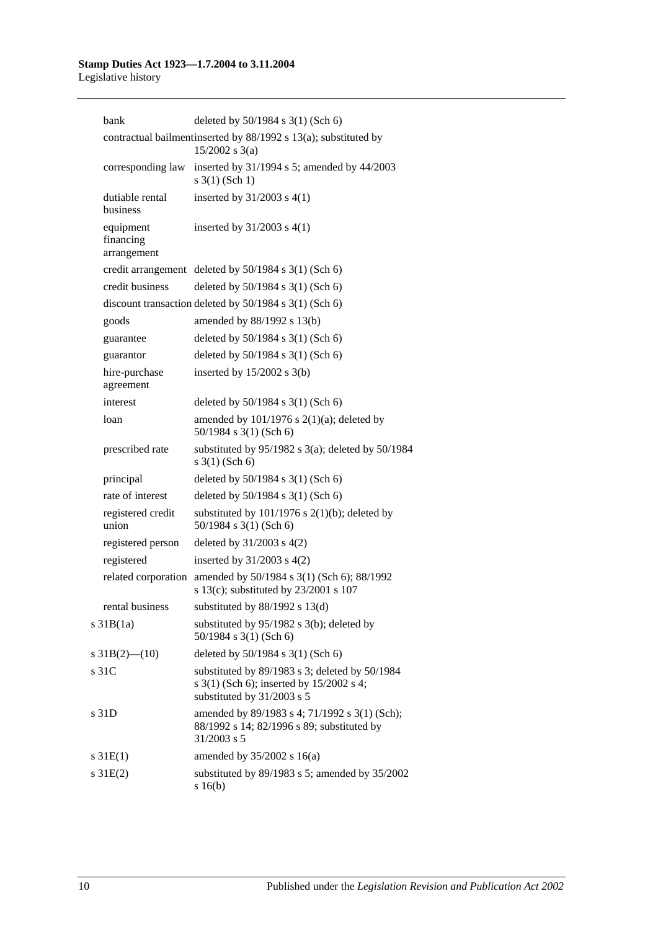| bank                                  | deleted by $50/1984$ s $3(1)$ (Sch 6)                                                                                    |
|---------------------------------------|--------------------------------------------------------------------------------------------------------------------------|
|                                       | contractual bailmentinserted by 88/1992 s 13(a); substituted by<br>$15/2002$ s 3(a)                                      |
| corresponding law                     | inserted by 31/1994 s 5; amended by 44/2003<br>$s \; 3(1)$ (Sch 1)                                                       |
| dutiable rental<br>business           | inserted by $31/2003$ s $4(1)$                                                                                           |
| equipment<br>financing<br>arrangement | inserted by $31/2003$ s $4(1)$                                                                                           |
|                                       | credit arrangement deleted by $50/1984$ s 3(1) (Sch 6)                                                                   |
| credit business                       | deleted by 50/1984 s 3(1) (Sch 6)                                                                                        |
|                                       | discount transaction deleted by $50/1984$ s $3(1)$ (Sch 6)                                                               |
| goods                                 | amended by 88/1992 s 13(b)                                                                                               |
| guarantee                             | deleted by 50/1984 s 3(1) (Sch 6)                                                                                        |
| guarantor                             | deleted by 50/1984 s 3(1) (Sch 6)                                                                                        |
| hire-purchase<br>agreement            | inserted by $15/2002$ s $3(b)$                                                                                           |
| interest                              | deleted by 50/1984 s 3(1) (Sch 6)                                                                                        |
| loan                                  | amended by $101/1976$ s $2(1)(a)$ ; deleted by<br>50/1984 s 3(1) (Sch 6)                                                 |
| prescribed rate                       | substituted by $95/1982$ s $3(a)$ ; deleted by $50/1984$<br>$s \; 3(1)$ (Sch 6)                                          |
| principal                             | deleted by 50/1984 s 3(1) (Sch 6)                                                                                        |
| rate of interest                      | deleted by 50/1984 s 3(1) (Sch 6)                                                                                        |
| registered credit<br>union            | substituted by $101/1976$ s $2(1)(b)$ ; deleted by<br>50/1984 s 3(1) (Sch 6)                                             |
| registered person                     | deleted by $31/2003$ s $4(2)$                                                                                            |
| registered                            | inserted by $31/2003$ s $4(2)$                                                                                           |
| related corporation                   | amended by 50/1984 s 3(1) (Sch 6); 88/1992<br>s 13(c); substituted by 23/2001 s 107                                      |
| rental business                       | substituted by 88/1992 s 13(d)                                                                                           |
| s 31B(1a)                             | substituted by $95/1982$ s $3(b)$ ; deleted by<br>50/1984 s 3(1) (Sch 6)                                                 |
| s $31B(2)$ — $(10)$                   | deleted by 50/1984 s 3(1) (Sch 6)                                                                                        |
| s 31C                                 | substituted by 89/1983 s 3; deleted by 50/1984<br>s 3(1) (Sch 6); inserted by 15/2002 s 4;<br>substituted by 31/2003 s 5 |
| s 31D                                 | amended by 89/1983 s 4; 71/1992 s 3(1) (Sch);<br>88/1992 s 14; 82/1996 s 89; substituted by<br>31/2003 s 5               |
| s 31E(1)                              | amended by $35/2002$ s 16(a)                                                                                             |
| s31E(2)                               | substituted by $89/1983$ s 5; amended by $35/2002$<br>s16(b)                                                             |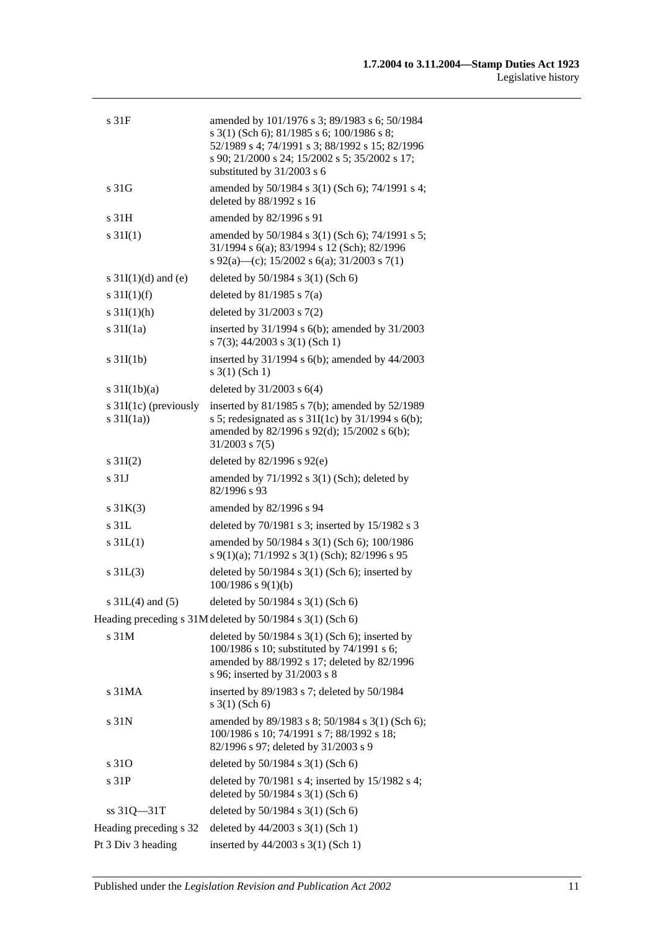| s 31F                                  | amended by 101/1976 s 3; 89/1983 s 6; 50/1984<br>s 3(1) (Sch 6); 81/1985 s 6; 100/1986 s 8;<br>52/1989 s 4; 74/1991 s 3; 88/1992 s 15; 82/1996<br>s 90; 21/2000 s 24; 15/2002 s 5; 35/2002 s 17;<br>substituted by 31/2003 s 6 |
|----------------------------------------|--------------------------------------------------------------------------------------------------------------------------------------------------------------------------------------------------------------------------------|
| s 31G                                  | amended by 50/1984 s 3(1) (Sch 6); 74/1991 s 4;<br>deleted by 88/1992 s 16                                                                                                                                                     |
| s 31H                                  | amended by 82/1996 s 91                                                                                                                                                                                                        |
| $s \, 31I(1)$                          | amended by 50/1984 s 3(1) (Sch 6); 74/1991 s 5;<br>31/1994 s 6(a); 83/1994 s 12 (Sch); 82/1996<br>s 92(a)—(c); 15/2002 s 6(a); 31/2003 s 7(1)                                                                                  |
| s $31I(1)(d)$ and (e)                  | deleted by 50/1984 s 3(1) (Sch 6)                                                                                                                                                                                              |
| s $31I(1)(f)$                          | deleted by $81/1985$ s $7(a)$                                                                                                                                                                                                  |
| s $31I(1)(h)$                          | deleted by 31/2003 s 7(2)                                                                                                                                                                                                      |
| $s \frac{31I(1a)}{2}$                  | inserted by $31/1994$ s $6(b)$ ; amended by $31/2003$<br>s 7(3); 44/2003 s 3(1) (Sch 1)                                                                                                                                        |
| $s \frac{31I(1b)}{2}$                  | inserted by $31/1994$ s $6(b)$ ; amended by $44/2003$<br>$s \; 3(1)$ (Sch 1)                                                                                                                                                   |
| s $31I(1b)(a)$                         | deleted by $31/2003$ s $6(4)$                                                                                                                                                                                                  |
| s $31I(1c)$ (previously<br>s $31I(1a)$ | inserted by $81/1985$ s $7(b)$ ; amended by $52/1989$<br>s 5; redesignated as s $31I(1c)$ by $31/1994$ s $6(b)$ ;<br>amended by 82/1996 s 92(d); 15/2002 s 6(b);<br>$31/2003$ s $7(5)$                                         |
| s $31I(2)$                             | deleted by $82/1996$ s $92(e)$                                                                                                                                                                                                 |
| s <sub>31J</sub>                       | amended by $71/1992$ s $3(1)$ (Sch); deleted by<br>82/1996 s 93                                                                                                                                                                |
| $s \, 31K(3)$                          | amended by 82/1996 s 94                                                                                                                                                                                                        |
| s <sub>31L</sub>                       | deleted by 70/1981 s 3; inserted by 15/1982 s 3                                                                                                                                                                                |
| s31L(1)                                | amended by 50/1984 s 3(1) (Sch 6); 100/1986<br>s 9(1)(a); 71/1992 s 3(1) (Sch); 82/1996 s 95                                                                                                                                   |
| s31L(3)                                | deleted by $50/1984$ s $3(1)$ (Sch 6); inserted by<br>$100/1986$ s $9(1)(b)$                                                                                                                                                   |
| s $31L(4)$ and $(5)$                   | deleted by 50/1984 s 3(1) (Sch 6)                                                                                                                                                                                              |
|                                        | Heading preceding s 31M deleted by 50/1984 s 3(1) (Sch 6)                                                                                                                                                                      |
| s 31M                                  | deleted by $50/1984$ s $3(1)$ (Sch 6); inserted by<br>100/1986 s 10; substituted by 74/1991 s 6;<br>amended by 88/1992 s 17; deleted by 82/1996<br>s 96; inserted by 31/2003 s 8                                               |
| s 31MA                                 | inserted by 89/1983 s 7; deleted by 50/1984<br>$s \; 3(1)$ (Sch 6)                                                                                                                                                             |
| s 31N                                  | amended by 89/1983 s 8; 50/1984 s 3(1) (Sch 6);<br>100/1986 s 10; 74/1991 s 7; 88/1992 s 18;<br>82/1996 s 97; deleted by 31/2003 s 9                                                                                           |
| s 310                                  | deleted by 50/1984 s 3(1) (Sch 6)                                                                                                                                                                                              |
| s 31P                                  | deleted by 70/1981 s 4; inserted by 15/1982 s 4;<br>deleted by 50/1984 s 3(1) (Sch 6)                                                                                                                                          |
| $ss 31Q - 31T$                         | deleted by 50/1984 s 3(1) (Sch 6)                                                                                                                                                                                              |
| Heading preceding s 32                 | deleted by $44/2003$ s 3(1) (Sch 1)                                                                                                                                                                                            |
| Pt 3 Div 3 heading                     | inserted by 44/2003 s 3(1) (Sch 1)                                                                                                                                                                                             |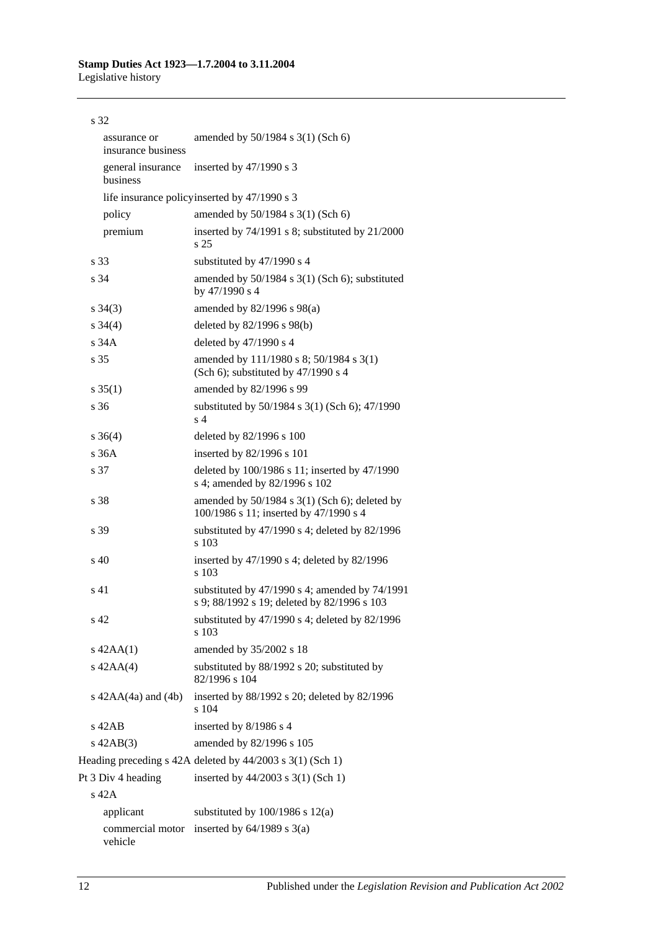| s 32                               |                                                                                               |
|------------------------------------|-----------------------------------------------------------------------------------------------|
| assurance or<br>insurance business | amended by $50/1984$ s $3(1)$ (Sch 6)                                                         |
| general insurance<br>business      | inserted by $47/1990$ s 3                                                                     |
|                                    | life insurance policy inserted by 47/1990 s 3                                                 |
| policy                             | amended by 50/1984 s 3(1) (Sch 6)                                                             |
| premium                            | inserted by 74/1991 s 8; substituted by 21/2000<br>s <sub>25</sub>                            |
| s 33                               | substituted by 47/1990 s 4                                                                    |
| s 34                               | amended by 50/1984 s 3(1) (Sch 6); substituted<br>by 47/1990 s 4                              |
| $s \; 34(3)$                       | amended by $82/1996$ s $98(a)$                                                                |
| $s \; 34(4)$                       | deleted by $82/1996$ s $98(b)$                                                                |
| s 34A                              | deleted by 47/1990 s 4                                                                        |
| s <sub>35</sub>                    | amended by 111/1980 s 8; 50/1984 s 3(1)<br>(Sch 6); substituted by $47/1990$ s 4              |
| $s \, 35(1)$                       | amended by 82/1996 s 99                                                                       |
| $\sqrt{36}$                        | substituted by 50/1984 s 3(1) (Sch 6); 47/1990<br>s <sub>4</sub>                              |
| $s \; 36(4)$                       | deleted by 82/1996 s 100                                                                      |
| s36A                               | inserted by 82/1996 s 101                                                                     |
| s 37                               | deleted by 100/1986 s 11; inserted by 47/1990<br>s 4; amended by 82/1996 s 102                |
| s 38                               | amended by $50/1984$ s $3(1)$ (Sch 6); deleted by<br>100/1986 s 11; inserted by 47/1990 s 4   |
| s 39                               | substituted by $47/1990$ s 4; deleted by $82/1996$<br>s 103                                   |
| $s\,40$                            | inserted by 47/1990 s 4; deleted by 82/1996<br>s 103                                          |
| s <sub>41</sub>                    | substituted by 47/1990 s 4; amended by 74/1991<br>s 9; 88/1992 s 19; deleted by 82/1996 s 103 |
| s 42                               | substituted by 47/1990 s 4; deleted by 82/1996<br>s 103                                       |
| $s$ 42AA $(1)$                     | amended by 35/2002 s 18                                                                       |
| $s$ 42AA $(4)$                     | substituted by 88/1992 s 20; substituted by<br>82/1996 s 104                                  |
| s $42AA(4a)$ and $(4b)$            | inserted by 88/1992 s 20; deleted by 82/1996<br>s 104                                         |
| $s$ 42AB                           | inserted by 8/1986 s 4                                                                        |
| $s$ 42AB $(3)$                     | amended by 82/1996 s 105                                                                      |
|                                    | Heading preceding s 42A deleted by 44/2003 s 3(1) (Sch 1)                                     |
| Pt 3 Div 4 heading                 | inserted by $44/2003$ s 3(1) (Sch 1)                                                          |
| $s$ 42 $A$                         |                                                                                               |
| applicant                          | substituted by $100/1986$ s $12(a)$                                                           |
| commercial motor<br>vehicle        | inserted by $64/1989$ s $3(a)$                                                                |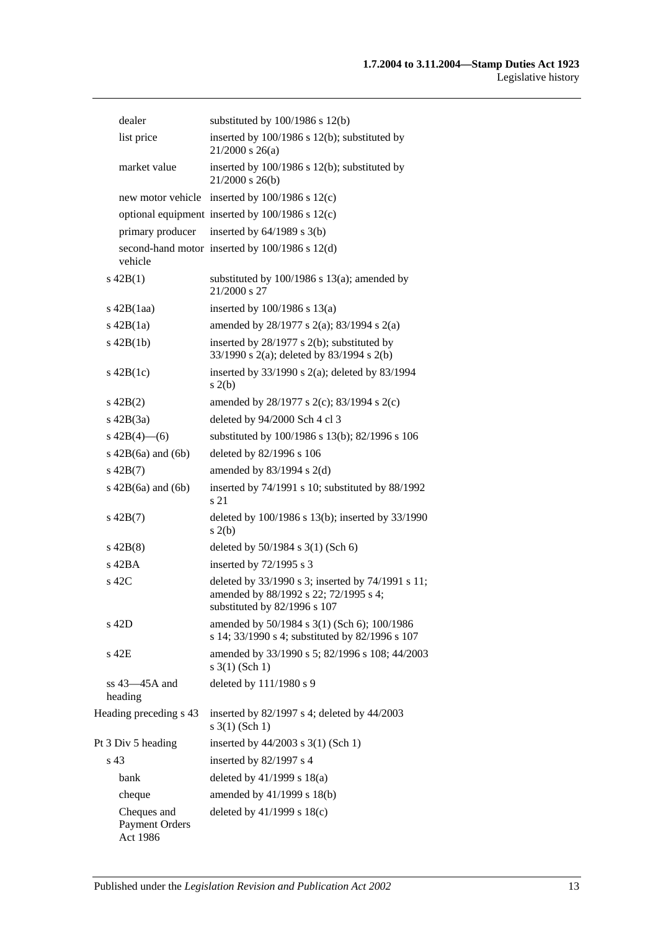| dealer                                           | substituted by $100/1986$ s $12(b)$                                                                                        |
|--------------------------------------------------|----------------------------------------------------------------------------------------------------------------------------|
| list price                                       | inserted by 100/1986 s 12(b); substituted by<br>$21/2000$ s $26(a)$                                                        |
| market value                                     | inserted by 100/1986 s 12(b); substituted by<br>$21/2000$ s $26(b)$                                                        |
|                                                  | new motor vehicle inserted by 100/1986 s 12(c)                                                                             |
|                                                  | optional equipment inserted by $100/1986$ s $12(c)$                                                                        |
| primary producer                                 | inserted by $64/1989$ s $3(b)$                                                                                             |
| vehicle                                          | second-hand motor inserted by 100/1986 s 12(d)                                                                             |
| $s\ 42B(1)$                                      | substituted by $100/1986$ s $13(a)$ ; amended by<br>21/2000 s 27                                                           |
| $s\ 42B(1aa)$                                    | inserted by $100/1986$ s $13(a)$                                                                                           |
| $s$ 42B $(1a)$                                   | amended by 28/1977 s 2(a); 83/1994 s 2(a)                                                                                  |
| $s$ 42B $(1b)$                                   | inserted by $28/1977$ s $2(b)$ ; substituted by<br>33/1990 s 2(a); deleted by 83/1994 s 2(b)                               |
| $s\ 42B(1c)$                                     | inserted by $33/1990$ s $2(a)$ ; deleted by $83/1994$<br>s(2(b)                                                            |
| $s\ 42B(2)$                                      | amended by 28/1977 s 2(c); 83/1994 s 2(c)                                                                                  |
| $s\ 42B(3a)$                                     | deleted by 94/2000 Sch 4 cl 3                                                                                              |
| s $42B(4)$ (6)                                   | substituted by 100/1986 s 13(b); 82/1996 s 106                                                                             |
| $s\ 42B(6a)$ and $(6b)$                          | deleted by 82/1996 s 106                                                                                                   |
| $s\ 42B(7)$                                      | amended by $83/1994$ s 2(d)                                                                                                |
| $s\ 42B(6a)$ and $(6b)$                          | inserted by 74/1991 s 10; substituted by 88/1992<br>s 21                                                                   |
| $s\ 42B(7)$                                      | deleted by 100/1986 s 13(b); inserted by 33/1990<br>s(2(b)                                                                 |
| $s\ 42B(8)$                                      | deleted by $50/1984$ s $3(1)$ (Sch 6)                                                                                      |
| $s$ 42BA                                         | inserted by 72/1995 s 3                                                                                                    |
| s 42C                                            | deleted by 33/1990 s 3; inserted by 74/1991 s 11;<br>amended by 88/1992 s 22; 72/1995 s 4;<br>substituted by 82/1996 s 107 |
| s 42D                                            | amended by 50/1984 s 3(1) (Sch 6); 100/1986<br>s 14; 33/1990 s 4; substituted by 82/1996 s 107                             |
| s 42E                                            | amended by 33/1990 s 5; 82/1996 s 108; 44/2003<br>$s \; 3(1)$ (Sch 1)                                                      |
| $ss 43 - 45A$ and<br>heading                     | deleted by 111/1980 s 9                                                                                                    |
| Heading preceding s 43                           | inserted by $82/1997$ s 4; deleted by $44/2003$<br>$s \; 3(1)$ (Sch 1)                                                     |
| Pt 3 Div 5 heading                               | inserted by 44/2003 s 3(1) (Sch 1)                                                                                         |
| s 43                                             | inserted by $82/1997$ s 4                                                                                                  |
| bank                                             | deleted by $41/1999$ s $18(a)$                                                                                             |
| cheque                                           | amended by 41/1999 s 18(b)                                                                                                 |
| Cheques and<br><b>Payment Orders</b><br>Act 1986 | deleted by $41/1999$ s $18(c)$                                                                                             |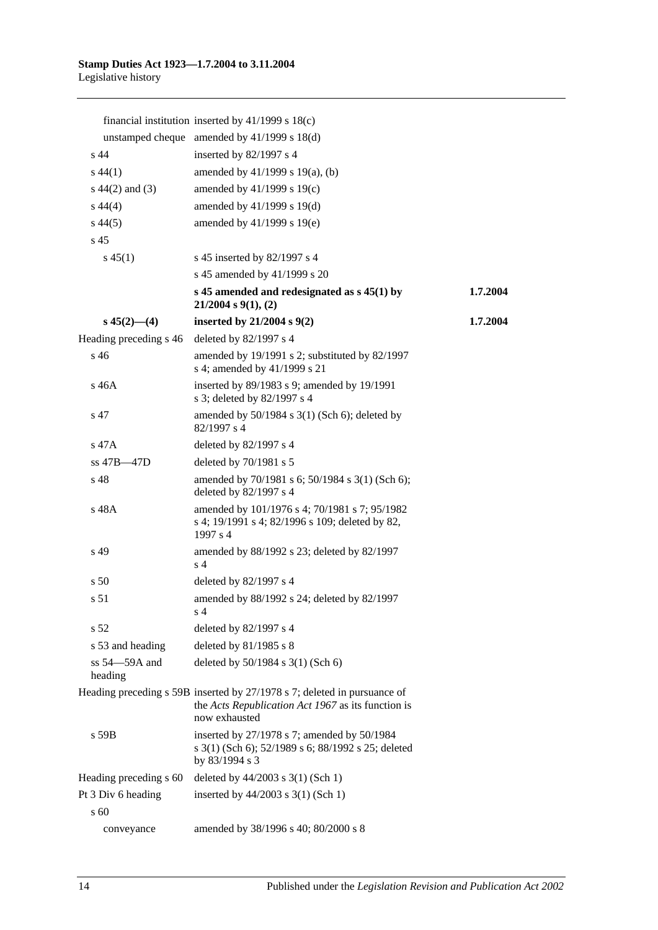|                              | financial institution inserted by $41/1999$ s $18(c)$                                                                                           |          |
|------------------------------|-------------------------------------------------------------------------------------------------------------------------------------------------|----------|
|                              | unstamped cheque amended by $41/1999$ s $18(d)$                                                                                                 |          |
| s <sub>44</sub>              | inserted by 82/1997 s 4                                                                                                                         |          |
| $s\,44(1)$                   | amended by 41/1999 s 19(a), (b)                                                                                                                 |          |
| $s\ 44(2)$ and (3)           | amended by 41/1999 s 19(c)                                                                                                                      |          |
| $s\,44(4)$                   | amended by 41/1999 s 19(d)                                                                                                                      |          |
| $s\,44(5)$                   | amended by 41/1999 s 19(e)                                                                                                                      |          |
| s 45                         |                                                                                                                                                 |          |
| $s\,45(1)$                   | s 45 inserted by 82/1997 s 4                                                                                                                    |          |
|                              | s 45 amended by 41/1999 s 20                                                                                                                    |          |
|                              | s 45 amended and redesignated as $s$ 45(1) by<br>$21/2004$ s $9(1)$ , (2)                                                                       | 1.7.2004 |
| $s\,45(2)$ —(4)              | inserted by $21/2004$ s $9(2)$                                                                                                                  | 1.7.2004 |
| Heading preceding s 46       | deleted by 82/1997 s 4                                                                                                                          |          |
| s 46                         | amended by 19/1991 s 2; substituted by 82/1997<br>s 4; amended by 41/1999 s 21                                                                  |          |
| s 46A                        | inserted by 89/1983 s 9; amended by 19/1991<br>s 3; deleted by 82/1997 s 4                                                                      |          |
| s 47                         | amended by $50/1984$ s $3(1)$ (Sch 6); deleted by<br>82/1997 s 4                                                                                |          |
| s 47A                        | deleted by $82/1997$ s 4                                                                                                                        |          |
| ss 47B-47D                   | deleted by 70/1981 s 5                                                                                                                          |          |
| s 48                         | amended by 70/1981 s 6; 50/1984 s 3(1) (Sch 6);<br>deleted by 82/1997 s 4                                                                       |          |
| s 48A                        | amended by 101/1976 s 4; 70/1981 s 7; 95/1982<br>s 4; 19/1991 s 4; 82/1996 s 109; deleted by 82,<br>1997 s 4                                    |          |
| s 49                         | amended by 88/1992 s 23; deleted by 82/1997<br>s <sub>4</sub>                                                                                   |          |
| s <sub>50</sub>              | deleted by $82/1997$ s 4                                                                                                                        |          |
| s 51                         | amended by 88/1992 s 24; deleted by 82/1997<br>s 4                                                                                              |          |
| s <sub>52</sub>              | deleted by 82/1997 s 4                                                                                                                          |          |
| s 53 and heading             | deleted by $81/1985$ s 8                                                                                                                        |          |
| $ss 54 - 59A$ and<br>heading | deleted by 50/1984 s 3(1) (Sch 6)                                                                                                               |          |
|                              | Heading preceding s 59B inserted by 27/1978 s 7; deleted in pursuance of<br>the Acts Republication Act 1967 as its function is<br>now exhausted |          |
| s 59B                        | inserted by 27/1978 s 7; amended by 50/1984<br>s 3(1) (Sch 6); 52/1989 s 6; 88/1992 s 25; deleted<br>by 83/1994 s 3                             |          |
| Heading preceding s 60       | deleted by $44/2003$ s 3(1) (Sch 1)                                                                                                             |          |
| Pt 3 Div 6 heading           | inserted by $44/2003$ s $3(1)$ (Sch 1)                                                                                                          |          |
| s 60                         |                                                                                                                                                 |          |
| conveyance                   | amended by 38/1996 s 40; 80/2000 s 8                                                                                                            |          |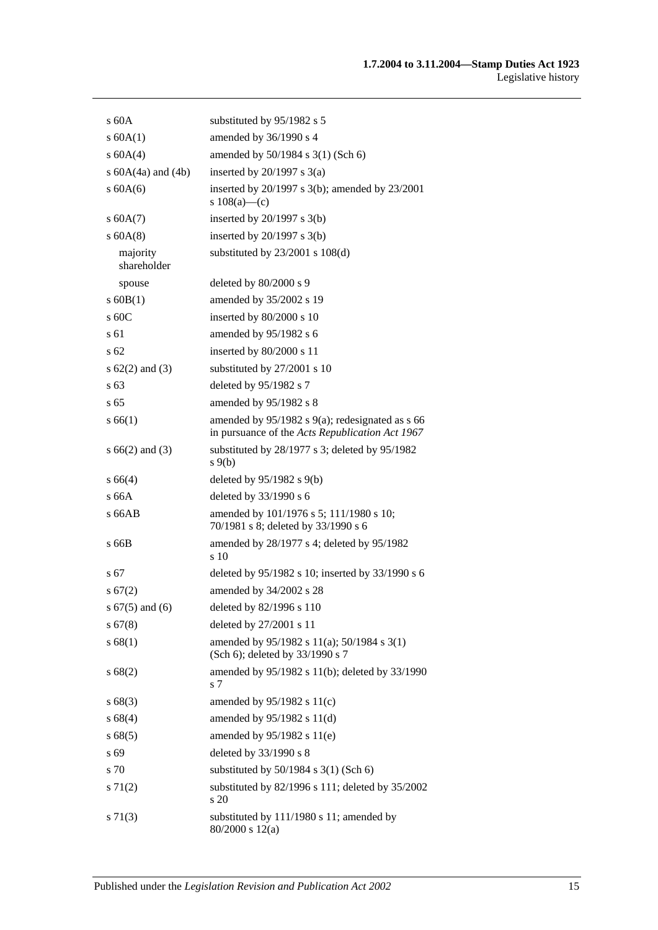| s60A                    | substituted by 95/1982 s 5                                                                              |
|-------------------------|---------------------------------------------------------------------------------------------------------|
| s 60A(1)                | amended by 36/1990 s 4                                                                                  |
| s 60A(4)                | amended by 50/1984 s 3(1) (Sch 6)                                                                       |
| s $60A(4a)$ and $(4b)$  | inserted by $20/1997$ s $3(a)$                                                                          |
| s 60A(6)                | inserted by $20/1997$ s $3(b)$ ; amended by $23/2001$<br>s $108(a)$ —(c)                                |
| s 60A(7)                | inserted by $20/1997$ s $3(b)$                                                                          |
| s 60A(8)                | inserted by $20/1997$ s $3(b)$                                                                          |
| majority<br>shareholder | substituted by $23/2001$ s $108(d)$                                                                     |
| spouse                  | deleted by 80/2000 s 9                                                                                  |
| $s$ 60B(1)              | amended by 35/2002 s 19                                                                                 |
| $s$ 60 $C$              | inserted by 80/2000 s 10                                                                                |
| s 61                    | amended by 95/1982 s 6                                                                                  |
| s 62                    | inserted by 80/2000 s 11                                                                                |
| s $62(2)$ and $(3)$     | substituted by 27/2001 s 10                                                                             |
| s 63                    | deleted by 95/1982 s 7                                                                                  |
| s <sub>65</sub>         | amended by 95/1982 s 8                                                                                  |
| s 66(1)                 | amended by $95/1982$ s $9(a)$ ; redesignated as s 66<br>in pursuance of the Acts Republication Act 1967 |
| $s\,66(2)$ and (3)      | substituted by 28/1977 s 3; deleted by 95/1982<br>$s \theta(b)$                                         |
| s 66(4)                 | deleted by $95/1982$ s $9(b)$                                                                           |
| s66A                    | deleted by 33/1990 s 6                                                                                  |
| s 66AB                  | amended by 101/1976 s 5; 111/1980 s 10;<br>70/1981 s 8; deleted by 33/1990 s 6                          |
| s 66B                   | amended by 28/1977 s 4; deleted by 95/1982<br>s 10                                                      |
| s 67                    | deleted by 95/1982 s 10; inserted by 33/1990 s 6                                                        |
| s 67(2)                 | amended by 34/2002 s 28                                                                                 |
| $s 67(5)$ and $(6)$     | deleted by 82/1996 s 110                                                                                |
| $s\,67(8)$              | deleted by 27/2001 s 11                                                                                 |
| s 68(1)                 | amended by $95/1982$ s $11(a)$ ; $50/1984$ s $3(1)$<br>(Sch 6); deleted by 33/1990 s 7                  |
| s68(2)                  | amended by 95/1982 s 11(b); deleted by 33/1990<br>s 7                                                   |
| s68(3)                  | amended by 95/1982 s 11(c)                                                                              |
| s 68(4)                 | amended by 95/1982 s 11(d)                                                                              |
| s68(5)                  | amended by $95/1982$ s $11(e)$                                                                          |
| s 69                    | deleted by 33/1990 s 8                                                                                  |
| s 70                    | substituted by $50/1984$ s $3(1)$ (Sch 6)                                                               |
| s 71(2)                 | substituted by 82/1996 s 111; deleted by 35/2002<br>s 20                                                |
| $s \, 71(3)$            | substituted by 111/1980 s 11; amended by<br>$80/2000$ s $12(a)$                                         |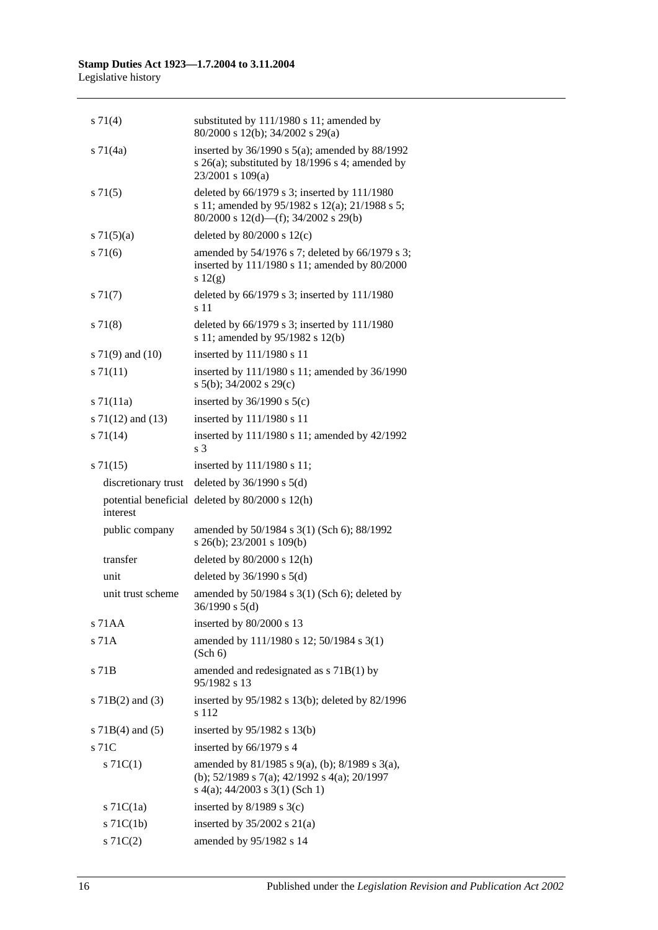| $s \, 71(4)$          | substituted by 111/1980 s 11; amended by<br>80/2000 s 12(b); 34/2002 s 29(a)                                                                   |
|-----------------------|------------------------------------------------------------------------------------------------------------------------------------------------|
| $s \, 71(4a)$         | inserted by $36/1990$ s $5(a)$ ; amended by $88/1992$<br>s $26(a)$ ; substituted by $18/1996$ s 4; amended by<br>$23/2001$ s $109(a)$          |
| $s \, 71(5)$          | deleted by 66/1979 s 3; inserted by 111/1980<br>s 11; amended by 95/1982 s 12(a); 21/1988 s 5;<br>80/2000 s 12(d)—(f); 34/2002 s 29(b)         |
| s $71(5)(a)$          | deleted by $80/2000$ s $12(c)$                                                                                                                 |
| $s \, 71(6)$          | amended by 54/1976 s 7; deleted by 66/1979 s 3;<br>inserted by 111/1980 s 11; amended by 80/2000<br>s $12(g)$                                  |
| $s \, 71(7)$          | deleted by $66/1979$ s 3; inserted by $111/1980$<br>s 11                                                                                       |
| $s \, 71(8)$          | deleted by 66/1979 s 3; inserted by 111/1980<br>s 11; amended by 95/1982 s 12(b)                                                               |
| s $71(9)$ and $(10)$  | inserted by 111/1980 s 11                                                                                                                      |
| $s \, 71(11)$         | inserted by 111/1980 s 11; amended by 36/1990<br>s 5(b); $34/2002$ s 29(c)                                                                     |
| $s \, 71(11a)$        | inserted by $36/1990$ s $5(c)$                                                                                                                 |
| s $71(12)$ and $(13)$ | inserted by 111/1980 s 11                                                                                                                      |
| $s \, 71(14)$         | inserted by 111/1980 s 11; amended by 42/1992<br>s 3                                                                                           |
| $s \, 71(15)$         | inserted by 111/1980 s 11;                                                                                                                     |
| discretionary trust   | deleted by $36/1990$ s $5(d)$                                                                                                                  |
| interest              | potential beneficial deleted by 80/2000 s 12(h)                                                                                                |
| public company        | amended by 50/1984 s 3(1) (Sch 6); 88/1992<br>s 26(b); 23/2001 s 109(b)                                                                        |
| transfer              | deleted by $80/2000$ s $12(h)$                                                                                                                 |
| unit                  | deleted by $36/1990$ s $5(d)$                                                                                                                  |
| unit trust scheme     | amended by $50/1984$ s $3(1)$ (Sch 6); deleted by<br>$36/1990$ s $5(d)$                                                                        |
| $s$ 71 $AA$           | inserted by 80/2000 s 13                                                                                                                       |
| s <sub>71A</sub>      | amended by 111/1980 s 12; 50/1984 s 3(1)<br>(Sch 6)                                                                                            |
| s 71B                 | amended and redesignated as s 71B(1) by<br>95/1982 s 13                                                                                        |
| s $71B(2)$ and $(3)$  | inserted by 95/1982 s 13(b); deleted by 82/1996<br>s 112                                                                                       |
| s $71B(4)$ and $(5)$  | inserted by $95/1982$ s 13(b)                                                                                                                  |
| s 71C                 | inserted by 66/1979 s 4                                                                                                                        |
| $s \, 71C(1)$         | amended by 81/1985 s 9(a), (b); 8/1989 s 3(a),<br>(b); $52/1989$ s $7(a)$ ; $42/1992$ s $4(a)$ ; $20/1997$<br>s 4(a); $44/2003$ s 3(1) (Sch 1) |
| $s$ 71 $C(1a)$        | inserted by $8/1989$ s $3(c)$                                                                                                                  |
| $s$ 71 $C(1b)$        | inserted by $35/2002$ s $21(a)$                                                                                                                |
| $s \, 71C(2)$         | amended by 95/1982 s 14                                                                                                                        |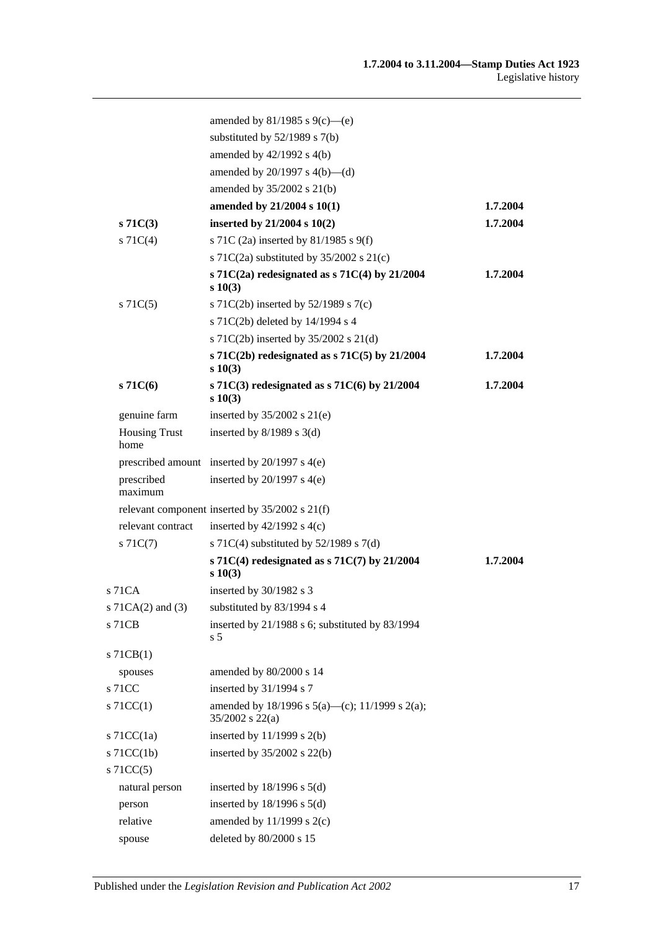|                              | amended by 81/1985 s 9(c)-(e)                                       |          |
|------------------------------|---------------------------------------------------------------------|----------|
|                              | substituted by $52/1989$ s $7(b)$                                   |          |
|                              | amended by 42/1992 s 4(b)                                           |          |
|                              | amended by $20/1997$ s $4(b)$ —(d)                                  |          |
|                              | amended by 35/2002 s 21(b)                                          |          |
|                              | amended by 21/2004 s 10(1)                                          | 1.7.2004 |
| $s\,71C(3)$                  | inserted by $21/2004$ s $10(2)$                                     | 1.7.2004 |
| $s \, 71C(4)$                | s 71C (2a) inserted by 81/1985 s 9(f)                               |          |
|                              | s 71C(2a) substituted by $35/2002$ s 21(c)                          |          |
|                              | s 71 $C(2a)$ redesignated as s 71 $C(4)$ by 21/2004<br>$s\ 10(3)$   | 1.7.2004 |
| $s \, 71C(5)$                | s 71C(2b) inserted by $52/1989$ s 7(c)                              |          |
|                              | s 71C(2b) deleted by 14/1994 s 4                                    |          |
|                              | s 71C(2b) inserted by 35/2002 s 21(d)                               |          |
|                              | s 71 $C(2b)$ redesignated as s 71 $C(5)$ by 21/2004<br>s 10(3)      | 1.7.2004 |
| $s\,71C(6)$                  | s 71 $C(3)$ redesignated as s 71 $C(6)$ by 21/2004<br>$s\ 10(3)$    | 1.7.2004 |
| genuine farm                 | inserted by $35/2002$ s $21(e)$                                     |          |
| <b>Housing Trust</b><br>home | inserted by $8/1989$ s 3(d)                                         |          |
|                              | prescribed amount inserted by $20/1997$ s $4(e)$                    |          |
| prescribed<br>maximum        | inserted by $20/1997$ s $4(e)$                                      |          |
|                              | relevant component inserted by $35/2002$ s $21(f)$                  |          |
| relevant contract            | inserted by $42/1992$ s $4(c)$                                      |          |
| $s \, 71C(7)$                | s 71C(4) substituted by $52/1989$ s 7(d)                            |          |
|                              | s 71 $C(4)$ redesignated as s 71 $C(7)$ by 21/2004<br>s 10(3)       | 1.7.2004 |
| s 71CA                       | inserted by 30/1982 s 3                                             |          |
|                              | s 71CA(2) and (3) substituted by 83/1994 s 4                        |          |
| s 71CB                       | inserted by 21/1988 s 6; substituted by 83/1994<br>s <sub>5</sub>   |          |
| $s$ 71 $CB(1)$               |                                                                     |          |
| spouses                      | amended by 80/2000 s 14                                             |          |
| s 71CC                       | inserted by 31/1994 s 7                                             |          |
| $s$ 71CC(1)                  | amended by 18/1996 s 5(a)—(c); 11/1999 s 2(a);<br>35/2002 s $22(a)$ |          |
| s $71CC(1a)$                 | inserted by $11/1999$ s $2(b)$                                      |          |
| $s$ 71CC(1b)                 | inserted by $35/2002$ s $22(b)$                                     |          |
| $s$ 71CC(5)                  |                                                                     |          |
| natural person               | inserted by $18/1996$ s $5(d)$                                      |          |
| person                       | inserted by $18/1996$ s $5(d)$                                      |          |
| relative                     | amended by $11/1999$ s $2(c)$                                       |          |
| spouse                       | deleted by 80/2000 s 15                                             |          |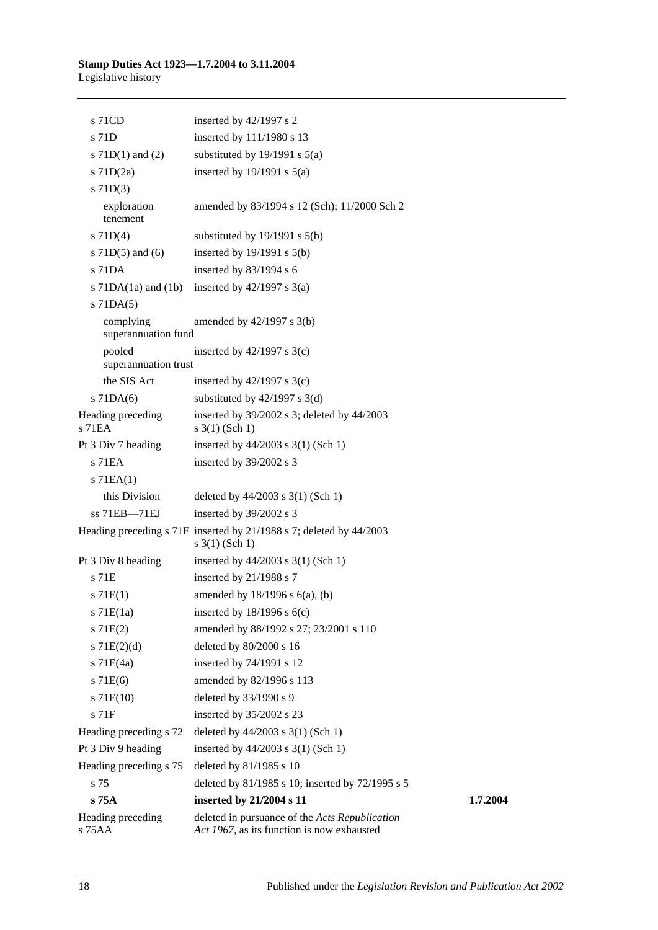| s 71CD                           | inserted by 42/1997 s 2                                                                      |          |
|----------------------------------|----------------------------------------------------------------------------------------------|----------|
| s 71D                            | inserted by 111/1980 s 13                                                                    |          |
| s $71D(1)$ and $(2)$             | substituted by $19/1991$ s $5(a)$                                                            |          |
| $s$ 71D $(2a)$                   | inserted by $19/1991$ s $5(a)$                                                               |          |
| $s$ 71D(3)                       |                                                                                              |          |
| exploration<br>tenement          | amended by 83/1994 s 12 (Sch); 11/2000 Sch 2                                                 |          |
| s $71D(4)$                       | substituted by $19/1991$ s $5(b)$                                                            |          |
| s $71D(5)$ and $(6)$             | inserted by $19/1991$ s $5(b)$                                                               |          |
| s 71DA                           | inserted by $83/1994$ s 6                                                                    |          |
| s $71DA(1a)$ and $(1b)$          | inserted by $42/1997$ s $3(a)$                                                               |          |
| $s$ 71DA $(5)$                   |                                                                                              |          |
| complying<br>superannuation fund | amended by $42/1997$ s $3(b)$                                                                |          |
| pooled<br>superannuation trust   | inserted by $42/1997$ s $3(c)$                                                               |          |
| the SIS Act                      | inserted by $42/1997$ s 3(c)                                                                 |          |
| $s$ 71DA $(6)$                   | substituted by $42/1997$ s 3(d)                                                              |          |
| Heading preceding<br>$s$ 71 $EA$ | inserted by 39/2002 s 3; deleted by 44/2003<br>$s \; 3(1)$ (Sch 1)                           |          |
| Pt 3 Div 7 heading               | inserted by 44/2003 s 3(1) (Sch 1)                                                           |          |
| s 71EA                           | inserted by 39/2002 s 3                                                                      |          |
| $s$ 71EA $(1)$                   |                                                                                              |          |
| this Division                    | deleted by $44/2003$ s 3(1) (Sch 1)                                                          |          |
| ss 71EB-71EJ                     | inserted by 39/2002 s 3                                                                      |          |
|                                  | Heading preceding s 71E inserted by 21/1988 s 7; deleted by 44/2003<br>$s \; 3(1)$ (Sch 1)   |          |
| Pt 3 Div 8 heading               | inserted by $44/2003$ s $3(1)$ (Sch 1)                                                       |          |
| s 71E                            | inserted by 21/1988 s 7                                                                      |          |
| s 71E(1)                         | amended by $18/1996$ s $6(a)$ , (b)                                                          |          |
| $s$ 71 $E(1a)$                   | inserted by $18/1996$ s $6(c)$                                                               |          |
| s 71E(2)                         | amended by 88/1992 s 27; 23/2001 s 110                                                       |          |
| s $71E(2)(d)$                    | deleted by 80/2000 s 16                                                                      |          |
| $s$ 71E(4a)                      | inserted by 74/1991 s 12                                                                     |          |
| s 71E(6)                         | amended by 82/1996 s 113                                                                     |          |
| $s$ 71E(10)                      | deleted by 33/1990 s 9                                                                       |          |
| s 71F                            | inserted by 35/2002 s 23                                                                     |          |
| Heading preceding s 72           | deleted by $44/2003$ s 3(1) (Sch 1)                                                          |          |
| Pt 3 Div 9 heading               | inserted by 44/2003 s 3(1) (Sch 1)                                                           |          |
| Heading preceding s 75           | deleted by 81/1985 s 10                                                                      |          |
| s 75                             | deleted by 81/1985 s 10; inserted by 72/1995 s 5                                             |          |
| $s\,75A$                         | inserted by 21/2004 s 11                                                                     | 1.7.2004 |
| Heading preceding<br>s 75 A A    | deleted in pursuance of the Acts Republication<br>Act 1967, as its function is now exhausted |          |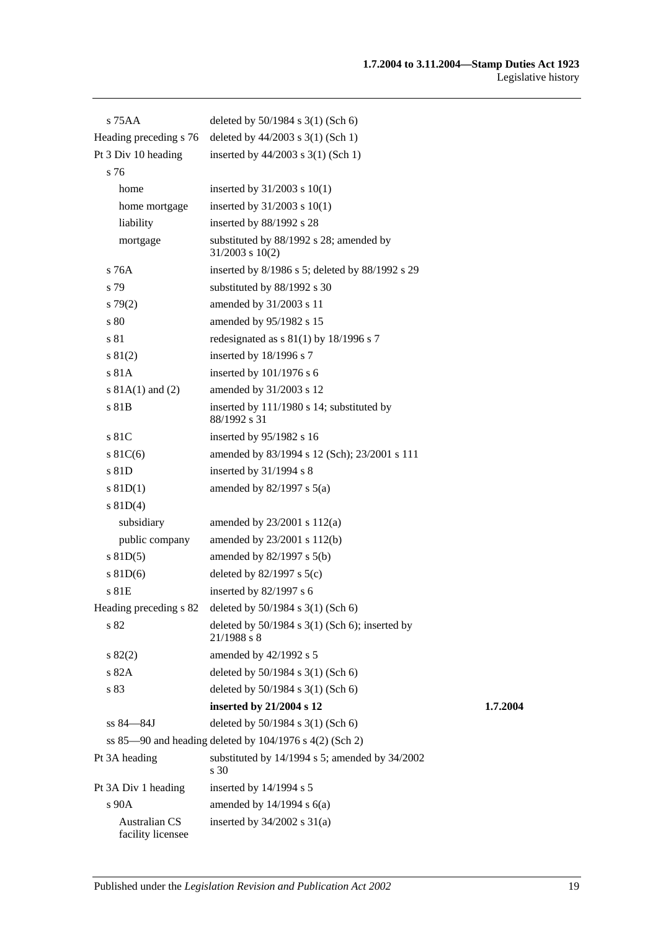| s 75 A A                                  | deleted by 50/1984 s 3(1) (Sch 6)                                 |          |
|-------------------------------------------|-------------------------------------------------------------------|----------|
| Heading preceding s 76                    | deleted by $44/2003$ s 3(1) (Sch 1)                               |          |
| Pt 3 Div 10 heading                       | inserted by 44/2003 s 3(1) (Sch 1)                                |          |
| s 76                                      |                                                                   |          |
| home                                      | inserted by $31/2003$ s $10(1)$                                   |          |
| home mortgage                             | inserted by $31/2003$ s $10(1)$                                   |          |
| liability                                 | inserted by 88/1992 s 28                                          |          |
| mortgage                                  | substituted by 88/1992 s 28; amended by<br>$31/2003$ s $10(2)$    |          |
| s 76A                                     | inserted by 8/1986 s 5; deleted by 88/1992 s 29                   |          |
| s 79                                      | substituted by 88/1992 s 30                                       |          |
| $s\,79(2)$                                | amended by 31/2003 s 11                                           |          |
| s 80                                      | amended by 95/1982 s 15                                           |          |
| s 81                                      | redesignated as $s 81(1)$ by 18/1996 s 7                          |          |
| s 81(2)                                   | inserted by 18/1996 s 7                                           |          |
| s 81A                                     | inserted by 101/1976 s 6                                          |          |
| s $81A(1)$ and $(2)$                      | amended by 31/2003 s 12                                           |          |
| s 81B                                     | inserted by 111/1980 s 14; substituted by<br>88/1992 s 31         |          |
| s 81C                                     | inserted by $95/1982$ s 16                                        |          |
| $s \, 81C(6)$                             | amended by 83/1994 s 12 (Sch); 23/2001 s 111                      |          |
| s 81D                                     | inserted by $31/1994$ s 8                                         |          |
| $s$ 81D(1)                                | amended by $82/1997$ s $5(a)$                                     |          |
| s $81D(4)$                                |                                                                   |          |
| subsidiary                                | amended by $23/2001$ s $112(a)$                                   |          |
| public company                            | amended by 23/2001 s 112(b)                                       |          |
| $s$ 81D(5)                                | amended by $82/1997$ s $5(b)$                                     |          |
| $s$ 81D(6)                                | deleted by $82/1997$ s $5(c)$                                     |          |
| s 81E                                     | inserted by $82/1997$ s 6                                         |          |
|                                           | Heading preceding s 82 deleted by 50/1984 s 3(1) (Sch 6)          |          |
| s 82                                      | deleted by $50/1984$ s $3(1)$ (Sch 6); inserted by<br>21/1988 s 8 |          |
| $s\,82(2)$                                | amended by 42/1992 s 5                                            |          |
| s 82A                                     | deleted by 50/1984 s 3(1) (Sch 6)                                 |          |
| s 83                                      | deleted by 50/1984 s 3(1) (Sch 6)                                 |          |
|                                           | inserted by 21/2004 s 12                                          | 1.7.2004 |
| ss 84–84J                                 | deleted by 50/1984 s 3(1) (Sch 6)                                 |          |
|                                           | ss $85-90$ and heading deleted by $104/1976$ s $4(2)$ (Sch 2)     |          |
| Pt 3A heading                             | substituted by 14/1994 s 5; amended by 34/2002<br>s 30            |          |
| Pt 3A Div 1 heading                       | inserted by 14/1994 s 5                                           |          |
| s 90A                                     | amended by $14/1994$ s $6(a)$                                     |          |
| <b>Australian CS</b><br>facility licensee | inserted by $34/2002$ s $31(a)$                                   |          |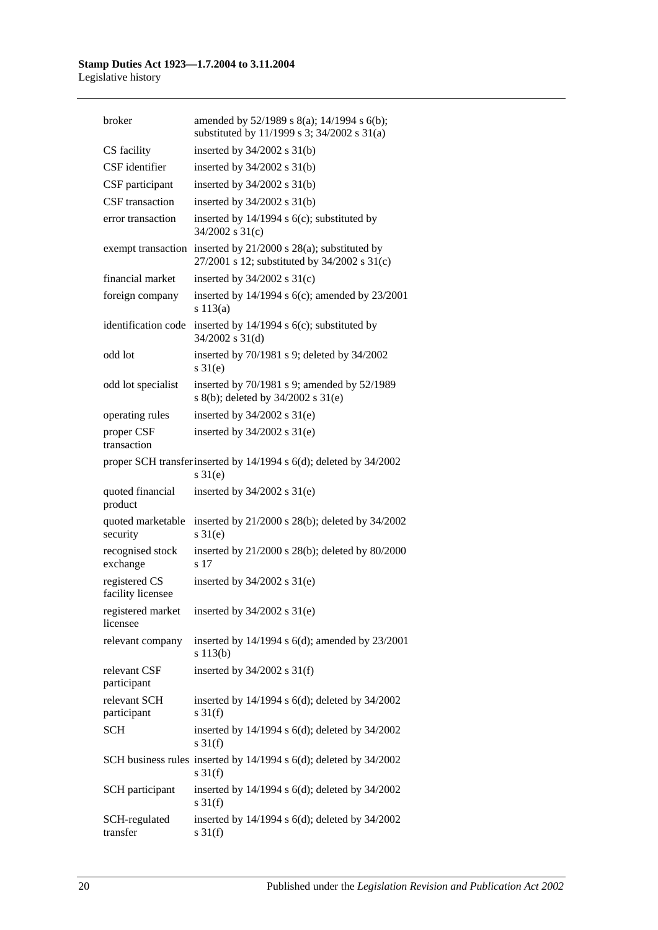| broker                             | amended by 52/1989 s 8(a); 14/1994 s 6(b);<br>substituted by 11/1999 s 3; 34/2002 s 31(a)        |
|------------------------------------|--------------------------------------------------------------------------------------------------|
| CS facility                        | inserted by $34/2002$ s $31(b)$                                                                  |
| CSF identifier                     | inserted by $34/2002$ s $31(b)$                                                                  |
| CSF participant                    | inserted by $34/2002$ s $31(b)$                                                                  |
| CSF transaction                    | inserted by $34/2002$ s $31(b)$                                                                  |
| error transaction                  | inserted by $14/1994$ s $6(c)$ ; substituted by<br>$34/2002$ s $31(c)$                           |
| exempt transaction                 | inserted by $21/2000$ s $28(a)$ ; substituted by<br>27/2001 s 12; substituted by 34/2002 s 31(c) |
| financial market                   | inserted by $34/2002$ s $31(c)$                                                                  |
| foreign company                    | inserted by $14/1994$ s $6(c)$ ; amended by $23/2001$<br>s 113(a)                                |
| identification code                | inserted by $14/1994$ s $6(c)$ ; substituted by<br>34/2002 s 31(d)                               |
| odd lot                            | inserted by 70/1981 s 9; deleted by 34/2002<br>$s \, 31(e)$                                      |
| odd lot specialist                 | inserted by 70/1981 s 9; amended by 52/1989<br>s 8(b); deleted by 34/2002 s 31(e)                |
| operating rules                    | inserted by $34/2002$ s $31(e)$                                                                  |
| proper CSF<br>transaction          | inserted by $34/2002$ s $31(e)$                                                                  |
|                                    | proper SCH transfer inserted by 14/1994 s 6(d); deleted by 34/2002<br>$s \, 31(e)$               |
| quoted financial<br>product        | inserted by $34/2002$ s $31(e)$                                                                  |
| quoted marketable<br>security      | inserted by 21/2000 s 28(b); deleted by 34/2002<br>$s \, 31(e)$                                  |
| recognised stock<br>exchange       | inserted by $21/2000$ s $28(b)$ ; deleted by $80/2000$<br>s 17                                   |
| registered CS<br>facility licensee | inserted by $34/2002$ s $31(e)$                                                                  |
| registered market<br>licensee      | inserted by 34/2002 s 31(e)                                                                      |
| relevant company                   | inserted by $14/1994$ s $6(d)$ ; amended by $23/2001$<br>s 113(b)                                |
| relevant CSF<br>participant        | inserted by $34/2002$ s $31(f)$                                                                  |
| relevant SCH<br>participant        | inserted by 14/1994 s 6(d); deleted by 34/2002<br>$s \frac{31(f)}{f}$                            |
| <b>SCH</b>                         | inserted by 14/1994 s 6(d); deleted by 34/2002<br>$s \frac{31(f)}{f}$                            |
|                                    | SCH business rules inserted by 14/1994 s 6(d); deleted by 34/2002<br>$s \frac{31(f)}{f}$         |
| SCH participant                    | inserted by 14/1994 s 6(d); deleted by 34/2002<br>$s \frac{31(f)}{f}$                            |
| SCH-regulated<br>transfer          | inserted by 14/1994 s 6(d); deleted by 34/2002<br>$s \frac{31(f)}{f}$                            |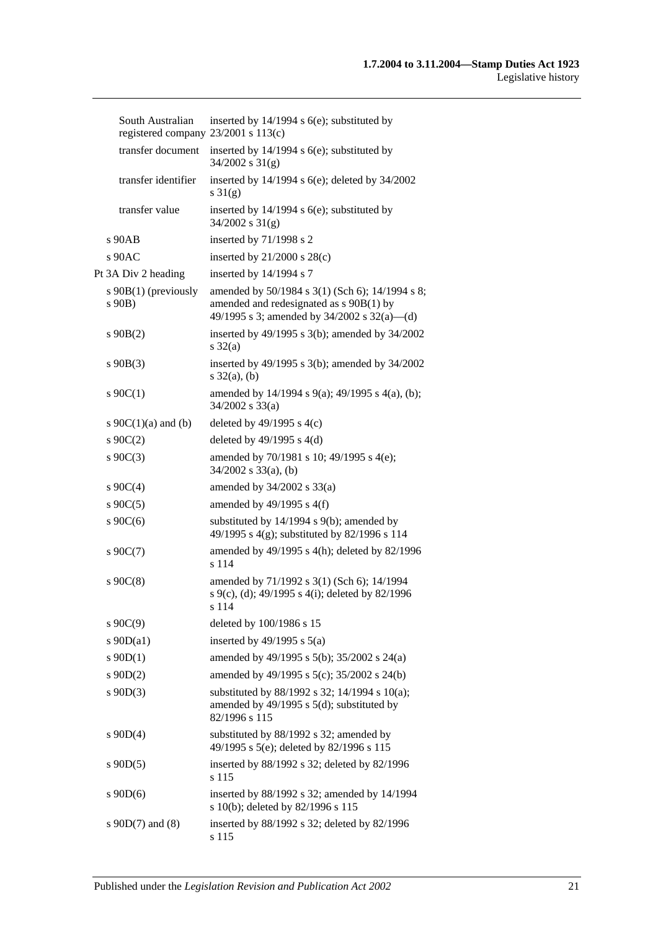| South Australian<br>registered company 23/2001 s 113(c) | inserted by $14/1994$ s $6(e)$ ; substituted by                                                                                           |
|---------------------------------------------------------|-------------------------------------------------------------------------------------------------------------------------------------------|
| transfer document                                       | inserted by $14/1994$ s $6(e)$ ; substituted by<br>$34/2002$ s $31(g)$                                                                    |
| transfer identifier                                     | inserted by 14/1994 s 6(e); deleted by 34/2002<br>s $31(g)$                                                                               |
| transfer value                                          | inserted by $14/1994$ s $6(e)$ ; substituted by<br>$34/2002$ s $31(g)$                                                                    |
| $s$ 90 $AB$                                             | inserted by 71/1998 s 2                                                                                                                   |
| $s$ 90AC                                                | inserted by $21/2000$ s $28(c)$                                                                                                           |
| Pt 3A Div 2 heading                                     | inserted by 14/1994 s 7                                                                                                                   |
| s $90B(1)$ (previously<br>s 90B)                        | amended by 50/1984 s 3(1) (Sch 6); 14/1994 s 8;<br>amended and redesignated as s 90B(1) by<br>49/1995 s 3; amended by 34/2002 s 32(a)—(d) |
| $s\ 90B(2)$                                             | inserted by $49/1995$ s $3(b)$ ; amended by $34/2002$<br>$s \frac{32(a)}{a}$                                                              |
| $s\ 90B(3)$                                             | inserted by 49/1995 s 3(b); amended by 34/2002<br>$s \, 32(a), (b)$                                                                       |
| $s \ 90C(1)$                                            | amended by 14/1994 s 9(a); 49/1995 s 4(a), (b);<br>$34/2002$ s $33(a)$                                                                    |
| s $90C(1)(a)$ and (b)                                   | deleted by $49/1995$ s $4(c)$                                                                                                             |
| $s \ 90C(2)$                                            | deleted by $49/1995$ s $4(d)$                                                                                                             |
| $s \ 90C(3)$                                            | amended by 70/1981 s 10; 49/1995 s 4(e);<br>$34/2002$ s $33(a)$ , (b)                                                                     |
| $s \ 90C(4)$                                            | amended by $34/2002$ s $33(a)$                                                                                                            |
| $s \ 90C(5)$                                            | amended by $49/1995$ s $4(f)$                                                                                                             |
| s $90C(6)$                                              | substituted by 14/1994 s 9(b); amended by<br>49/1995 s 4(g); substituted by 82/1996 s 114                                                 |
| $s \ 90C(7)$                                            | amended by 49/1995 s 4(h); deleted by 82/1996<br>s 114                                                                                    |
| $s \ 90C(8)$                                            | amended by 71/1992 s 3(1) (Sch 6); 14/1994<br>s 9(c), (d); 49/1995 s 4(i); deleted by 82/1996<br>s 114                                    |
| $s \ 90C(9)$                                            | deleted by 100/1986 s 15                                                                                                                  |
| s $90D(a1)$                                             | inserted by $49/1995$ s $5(a)$                                                                                                            |
| $s \, 90D(1)$                                           | amended by 49/1995 s 5(b); 35/2002 s 24(a)                                                                                                |
| $s \ 90D(2)$                                            | amended by 49/1995 s 5(c); 35/2002 s 24(b)                                                                                                |
| $s \ 90D(3)$                                            | substituted by 88/1992 s 32; 14/1994 s 10(a);<br>amended by $49/1995$ s $5(d)$ ; substituted by<br>82/1996 s 115                          |
| $s \ 90D(4)$                                            | substituted by 88/1992 s 32; amended by<br>49/1995 s 5(e); deleted by 82/1996 s 115                                                       |
| $s \ 90D(5)$                                            | inserted by 88/1992 s 32; deleted by 82/1996<br>s 115                                                                                     |
| $s$ 90D(6)                                              | inserted by 88/1992 s 32; amended by 14/1994<br>s 10(b); deleted by 82/1996 s 115                                                         |
| s $90D(7)$ and $(8)$                                    | inserted by 88/1992 s 32; deleted by 82/1996<br>s 115                                                                                     |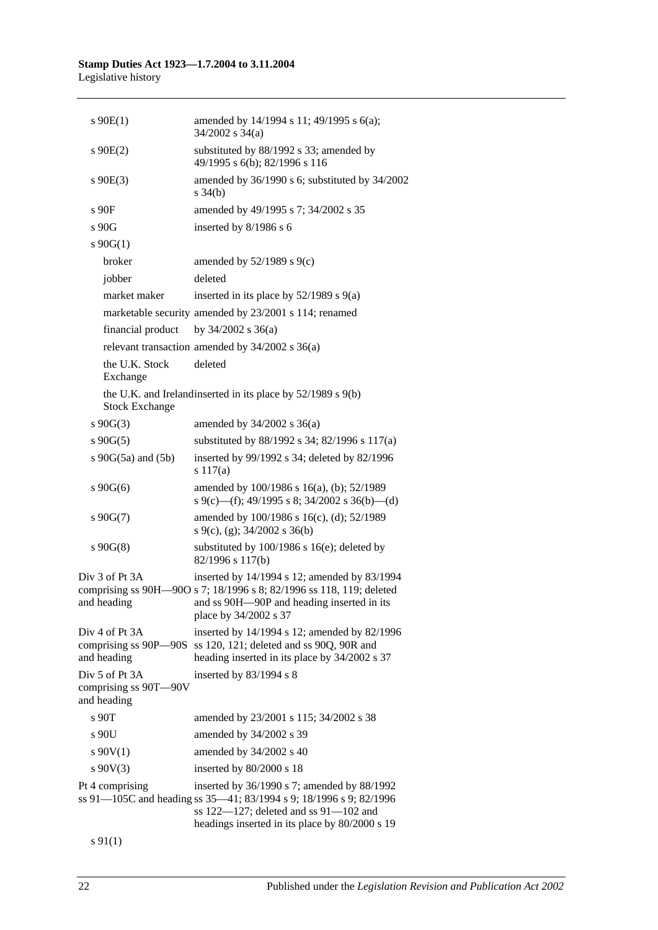Legislative history

| $s$ 90 $E(1)$                                          | amended by 14/1994 s 11; 49/1995 s 6(a);<br>$34/2002$ s $34(a)$                                                                                                                                                       |
|--------------------------------------------------------|-----------------------------------------------------------------------------------------------------------------------------------------------------------------------------------------------------------------------|
| $s \ 90E(2)$                                           | substituted by 88/1992 s 33; amended by<br>49/1995 s 6(b); 82/1996 s 116                                                                                                                                              |
| $s \ 90E(3)$                                           | amended by 36/1990 s 6; substituted by 34/2002<br>$s \frac{34(b)}{b}$                                                                                                                                                 |
| s90F                                                   | amended by 49/1995 s 7; 34/2002 s 35                                                                                                                                                                                  |
| s 90G                                                  | inserted by $8/1986$ s 6                                                                                                                                                                                              |
| $s \ 90G(1)$                                           |                                                                                                                                                                                                                       |
| broker                                                 | amended by $52/1989$ s $9(c)$                                                                                                                                                                                         |
| jobber                                                 | deleted                                                                                                                                                                                                               |
| market maker                                           | inserted in its place by $52/1989$ s $9(a)$                                                                                                                                                                           |
|                                                        | marketable security amended by 23/2001 s 114; renamed                                                                                                                                                                 |
| financial product                                      | by $34/2002$ s $36(a)$                                                                                                                                                                                                |
|                                                        | relevant transaction amended by 34/2002 s 36(a)                                                                                                                                                                       |
| the U.K. Stock<br>Exchange                             | deleted                                                                                                                                                                                                               |
| <b>Stock Exchange</b>                                  | the U.K. and Irelandinserted in its place by $52/1989$ s $9(b)$                                                                                                                                                       |
| $s \ 90G(3)$                                           | amended by $34/2002$ s $36(a)$                                                                                                                                                                                        |
| $s\ 90G(5)$                                            | substituted by 88/1992 s 34; 82/1996 s 117(a)                                                                                                                                                                         |
| s 90G(5a) and (5b)                                     | inserted by 99/1992 s 34; deleted by 82/1996<br>s 117(a)                                                                                                                                                              |
| $s\,90G(6)$                                            | amended by 100/1986 s 16(a), (b); 52/1989<br>s 9(c)—(f); 49/1995 s 8; 34/2002 s 36(b)—(d)                                                                                                                             |
| $s\ 90G(7)$                                            | amended by 100/1986 s 16(c), (d); 52/1989<br>s 9(c), (g); $34/2002$ s 36(b)                                                                                                                                           |
| $s\,90G(8)$                                            | substituted by 100/1986 s 16(e); deleted by<br>82/1996 s 117(b)                                                                                                                                                       |
| Div 3 of Pt 3A<br>and heading                          | inserted by 14/1994 s 12; amended by 83/1994<br>comprising ss 90H—90O s 7; 18/1996 s 8; 82/1996 ss 118, 119; deleted<br>and ss 90H-90P and heading inserted in its<br>place by 34/2002 s 37                           |
| Div 4 of Pt 3A<br>and heading                          | inserted by 14/1994 s 12; amended by 82/1996<br>comprising ss 90P—90S ss 120, 121; deleted and ss 90Q, 90R and<br>heading inserted in its place by 34/2002 s 37                                                       |
| Div 5 of Pt 3A<br>comprising ss 90T-90V<br>and heading | inserted by $83/1994$ s 8                                                                                                                                                                                             |
| s 90T                                                  | amended by 23/2001 s 115; 34/2002 s 38                                                                                                                                                                                |
| s 90U                                                  | amended by 34/2002 s 39                                                                                                                                                                                               |
| s 90V(1)                                               | amended by 34/2002 s 40                                                                                                                                                                                               |
| $s\ 90V(3)$                                            | inserted by 80/2000 s 18                                                                                                                                                                                              |
| Pt 4 comprising                                        | inserted by 36/1990 s 7; amended by 88/1992<br>ss 91—105C and heading ss 35—41; 83/1994 s 9; 18/1996 s 9; 82/1996<br>ss $122 - 127$ ; deleted and ss $91 - 102$ and<br>headings inserted in its place by 80/2000 s 19 |
|                                                        |                                                                                                                                                                                                                       |

s 91(1)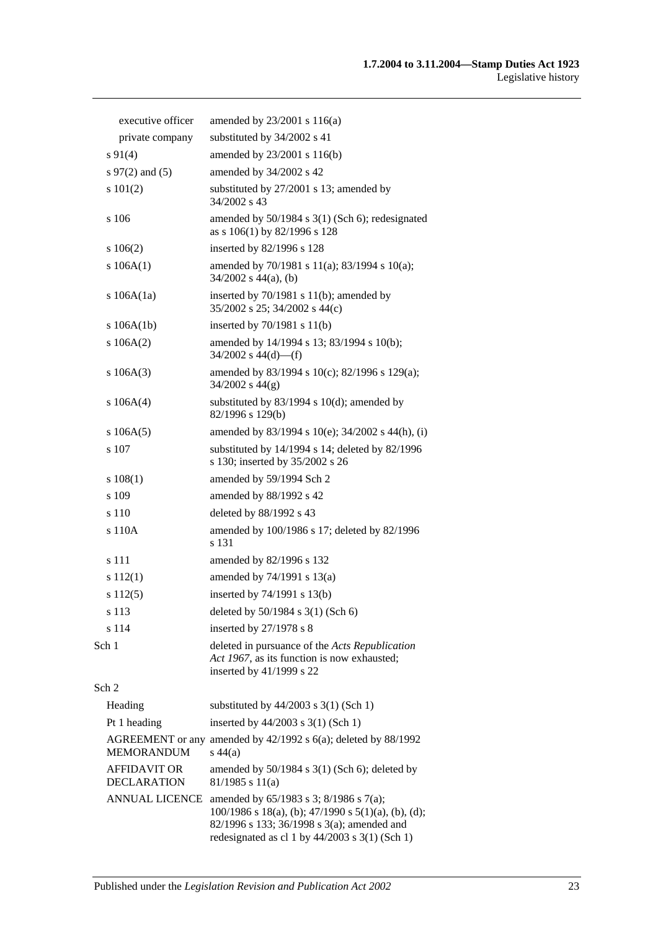| executive officer   | amended by $23/2001$ s $116(a)$                                                                                           |
|---------------------|---------------------------------------------------------------------------------------------------------------------------|
| private company     | substituted by 34/2002 s 41                                                                                               |
| $s\,91(4)$          | amended by 23/2001 s 116(b)                                                                                               |
| s $97(2)$ and $(5)$ | amended by 34/2002 s 42                                                                                                   |
| s 101(2)            | substituted by 27/2001 s 13; amended by<br>34/2002 s 43                                                                   |
| s 106               | amended by $50/1984$ s $3(1)$ (Sch 6); redesignated<br>as s 106(1) by 82/1996 s 128                                       |
| $s\ 106(2)$         | inserted by 82/1996 s 128                                                                                                 |
| s $106A(1)$         | amended by 70/1981 s 11(a); 83/1994 s 10(a);<br>$34/2002$ s $44(a)$ , (b)                                                 |
| s $106A(1a)$        | inserted by $70/1981$ s $11(b)$ ; amended by<br>35/2002 s 25; 34/2002 s 44(c)                                             |
| s $106A(1b)$        | inserted by 70/1981 s 11(b)                                                                                               |
| $s\ 106A(2)$        | amended by 14/1994 s 13; 83/1994 s 10(b);<br>$34/2002$ s $44(d)$ —(f)                                                     |
| s 106A(3)           | amended by 83/1994 s 10(c); 82/1996 s 129(a);<br>$34/2002$ s $44(g)$                                                      |
| s 106A(4)           | substituted by $83/1994$ s $10(d)$ ; amended by<br>82/1996 s 129(b)                                                       |
| s 106A(5)           | amended by 83/1994 s 10(e); 34/2002 s 44(h), (i)                                                                          |
| s 107               | substituted by 14/1994 s 14; deleted by 82/1996<br>s 130; inserted by 35/2002 s 26                                        |
| $s\ 108(1)$         | amended by 59/1994 Sch 2                                                                                                  |
| s 109               | amended by 88/1992 s 42                                                                                                   |
| s 110               | deleted by 88/1992 s 43                                                                                                   |
| s 110A              | amended by 100/1986 s 17; deleted by 82/1996<br>s 131                                                                     |
| s 111               | amended by 82/1996 s 132                                                                                                  |
| s 112(1)            | amended by $74/1991$ s $13(a)$                                                                                            |
| s 112(5)            | inserted by 74/1991 s 13(b)                                                                                               |
| s 113               | deleted by 50/1984 s 3(1) (Sch 6)                                                                                         |
| s 114               | inserted by 27/1978 s 8                                                                                                   |
| Sch 1               | deleted in pursuance of the Acts Republication<br>Act 1967, as its function is now exhausted;<br>inserted by 41/1999 s 22 |
| Sch 2               |                                                                                                                           |
| Heading             | substituted by $44/2003$ s 3(1) (Sch 1)                                                                                   |
| Pt 1 heading        | inserted by 44/2003 s 3(1) (Sch 1)                                                                                        |
| <b>MEMORANDUM</b>   | AGREEMENT or any amended by 42/1992 s 6(a); deleted by 88/1992<br>$s\ 44(a)$                                              |
| <b>AFFIDAVIT OR</b> | amended by $50/1984$ s $3(1)$ (Sch 6); deleted by                                                                         |

| DECLARATION | $81/1985$ s 11(a)                                             |
|-------------|---------------------------------------------------------------|
|             | ANNUAL LICENCE amended by $65/1983$ s 3; $8/1986$ s $7(a)$ ;  |
|             | $100/1986$ s $18(a)$ , (b); $47/1990$ s $5(1)(a)$ , (b), (d); |
|             | 82/1996 s 133; $36/1998$ s $3(a)$ ; amended and               |
|             | redesignated as cl 1 by $44/2003$ s 3(1) (Sch 1)              |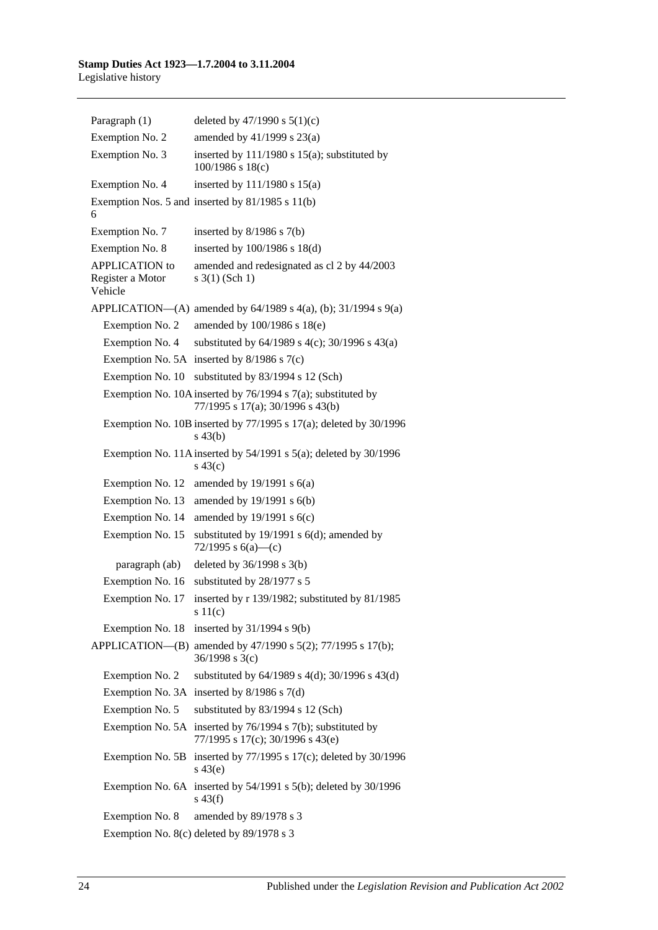| Paragraph (1)                                        | deleted by $47/1990$ s $5(1)(c)$                                                                      |
|------------------------------------------------------|-------------------------------------------------------------------------------------------------------|
| Exemption No. 2                                      | amended by 41/1999 s 23(a)                                                                            |
| Exemption No. 3                                      | inserted by $111/1980$ s $15(a)$ ; substituted by<br>100/1986 s 18(c)                                 |
| Exemption No. 4                                      | inserted by $111/1980$ s $15(a)$                                                                      |
| 6                                                    | Exemption Nos. 5 and inserted by 81/1985 s 11(b)                                                      |
| Exemption No. 7                                      | inserted by $8/1986$ s $7(b)$                                                                         |
| Exemption No. 8                                      | inserted by 100/1986 s 18(d)                                                                          |
| <b>APPLICATION</b> to<br>Register a Motor<br>Vehicle | amended and redesignated as cl 2 by 44/2003<br>$s \; 3(1)$ (Sch 1)                                    |
|                                                      | APPLICATION—(A) amended by $64/1989$ s $4(a)$ , (b); $31/1994$ s $9(a)$                               |
| Exemption No. 2                                      | amended by 100/1986 s 18(e)                                                                           |
| Exemption No. 4                                      | substituted by 64/1989 s 4(c); 30/1996 s 43(a)                                                        |
|                                                      | Exemption No. 5A inserted by $8/1986$ s $7(c)$                                                        |
| Exemption No. 10                                     | substituted by 83/1994 s 12 (Sch)                                                                     |
|                                                      | Exemption No. 10A inserted by $76/1994$ s $7(a)$ ; substituted by<br>77/1995 s 17(a); 30/1996 s 43(b) |
|                                                      | Exemption No. 10B inserted by $77/1995$ s $17(a)$ ; deleted by $30/1996$<br>$s\,43(b)$                |
|                                                      | Exemption No. 11A inserted by $54/1991$ s $5(a)$ ; deleted by $30/1996$<br>$s\ 43(c)$                 |
| Exemption No. 12                                     | amended by $19/1991$ s $6(a)$                                                                         |
| Exemption No. 13                                     | amended by 19/1991 s 6(b)                                                                             |
| Exemption No. 14                                     | amended by $19/1991$ s $6(c)$                                                                         |
| Exemption No. 15                                     | substituted by 19/1991 s 6(d); amended by<br>72/1995 s $6(a)$ —(c)                                    |
| paragraph (ab)                                       | deleted by $36/1998$ s $3(b)$                                                                         |
| Exemption No. 16                                     | substituted by 28/1977 s 5                                                                            |
| Exemption No. 17                                     | inserted by r 139/1982; substituted by 81/1985<br>s11(c)                                              |
| Exemption No. 18                                     | inserted by $31/1994$ s $9(b)$                                                                        |
| APPLICATION-(B)                                      | amended by 47/1990 s 5(2); 77/1995 s 17(b);<br>$36/1998$ s 3(c)                                       |
| Exemption No. 2                                      | substituted by 64/1989 s 4(d); 30/1996 s 43(d)                                                        |
| Exemption No. 3A                                     | inserted by $8/1986$ s $7(d)$                                                                         |
| Exemption No. 5                                      | substituted by 83/1994 s 12 (Sch)                                                                     |
| Exemption No. 5A                                     | inserted by $76/1994$ s $7(b)$ ; substituted by<br>77/1995 s 17(c); 30/1996 s 43(e)                   |
| Exemption No. 5B                                     | inserted by 77/1995 s 17(c); deleted by 30/1996<br>$s\ 43(e)$                                         |
|                                                      | Exemption No. 6A inserted by $54/1991$ s $5(b)$ ; deleted by $30/1996$<br>$s\ 43(f)$                  |
| Exemption No. 8                                      | amended by 89/1978 s 3                                                                                |
|                                                      | Exemption No. 8(c) deleted by 89/1978 s 3                                                             |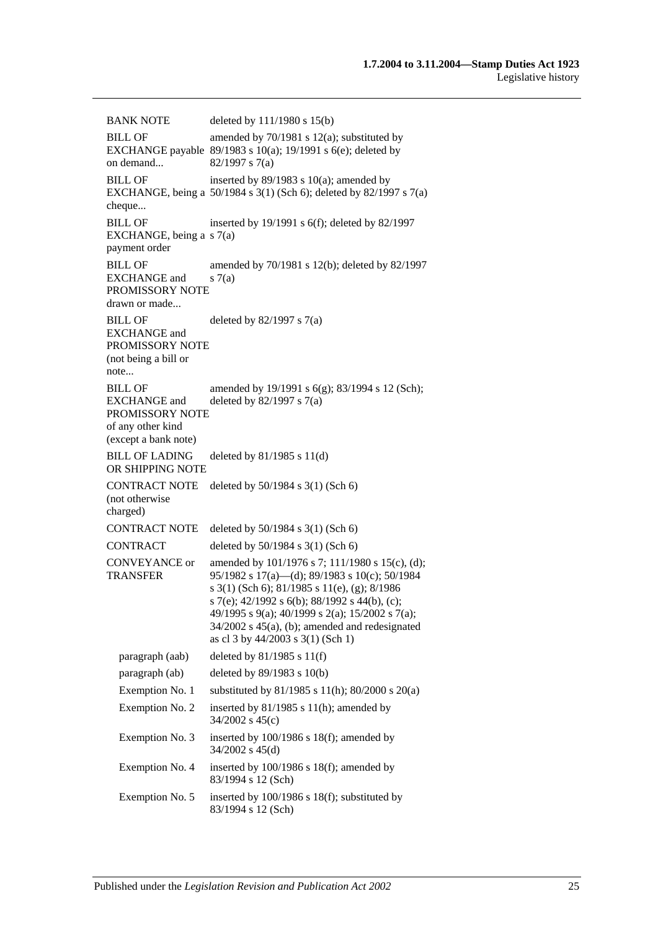BANK NOTE deleted by 111/1980 s 15(b) BILL OF EXCHANGE payable 89/1983 s 10(a); 19/1991 s 6(e); deleted by on demand... amended by 70/1981 s 12(a); substituted by 82/1997 s 7(a) BILL OF EXCHANGE, being a 50/1984 s 3(1) (Sch 6); deleted by 82/1997 s 7(a) cheque... inserted by 89/1983 s 10(a); amended by BILL OF EXCHANGE, being a s 7(a) payment order inserted by 19/1991 s 6(f); deleted by 82/1997 BILL OF EXCHANGE and PROMISSORY NOTE drawn or made... amended by 70/1981 s 12(b); deleted by 82/1997  $s(7(a)$ BILL OF EXCHANGE and PROMISSORY NOTE (not being a bill or note... deleted by 82/1997 s 7(a) BILL OF EXCHANGE and PROMISSORY NOTE of any other kind (except a bank note) amended by 19/1991 s 6(g); 83/1994 s 12 (Sch); deleted by 82/1997 s 7(a) BILL OF LADING OR SHIPPING NOTE deleted by 81/1985 s 11(d) CONTRACT NOTE deleted by 50/1984 s 3(1) (Sch 6) (not otherwise charged) CONTRACT NOTE deleted by 50/1984 s 3(1) (Sch 6) CONTRACT deleted by 50/1984 s 3(1) (Sch 6) CONVEYANCE or TRANSFER amended by 101/1976 s 7; 111/1980 s 15(c), (d); 95/1982 s 17(a)—(d); 89/1983 s 10(c); 50/1984 s 3(1) (Sch 6); 81/1985 s 11(e), (g); 8/1986 s 7(e); 42/1992 s 6(b); 88/1992 s 44(b), (c); 49/1995 s 9(a); 40/1999 s 2(a); 15/2002 s 7(a); 34/2002 s 45(a), (b); amended and redesignated as cl 3 by 44/2003 s 3(1) (Sch 1) paragraph (aab) deleted by 81/1985 s 11(f) paragraph (ab) deleted by 89/1983 s 10(b) Exemption No. 1 substituted by 81/1985 s 11(h); 80/2000 s 20(a) Exemption No. 2 inserted by 81/1985 s 11(h); amended by 34/2002 s 45(c) Exemption No. 3 inserted by 100/1986 s 18(f); amended by 34/2002 s 45(d) Exemption No. 4 inserted by 100/1986 s 18(f); amended by 83/1994 s 12 (Sch) Exemption No. 5 inserted by 100/1986 s 18(f); substituted by 83/1994 s 12 (Sch)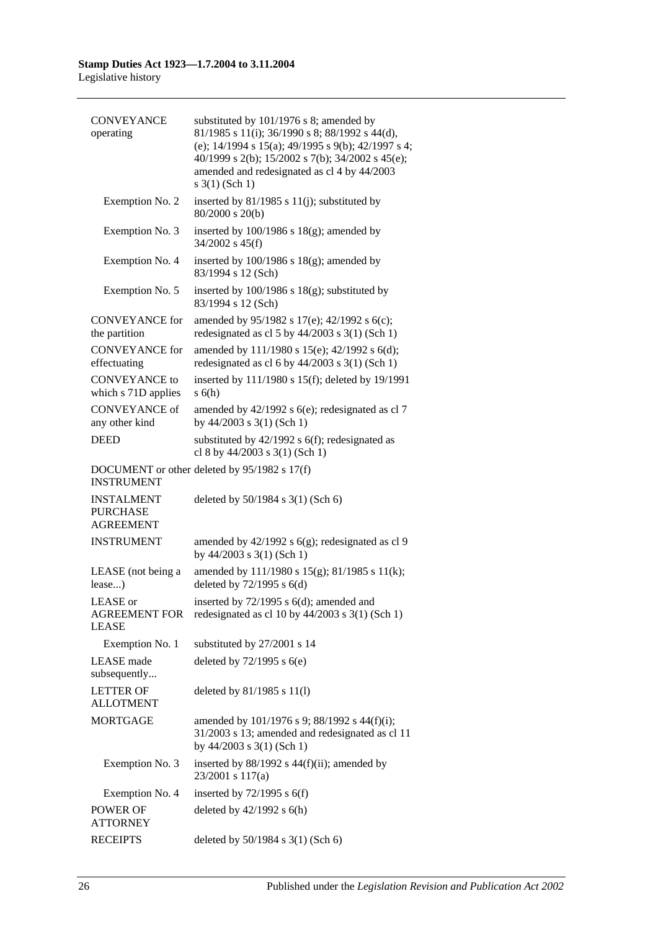| <b>CONVEYANCE</b><br>operating                           | substituted by 101/1976 s 8; amended by<br>81/1985 s 11(i); 36/1990 s 8; 88/1992 s 44(d),<br>(e); 14/1994 s 15(a); 49/1995 s 9(b); 42/1997 s 4;<br>40/1999 s 2(b); 15/2002 s 7(b); 34/2002 s 45(e);<br>amended and redesignated as cl 4 by 44/2003<br>$s \; 3(1)$ (Sch 1) |
|----------------------------------------------------------|---------------------------------------------------------------------------------------------------------------------------------------------------------------------------------------------------------------------------------------------------------------------------|
| Exemption No. 2                                          | inserted by $81/1985$ s $11(j)$ ; substituted by<br>80/2000 s 20(b)                                                                                                                                                                                                       |
| Exemption No. 3                                          | inserted by $100/1986$ s $18(g)$ ; amended by<br>$34/2002$ s $45(f)$                                                                                                                                                                                                      |
| Exemption No. 4                                          | inserted by $100/1986$ s $18(g)$ ; amended by<br>83/1994 s 12 (Sch)                                                                                                                                                                                                       |
| Exemption No. 5                                          | inserted by $100/1986$ s $18(g)$ ; substituted by<br>83/1994 s 12 (Sch)                                                                                                                                                                                                   |
| <b>CONVEYANCE</b> for<br>the partition                   | amended by 95/1982 s 17(e); 42/1992 s 6(c);<br>redesignated as cl 5 by $44/2003$ s 3(1) (Sch 1)                                                                                                                                                                           |
| <b>CONVEYANCE</b> for<br>effectuating                    | amended by 111/1980 s 15(e); 42/1992 s 6(d);<br>redesignated as cl 6 by $44/2003$ s 3(1) (Sch 1)                                                                                                                                                                          |
| <b>CONVEYANCE</b> to<br>which s 71D applies              | inserted by 111/1980 s 15(f); deleted by 19/1991<br>s(6h)                                                                                                                                                                                                                 |
| <b>CONVEYANCE of</b><br>any other kind                   | amended by $42/1992$ s $6(e)$ ; redesignated as cl 7<br>by 44/2003 s 3(1) (Sch 1)                                                                                                                                                                                         |
| <b>DEED</b>                                              | substituted by $42/1992$ s $6(f)$ ; redesignated as<br>cl 8 by $44/2003$ s 3(1) (Sch 1)                                                                                                                                                                                   |
| <b>INSTRUMENT</b>                                        | DOCUMENT or other deleted by 95/1982 s 17(f)                                                                                                                                                                                                                              |
| <b>INSTALMENT</b><br><b>PURCHASE</b><br><b>AGREEMENT</b> | deleted by 50/1984 s 3(1) (Sch 6)                                                                                                                                                                                                                                         |
| <b>INSTRUMENT</b>                                        | amended by $42/1992$ s $6(g)$ ; redesignated as cl 9<br>by $44/2003$ s $3(1)$ (Sch 1)                                                                                                                                                                                     |
| LEASE (not being a<br>lease)                             | amended by 111/1980 s 15(g); 81/1985 s 11(k);<br>deleted by $72/1995$ s $6(d)$                                                                                                                                                                                            |
| LEASE or<br><b>AGREEMENT FOR</b><br><b>LEASE</b>         | inserted by 72/1995 s 6(d); amended and<br>redesignated as cl 10 by $44/2003$ s 3(1) (Sch 1)                                                                                                                                                                              |
| Exemption No. 1                                          | substituted by 27/2001 s 14                                                                                                                                                                                                                                               |
| <b>LEASE</b> made<br>subsequently                        | deleted by $72/1995$ s $6(e)$                                                                                                                                                                                                                                             |
| <b>LETTER OF</b><br><b>ALLOTMENT</b>                     | deleted by 81/1985 s 11(l)                                                                                                                                                                                                                                                |
| <b>MORTGAGE</b>                                          | amended by 101/1976 s 9; 88/1992 s 44(f)(i);<br>31/2003 s 13; amended and redesignated as cl 11<br>by $44/2003$ s $3(1)$ (Sch 1)                                                                                                                                          |
| Exemption No. 3                                          | inserted by $88/1992$ s $44(f)(ii)$ ; amended by<br>23/2001 s 117(a)                                                                                                                                                                                                      |
| Exemption No. 4                                          | inserted by $72/1995$ s $6(f)$                                                                                                                                                                                                                                            |
| POWER OF<br><b>ATTORNEY</b>                              | deleted by $42/1992$ s $6(h)$                                                                                                                                                                                                                                             |
| <b>RECEIPTS</b>                                          | deleted by 50/1984 s 3(1) (Sch 6)                                                                                                                                                                                                                                         |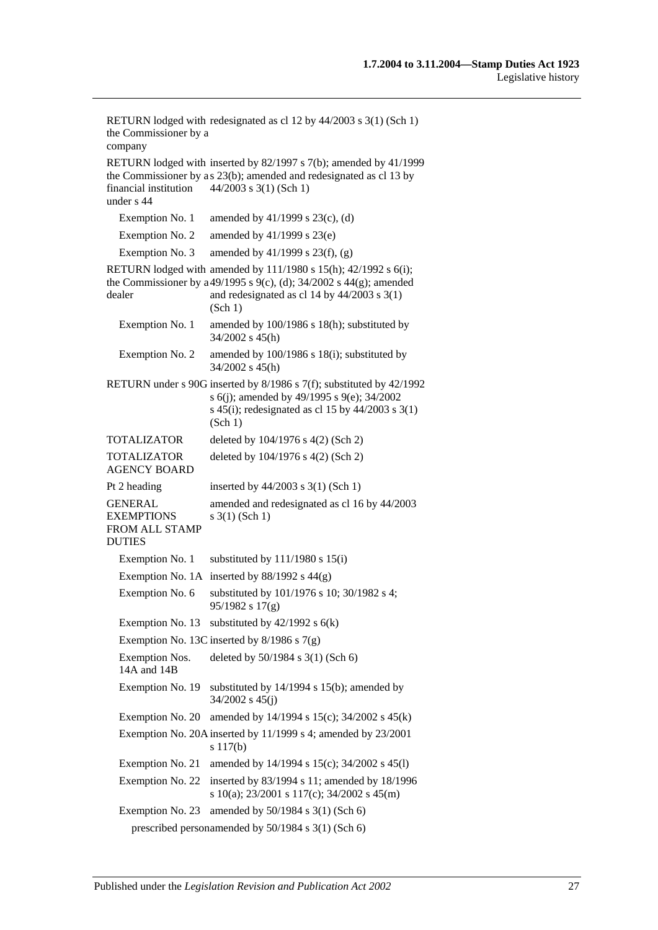RETURN lodged with redesignated as cl 12 by 44/2003 s 3(1) (Sch 1) the Commissioner by a company RETURN lodged with inserted by 82/1997 s 7(b); amended by 41/1999 the Commissioner by as 23(b); amended and redesignated as cl 13 by financial institution under s 44 44/2003 s 3(1) (Sch 1) Exemption No. 1 amended by  $41/1999$  s  $23(c)$ , (d) Exemption No. 2 amended by 41/1999 s 23(e) Exemption No. 3 amended by  $41/1999$  s  $23(f)$ , (g) RETURN lodged with amended by 111/1980 s 15(h); 42/1992 s 6(i); the Commissioner by a 49/1995 s 9(c), (d); 34/2002 s 44(g); amended dealer and redesignated as cl 14 by 44/2003 s 3(1) (Sch 1) Exemption No. 1 amended by 100/1986 s 18(h); substituted by 34/2002 s 45(h) Exemption No. 2 amended by 100/1986 s 18(i); substituted by 34/2002 s 45(h) RETURN under s 90G inserted by 8/1986 s 7(f); substituted by 42/1992 s 6(j); amended by 49/1995 s 9(e); 34/2002 s 45(i); redesignated as cl 15 by  $44/2003$  s 3(1) (Sch 1) TOTALIZATOR deleted by 104/1976 s 4(2) (Sch 2) TOTALIZATOR AGENCY BOARD deleted by 104/1976 s 4(2) (Sch 2) Pt 2 heading inserted by  $44/2003$  s 3(1) (Sch 1) GENERAL EXEMPTIONS FROM ALL STAMP DUTIES amended and redesignated as cl 16 by 44/2003 s 3(1) (Sch 1) Exemption No. 1 substituted by  $111/1980$  s  $15(i)$ Exemption No. 1A inserted by  $88/1992$  s  $44(g)$ Exemption No. 6 substituted by 101/1976 s 10; 30/1982 s 4; 95/1982 s 17(g) Exemption No. 13 substituted by  $42/1992$  s  $6(k)$ Exemption No. 13C inserted by 8/1986 s 7(g) Exemption Nos. 14A and 14B deleted by 50/1984 s 3(1) (Sch 6) Exemption No. 19 substituted by 14/1994 s 15(b); amended by 34/2002 s 45(j) Exemption No. 20 amended by 14/1994 s 15(c); 34/2002 s 45(k) Exemption No. 20A inserted by 11/1999 s 4; amended by 23/2001 s 117(b) Exemption No. 21 amended by 14/1994 s 15(c); 34/2002 s 45(l) Exemption No. 22 inserted by 83/1994 s 11; amended by 18/1996 s 10(a); 23/2001 s 117(c); 34/2002 s 45(m) Exemption No. 23 amended by  $50/1984$  s  $3(1)$  (Sch 6) prescribed personamended by 50/1984 s 3(1) (Sch 6)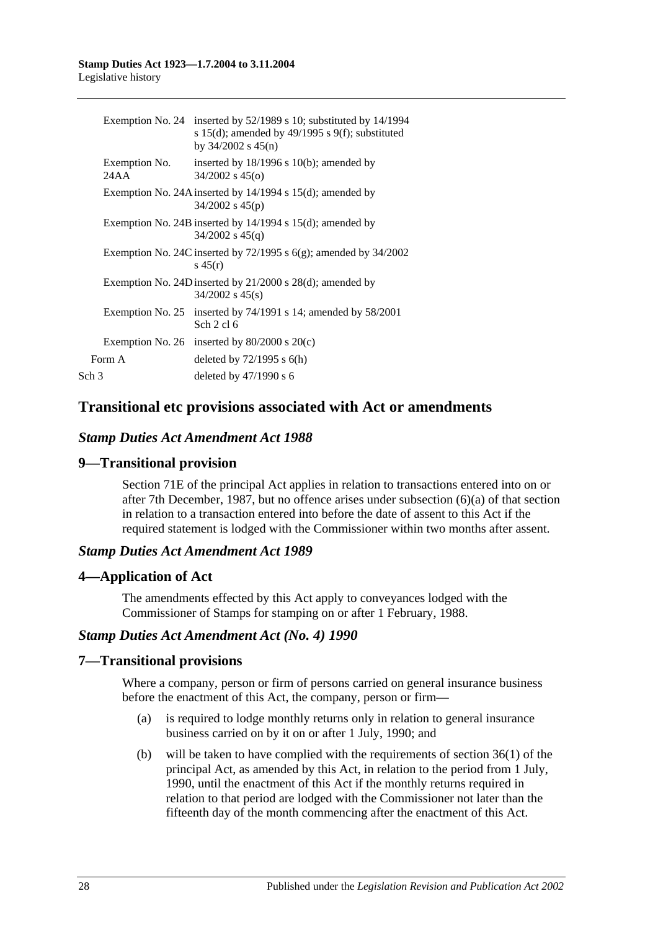|                       | Exemption No. 24 inserted by 52/1989 s 10; substituted by 14/1994<br>s 15(d); amended by 49/1995 s 9(f); substituted<br>by $34/2002$ s $45(n)$ |
|-----------------------|------------------------------------------------------------------------------------------------------------------------------------------------|
| Exemption No.<br>24AA | inserted by $18/1996$ s $10(b)$ ; amended by<br>$34/2002$ s $45(0)$                                                                            |
|                       | Exemption No. 24A inserted by $14/1994$ s $15(d)$ ; amended by<br>$34/2002$ s $45(p)$                                                          |
|                       | Exemption No. 24B inserted by $14/1994$ s $15(d)$ ; amended by<br>$34/2002$ s $45(q)$                                                          |
|                       | Exemption No. 24C inserted by $72/1995$ s $6(g)$ ; amended by $34/2002$<br>s $45(r)$                                                           |
|                       | Exemption No. 24D inserted by $21/2000$ s $28(d)$ ; amended by<br>$34/2002$ s $45(s)$                                                          |
|                       | Exemption No. 25 inserted by $74/1991$ s 14; amended by $58/2001$<br>Sch $2$ cl $6$                                                            |
|                       | Exemption No. 26 inserted by $80/2000$ s $20(c)$                                                                                               |
| Form A                | deleted by $72/1995$ s $6(h)$                                                                                                                  |
| Sch 3                 | deleted by $47/1990$ s 6                                                                                                                       |
|                       |                                                                                                                                                |

## **Transitional etc provisions associated with Act or amendments**

### *Stamp Duties Act Amendment Act 1988*

### **9—Transitional provision**

Section 71E of the principal Act applies in relation to transactions entered into on or after 7th December, 1987, but no offence arises under subsection (6)(a) of that section in relation to a transaction entered into before the date of assent to this Act if the required statement is lodged with the Commissioner within two months after assent.

### *Stamp Duties Act Amendment Act 1989*

### **4—Application of Act**

The amendments effected by this Act apply to conveyances lodged with the Commissioner of Stamps for stamping on or after 1 February, 1988.

### *Stamp Duties Act Amendment Act (No. 4) 1990*

### **7—Transitional provisions**

Where a company, person or firm of persons carried on general insurance business before the enactment of this Act, the company, person or firm—

- (a) is required to lodge monthly returns only in relation to general insurance business carried on by it on or after 1 July, 1990; and
- (b) will be taken to have complied with the requirements of section 36(1) of the principal Act, as amended by this Act, in relation to the period from 1 July, 1990, until the enactment of this Act if the monthly returns required in relation to that period are lodged with the Commissioner not later than the fifteenth day of the month commencing after the enactment of this Act.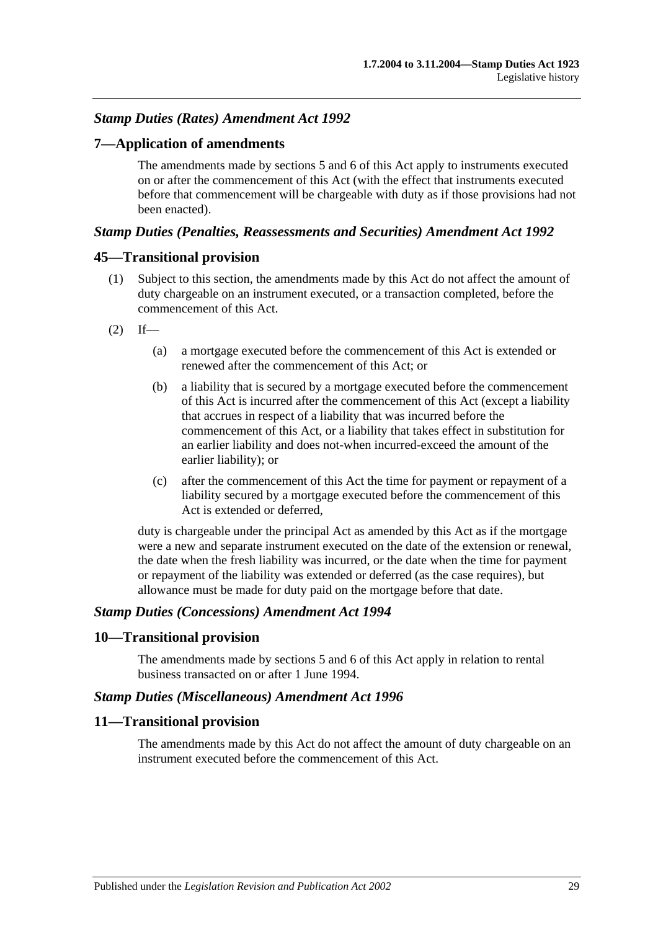# *Stamp Duties (Rates) Amendment Act 1992*

### **7—Application of amendments**

The amendments made by sections 5 and 6 of this Act apply to instruments executed on or after the commencement of this Act (with the effect that instruments executed before that commencement will be chargeable with duty as if those provisions had not been enacted).

#### *Stamp Duties (Penalties, Reassessments and Securities) Amendment Act 1992*

#### **45—Transitional provision**

- (1) Subject to this section, the amendments made by this Act do not affect the amount of duty chargeable on an instrument executed, or a transaction completed, before the commencement of this Act.
- $(2)$  If—
	- (a) a mortgage executed before the commencement of this Act is extended or renewed after the commencement of this Act; or
	- (b) a liability that is secured by a mortgage executed before the commencement of this Act is incurred after the commencement of this Act (except a liability that accrues in respect of a liability that was incurred before the commencement of this Act, or a liability that takes effect in substitution for an earlier liability and does not-when incurred-exceed the amount of the earlier liability); or
	- (c) after the commencement of this Act the time for payment or repayment of a liability secured by a mortgage executed before the commencement of this Act is extended or deferred,

duty is chargeable under the principal Act as amended by this Act as if the mortgage were a new and separate instrument executed on the date of the extension or renewal, the date when the fresh liability was incurred, or the date when the time for payment or repayment of the liability was extended or deferred (as the case requires), but allowance must be made for duty paid on the mortgage before that date.

#### *Stamp Duties (Concessions) Amendment Act 1994*

#### **10—Transitional provision**

The amendments made by sections 5 and 6 of this Act apply in relation to rental business transacted on or after 1 June 1994.

#### *Stamp Duties (Miscellaneous) Amendment Act 1996*

# **11—Transitional provision**

The amendments made by this Act do not affect the amount of duty chargeable on an instrument executed before the commencement of this Act.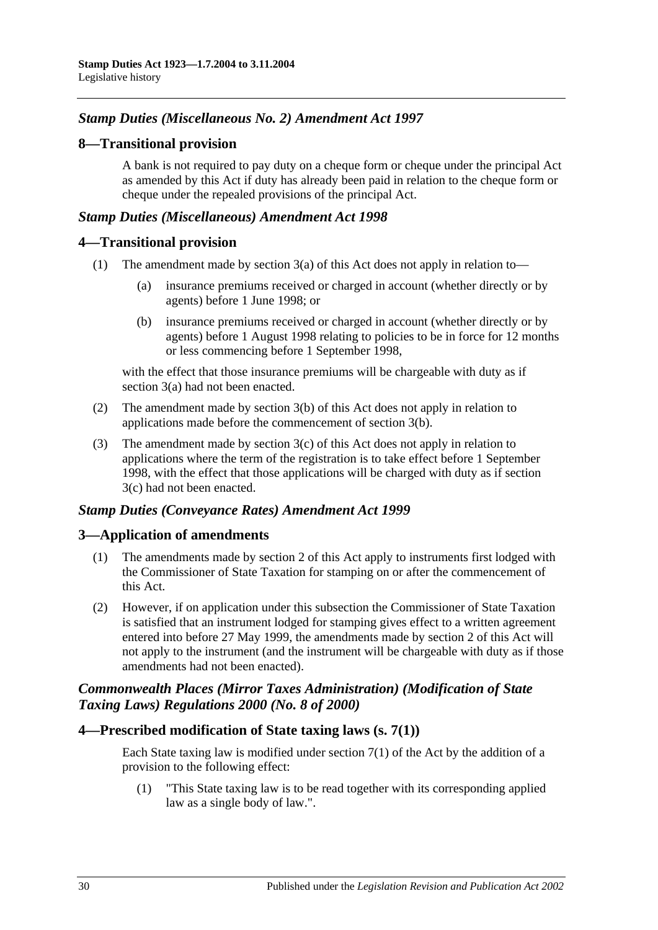# *Stamp Duties (Miscellaneous No. 2) Amendment Act 1997*

# **8—Transitional provision**

A bank is not required to pay duty on a cheque form or cheque under the principal Act as amended by this Act if duty has already been paid in relation to the cheque form or cheque under the repealed provisions of the principal Act.

# *Stamp Duties (Miscellaneous) Amendment Act 1998*

# **4—Transitional provision**

- (1) The amendment made by section 3(a) of this Act does not apply in relation to—
	- (a) insurance premiums received or charged in account (whether directly or by agents) before 1 June 1998; or
	- (b) insurance premiums received or charged in account (whether directly or by agents) before 1 August 1998 relating to policies to be in force for 12 months or less commencing before 1 September 1998,

with the effect that those insurance premiums will be chargeable with duty as if section 3(a) had not been enacted.

- (2) The amendment made by section 3(b) of this Act does not apply in relation to applications made before the commencement of section 3(b).
- (3) The amendment made by section 3(c) of this Act does not apply in relation to applications where the term of the registration is to take effect before 1 September 1998, with the effect that those applications will be charged with duty as if section 3(c) had not been enacted.

# *Stamp Duties (Conveyance Rates) Amendment Act 1999*

# **3—Application of amendments**

- (1) The amendments made by section 2 of this Act apply to instruments first lodged with the Commissioner of State Taxation for stamping on or after the commencement of this Act.
- (2) However, if on application under this subsection the Commissioner of State Taxation is satisfied that an instrument lodged for stamping gives effect to a written agreement entered into before 27 May 1999, the amendments made by section 2 of this Act will not apply to the instrument (and the instrument will be chargeable with duty as if those amendments had not been enacted).

# *Commonwealth Places (Mirror Taxes Administration) (Modification of State Taxing Laws) Regulations 2000 (No. 8 of 2000)*

#### **4—Prescribed modification of State taxing laws (s. 7(1))**

Each State taxing law is modified under section  $7(1)$  of the Act by the addition of a provision to the following effect:

(1) "This State taxing law is to be read together with its corresponding applied law as a single body of law.".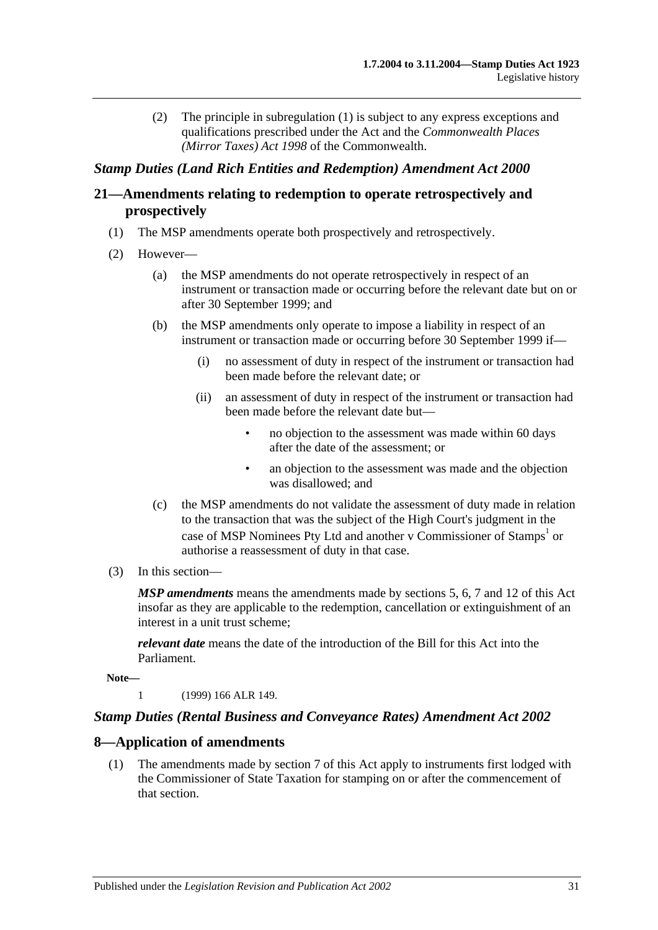(2) The principle in subregulation (1) is subject to any express exceptions and qualifications prescribed under the Act and the *Commonwealth Places (Mirror Taxes) Act 1998* of the Commonwealth.

# *Stamp Duties (Land Rich Entities and Redemption) Amendment Act 2000*

# **21—Amendments relating to redemption to operate retrospectively and prospectively**

- (1) The MSP amendments operate both prospectively and retrospectively.
- (2) However—
	- (a) the MSP amendments do not operate retrospectively in respect of an instrument or transaction made or occurring before the relevant date but on or after 30 September 1999; and
	- (b) the MSP amendments only operate to impose a liability in respect of an instrument or transaction made or occurring before 30 September 1999 if—
		- (i) no assessment of duty in respect of the instrument or transaction had been made before the relevant date; or
		- (ii) an assessment of duty in respect of the instrument or transaction had been made before the relevant date but—
			- no objection to the assessment was made within 60 days after the date of the assessment; or
			- an objection to the assessment was made and the objection was disallowed; and
	- (c) the MSP amendments do not validate the assessment of duty made in relation to the transaction that was the subject of the High Court's judgment in the case of MSP Nominees Pty Ltd and another v Commissioner of Stamps<sup>1</sup> or authorise a reassessment of duty in that case.
- (3) In this section—

*MSP amendments* means the amendments made by sections 5, 6, 7 and 12 of this Act insofar as they are applicable to the redemption, cancellation or extinguishment of an interest in a unit trust scheme;

*relevant date* means the date of the introduction of the Bill for this Act into the Parliament.

**Note—**

1 (1999) 166 ALR 149.

# *Stamp Duties (Rental Business and Conveyance Rates) Amendment Act 2002*

# **8—Application of amendments**

(1) The amendments made by section 7 of this Act apply to instruments first lodged with the Commissioner of State Taxation for stamping on or after the commencement of that section.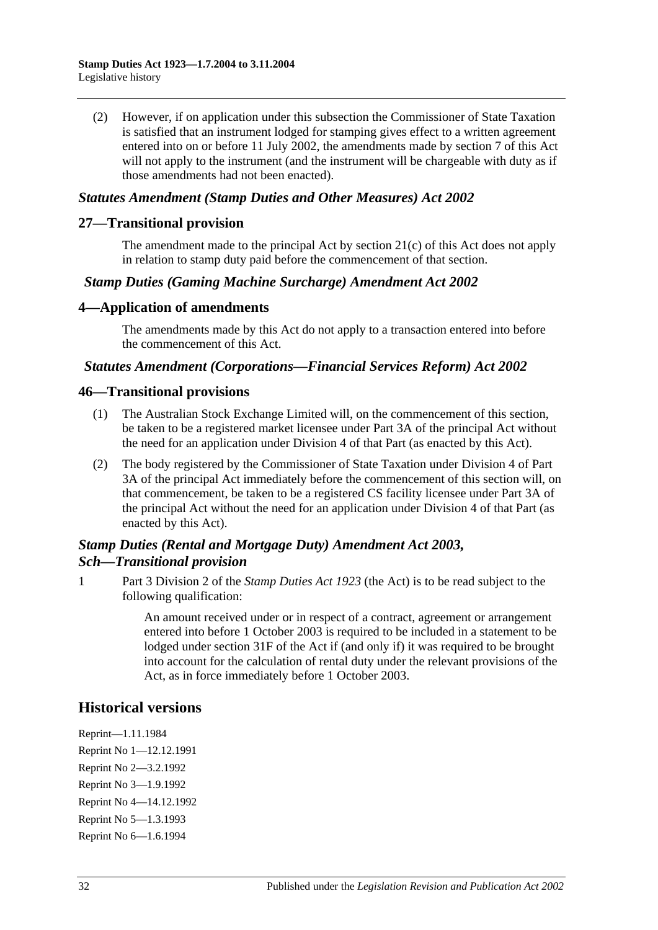(2) However, if on application under this subsection the Commissioner of State Taxation is satisfied that an instrument lodged for stamping gives effect to a written agreement entered into on or before 11 July 2002, the amendments made by section 7 of this Act will not apply to the instrument (and the instrument will be chargeable with duty as if those amendments had not been enacted).

# *Statutes Amendment (Stamp Duties and Other Measures) Act 2002*

#### **27—Transitional provision**

The amendment made to the principal Act by section 21(c) of this Act does not apply in relation to stamp duty paid before the commencement of that section.

#### *Stamp Duties (Gaming Machine Surcharge) Amendment Act 2002*

#### **4—Application of amendments**

The amendments made by this Act do not apply to a transaction entered into before the commencement of this Act.

#### *Statutes Amendment (Corporations—Financial Services Reform) Act 2002*

#### **46—Transitional provisions**

- (1) The Australian Stock Exchange Limited will, on the commencement of this section, be taken to be a registered market licensee under Part 3A of the principal Act without the need for an application under Division 4 of that Part (as enacted by this Act).
- (2) The body registered by the Commissioner of State Taxation under Division 4 of Part 3A of the principal Act immediately before the commencement of this section will, on that commencement, be taken to be a registered CS facility licensee under Part 3A of the principal Act without the need for an application under Division 4 of that Part (as enacted by this Act).

# *Stamp Duties (Rental and Mortgage Duty) Amendment Act 2003, Sch—Transitional provision*

1 Part 3 Division 2 of the *[Stamp Duties Act](http://www.legislation.sa.gov.au/index.aspx?action=legref&type=act&legtitle=Stamp%20Duties%20Act%201923) 1923* (the Act) is to be read subject to the following qualification:

> An amount received under or in respect of a contract, agreement or arrangement entered into before 1 October 2003 is required to be included in a statement to be lodged under section 31F of the Act if (and only if) it was required to be brought into account for the calculation of rental duty under the relevant provisions of the Act, as in force immediately before 1 October 2003.

# **Historical versions**

Reprint—1.11.1984 Reprint No 1—12.12.1991 Reprint No 2—3.2.1992 Reprint No 3—1.9.1992 Reprint No 4—14.12.1992 Reprint No 5—1.3.1993 Reprint No 6—1.6.1994